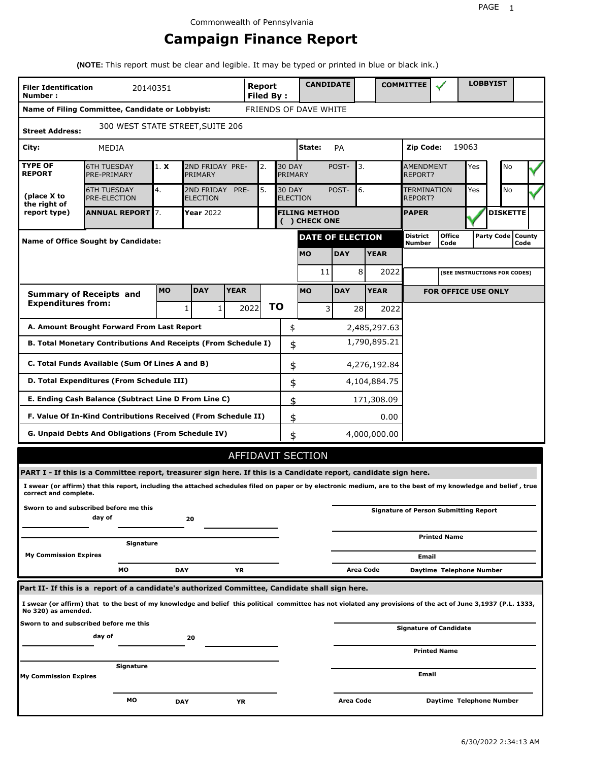## **Campaign Finance Report**

**(NOTE:** This report must be clear and legible. It may be typed or printed in blue or black ink.)

| <b>Filer Identification</b><br>Number: | 20140351                                                                                                                                                        |           |                               |             | Report<br><b>Filed By:</b> |    |                          | <b>CANDIDATE</b>                      |            |           |              | <b>COMMITTEE</b>                             |                            |       | <b>LOBBYIST</b>              |      |  |
|----------------------------------------|-----------------------------------------------------------------------------------------------------------------------------------------------------------------|-----------|-------------------------------|-------------|----------------------------|----|--------------------------|---------------------------------------|------------|-----------|--------------|----------------------------------------------|----------------------------|-------|------------------------------|------|--|
|                                        | Name of Filing Committee, Candidate or Lobbyist:                                                                                                                |           |                               |             |                            |    |                          | FRIENDS OF DAVE WHITE                 |            |           |              |                                              |                            |       |                              |      |  |
| <b>Street Address:</b>                 | 300 WEST STATE STREET, SUITE 206                                                                                                                                |           |                               |             |                            |    |                          |                                       |            |           |              |                                              |                            |       |                              |      |  |
| City:                                  | MEDIA                                                                                                                                                           |           |                               |             |                            |    |                          | State:                                | PA         |           |              | Zip Code:                                    |                            | 19063 |                              |      |  |
| <b>TYPE OF</b><br><b>REPORT</b>        | <b>6TH TUESDAY</b><br>PRE-PRIMARY                                                                                                                               | 1. X      | 2ND FRIDAY PRE-<br>PRIMARY    |             | 2.                         |    | <b>30 DAY</b><br>PRIMARY |                                       | POST-      | 3.        |              | <b>AMENDMENT</b><br>REPORT?                  |                            | Yes   | No                           |      |  |
| (place X to<br>the right of            | <b>6TH TUESDAY</b><br>PRE-ELECTION                                                                                                                              | 4.        | 2ND FRIDAY<br><b>ELECTION</b> | PRE-        | 5.                         |    | <b>30 DAY</b>            | <b>ELECTION</b>                       | POST-      | 6.        |              | <b>TERMINATION</b><br><b>REPORT?</b>         |                            | Yes   | No                           |      |  |
| report type)                           | <b>ANNUAL REPORT</b> 7.                                                                                                                                         |           | Year 2022                     |             |                            |    |                          | <b>FILING METHOD</b><br>( ) CHECK ONE |            |           |              | <b>PAPER</b>                                 |                            |       | <b>DISKETTE</b>              |      |  |
|                                        | <b>Name of Office Sought by Candidate:</b>                                                                                                                      |           |                               |             |                            |    |                          | DATE OF ELECTION                      |            |           |              | District<br>Number                           | <b>Office</b><br>Code      |       | Party Code   County          | Code |  |
|                                        |                                                                                                                                                                 |           |                               |             |                            |    |                          | <b>MO</b>                             | <b>DAY</b> |           | <b>YEAR</b>  |                                              |                            |       |                              |      |  |
|                                        |                                                                                                                                                                 |           |                               |             |                            |    |                          | 11                                    |            | 8         | 2022         |                                              |                            |       | (SEE INSTRUCTIONS FOR CODES) |      |  |
|                                        | <b>Summary of Receipts and</b>                                                                                                                                  | <b>MO</b> | <b>DAY</b>                    | <b>YEAR</b> |                            |    |                          | <b>MO</b>                             | <b>DAY</b> |           | <b>YEAR</b>  |                                              | <b>FOR OFFICE USE ONLY</b> |       |                              |      |  |
| <b>Expenditures from:</b>              |                                                                                                                                                                 |           | 1<br>1                        |             | 2022                       | ΤO |                          | 3                                     |            | 28        | 2022         |                                              |                            |       |                              |      |  |
|                                        | A. Amount Brought Forward From Last Report                                                                                                                      |           |                               |             |                            |    | \$                       |                                       |            |           | 2,485,297.63 |                                              |                            |       |                              |      |  |
|                                        | B. Total Monetary Contributions And Receipts (From Schedule I)                                                                                                  |           |                               |             |                            |    | \$                       |                                       |            |           | 1,790,895.21 |                                              |                            |       |                              |      |  |
|                                        | C. Total Funds Available (Sum Of Lines A and B)                                                                                                                 |           |                               |             |                            |    | \$                       |                                       |            |           | 4,276,192.84 |                                              |                            |       |                              |      |  |
|                                        | D. Total Expenditures (From Schedule III)                                                                                                                       |           |                               |             |                            |    | \$                       |                                       |            |           | 4,104,884.75 |                                              |                            |       |                              |      |  |
|                                        | E. Ending Cash Balance (Subtract Line D From Line C)                                                                                                            |           |                               |             |                            |    | \$                       |                                       |            |           | 171,308.09   |                                              |                            |       |                              |      |  |
|                                        | F. Value Of In-Kind Contributions Received (From Schedule II)                                                                                                   |           |                               |             |                            |    | \$                       |                                       |            |           | 0.00         |                                              |                            |       |                              |      |  |
|                                        | <b>G. Unpaid Debts And Obligations (From Schedule IV)</b>                                                                                                       |           |                               |             |                            |    | \$                       |                                       |            |           | 4,000,000.00 |                                              |                            |       |                              |      |  |
|                                        |                                                                                                                                                                 |           |                               |             |                            |    |                          | AFFIDAVIT SECTION                     |            |           |              |                                              |                            |       |                              |      |  |
|                                        | PART I - If this is a Committee report, treasurer sign here. If this is a Candidate report, candidate sign here.                                                |           |                               |             |                            |    |                          |                                       |            |           |              |                                              |                            |       |                              |      |  |
| correct and complete.                  | I swear (or affirm) that this report, including the attached schedules filed on paper or by electronic medium, are to the best of my knowledge and belief, true |           |                               |             |                            |    |                          |                                       |            |           |              |                                              |                            |       |                              |      |  |
|                                        | Sworn to and subscribed before me this<br>day of                                                                                                                |           | 20                            |             |                            |    |                          |                                       |            |           |              | <b>Signature of Person Submitting Report</b> |                            |       |                              |      |  |
|                                        |                                                                                                                                                                 |           |                               |             |                            |    |                          |                                       |            |           |              |                                              | <b>Printed Name</b>        |       |                              |      |  |
| <b>My Commission Expires</b>           | Signature                                                                                                                                                       |           |                               |             |                            |    |                          |                                       |            |           |              |                                              |                            |       |                              |      |  |
|                                        | МO                                                                                                                                                              |           | <b>DAY</b>                    | ΥR          |                            |    |                          |                                       |            | Area Code |              | Email                                        | Daytime Telephone Number   |       |                              |      |  |
|                                        | Part II- If this is a report of a candidate's authorized Committee, Candidate shall sign here.                                                                  |           |                               |             |                            |    |                          |                                       |            |           |              |                                              |                            |       |                              |      |  |
| No 320) as amended.                    | I swear (or affirm) that to the best of my knowledge and belief this political committee has not violated any provisions of the act of June 3,1937 (P.L. 1333,  |           |                               |             |                            |    |                          |                                       |            |           |              |                                              |                            |       |                              |      |  |
|                                        | Sworn to and subscribed before me this                                                                                                                          |           |                               |             |                            |    |                          |                                       |            |           |              | Signature of Candidate                       |                            |       |                              |      |  |
|                                        | day of                                                                                                                                                          |           | 20                            |             |                            |    |                          |                                       |            |           |              |                                              | <b>Printed Name</b>        |       |                              |      |  |
|                                        | Signature                                                                                                                                                       |           |                               |             |                            |    |                          |                                       |            |           |              |                                              |                            |       |                              |      |  |
| <b>My Commission Expires</b>           |                                                                                                                                                                 |           |                               |             |                            |    |                          |                                       |            |           |              | Email                                        |                            |       |                              |      |  |
|                                        | мо                                                                                                                                                              |           | <b>DAY</b>                    | YR          |                            |    |                          |                                       | Area Code  |           |              |                                              | Daytime Telephone Number   |       |                              |      |  |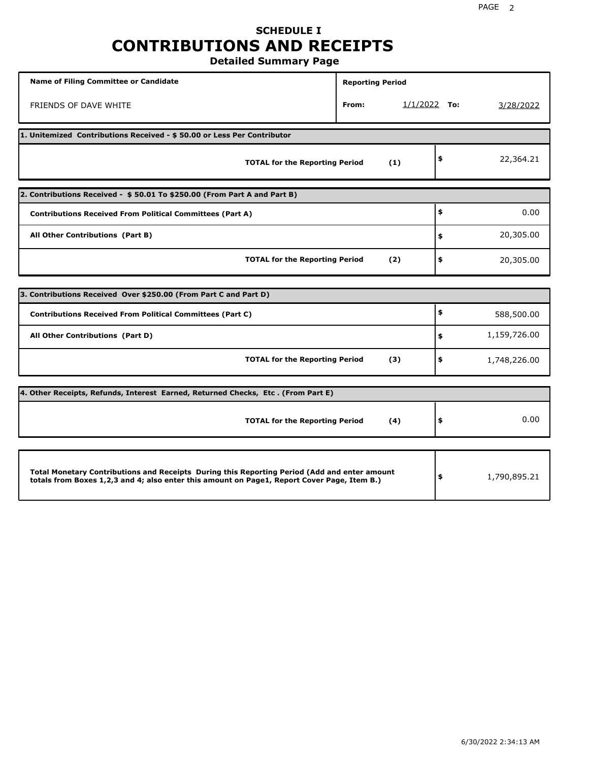## **SCHEDULE I CONTRIBUTIONS AND RECEIPTS**

**Detailed Summary Page**

| <b>Name of Filing Committee or Candidate</b>                                                                                                                                                | <b>Reporting Period</b> |                |                    |
|---------------------------------------------------------------------------------------------------------------------------------------------------------------------------------------------|-------------------------|----------------|--------------------|
| FRIENDS OF DAVE WHITE                                                                                                                                                                       | From:                   | $1/1/2022$ To: | 3/28/2022          |
| 1. Unitemized Contributions Received - \$50.00 or Less Per Contributor                                                                                                                      |                         |                |                    |
| <b>TOTAL for the Reporting Period</b>                                                                                                                                                       |                         | (1)            | \$<br>22,364.21    |
| 2. Contributions Received - \$50.01 To \$250.00 (From Part A and Part B)                                                                                                                    |                         |                |                    |
| <b>Contributions Received From Political Committees (Part A)</b>                                                                                                                            |                         |                | \$<br>0.00         |
| All Other Contributions (Part B)                                                                                                                                                            |                         |                | \$<br>20,305.00    |
| <b>TOTAL for the Reporting Period</b>                                                                                                                                                       |                         | (2)            | \$<br>20,305.00    |
| 3. Contributions Received Over \$250.00 (From Part C and Part D)                                                                                                                            |                         |                |                    |
|                                                                                                                                                                                             |                         |                | \$                 |
| <b>Contributions Received From Political Committees (Part C)</b>                                                                                                                            |                         |                | 588,500.00         |
| All Other Contributions (Part D)                                                                                                                                                            |                         |                | \$<br>1,159,726.00 |
| <b>TOTAL for the Reporting Period</b>                                                                                                                                                       |                         | (3)            | \$<br>1,748,226.00 |
| 4. Other Receipts, Refunds, Interest Earned, Returned Checks, Etc. (From Part E)                                                                                                            |                         |                |                    |
| <b>TOTAL for the Reporting Period</b>                                                                                                                                                       |                         | (4)            | \$<br>0.00         |
|                                                                                                                                                                                             |                         |                |                    |
| Total Monetary Contributions and Receipts During this Reporting Period (Add and enter amount<br>totals from Boxes 1,2,3 and 4; also enter this amount on Page1, Report Cover Page, Item B.) |                         |                | \$<br>1,790,895.21 |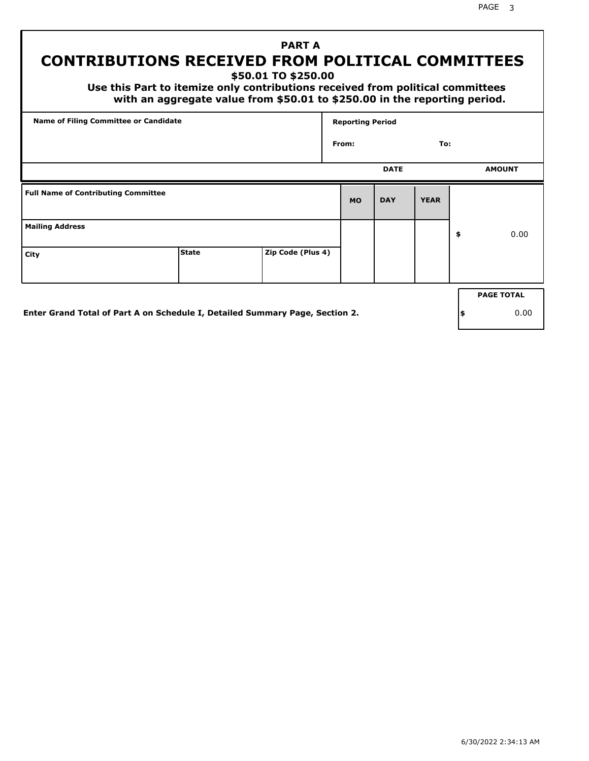## **PART A CONTRIBUTIONS RECEIVED FROM POLITICAL COMMITTEES**

**\$50.01 TO \$250.00**

 **Use this Part to itemize only contributions received from political committees with an aggregate value from \$50.01 to \$250.00 in the reporting period.**

| From:     | <b>DATE</b> | To:         |                   |
|-----------|-------------|-------------|-------------------|
|           |             |             |                   |
|           |             |             | <b>AMOUNT</b>     |
| <b>MO</b> | <b>DAY</b>  | <b>YEAR</b> |                   |
|           |             |             | \$<br>0.00        |
|           |             |             |                   |
|           |             |             | <b>PAGE TOTAL</b> |
|           |             |             |                   |

**Enter Grand Total of Part A on Schedule I, Detailed Summary Page, Section 2.**

**\$** 0.00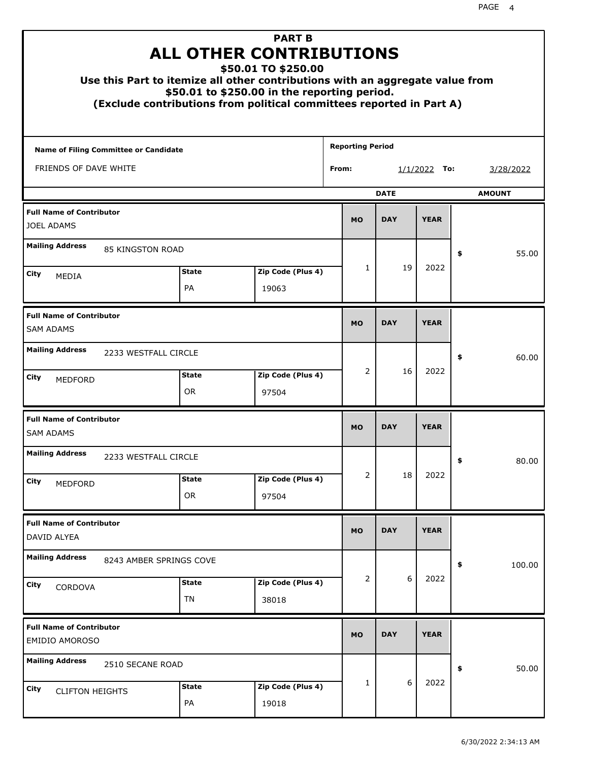|                                                          | <b>ALL OTHER CONTRIBUTIONS</b><br>Use this Part to itemize all other contributions with an aggregate value from<br>(Exclude contributions from political committees reported in Part A) | <b>PART B</b><br>\$50.01 TO \$250.00<br>\$50.01 to \$250.00 in the reporting period. |                         |             |                |               |
|----------------------------------------------------------|-----------------------------------------------------------------------------------------------------------------------------------------------------------------------------------------|--------------------------------------------------------------------------------------|-------------------------|-------------|----------------|---------------|
| <b>Name of Filing Committee or Candidate</b>             |                                                                                                                                                                                         |                                                                                      | <b>Reporting Period</b> |             |                |               |
| FRIENDS OF DAVE WHITE                                    |                                                                                                                                                                                         |                                                                                      | From:                   |             | $1/1/2022$ To: | 3/28/2022     |
|                                                          |                                                                                                                                                                                         |                                                                                      |                         | <b>DATE</b> |                | <b>AMOUNT</b> |
| <b>Full Name of Contributor</b><br><b>JOEL ADAMS</b>     |                                                                                                                                                                                         |                                                                                      | <b>MO</b>               | <b>DAY</b>  | <b>YEAR</b>    |               |
| <b>Mailing Address</b>                                   | 85 KINGSTON ROAD                                                                                                                                                                        |                                                                                      |                         |             |                | \$<br>55.00   |
| City<br>MEDIA                                            | <b>State</b>                                                                                                                                                                            | Zip Code (Plus 4)                                                                    | $\mathbf{1}$            | 19          | 2022           |               |
|                                                          | PA                                                                                                                                                                                      | 19063                                                                                |                         |             |                |               |
| <b>Full Name of Contributor</b><br><b>SAM ADAMS</b>      |                                                                                                                                                                                         |                                                                                      | <b>MO</b>               | <b>DAY</b>  | <b>YEAR</b>    |               |
| <b>Mailing Address</b>                                   | 2233 WESTFALL CIRCLE                                                                                                                                                                    |                                                                                      |                         |             |                | \$<br>60.00   |
| City<br><b>MEDFORD</b>                                   | <b>State</b><br><b>OR</b>                                                                                                                                                               | Zip Code (Plus 4)<br>97504                                                           | 2                       | 16          | 2022           |               |
| <b>Full Name of Contributor</b><br><b>SAM ADAMS</b>      |                                                                                                                                                                                         |                                                                                      | <b>MO</b>               | <b>DAY</b>  | <b>YEAR</b>    |               |
| <b>Mailing Address</b>                                   | 2233 WESTFALL CIRCLE                                                                                                                                                                    |                                                                                      |                         |             |                | 80.00<br>÷,   |
| City<br>MEDFORD                                          | <b>State</b><br><b>OR</b>                                                                                                                                                               | Zip Code (Plus 4)<br>97504                                                           | 2                       | 18          | 2022           |               |
| <b>Full Name of Contributor</b><br>DAVID ALYEA           |                                                                                                                                                                                         |                                                                                      | <b>MO</b>               | <b>DAY</b>  | <b>YEAR</b>    |               |
| <b>Mailing Address</b>                                   | 8243 AMBER SPRINGS COVE                                                                                                                                                                 |                                                                                      |                         |             |                | \$<br>100.00  |
| City<br>CORDOVA                                          | <b>State</b><br>TN                                                                                                                                                                      | Zip Code (Plus 4)<br>38018                                                           | 2                       | 6           | 2022           |               |
| <b>Full Name of Contributor</b><br><b>EMIDIO AMOROSO</b> |                                                                                                                                                                                         |                                                                                      | <b>MO</b>               | <b>DAY</b>  | <b>YEAR</b>    |               |
| <b>Mailing Address</b>                                   | 2510 SECANE ROAD                                                                                                                                                                        |                                                                                      |                         |             |                | 50.00<br>\$   |
| City<br><b>CLIFTON HEIGHTS</b>                           | <b>State</b><br>PA                                                                                                                                                                      | Zip Code (Plus 4)<br>19018                                                           | 1                       | 6           | 2022           |               |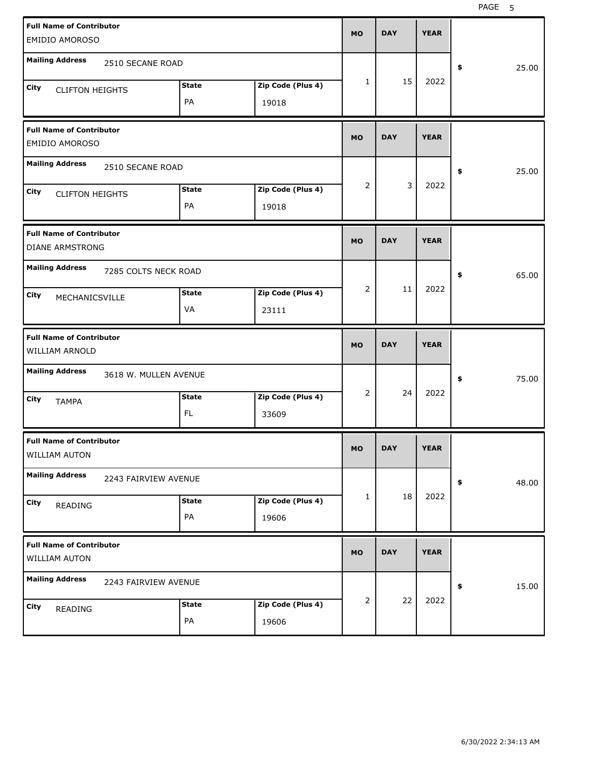| <b>Full Name of Contributor</b><br><b>EMIDIO AMOROSO</b> |                            | <b>MO</b>    | <b>DAY</b> | <b>YEAR</b> |             |
|----------------------------------------------------------|----------------------------|--------------|------------|-------------|-------------|
| <b>Mailing Address</b><br>2510 SECANE ROAD               |                            |              |            |             | 25.00<br>\$ |
| <b>State</b><br>City<br><b>CLIFTON HEIGHTS</b><br>PA     | Zip Code (Plus 4)<br>19018 | $\mathbf{1}$ | 15         | 2022        |             |
| <b>Full Name of Contributor</b><br><b>EMIDIO AMOROSO</b> |                            | <b>MO</b>    | <b>DAY</b> | <b>YEAR</b> |             |
| <b>Mailing Address</b><br>2510 SECANE ROAD               |                            |              |            |             | 25.00<br>\$ |
| <b>State</b><br>City<br><b>CLIFTON HEIGHTS</b><br>PA     | Zip Code (Plus 4)<br>19018 | 2            | 3          | 2022        |             |
| <b>Full Name of Contributor</b><br>DIANE ARMSTRONG       |                            | <b>MO</b>    | <b>DAY</b> | <b>YEAR</b> |             |
| <b>Mailing Address</b><br>7285 COLTS NECK ROAD           |                            |              |            |             | \$<br>65.00 |
| <b>State</b><br>City<br>MECHANICSVILLE<br>VA             | Zip Code (Plus 4)<br>23111 | 2            | 11         | 2022        |             |
|                                                          |                            |              |            |             |             |
| <b>Full Name of Contributor</b><br>WILLIAM ARNOLD        |                            | <b>MO</b>    | <b>DAY</b> | <b>YEAR</b> |             |
| <b>Mailing Address</b><br>3618 W. MULLEN AVENUE          |                            |              |            |             | 75.00<br>\$ |
| <b>State</b><br>City<br><b>TAMPA</b><br>FL               | Zip Code (Plus 4)<br>33609 | 2            | 24         | 2022        |             |
| <b>Full Name of Contributor</b><br><b>WILLIAM AUTON</b>  |                            | <b>MO</b>    | <b>DAY</b> | <b>YEAR</b> |             |
| <b>Mailing Address</b><br>2243 FAIRVIEW AVENUE           |                            |              |            |             | 48.00<br>\$ |
| <b>State</b><br>City<br>READING<br>PA                    | Zip Code (Plus 4)<br>19606 | 1            | 18         | 2022        |             |
| <b>Full Name of Contributor</b><br>WILLIAM AUTON         |                            | <b>MO</b>    | <b>DAY</b> | <b>YEAR</b> |             |
| <b>Mailing Address</b><br>2243 FAIRVIEW AVENUE           |                            | 2            | 22         | 2022        | 15.00<br>\$ |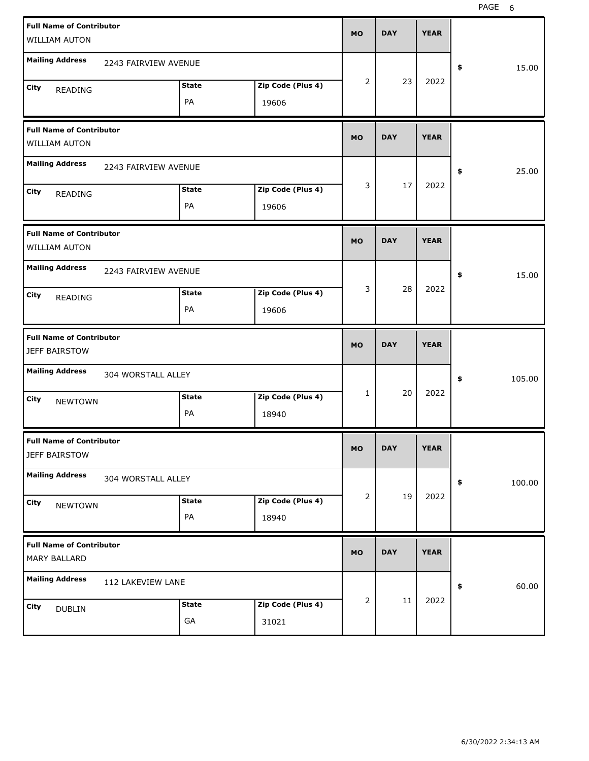| <b>Full Name of Contributor</b> |                      |              |                   |              |            |             |              |
|---------------------------------|----------------------|--------------|-------------------|--------------|------------|-------------|--------------|
| <b>WILLIAM AUTON</b>            |                      |              |                   | <b>MO</b>    | <b>DAY</b> | <b>YEAR</b> |              |
| <b>Mailing Address</b>          |                      |              |                   |              |            |             |              |
|                                 | 2243 FAIRVIEW AVENUE |              |                   |              |            |             | \$<br>15.00  |
| City<br><b>READING</b>          |                      | <b>State</b> | Zip Code (Plus 4) | 2            | 23         | 2022        |              |
|                                 |                      | PA           | 19606             |              |            |             |              |
| <b>Full Name of Contributor</b> |                      |              |                   |              |            |             |              |
| <b>WILLIAM AUTON</b>            |                      |              |                   | <b>MO</b>    | <b>DAY</b> | <b>YEAR</b> |              |
| <b>Mailing Address</b>          | 2243 FAIRVIEW AVENUE |              |                   |              |            |             | \$<br>25.00  |
| City<br><b>READING</b>          |                      | <b>State</b> | Zip Code (Plus 4) | 3            | 17         | 2022        |              |
|                                 |                      | PA           | 19606             |              |            |             |              |
| <b>Full Name of Contributor</b> |                      |              |                   |              |            |             |              |
| <b>WILLIAM AUTON</b>            |                      |              |                   | <b>MO</b>    | <b>DAY</b> | <b>YEAR</b> |              |
| <b>Mailing Address</b>          | 2243 FAIRVIEW AVENUE |              |                   |              |            |             | \$<br>15.00  |
| City<br><b>READING</b>          |                      | <b>State</b> | Zip Code (Plus 4) | 3            | 28         | 2022        |              |
|                                 |                      | PA           | 19606             |              |            |             |              |
|                                 |                      |              |                   |              |            |             |              |
| <b>Full Name of Contributor</b> |                      |              |                   |              |            |             |              |
| JEFF BAIRSTOW                   |                      |              |                   | <b>MO</b>    | <b>DAY</b> | <b>YEAR</b> |              |
| <b>Mailing Address</b>          | 304 WORSTALL ALLEY   |              |                   |              |            |             | \$<br>105.00 |
| City<br><b>NEWTOWN</b>          |                      | <b>State</b> | Zip Code (Plus 4) | $\mathbf{1}$ | 20         | 2022        |              |
|                                 |                      | PA           | 18940             |              |            |             |              |
| <b>Full Name of Contributor</b> |                      |              |                   |              |            |             |              |
| <b>JEFF BAIRSTOW</b>            |                      |              |                   | <b>MO</b>    | <b>DAY</b> | <b>YEAR</b> |              |
| <b>Mailing Address</b>          | 304 WORSTALL ALLEY   |              |                   |              |            |             | \$<br>100.00 |
| City<br><b>NEWTOWN</b>          |                      | <b>State</b> | Zip Code (Plus 4) | 2            | 19         | 2022        |              |
|                                 |                      | PA           | 18940             |              |            |             |              |
| <b>Full Name of Contributor</b> |                      |              |                   |              |            |             |              |
| MARY BALLARD                    |                      |              |                   | <b>MO</b>    | <b>DAY</b> | <b>YEAR</b> |              |
| <b>Mailing Address</b>          | 112 LAKEVIEW LANE    |              |                   |              |            |             | \$<br>60.00  |
| City<br><b>DUBLIN</b>           |                      | <b>State</b> | Zip Code (Plus 4) | 2            | 11         | 2022        |              |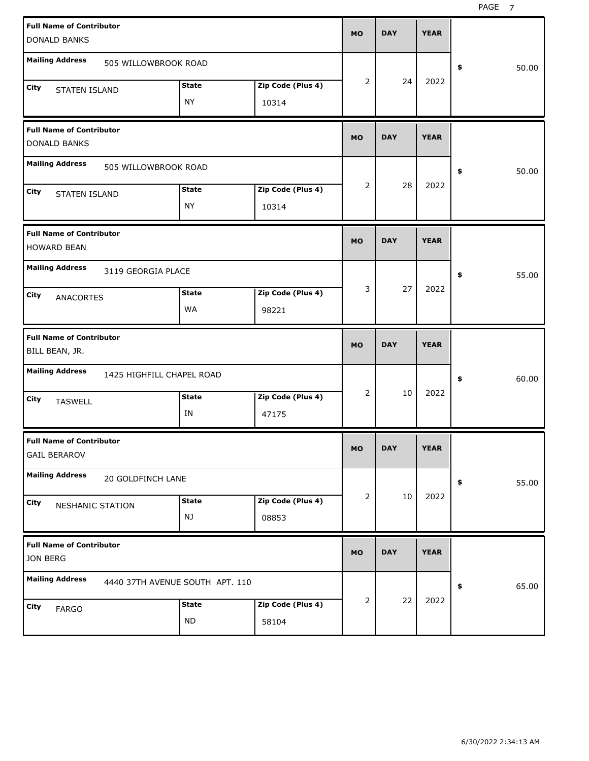| <b>Full Name of Contributor</b><br><b>DONALD BANKS</b>                                         |                            | <b>MO</b> | <b>DAY</b> | <b>YEAR</b> |             |
|------------------------------------------------------------------------------------------------|----------------------------|-----------|------------|-------------|-------------|
| <b>Mailing Address</b><br>505 WILLOWBROOK ROAD                                                 |                            |           |            |             | 50.00<br>\$ |
| <b>State</b><br><b>City</b><br><b>STATEN ISLAND</b><br><b>NY</b>                               | Zip Code (Plus 4)<br>10314 | 2         | 24         | 2022        |             |
| <b>Full Name of Contributor</b><br><b>DONALD BANKS</b>                                         |                            | <b>MO</b> | <b>DAY</b> | <b>YEAR</b> |             |
| <b>Mailing Address</b><br>505 WILLOWBROOK ROAD                                                 |                            |           |            |             | 50.00<br>\$ |
| <b>State</b><br><b>City</b><br><b>STATEN ISLAND</b><br><b>NY</b>                               | Zip Code (Plus 4)<br>10314 | 2         | 28         | 2022        |             |
| <b>Full Name of Contributor</b><br><b>HOWARD BEAN</b>                                          |                            | <b>MO</b> | <b>DAY</b> | <b>YEAR</b> |             |
| <b>Mailing Address</b><br>3119 GEORGIA PLACE<br><b>State</b><br>City<br><b>ANACORTES</b><br>WA | Zip Code (Plus 4)<br>98221 | 3         | 27         | 2022        | 55.00<br>\$ |
|                                                                                                |                            |           |            |             |             |
| <b>Full Name of Contributor</b><br>BILL BEAN, JR.                                              |                            | <b>MO</b> | <b>DAY</b> | <b>YEAR</b> |             |
| <b>Mailing Address</b><br>1425 HIGHFILL CHAPEL ROAD                                            |                            |           |            |             | 60.00<br>\$ |
| <b>State</b><br>City<br><b>TASWELL</b><br>IN                                                   | Zip Code (Plus 4)<br>47175 | 2         | 10         | 2022        |             |
| <b>Full Name of Contributor</b><br><b>GAIL BERAROV</b>                                         |                            | MO        | <b>DAY</b> | <b>YEAR</b> |             |
| <b>Mailing Address</b><br>20 GOLDFINCH LANE                                                    |                            |           |            |             | 55.00<br>\$ |
| <b>State</b><br>City<br>NESHANIC STATION<br>NJ                                                 | Zip Code (Plus 4)<br>08853 | 2         | 10         | 2022        |             |
| <b>Full Name of Contributor</b><br>JON BERG                                                    |                            | <b>MO</b> | <b>DAY</b> | <b>YEAR</b> |             |
| <b>Mailing Address</b><br>4440 37TH AVENUE SOUTH APT. 110                                      |                            |           | 22         | 2022        | 65.00<br>\$ |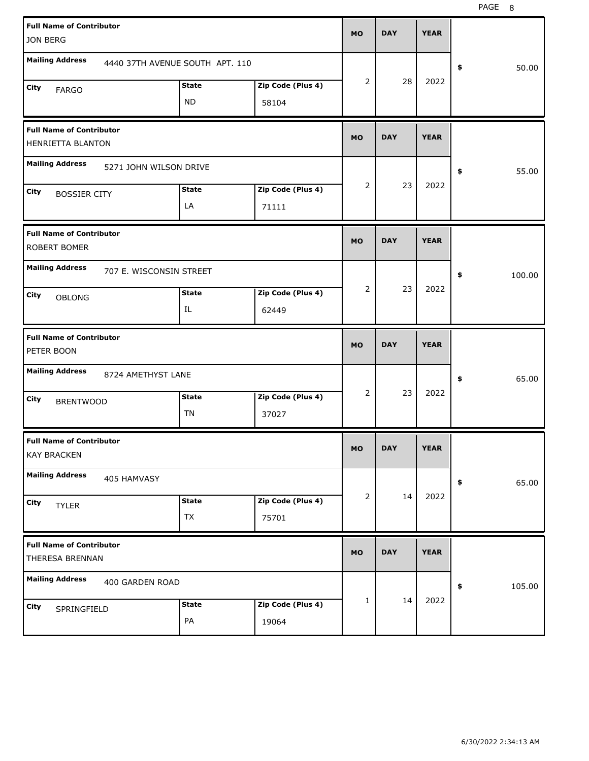| <b>Full Name of Contributor</b><br>JON BERG           |                                 |                            | <b>MO</b>      | <b>DAY</b> | <b>YEAR</b> |              |
|-------------------------------------------------------|---------------------------------|----------------------------|----------------|------------|-------------|--------------|
| <b>Mailing Address</b>                                | 4440 37TH AVENUE SOUTH APT. 110 |                            |                |            |             | 50.00<br>\$  |
| City<br><b>FARGO</b>                                  | <b>State</b><br><b>ND</b>       | Zip Code (Plus 4)<br>58104 | 2              | 28         | 2022        |              |
| <b>Full Name of Contributor</b><br>HENRIETTA BLANTON  |                                 |                            | <b>MO</b>      | <b>DAY</b> | <b>YEAR</b> |              |
| <b>Mailing Address</b><br>5271 JOHN WILSON DRIVE      |                                 |                            |                |            |             | 55.00<br>\$  |
| City<br><b>BOSSIER CITY</b>                           | <b>State</b><br>LA              | Zip Code (Plus 4)<br>71111 | 2              | 23         | 2022        |              |
| <b>Full Name of Contributor</b><br>ROBERT BOMER       |                                 |                            | <b>MO</b>      | <b>DAY</b> | <b>YEAR</b> |              |
| <b>Mailing Address</b><br>707 E. WISCONSIN STREET     |                                 |                            |                |            |             | \$<br>100.00 |
| City<br><b>OBLONG</b>                                 | <b>State</b><br>IL              | Zip Code (Plus 4)<br>62449 | $\overline{2}$ | 23         | 2022        |              |
|                                                       |                                 |                            |                |            |             |              |
| <b>Full Name of Contributor</b><br>PETER BOON         |                                 |                            | <b>MO</b>      | <b>DAY</b> | <b>YEAR</b> |              |
| <b>Mailing Address</b><br>8724 AMETHYST LANE          |                                 |                            |                |            |             | 65.00<br>\$  |
| City<br><b>BRENTWOOD</b>                              | <b>State</b><br>TN              | Zip Code (Plus 4)<br>37027 | $\overline{2}$ | 23         | 2022        |              |
| <b>Full Name of Contributor</b><br><b>KAY BRACKEN</b> |                                 |                            | MO             | <b>DAY</b> | <b>YEAR</b> |              |
| <b>Mailing Address</b><br>405 HAMVASY                 |                                 |                            |                |            |             | 65.00<br>\$  |
| City<br><b>TYLER</b>                                  | <b>State</b><br><b>TX</b>       | Zip Code (Plus 4)<br>75701 | $\overline{2}$ | 14         | 2022        |              |
| <b>Full Name of Contributor</b><br>THERESA BRENNAN    |                                 |                            | <b>MO</b>      | <b>DAY</b> | <b>YEAR</b> |              |
| <b>Mailing Address</b><br>400 GARDEN ROAD             |                                 |                            |                | 14         | 2022        | 105.00<br>\$ |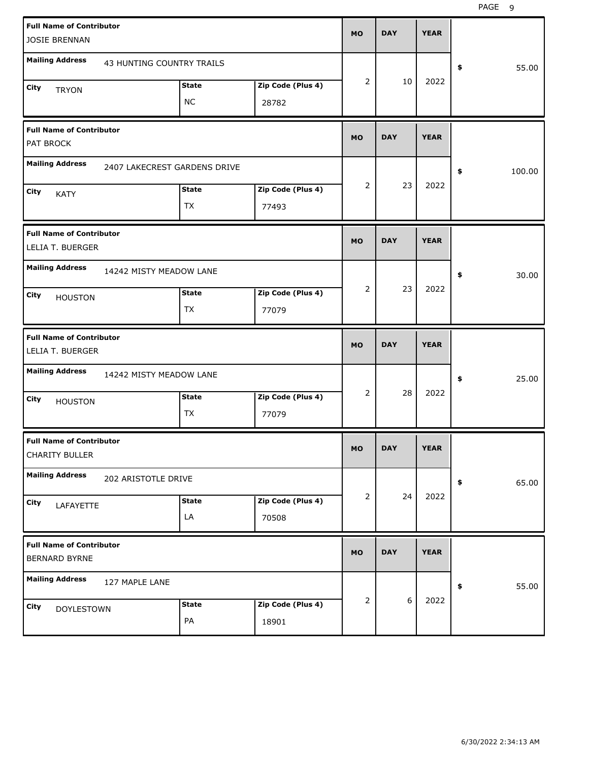| <b>Full Name of Contributor</b><br><b>JOSIE BRENNAN</b> |                              |                           |                            | <b>MO</b>      | <b>DAY</b> | <b>YEAR</b> |              |
|---------------------------------------------------------|------------------------------|---------------------------|----------------------------|----------------|------------|-------------|--------------|
| <b>Mailing Address</b>                                  | 43 HUNTING COUNTRY TRAILS    |                           |                            |                |            |             | \$<br>55.00  |
| City<br><b>TRYON</b>                                    |                              | <b>State</b><br><b>NC</b> | Zip Code (Plus 4)<br>28782 | $\overline{2}$ | 10         | 2022        |              |
| <b>Full Name of Contributor</b><br>PAT BROCK            |                              |                           |                            | <b>MO</b>      | <b>DAY</b> | <b>YEAR</b> |              |
| <b>Mailing Address</b>                                  | 2407 LAKECREST GARDENS DRIVE |                           |                            |                |            |             | \$<br>100.00 |
| City<br><b>KATY</b>                                     |                              | <b>State</b><br>TX        | Zip Code (Plus 4)<br>77493 | $\overline{2}$ | 23         | 2022        |              |
| <b>Full Name of Contributor</b><br>LELIA T. BUERGER     |                              |                           |                            | <b>MO</b>      | <b>DAY</b> | <b>YEAR</b> |              |
| <b>Mailing Address</b>                                  | 14242 MISTY MEADOW LANE      |                           |                            |                |            |             | \$<br>30.00  |
| City<br><b>HOUSTON</b>                                  |                              | <b>State</b><br>TX        | Zip Code (Plus 4)<br>77079 | $\overline{2}$ | 23         | 2022        |              |
|                                                         |                              |                           |                            |                |            |             |              |
| <b>Full Name of Contributor</b><br>LELIA T. BUERGER     |                              |                           |                            | <b>MO</b>      | <b>DAY</b> | <b>YEAR</b> |              |
| <b>Mailing Address</b>                                  | 14242 MISTY MEADOW LANE      |                           |                            |                |            |             | \$<br>25.00  |
| City<br><b>HOUSTON</b>                                  |                              | <b>State</b><br>TX        | Zip Code (Plus 4)<br>77079 | $\overline{2}$ | 28         | 2022        |              |
| <b>Full Name of Contributor</b><br>CHARITY BULLER       |                              |                           |                            | <b>MO</b>      | <b>DAY</b> | YEAK        |              |
| <b>Mailing Address</b>                                  | 202 ARISTOTLE DRIVE          |                           |                            |                |            |             | 65.00<br>\$  |
| City<br>LAFAYETTE                                       |                              | <b>State</b><br>LA        | Zip Code (Plus 4)<br>70508 | $\overline{2}$ | 24         | 2022        |              |
| <b>Full Name of Contributor</b><br>BERNARD BYRNE        |                              |                           |                            | <b>MO</b>      | <b>DAY</b> | <b>YEAR</b> |              |
| <b>Mailing Address</b>                                  | 127 MAPLE LANE               |                           |                            | 2              | $6\,$      | 2022        | 55.00<br>\$  |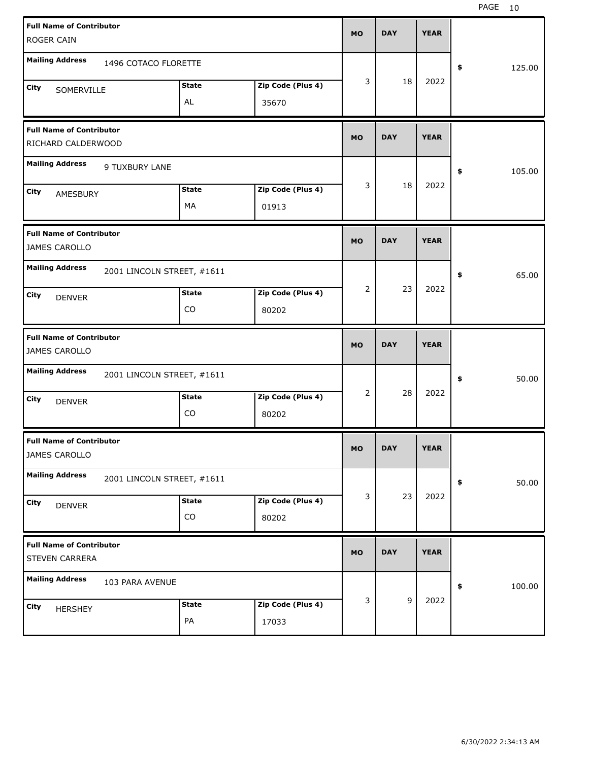| <b>Full Name of Contributor</b><br><b>ROGER CAIN</b>     |                            |                    |                            | <b>MO</b> | <b>DAY</b> | <b>YEAR</b> |              |       |
|----------------------------------------------------------|----------------------------|--------------------|----------------------------|-----------|------------|-------------|--------------|-------|
| <b>Mailing Address</b>                                   | 1496 COTACO FLORETTE       |                    |                            |           |            |             | 125.00<br>\$ |       |
| City<br>SOMERVILLE                                       |                            | <b>State</b><br>AL | Zip Code (Plus 4)<br>35670 | 3         | 18         | 2022        |              |       |
| <b>Full Name of Contributor</b><br>RICHARD CALDERWOOD    |                            |                    |                            | <b>MO</b> | <b>DAY</b> | <b>YEAR</b> |              |       |
| <b>Mailing Address</b>                                   | 9 TUXBURY LANE             |                    |                            |           |            |             | 105.00<br>\$ |       |
| City<br>AMESBURY                                         |                            | <b>State</b><br>MA | Zip Code (Plus 4)<br>01913 | 3         | 18         | 2022        |              |       |
| <b>Full Name of Contributor</b><br>JAMES CAROLLO         |                            |                    |                            | <b>MO</b> | <b>DAY</b> | <b>YEAR</b> |              |       |
| <b>Mailing Address</b>                                   | 2001 LINCOLN STREET, #1611 |                    |                            |           |            |             | \$           | 65.00 |
| City<br><b>DENVER</b>                                    |                            | <b>State</b><br>CO | Zip Code (Plus 4)<br>80202 | 2         | 23         | 2022        |              |       |
|                                                          |                            |                    |                            |           |            |             |              |       |
| <b>Full Name of Contributor</b><br>JAMES CAROLLO         |                            |                    |                            | <b>MO</b> | <b>DAY</b> | <b>YEAR</b> |              |       |
| <b>Mailing Address</b>                                   | 2001 LINCOLN STREET, #1611 |                    |                            |           |            |             | \$           | 50.00 |
| City<br><b>DENVER</b>                                    |                            | <b>State</b><br>CO | Zip Code (Plus 4)<br>80202 | 2         | 28         | 2022        |              |       |
| <b>Full Name of Contributor</b><br>JAMES CAROLLO         |                            |                    |                            | MO        | <b>DAY</b> | <b>YEAR</b> |              |       |
| <b>Mailing Address</b>                                   | 2001 LINCOLN STREET, #1611 |                    |                            |           |            |             | \$           | 50.00 |
| City<br><b>DENVER</b>                                    |                            | <b>State</b><br>CO | Zip Code (Plus 4)<br>80202 | 3         | 23         | 2022        |              |       |
| <b>Full Name of Contributor</b><br><b>STEVEN CARRERA</b> |                            |                    |                            | <b>MO</b> | <b>DAY</b> | <b>YEAR</b> |              |       |
| <b>Mailing Address</b>                                   | 103 PARA AVENUE            |                    |                            |           |            |             | 100.00<br>\$ |       |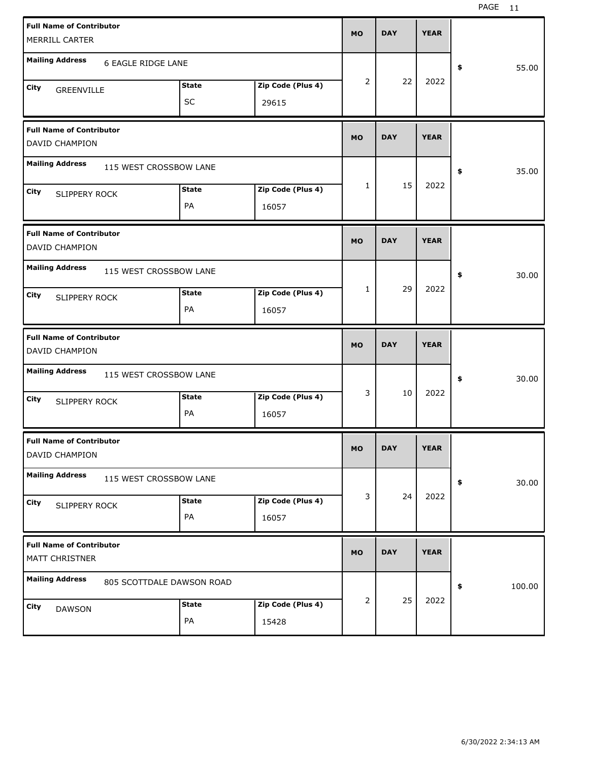| <b>Full Name of Contributor</b>                     |              |                   | <b>MO</b> | <b>DAY</b> | <b>YEAR</b> |              |  |
|-----------------------------------------------------|--------------|-------------------|-----------|------------|-------------|--------------|--|
| MERRILL CARTER                                      |              |                   |           |            |             |              |  |
| <b>Mailing Address</b><br>6 EAGLE RIDGE LANE        |              |                   |           |            |             | 55.00<br>\$  |  |
| <b>City</b><br>GREENVILLE                           | <b>State</b> | Zip Code (Plus 4) | 2         | 22         | 2022        |              |  |
|                                                     | <b>SC</b>    | 29615             |           |            |             |              |  |
| <b>Full Name of Contributor</b><br>DAVID CHAMPION   |              |                   | <b>MO</b> | <b>DAY</b> | <b>YEAR</b> |              |  |
| <b>Mailing Address</b><br>115 WEST CROSSBOW LANE    |              |                   |           |            |             | 35.00<br>\$  |  |
| <b>City</b><br><b>SLIPPERY ROCK</b>                 | <b>State</b> | Zip Code (Plus 4) | 1         | 15         | 2022        |              |  |
|                                                     | PA           | 16057             |           |            |             |              |  |
| <b>Full Name of Contributor</b><br>DAVID CHAMPION   |              |                   | <b>MO</b> | <b>DAY</b> | <b>YEAR</b> |              |  |
| <b>Mailing Address</b><br>115 WEST CROSSBOW LANE    |              |                   |           |            |             | \$<br>30.00  |  |
| <b>City</b><br><b>SLIPPERY ROCK</b>                 | <b>State</b> | Zip Code (Plus 4) | 1         | 29         | 2022        |              |  |
|                                                     | PA           | 16057             |           |            |             |              |  |
|                                                     |              |                   |           |            |             |              |  |
| <b>Full Name of Contributor</b><br>DAVID CHAMPION   |              |                   | <b>MO</b> | <b>DAY</b> | <b>YEAR</b> |              |  |
| <b>Mailing Address</b><br>115 WEST CROSSBOW LANE    |              |                   |           |            |             | \$<br>30.00  |  |
| City<br>SLIPPERY ROCK                               | <b>State</b> | Zip Code (Plus 4) | 3         | 10         | 2022        |              |  |
|                                                     | PA           | 16057             |           |            |             |              |  |
| <b>Full Name of Contributor</b><br>DAVID CHAMPION   |              |                   | <b>MO</b> | <b>DAY</b> | <b>YEAR</b> |              |  |
| <b>Mailing Address</b><br>115 WEST CROSSBOW LANE    |              |                   |           |            |             | 30.00<br>\$  |  |
| City<br>SLIPPERY ROCK                               | <b>State</b> | Zip Code (Plus 4) | 3         | 24         | 2022        |              |  |
|                                                     | PA           | 16057             |           |            |             |              |  |
| <b>Full Name of Contributor</b><br>MATT CHRISTNER   |              |                   | <b>MO</b> | <b>DAY</b> | <b>YEAR</b> |              |  |
| <b>Mailing Address</b><br>805 SCOTTDALE DAWSON ROAD |              |                   |           |            |             | 100.00<br>\$ |  |
| City<br><b>DAWSON</b>                               | <b>State</b> | Zip Code (Plus 4) | 2         | 25         | 2022        |              |  |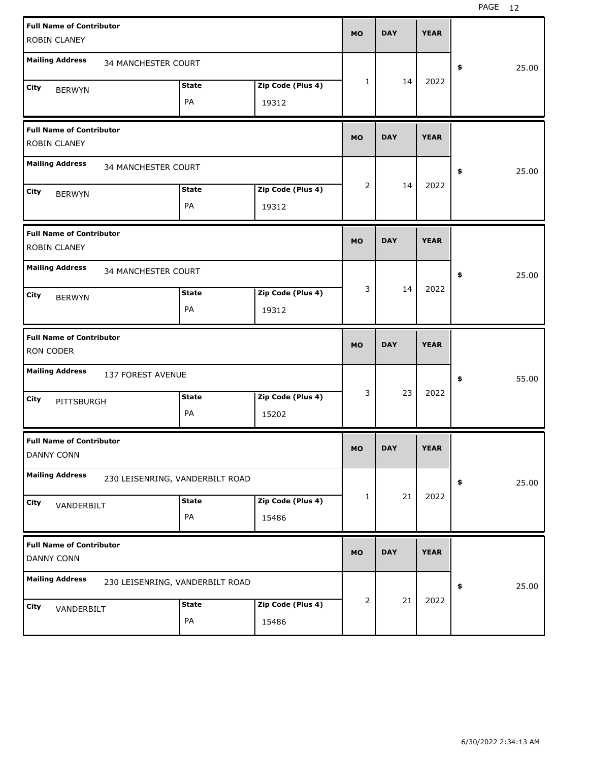| <b>Full Name of Contributor</b>                 |                                 |                   | <b>MO</b>    | <b>DAY</b> | <b>YEAR</b> |             |
|-------------------------------------------------|---------------------------------|-------------------|--------------|------------|-------------|-------------|
| ROBIN CLANEY                                    |                                 |                   |              |            |             |             |
| <b>Mailing Address</b><br>34 MANCHESTER COURT   |                                 |                   |              |            |             | \$<br>25.00 |
| <b>City</b><br><b>BERWYN</b>                    | <b>State</b>                    | Zip Code (Plus 4) | $\mathbf{1}$ | 14         | 2022        |             |
|                                                 | PA                              | 19312             |              |            |             |             |
| <b>Full Name of Contributor</b><br>ROBIN CLANEY |                                 |                   | <b>MO</b>    | <b>DAY</b> | <b>YEAR</b> |             |
| <b>Mailing Address</b><br>34 MANCHESTER COURT   |                                 |                   |              |            |             | \$<br>25.00 |
| <b>City</b>                                     | <b>State</b>                    | Zip Code (Plus 4) | 2            | 14         | 2022        |             |
| <b>BERWYN</b>                                   | PA                              | 19312             |              |            |             |             |
| <b>Full Name of Contributor</b><br>ROBIN CLANEY |                                 |                   | <b>MO</b>    | <b>DAY</b> | <b>YEAR</b> |             |
| <b>Mailing Address</b><br>34 MANCHESTER COURT   |                                 |                   |              |            |             | \$<br>25.00 |
| City<br><b>BERWYN</b>                           | <b>State</b>                    | Zip Code (Plus 4) | 3            | 14         | 2022        |             |
|                                                 | PA                              | 19312             |              |            |             |             |
|                                                 |                                 |                   |              |            |             |             |
| <b>Full Name of Contributor</b><br>RON CODER    |                                 |                   | <b>MO</b>    | <b>DAY</b> | <b>YEAR</b> |             |
| <b>Mailing Address</b><br>137 FOREST AVENUE     |                                 |                   |              |            |             | \$<br>55.00 |
| City                                            | <b>State</b>                    | Zip Code (Plus 4) | 3            | 23         | 2022        |             |
| PITTSBURGH                                      | PA                              | 15202             |              |            |             |             |
| <b>Full Name of Contributor</b><br>DANNY CONN   |                                 |                   | MO           | <b>DAY</b> | <b>YEAR</b> |             |
| <b>Mailing Address</b>                          | 230 LEISENRING, VANDERBILT ROAD |                   |              |            |             | \$<br>25.00 |
|                                                 | <b>State</b>                    | Zip Code (Plus 4) | 1            | 21         | 2022        |             |
| City<br>VANDERBILT                              | PA                              | 15486             |              |            |             |             |
| <b>Full Name of Contributor</b><br>DANNY CONN   |                                 |                   | <b>MO</b>    | <b>DAY</b> | <b>YEAR</b> |             |
| <b>Mailing Address</b>                          | 230 LEISENRING, VANDERBILT ROAD |                   |              |            |             | \$<br>25.00 |
| City                                            | <b>State</b>                    | Zip Code (Plus 4) | 2            | 21         | 2022        |             |
| VANDERBILT                                      | PA                              | 15486             |              |            |             |             |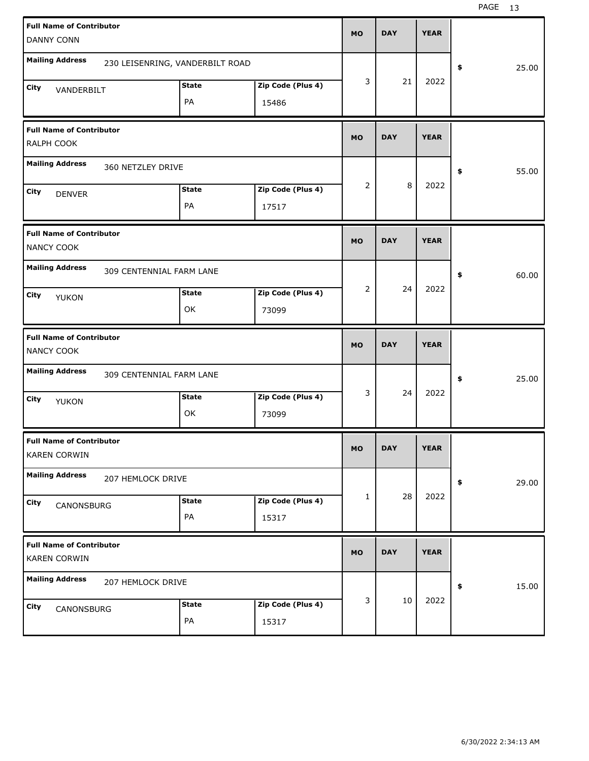| <b>Full Name of Contributor</b><br><b>DANNY CONN</b>   |                          |                                 |                            | <b>MO</b> | <b>DAY</b> | <b>YEAR</b> |             |
|--------------------------------------------------------|--------------------------|---------------------------------|----------------------------|-----------|------------|-------------|-------------|
| <b>Mailing Address</b>                                 |                          | 230 LEISENRING, VANDERBILT ROAD |                            |           |            |             | 25.00<br>\$ |
| City<br>VANDERBILT                                     |                          | <b>State</b><br>PA              | Zip Code (Plus 4)<br>15486 | 3         | 21         | 2022        |             |
| <b>Full Name of Contributor</b><br>RALPH COOK          |                          |                                 |                            | <b>MO</b> | <b>DAY</b> | <b>YEAR</b> |             |
| <b>Mailing Address</b>                                 | 360 NETZLEY DRIVE        |                                 |                            |           |            |             | 55.00<br>\$ |
| City<br><b>DENVER</b>                                  |                          | <b>State</b><br>PA              | Zip Code (Plus 4)<br>17517 | 2         | 8          | 2022        |             |
| <b>Full Name of Contributor</b><br>NANCY COOK          |                          |                                 |                            | <b>MO</b> | <b>DAY</b> | <b>YEAR</b> |             |
| <b>Mailing Address</b>                                 | 309 CENTENNIAL FARM LANE |                                 |                            |           |            |             | 60.00<br>\$ |
| City<br>YUKON                                          |                          | <b>State</b><br>OK              | Zip Code (Plus 4)<br>73099 | 2         | 24         | 2022        |             |
|                                                        |                          |                                 |                            |           |            |             |             |
| <b>Full Name of Contributor</b><br>NANCY COOK          |                          |                                 |                            | <b>MO</b> | <b>DAY</b> | <b>YEAR</b> |             |
| <b>Mailing Address</b>                                 | 309 CENTENNIAL FARM LANE |                                 |                            |           |            |             | 25.00<br>\$ |
| City<br>YUKON                                          |                          | <b>State</b><br>OK              | Zip Code (Plus 4)<br>73099 | 3         | 24         | 2022        |             |
| <b>Full Name of Contributor</b><br><b>KAREN CORWIN</b> |                          |                                 |                            | MO        | <b>DAY</b> | <b>YEAR</b> |             |
| <b>Mailing Address</b>                                 | 207 HEMLOCK DRIVE        |                                 |                            |           |            |             | 29.00<br>\$ |
| City<br>CANONSBURG                                     |                          | <b>State</b><br>PA              | Zip Code (Plus 4)<br>15317 | 1         | 28         | 2022        |             |
| <b>Full Name of Contributor</b><br><b>KAREN CORWIN</b> |                          |                                 |                            | <b>MO</b> | <b>DAY</b> | <b>YEAR</b> |             |
| <b>Mailing Address</b>                                 | 207 HEMLOCK DRIVE        |                                 |                            | 3         | 10         | 2022        | 15.00<br>\$ |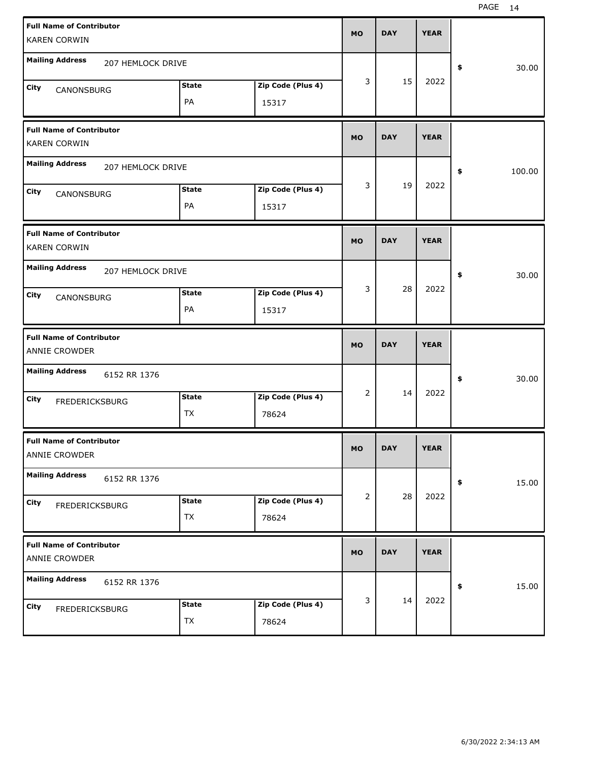| <b>Full Name of Contributor</b><br><b>KAREN CORWIN</b>                     | <b>MO</b> | <b>DAY</b> | <b>YEAR</b> |              |
|----------------------------------------------------------------------------|-----------|------------|-------------|--------------|
| <b>Mailing Address</b><br>207 HEMLOCK DRIVE                                |           |            |             | \$<br>30.00  |
| Zip Code (Plus 4)<br><b>State</b><br>City<br>CANONSBURG<br>PA<br>15317     | 3         | 15         | 2022        |              |
| <b>Full Name of Contributor</b><br><b>KAREN CORWIN</b>                     | <b>MO</b> | <b>DAY</b> | <b>YEAR</b> |              |
| <b>Mailing Address</b><br>207 HEMLOCK DRIVE                                |           |            |             | \$<br>100.00 |
| <b>State</b><br>Zip Code (Plus 4)<br>City<br>CANONSBURG<br>PA<br>15317     | 3         | 19         | 2022        |              |
| <b>Full Name of Contributor</b><br><b>KAREN CORWIN</b>                     | <b>MO</b> | <b>DAY</b> | <b>YEAR</b> |              |
| <b>Mailing Address</b><br>207 HEMLOCK DRIVE                                |           |            |             | \$<br>30.00  |
| <b>State</b><br>Zip Code (Plus 4)<br>City<br>CANONSBURG<br>PA<br>15317     | 3         | 28         | 2022        |              |
|                                                                            |           |            |             |              |
| <b>Full Name of Contributor</b><br>ANNIE CROWDER                           | <b>MO</b> | <b>DAY</b> | <b>YEAR</b> |              |
| <b>Mailing Address</b><br>6152 RR 1376                                     |           |            |             | 30.00<br>\$  |
| <b>State</b><br>Zip Code (Plus 4)<br>City<br>FREDERICKSBURG<br>TX<br>78624 | 2         | 14         | 2022        |              |
| <b>Full Name of Contributor</b><br>ANNIE CROWDER                           | MO        | <b>DAY</b> | <b>YEAR</b> |              |
| <b>Mailing Address</b><br>6152 RR 1376                                     |           |            |             | 15.00<br>\$  |
| <b>State</b><br>Zip Code (Plus 4)<br>City<br>FREDERICKSBURG<br>TX<br>78624 | 2         | 28         | 2022        |              |
| <b>Full Name of Contributor</b><br>ANNIE CROWDER                           | <b>MO</b> | <b>DAY</b> | <b>YEAR</b> |              |
| <b>Mailing Address</b><br>6152 RR 1376                                     | 3         | 14         | 2022        | 15.00<br>\$  |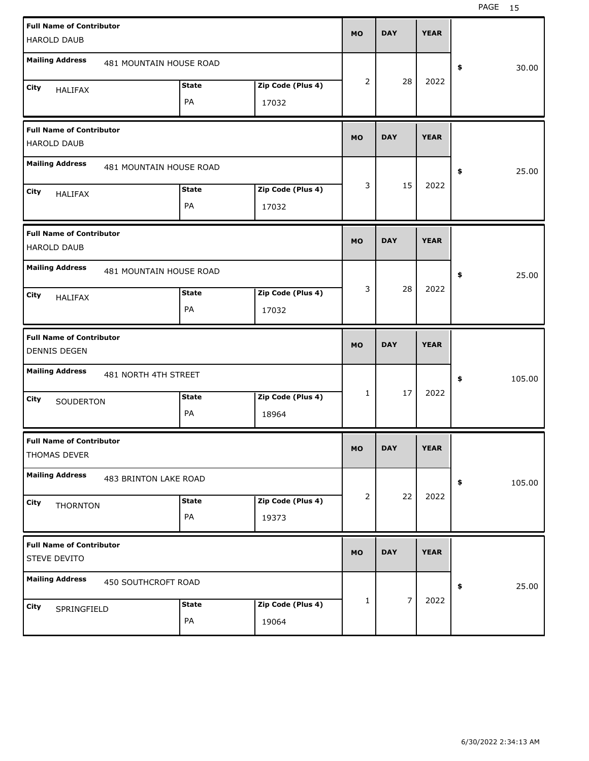|      | <b>Full Name of Contributor</b>                        |                         |                   | <b>MO</b>    | <b>DAY</b>     | <b>YEAR</b> |              |
|------|--------------------------------------------------------|-------------------------|-------------------|--------------|----------------|-------------|--------------|
|      | HAROLD DAUB                                            |                         |                   |              |                |             |              |
|      | <b>Mailing Address</b>                                 | 481 MOUNTAIN HOUSE ROAD |                   |              |                |             | \$<br>30.00  |
| City | <b>HALIFAX</b>                                         | <b>State</b>            | Zip Code (Plus 4) | 2            | 28             | 2022        |              |
|      |                                                        | PA                      | 17032             |              |                |             |              |
|      | <b>Full Name of Contributor</b><br>HAROLD DAUB         |                         |                   | <b>MO</b>    | <b>DAY</b>     | <b>YEAR</b> |              |
|      | <b>Mailing Address</b>                                 | 481 MOUNTAIN HOUSE ROAD |                   |              |                |             | \$<br>25.00  |
| City | <b>HALIFAX</b>                                         | <b>State</b>            | Zip Code (Plus 4) | 3            | 15             | 2022        |              |
|      |                                                        | PA                      | 17032             |              |                |             |              |
|      | <b>Full Name of Contributor</b><br>HAROLD DAUB         |                         |                   | <b>MO</b>    | <b>DAY</b>     | <b>YEAR</b> |              |
|      | <b>Mailing Address</b>                                 | 481 MOUNTAIN HOUSE ROAD |                   |              |                |             | \$<br>25.00  |
| City | <b>HALIFAX</b>                                         | <b>State</b>            | Zip Code (Plus 4) | 3            | 28             | 2022        |              |
|      |                                                        | PA                      | 17032             |              |                |             |              |
|      |                                                        |                         |                   |              |                |             |              |
|      | <b>Full Name of Contributor</b><br><b>DENNIS DEGEN</b> |                         |                   | <b>MO</b>    | <b>DAY</b>     | <b>YEAR</b> |              |
|      | <b>Mailing Address</b><br>481 NORTH 4TH STREET         |                         |                   |              |                |             | \$<br>105.00 |
| City |                                                        | <b>State</b>            | Zip Code (Plus 4) | $\mathbf{1}$ | 17             | 2022        |              |
|      | SOUDERTON                                              | PA                      | 18964             |              |                |             |              |
|      | <b>Full Name of Contributor</b><br>THOMAS DEVER        |                         |                   | MO           | <b>DAY</b>     | <b>YEAR</b> |              |
|      | <b>Mailing Address</b>                                 | 483 BRINTON LAKE ROAD   |                   |              |                |             | \$<br>105.00 |
| City |                                                        | <b>State</b>            | Zip Code (Plus 4) | 2            | 22             | 2022        |              |
|      | THORNTON                                               | PA                      | 19373             |              |                |             |              |
|      | <b>Full Name of Contributor</b><br>STEVE DEVITO        |                         |                   | <b>MO</b>    | <b>DAY</b>     | <b>YEAR</b> |              |
|      | <b>Mailing Address</b><br>450 SOUTHCROFT ROAD          |                         |                   |              |                |             | \$<br>25.00  |
| City | SPRINGFIELD                                            | <b>State</b>            | Zip Code (Plus 4) | 1            | $\overline{7}$ | 2022        |              |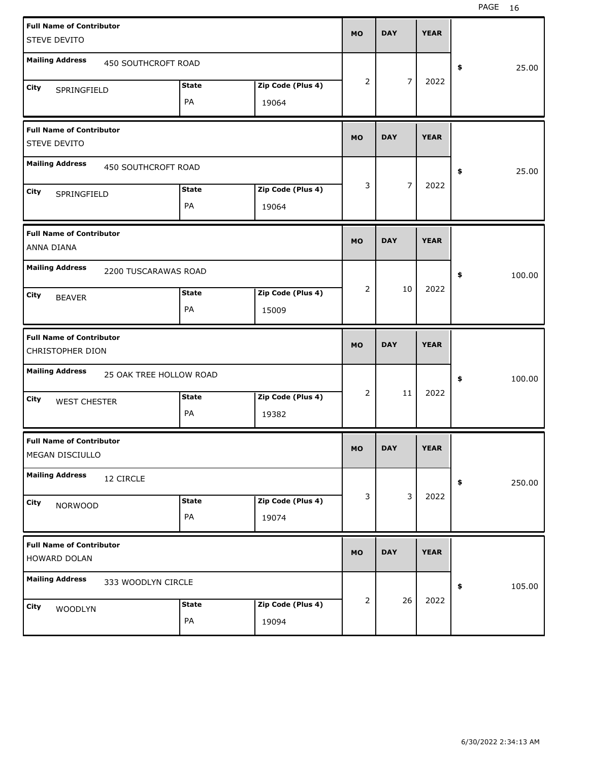| <b>Full Name of Contributor</b>                      |                         |              |                   | <b>MO</b> | <b>DAY</b> | <b>YEAR</b> |              |
|------------------------------------------------------|-------------------------|--------------|-------------------|-----------|------------|-------------|--------------|
| STEVE DEVITO                                         |                         |              |                   |           |            |             |              |
| <b>Mailing Address</b>                               | 450 SOUTHCROFT ROAD     |              |                   |           |            |             | 25.00<br>\$  |
| City<br>SPRINGFIELD                                  |                         | <b>State</b> | Zip Code (Plus 4) | 2         | 7          | 2022        |              |
|                                                      |                         | PA           | 19064             |           |            |             |              |
| <b>Full Name of Contributor</b><br>STEVE DEVITO      |                         |              |                   | <b>MO</b> | <b>DAY</b> | <b>YEAR</b> |              |
| <b>Mailing Address</b>                               | 450 SOUTHCROFT ROAD     |              |                   |           |            |             | 25.00<br>\$  |
| City<br>SPRINGFIELD                                  |                         | <b>State</b> | Zip Code (Plus 4) | 3         | 7          | 2022        |              |
|                                                      |                         | PA           | 19064             |           |            |             |              |
| <b>Full Name of Contributor</b><br><b>ANNA DIANA</b> |                         |              |                   | <b>MO</b> | <b>DAY</b> | <b>YEAR</b> |              |
| <b>Mailing Address</b>                               | 2200 TUSCARAWAS ROAD    |              |                   |           |            |             | \$<br>100.00 |
| City<br><b>BEAVER</b>                                |                         | <b>State</b> | Zip Code (Plus 4) | 2         | 10         | 2022        |              |
|                                                      |                         | PA           | 15009             |           |            |             |              |
|                                                      |                         |              |                   |           |            |             |              |
| <b>Full Name of Contributor</b><br>CHRISTOPHER DION  |                         |              |                   | <b>MO</b> | <b>DAY</b> | <b>YEAR</b> |              |
| <b>Mailing Address</b>                               | 25 OAK TREE HOLLOW ROAD |              |                   |           |            |             | \$<br>100.00 |
| City                                                 |                         | <b>State</b> | Zip Code (Plus 4) | 2         | 11         | 2022        |              |
| <b>WEST CHESTER</b>                                  |                         | PA           | 19382             |           |            |             |              |
| <b>Full Name of Contributor</b><br>MEGAN DISCIULLO   |                         |              |                   | МO        | <b>DAY</b> | <b>YEAR</b> |              |
| <b>Mailing Address</b>                               | 12 CIRCLE               |              |                   |           |            |             | 250.00<br>\$ |
| City                                                 |                         | <b>State</b> | Zip Code (Plus 4) | 3         | 3          | 2022        |              |
| <b>NORWOOD</b>                                       |                         | PA           | 19074             |           |            |             |              |
| <b>Full Name of Contributor</b><br>HOWARD DOLAN      |                         |              |                   | <b>MO</b> | <b>DAY</b> | <b>YEAR</b> |              |
| <b>Mailing Address</b>                               | 333 WOODLYN CIRCLE      |              |                   |           |            |             | 105.00<br>\$ |
| City<br>WOODLYN                                      |                         | <b>State</b> | Zip Code (Plus 4) | 2         | 26         | 2022        |              |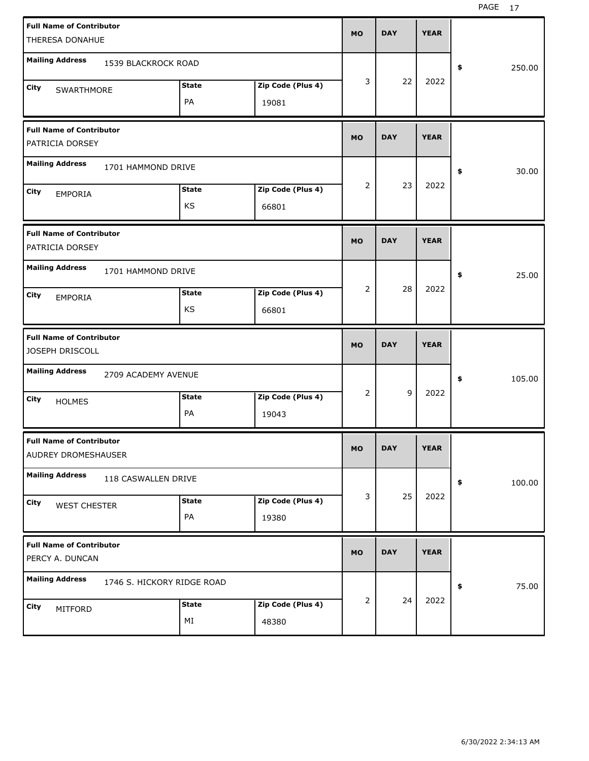| <b>Full Name of Contributor</b>                        |                            |              |                   | <b>MO</b> | <b>DAY</b> | <b>YEAR</b> |              |
|--------------------------------------------------------|----------------------------|--------------|-------------------|-----------|------------|-------------|--------------|
| THERESA DONAHUE                                        |                            |              |                   |           |            |             |              |
| <b>Mailing Address</b>                                 | 1539 BLACKROCK ROAD        |              |                   |           |            |             | \$<br>250.00 |
| City                                                   |                            | <b>State</b> | Zip Code (Plus 4) | 3         | 22         | 2022        |              |
| SWARTHMORE                                             |                            | PA           |                   |           |            |             |              |
|                                                        |                            |              | 19081             |           |            |             |              |
| <b>Full Name of Contributor</b>                        |                            |              |                   |           |            |             |              |
| PATRICIA DORSEY                                        |                            |              |                   | <b>MO</b> | <b>DAY</b> | <b>YEAR</b> |              |
| <b>Mailing Address</b>                                 | 1701 HAMMOND DRIVE         |              |                   |           |            |             | \$<br>30.00  |
| City                                                   |                            | <b>State</b> | Zip Code (Plus 4) | 2         | 23         | 2022        |              |
| <b>EMPORIA</b>                                         |                            | KS           | 66801             |           |            |             |              |
|                                                        |                            |              |                   |           |            |             |              |
| <b>Full Name of Contributor</b>                        |                            |              |                   |           |            |             |              |
| PATRICIA DORSEY                                        |                            |              |                   | <b>MO</b> | <b>DAY</b> | <b>YEAR</b> |              |
| <b>Mailing Address</b>                                 | 1701 HAMMOND DRIVE         |              |                   |           |            |             |              |
|                                                        |                            |              |                   |           |            |             | \$<br>25.00  |
| City<br><b>EMPORIA</b>                                 |                            | <b>State</b> | Zip Code (Plus 4) | 2         | 28         | 2022        |              |
|                                                        |                            | KS           | 66801             |           |            |             |              |
|                                                        |                            |              |                   |           |            |             |              |
|                                                        |                            |              |                   |           |            |             |              |
| <b>Full Name of Contributor</b>                        |                            |              |                   | <b>MO</b> | <b>DAY</b> | <b>YEAR</b> |              |
| JOSEPH DRISCOLL                                        |                            |              |                   |           |            |             |              |
| <b>Mailing Address</b>                                 | 2709 ACADEMY AVENUE        |              |                   |           |            |             | \$<br>105.00 |
| City                                                   |                            | <b>State</b> | Zip Code (Plus 4) | 2         | 9          | 2022        |              |
| <b>HOLMES</b>                                          |                            | PA           | 19043             |           |            |             |              |
|                                                        |                            |              |                   |           |            |             |              |
| <b>Full Name of Contributor</b><br>AUDREY DROMESHAUSER |                            |              |                   | <b>MO</b> | <b>DAY</b> | <b>YEAR</b> |              |
| <b>Mailing Address</b>                                 | 118 CASWALLEN DRIVE        |              |                   |           |            |             | \$<br>100.00 |
| City                                                   |                            | <b>State</b> | Zip Code (Plus 4) | 3         | 25         | 2022        |              |
| <b>WEST CHESTER</b>                                    |                            | PA           | 19380             |           |            |             |              |
|                                                        |                            |              |                   |           |            |             |              |
| <b>Full Name of Contributor</b>                        |                            |              |                   | <b>MO</b> | <b>DAY</b> | <b>YEAR</b> |              |
| PERCY A. DUNCAN                                        |                            |              |                   |           |            |             |              |
| <b>Mailing Address</b>                                 | 1746 S. HICKORY RIDGE ROAD |              |                   |           |            |             | \$<br>75.00  |
| City                                                   |                            | <b>State</b> | Zip Code (Plus 4) | 2         | 24         | 2022        |              |
| MITFORD                                                |                            | ΜI           | 48380             |           |            |             |              |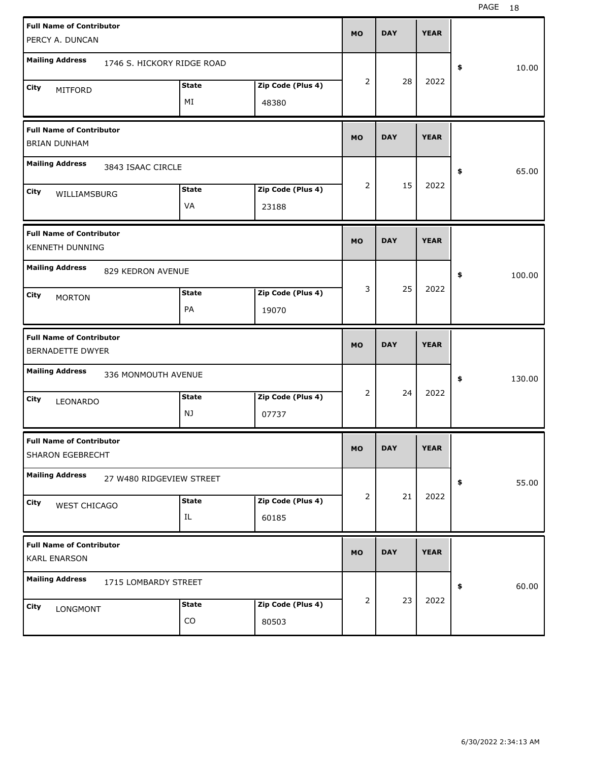| <b>Full Name of Contributor</b>                        |                            |              |                   | <b>MO</b> | <b>DAY</b> | <b>YEAR</b> |              |
|--------------------------------------------------------|----------------------------|--------------|-------------------|-----------|------------|-------------|--------------|
| PERCY A. DUNCAN                                        |                            |              |                   |           |            |             |              |
| <b>Mailing Address</b>                                 | 1746 S. HICKORY RIDGE ROAD |              |                   |           |            |             | \$<br>10.00  |
| City<br>MITFORD                                        |                            | <b>State</b> | Zip Code (Plus 4) | 2         | 28         | 2022        |              |
|                                                        |                            | MI           | 48380             |           |            |             |              |
| <b>Full Name of Contributor</b><br><b>BRIAN DUNHAM</b> |                            |              |                   | <b>MO</b> | <b>DAY</b> | <b>YEAR</b> |              |
| <b>Mailing Address</b>                                 | 3843 ISAAC CIRCLE          |              |                   |           |            |             | 65.00<br>\$  |
| City<br>WILLIAMSBURG                                   |                            | <b>State</b> | Zip Code (Plus 4) | 2         | 15         | 2022        |              |
|                                                        |                            | VA           | 23188             |           |            |             |              |
| <b>Full Name of Contributor</b><br>KENNETH DUNNING     |                            |              |                   | <b>MO</b> | <b>DAY</b> | <b>YEAR</b> |              |
| <b>Mailing Address</b>                                 | 829 KEDRON AVENUE          |              |                   |           |            |             | \$<br>100.00 |
| City<br><b>MORTON</b>                                  |                            | <b>State</b> | Zip Code (Plus 4) | 3         | 25         | 2022        |              |
|                                                        |                            | PA           | 19070             |           |            |             |              |
|                                                        |                            |              |                   |           |            |             |              |
| <b>Full Name of Contributor</b><br>BERNADETTE DWYER    |                            |              |                   | <b>MO</b> | <b>DAY</b> | <b>YEAR</b> |              |
| <b>Mailing Address</b>                                 | 336 MONMOUTH AVENUE        |              |                   |           |            |             | \$<br>130.00 |
| City<br>LEONARDO                                       |                            | <b>State</b> | Zip Code (Plus 4) | 2         | 24         | 2022        |              |
|                                                        |                            | NJ           | 07737             |           |            |             |              |
| <b>Full Name of Contributor</b><br>SHARON EGEBRECHT    |                            |              |                   | МO        | <b>DAY</b> | <b>YEAR</b> |              |
| <b>Mailing Address</b>                                 | 27 W480 RIDGEVIEW STREET   |              |                   |           |            |             | 55.00<br>\$  |
| City                                                   |                            | <b>State</b> | Zip Code (Plus 4) | 2         | 21         | 2022        |              |
| WEST CHICAGO                                           |                            | IL           | 60185             |           |            |             |              |
| <b>Full Name of Contributor</b><br><b>KARL ENARSON</b> |                            |              |                   | <b>MO</b> | <b>DAY</b> | <b>YEAR</b> |              |
| <b>Mailing Address</b>                                 | 1715 LOMBARDY STREET       |              |                   |           |            |             | 60.00<br>\$  |
| City<br>LONGMONT                                       |                            | <b>State</b> | Zip Code (Plus 4) | 2         | 23         | 2022        |              |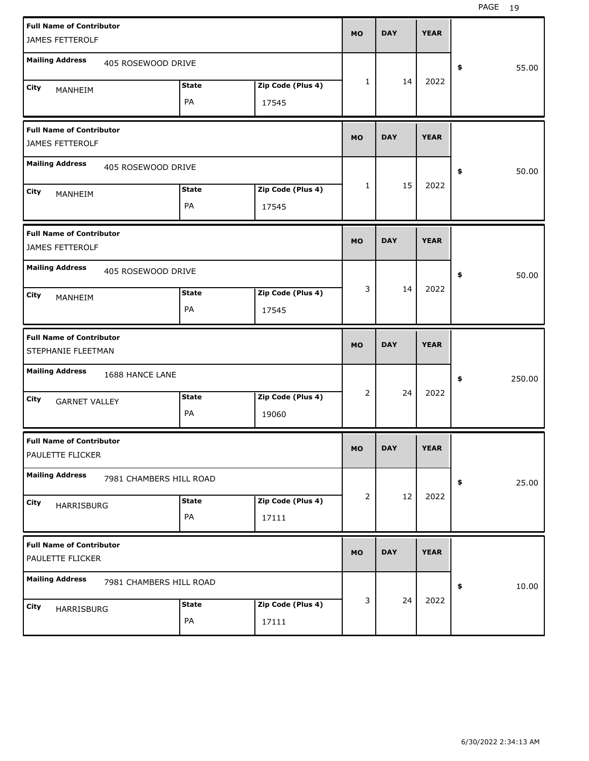| <b>Full Name of Contributor</b>                       |                         |              |                   | <b>MO</b> | <b>DAY</b> | <b>YEAR</b> |              |
|-------------------------------------------------------|-------------------------|--------------|-------------------|-----------|------------|-------------|--------------|
| JAMES FETTEROLF                                       |                         |              |                   |           |            |             |              |
| <b>Mailing Address</b>                                | 405 ROSEWOOD DRIVE      |              |                   |           |            |             | \$<br>55.00  |
| City<br>MANHEIM                                       |                         | <b>State</b> | Zip Code (Plus 4) | 1         | 14         | 2022        |              |
|                                                       |                         | PA           | 17545             |           |            |             |              |
| <b>Full Name of Contributor</b><br>JAMES FETTEROLF    |                         |              |                   | <b>MO</b> | <b>DAY</b> | <b>YEAR</b> |              |
| <b>Mailing Address</b>                                | 405 ROSEWOOD DRIVE      |              |                   |           |            |             | \$<br>50.00  |
| City<br>MANHEIM                                       |                         | <b>State</b> | Zip Code (Plus 4) | 1         | 15         | 2022        |              |
|                                                       |                         | PA           | 17545             |           |            |             |              |
| <b>Full Name of Contributor</b><br>JAMES FETTEROLF    |                         |              |                   | <b>MO</b> | <b>DAY</b> | <b>YEAR</b> |              |
| <b>Mailing Address</b>                                | 405 ROSEWOOD DRIVE      |              |                   |           |            |             | \$<br>50.00  |
| City<br>MANHEIM                                       |                         | <b>State</b> | Zip Code (Plus 4) | 3         | 14         | 2022        |              |
|                                                       |                         | PA           | 17545             |           |            |             |              |
|                                                       |                         |              |                   |           |            |             |              |
| <b>Full Name of Contributor</b><br>STEPHANIE FLEETMAN |                         |              |                   | <b>MO</b> | <b>DAY</b> | <b>YEAR</b> |              |
| <b>Mailing Address</b>                                | 1688 HANCE LANE         |              |                   |           |            |             | \$<br>250.00 |
| City                                                  |                         | <b>State</b> | Zip Code (Plus 4) | 2         | 24         | 2022        |              |
| <b>GARNET VALLEY</b>                                  |                         | PA           | 19060             |           |            |             |              |
| <b>Full Name of Contributor</b><br>PAULETTE FLICKER   |                         |              |                   | МO        | <b>DAY</b> | <b>YEAR</b> |              |
| <b>Mailing Address</b>                                | 7981 CHAMBERS HILL ROAD |              |                   |           |            |             | \$<br>25.00  |
| City                                                  |                         | <b>State</b> | Zip Code (Plus 4) | 2         | 12         | 2022        |              |
| HARRISBURG                                            |                         | PA           | 17111             |           |            |             |              |
| <b>Full Name of Contributor</b><br>PAULETTE FLICKER   |                         |              |                   | MO        | <b>DAY</b> | <b>YEAR</b> |              |
| <b>Mailing Address</b>                                | 7981 CHAMBERS HILL ROAD |              |                   |           |            |             | \$<br>10.00  |
| City<br>HARRISBURG                                    |                         | <b>State</b> | Zip Code (Plus 4) | 3         | 24         | 2022        |              |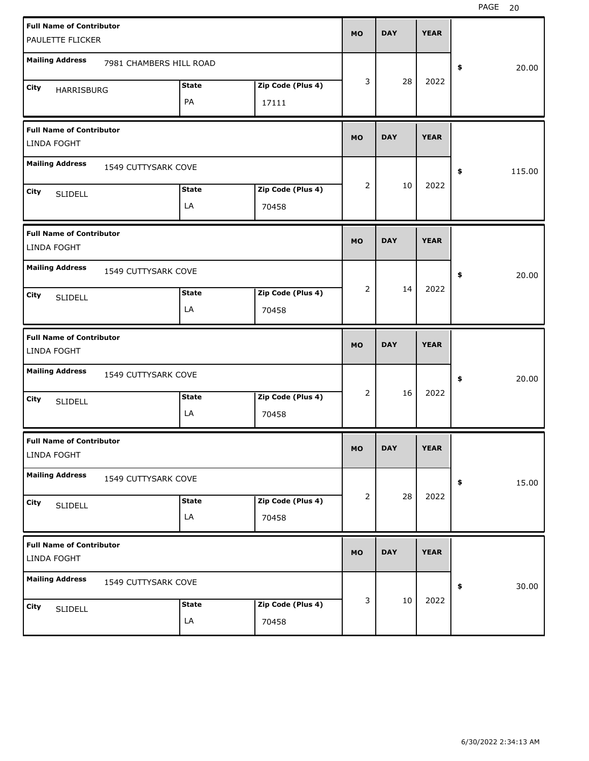| <b>Full Name of Contributor</b>                       |                         |              |                   |           |            |             |                      |
|-------------------------------------------------------|-------------------------|--------------|-------------------|-----------|------------|-------------|----------------------|
| PAULETTE FLICKER                                      |                         |              |                   | <b>MO</b> | <b>DAY</b> | <b>YEAR</b> |                      |
| <b>Mailing Address</b>                                | 7981 CHAMBERS HILL ROAD |              |                   |           |            |             | \$<br>20.00          |
| City<br>HARRISBURG                                    |                         | <b>State</b> | Zip Code (Plus 4) | 3         | 28         | 2022        |                      |
|                                                       |                         | PA           | 17111             |           |            |             |                      |
| <b>Full Name of Contributor</b><br><b>LINDA FOGHT</b> |                         |              |                   | <b>MO</b> | <b>DAY</b> | <b>YEAR</b> |                      |
| <b>Mailing Address</b>                                | 1549 CUTTYSARK COVE     |              |                   |           |            |             | 115.00<br>\$         |
| City<br><b>SLIDELL</b>                                |                         | <b>State</b> | Zip Code (Plus 4) | 2         | 10         | 2022        |                      |
|                                                       |                         | LA           | 70458             |           |            |             |                      |
| <b>Full Name of Contributor</b><br><b>LINDA FOGHT</b> |                         |              |                   | <b>MO</b> | <b>DAY</b> | <b>YEAR</b> |                      |
| <b>Mailing Address</b>                                | 1549 CUTTYSARK COVE     |              |                   |           |            |             | \$<br>20.00          |
| City<br><b>SLIDELL</b>                                |                         | <b>State</b> | Zip Code (Plus 4) | 2         | 14         | 2022        |                      |
|                                                       |                         | LA           | 70458             |           |            |             |                      |
|                                                       |                         |              |                   |           |            |             |                      |
| <b>Full Name of Contributor</b><br><b>LINDA FOGHT</b> |                         |              |                   | <b>MO</b> | <b>DAY</b> | <b>YEAR</b> |                      |
| <b>Mailing Address</b>                                | 1549 CUTTYSARK COVE     |              |                   |           |            |             | \$<br>20.00          |
| City<br><b>SLIDELL</b>                                |                         | <b>State</b> | Zip Code (Plus 4) | 2         | 16         | 2022        |                      |
|                                                       |                         | LA           | 70458             |           |            |             |                      |
| <b>Full Name of Contributor</b><br>LINDA FOGHT        |                         |              |                   | МO        | <b>DAY</b> | <b>YEAR</b> |                      |
| <b>Mailing Address</b>                                | 1549 CUTTYSARK COVE     |              |                   |           |            |             | 15.00<br>$\clubsuit$ |
| City<br><b>SLIDELL</b>                                |                         | <b>State</b> | Zip Code (Plus 4) | 2         | 28         | 2022        |                      |
|                                                       |                         | LA           | 70458             |           |            |             |                      |
| <b>Full Name of Contributor</b><br>LINDA FOGHT        |                         |              |                   | <b>MO</b> | <b>DAY</b> | <b>YEAR</b> |                      |
| <b>Mailing Address</b>                                | 1549 CUTTYSARK COVE     |              |                   |           |            |             | 30.00<br>\$          |
| City<br><b>SLIDELL</b>                                |                         | <b>State</b> | Zip Code (Plus 4) | 3         | 10         | 2022        |                      |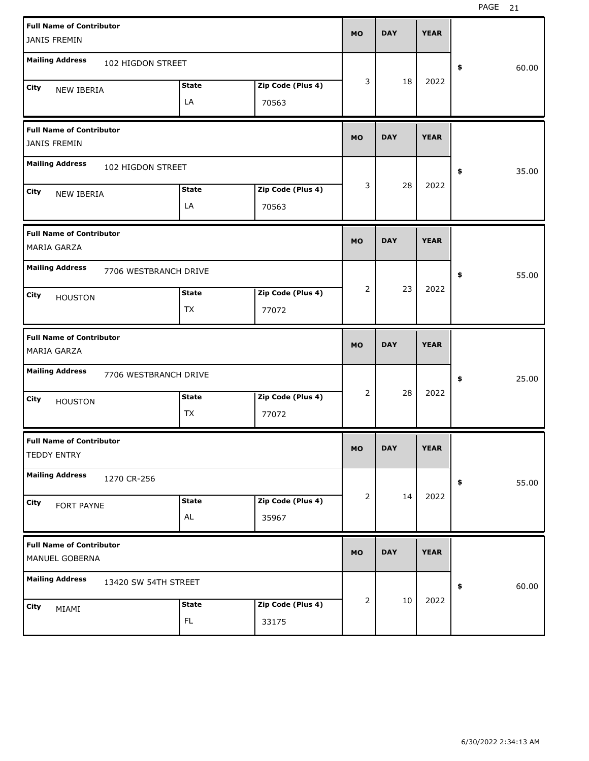| <b>Full Name of Contributor</b><br><b>JANIS FREMIN</b> |                       |                           |                            | <b>MO</b>      | <b>DAY</b> | <b>YEAR</b> |             |
|--------------------------------------------------------|-----------------------|---------------------------|----------------------------|----------------|------------|-------------|-------------|
| <b>Mailing Address</b>                                 | 102 HIGDON STREET     |                           |                            |                |            |             | \$<br>60.00 |
| City<br>NEW IBERIA                                     |                       | <b>State</b><br>LA        | Zip Code (Plus 4)<br>70563 | 3              | 18         | 2022        |             |
| <b>Full Name of Contributor</b><br><b>JANIS FREMIN</b> |                       |                           |                            | <b>MO</b>      | <b>DAY</b> | <b>YEAR</b> |             |
| <b>Mailing Address</b>                                 | 102 HIGDON STREET     |                           |                            |                |            |             | \$<br>35.00 |
| City<br><b>NEW IBERIA</b>                              |                       | <b>State</b><br>LA        | Zip Code (Plus 4)<br>70563 | 3              | 28         | 2022        |             |
| <b>Full Name of Contributor</b><br><b>MARIA GARZA</b>  |                       |                           |                            | <b>MO</b>      | <b>DAY</b> | <b>YEAR</b> |             |
| <b>Mailing Address</b>                                 | 7706 WESTBRANCH DRIVE |                           |                            |                |            |             | \$<br>55.00 |
| City<br><b>HOUSTON</b>                                 |                       | <b>State</b><br><b>TX</b> | Zip Code (Plus 4)<br>77072 | $\overline{2}$ | 23         | 2022        |             |
|                                                        |                       |                           |                            |                |            |             |             |
| <b>Full Name of Contributor</b><br><b>MARIA GARZA</b>  |                       |                           |                            | <b>MO</b>      | <b>DAY</b> | <b>YEAR</b> |             |
| <b>Mailing Address</b>                                 | 7706 WESTBRANCH DRIVE |                           |                            |                |            |             | \$<br>25.00 |
| City<br><b>HOUSTON</b>                                 |                       | <b>State</b><br>TX        | Zip Code (Plus 4)<br>77072 | 2              | 28         | 2022        |             |
| <b>Full Name of Contributor</b><br><b>TEDDY ENTRY</b>  |                       |                           |                            | <b>MO</b>      | <b>DAY</b> | <b>YEAR</b> |             |
| <b>Mailing Address</b>                                 | 1270 CR-256           |                           |                            |                |            |             | \$<br>55.00 |
| <b>City</b><br>FORT PAYNE                              |                       | <b>State</b><br>AL        | Zip Code (Plus 4)<br>35967 | 2              | 14         | 2022        |             |
| <b>Full Name of Contributor</b><br>MANUEL GOBERNA      |                       |                           |                            | <b>MO</b>      | <b>DAY</b> | <b>YEAR</b> |             |
| <b>Mailing Address</b>                                 | 13420 SW 54TH STREET  |                           |                            | 2              | 10         | 2022        | \$<br>60.00 |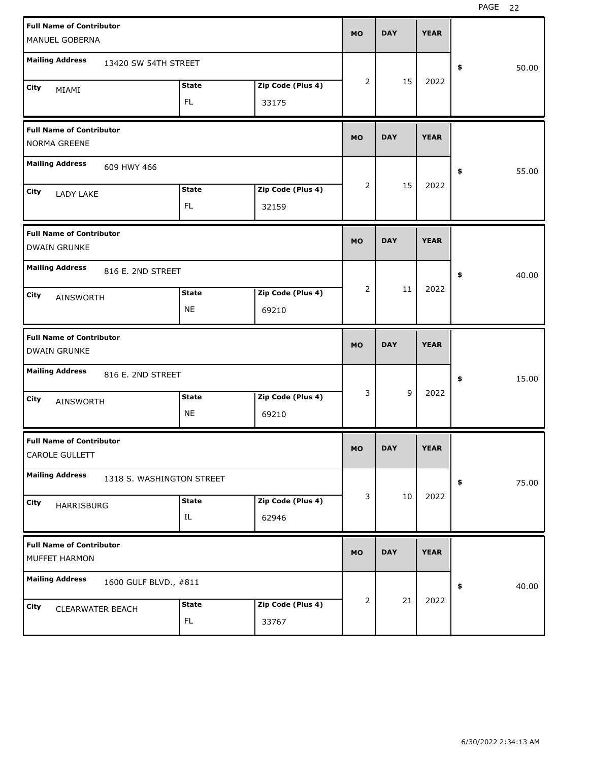| <b>Full Name of Contributor</b><br>MANUEL GOBERNA                                   | <b>MO</b> | <b>DAY</b> | <b>YEAR</b> |             |
|-------------------------------------------------------------------------------------|-----------|------------|-------------|-------------|
| <b>Mailing Address</b><br>13420 SW 54TH STREET                                      |           |            |             | 50.00<br>\$ |
| Zip Code (Plus 4)<br><b>State</b><br>City<br>MIAMI<br>FL<br>33175                   | 2         | 15         | 2022        |             |
| <b>Full Name of Contributor</b><br>NORMA GREENE                                     | <b>MO</b> | <b>DAY</b> | <b>YEAR</b> |             |
| <b>Mailing Address</b><br>609 HWY 466                                               |           |            |             | 55.00<br>\$ |
| <b>State</b><br>Zip Code (Plus 4)<br>City<br>LADY LAKE<br>FL.<br>32159              | 2         | 15         | 2022        |             |
| <b>Full Name of Contributor</b><br><b>DWAIN GRUNKE</b>                              | <b>MO</b> | <b>DAY</b> | <b>YEAR</b> |             |
| <b>Mailing Address</b><br>816 E. 2ND STREET                                         |           |            |             | 40.00<br>\$ |
| <b>State</b><br>Zip Code (Plus 4)<br>City<br><b>AINSWORTH</b><br><b>NE</b><br>69210 | 2         | 11         | 2022        |             |
|                                                                                     |           |            |             |             |
| <b>Full Name of Contributor</b><br><b>DWAIN GRUNKE</b>                              | <b>MO</b> | <b>DAY</b> | <b>YEAR</b> |             |
| <b>Mailing Address</b><br>816 E. 2ND STREET                                         |           |            |             | 15.00<br>\$ |
| Zip Code (Plus 4)<br><b>State</b><br>City<br><b>AINSWORTH</b><br><b>NE</b><br>69210 | 3         | 9          | 2022        |             |
| <b>Full Name of Contributor</b><br>CAROLE GULLETT                                   | <b>MO</b> | <b>DAY</b> | <b>YEAR</b> |             |
| <b>Mailing Address</b><br>1318 S. WASHINGTON STREET                                 |           |            |             | 75.00<br>\$ |
| Zip Code (Plus 4)<br><b>State</b><br>City<br><b>HARRISBURG</b><br>IL<br>62946       | 3         | 10         | 2022        |             |
| <b>Full Name of Contributor</b><br>MUFFET HARMON                                    | <b>MO</b> | <b>DAY</b> | <b>YEAR</b> |             |
| <b>Mailing Address</b><br>1600 GULF BLVD., #811                                     |           | 21         | 2022        | 40.00<br>\$ |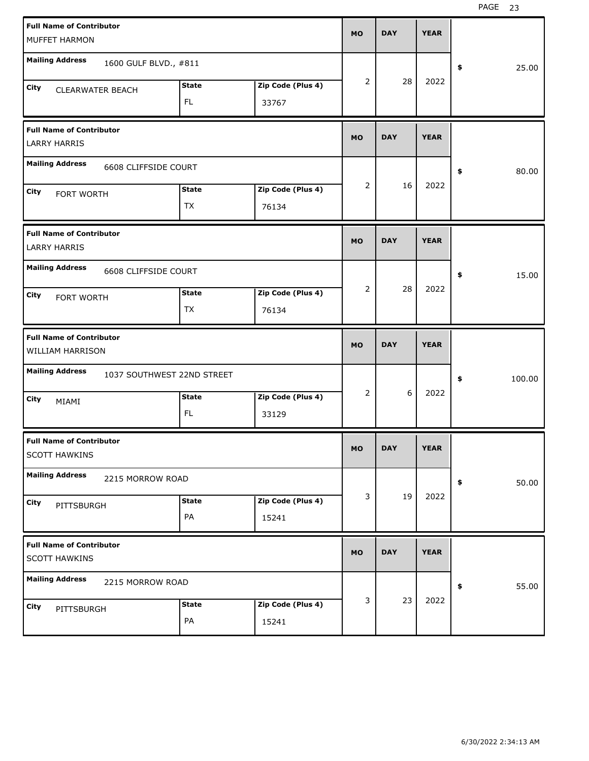| <b>Full Name of Contributor</b>                         |                            |                   |           |            |             |              |
|---------------------------------------------------------|----------------------------|-------------------|-----------|------------|-------------|--------------|
| MUFFET HARMON                                           |                            |                   | <b>MO</b> | <b>DAY</b> | <b>YEAR</b> |              |
| <b>Mailing Address</b><br>1600 GULF BLVD., #811         |                            |                   |           |            |             | 25.00<br>\$  |
| City<br><b>CLEARWATER BEACH</b>                         | <b>State</b>               | Zip Code (Plus 4) | 2         | 28         | 2022        |              |
|                                                         | <b>FL</b>                  | 33767             |           |            |             |              |
| <b>Full Name of Contributor</b><br><b>LARRY HARRIS</b>  |                            |                   | <b>MO</b> | <b>DAY</b> | <b>YEAR</b> |              |
| <b>Mailing Address</b><br>6608 CLIFFSIDE COURT          |                            |                   |           |            |             | \$<br>80.00  |
| City<br>FORT WORTH                                      | <b>State</b>               | Zip Code (Plus 4) | 2         | 16         | 2022        |              |
|                                                         | <b>TX</b>                  | 76134             |           |            |             |              |
| <b>Full Name of Contributor</b><br><b>LARRY HARRIS</b>  |                            |                   | <b>MO</b> | <b>DAY</b> | <b>YEAR</b> |              |
| <b>Mailing Address</b><br>6608 CLIFFSIDE COURT          |                            |                   |           |            |             | 15.00<br>\$  |
| <b>City</b><br>FORT WORTH                               | <b>State</b>               | Zip Code (Plus 4) | 2         | 28         | 2022        |              |
|                                                         | <b>TX</b>                  | 76134             |           |            |             |              |
|                                                         |                            |                   |           |            |             |              |
| <b>Full Name of Contributor</b><br>WILLIAM HARRISON     |                            |                   | <b>MO</b> | <b>DAY</b> | <b>YEAR</b> |              |
| <b>Mailing Address</b>                                  | 1037 SOUTHWEST 22ND STREET |                   |           |            |             | \$<br>100.00 |
| City                                                    | <b>State</b>               | Zip Code (Plus 4) | 2         | 6          | 2022        |              |
| MIAMI                                                   | <b>FL</b>                  | 33129             |           |            |             |              |
| <b>Full Name of Contributor</b><br><b>SCOTT HAWKINS</b> |                            |                   | <b>MO</b> | <b>DAY</b> | <b>YEAR</b> |              |
| <b>Mailing Address</b><br>2215 MORROW ROAD              |                            |                   |           |            |             | 50.00<br>\$  |
| City                                                    | <b>State</b>               | Zip Code (Plus 4) | 3         | 19         | 2022        |              |
| PITTSBURGH                                              | PA                         | 15241             |           |            |             |              |
| <b>Full Name of Contributor</b><br><b>SCOTT HAWKINS</b> |                            |                   | <b>MO</b> | <b>DAY</b> | <b>YEAR</b> |              |
| <b>Mailing Address</b><br>2215 MORROW ROAD              |                            |                   |           |            |             | 55.00<br>\$  |
| City<br>PITTSBURGH                                      | <b>State</b>               | Zip Code (Plus 4) | 3         | 23         | 2022        |              |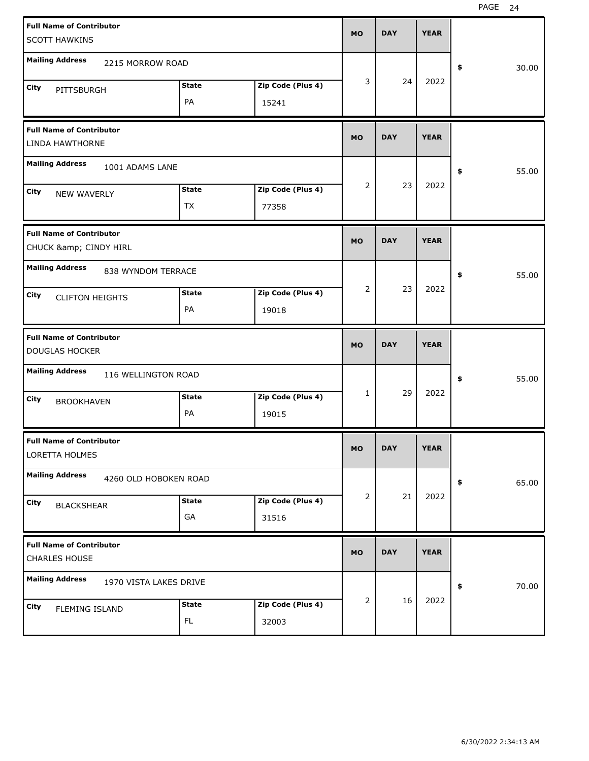| <b>Full Name of Contributor</b>                  |              |                   |              |            |             |             |
|--------------------------------------------------|--------------|-------------------|--------------|------------|-------------|-------------|
| <b>SCOTT HAWKINS</b>                             |              |                   | <b>MO</b>    | <b>DAY</b> | <b>YEAR</b> |             |
|                                                  |              |                   |              |            |             |             |
| <b>Mailing Address</b><br>2215 MORROW ROAD       |              |                   |              |            |             | \$<br>30.00 |
| City<br>PITTSBURGH                               | <b>State</b> | Zip Code (Plus 4) | 3            | 24         | 2022        |             |
|                                                  | PA           | 15241             |              |            |             |             |
|                                                  |              |                   |              |            |             |             |
| <b>Full Name of Contributor</b>                  |              |                   | <b>MO</b>    | <b>DAY</b> | <b>YEAR</b> |             |
| LINDA HAWTHORNE                                  |              |                   |              |            |             |             |
| <b>Mailing Address</b><br>1001 ADAMS LANE        |              |                   |              |            |             | 55.00<br>\$ |
| City                                             | <b>State</b> | Zip Code (Plus 4) | 2            | 23         | 2022        |             |
| NEW WAVERLY                                      | <b>TX</b>    | 77358             |              |            |             |             |
|                                                  |              |                   |              |            |             |             |
| <b>Full Name of Contributor</b>                  |              |                   | <b>MO</b>    | <b>DAY</b> | <b>YEAR</b> |             |
| CHUCK & CINDY HIRL                               |              |                   |              |            |             |             |
| <b>Mailing Address</b><br>838 WYNDOM TERRACE     |              |                   |              |            |             | 55.00<br>\$ |
|                                                  |              |                   | 2            | 23         | 2022        |             |
| City<br><b>CLIFTON HEIGHTS</b>                   | <b>State</b> | Zip Code (Plus 4) |              |            |             |             |
|                                                  | PA           | 19018             |              |            |             |             |
|                                                  |              |                   |              |            |             |             |
| <b>Full Name of Contributor</b>                  |              |                   |              |            |             |             |
| <b>DOUGLAS HOCKER</b>                            |              |                   | <b>MO</b>    | <b>DAY</b> | <b>YEAR</b> |             |
| <b>Mailing Address</b>                           |              |                   |              |            |             |             |
| 116 WELLINGTON ROAD                              |              |                   |              |            |             | 55.00<br>\$ |
| City<br><b>BROOKHAVEN</b>                        | <b>State</b> | Zip Code (Plus 4) | $\mathbf{1}$ | 29         | 2022        |             |
|                                                  | PA           | 19015             |              |            |             |             |
| <b>Full Name of Contributor</b>                  |              |                   |              |            |             |             |
| LORETTA HOLMES                                   |              |                   | <b>MO</b>    | <b>DAY</b> | <b>YEAR</b> |             |
|                                                  |              |                   |              |            |             |             |
| <b>Mailing Address</b><br>4260 OLD HOBOKEN ROAD  |              |                   |              |            |             | 65.00<br>\$ |
| City<br><b>BLACKSHEAR</b>                        | <b>State</b> | Zip Code (Plus 4) | 2            | 21         | 2022        |             |
|                                                  | GA           | 31516             |              |            |             |             |
|                                                  |              |                   |              |            |             |             |
| <b>Full Name of Contributor</b><br>CHARLES HOUSE |              |                   | <b>MO</b>    | <b>DAY</b> | <b>YEAR</b> |             |
|                                                  |              |                   |              |            |             |             |
| <b>Mailing Address</b><br>1970 VISTA LAKES DRIVE |              |                   |              |            |             | 70.00<br>\$ |
| City<br>FLEMING ISLAND                           | <b>State</b> | Zip Code (Plus 4) | 2            | 16         | 2022        |             |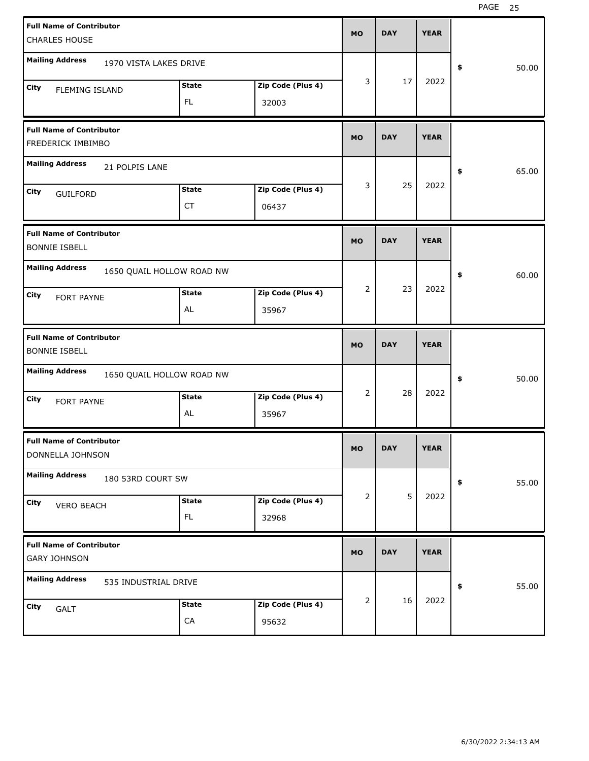| <b>Full Name of Contributor</b>                         |                           |              |                   | <b>MO</b> | <b>DAY</b> | <b>YEAR</b> |             |
|---------------------------------------------------------|---------------------------|--------------|-------------------|-----------|------------|-------------|-------------|
| <b>CHARLES HOUSE</b>                                    |                           |              |                   |           |            |             |             |
| <b>Mailing Address</b>                                  | 1970 VISTA LAKES DRIVE    |              |                   |           |            |             | \$<br>50.00 |
| City<br><b>FLEMING ISLAND</b>                           |                           | <b>State</b> | Zip Code (Plus 4) | 3         | 17         | 2022        |             |
|                                                         |                           | FL           | 32003             |           |            |             |             |
| <b>Full Name of Contributor</b><br>FREDERICK IMBIMBO    |                           |              |                   | <b>MO</b> | <b>DAY</b> | <b>YEAR</b> |             |
| <b>Mailing Address</b>                                  | 21 POLPIS LANE            |              |                   |           |            |             | \$<br>65.00 |
| City<br><b>GUILFORD</b>                                 |                           | <b>State</b> | Zip Code (Plus 4) | 3         | 25         | 2022        |             |
|                                                         |                           | <b>CT</b>    | 06437             |           |            |             |             |
| <b>Full Name of Contributor</b><br><b>BONNIE ISBELL</b> |                           |              |                   | <b>MO</b> | <b>DAY</b> | <b>YEAR</b> |             |
| <b>Mailing Address</b>                                  | 1650 QUAIL HOLLOW ROAD NW |              |                   |           |            |             | \$<br>60.00 |
| City<br>FORT PAYNE                                      |                           | <b>State</b> | Zip Code (Plus 4) | 2         | 23         | 2022        |             |
|                                                         |                           | AL           | 35967             |           |            |             |             |
|                                                         |                           |              |                   |           |            |             |             |
| <b>Full Name of Contributor</b><br><b>BONNIE ISBELL</b> |                           |              |                   | <b>MO</b> | <b>DAY</b> | <b>YEAR</b> |             |
| <b>Mailing Address</b>                                  | 1650 QUAIL HOLLOW ROAD NW |              |                   |           |            |             | \$<br>50.00 |
| City                                                    |                           | <b>State</b> | Zip Code (Plus 4) | 2         | 28         | 2022        |             |
| FORT PAYNE                                              |                           | AL           | 35967             |           |            |             |             |
| <b>Full Name of Contributor</b><br>DONNELLA JOHNSON     |                           |              |                   | MO        | <b>DAY</b> | <b>YEAR</b> |             |
| <b>Mailing Address</b>                                  | 180 53RD COURT SW         |              |                   |           |            |             | \$<br>55.00 |
| City                                                    |                           | <b>State</b> | Zip Code (Plus 4) | 2         | 5          | 2022        |             |
| <b>VERO BEACH</b>                                       |                           | FL           | 32968             |           |            |             |             |
| <b>Full Name of Contributor</b><br><b>GARY JOHNSON</b>  |                           |              |                   | <b>MO</b> | <b>DAY</b> | <b>YEAR</b> |             |
| <b>Mailing Address</b>                                  | 535 INDUSTRIAL DRIVE      |              |                   |           |            |             | \$<br>55.00 |
| City<br>GALT                                            |                           | <b>State</b> | Zip Code (Plus 4) | 2         | 16         | 2022        |             |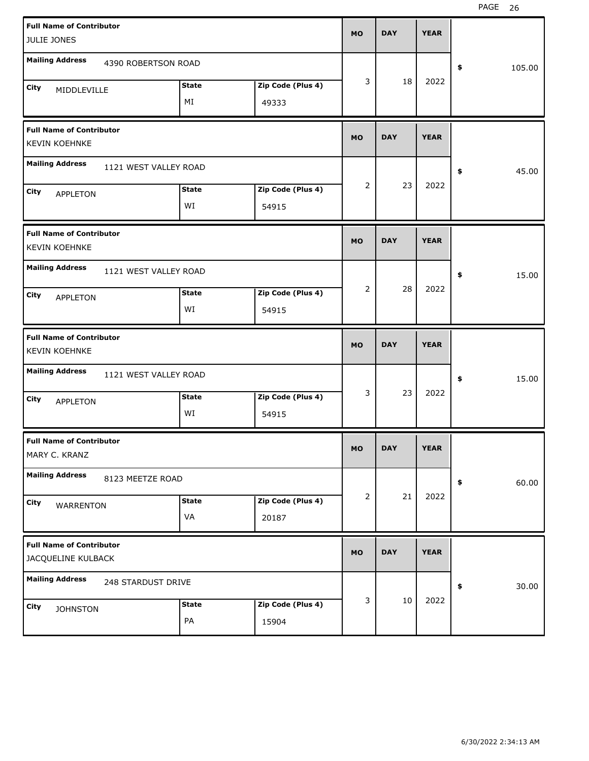| <b>Full Name of Contributor</b>                         |                       |              |                   | <b>MO</b> | <b>DAY</b> | <b>YEAR</b> |              |
|---------------------------------------------------------|-----------------------|--------------|-------------------|-----------|------------|-------------|--------------|
| JULIE JONES                                             |                       |              |                   |           |            |             |              |
| <b>Mailing Address</b>                                  | 4390 ROBERTSON ROAD   |              |                   |           |            |             | 105.00<br>\$ |
| City<br>MIDDLEVILLE                                     |                       | <b>State</b> | Zip Code (Plus 4) | 3         | 18         | 2022        |              |
|                                                         |                       | MI           | 49333             |           |            |             |              |
| <b>Full Name of Contributor</b><br><b>KEVIN KOEHNKE</b> |                       |              |                   | <b>MO</b> | <b>DAY</b> | <b>YEAR</b> |              |
| <b>Mailing Address</b>                                  | 1121 WEST VALLEY ROAD |              |                   |           |            |             | 45.00<br>\$  |
| City<br><b>APPLETON</b>                                 |                       | <b>State</b> | Zip Code (Plus 4) | 2         | 23         | 2022        |              |
|                                                         |                       | WI           | 54915             |           |            |             |              |
| <b>Full Name of Contributor</b><br><b>KEVIN KOEHNKE</b> |                       |              |                   | <b>MO</b> | <b>DAY</b> | <b>YEAR</b> |              |
| <b>Mailing Address</b>                                  | 1121 WEST VALLEY ROAD |              |                   |           |            |             | 15.00<br>\$  |
| City<br><b>APPLETON</b>                                 |                       | <b>State</b> | Zip Code (Plus 4) | 2         | 28         | 2022        |              |
|                                                         |                       | WI           | 54915             |           |            |             |              |
|                                                         |                       |              |                   |           |            |             |              |
| <b>Full Name of Contributor</b><br><b>KEVIN KOEHNKE</b> |                       |              |                   | <b>MO</b> | <b>DAY</b> | <b>YEAR</b> |              |
| <b>Mailing Address</b>                                  | 1121 WEST VALLEY ROAD |              |                   |           |            |             | 15.00<br>\$  |
| City                                                    |                       | <b>State</b> | Zip Code (Plus 4) | 3         | 23         | 2022        |              |
| <b>APPLETON</b>                                         |                       | WI           | 54915             |           |            |             |              |
| <b>Full Name of Contributor</b><br>MARY C. KRANZ        |                       |              |                   | МO        | <b>DAY</b> | <b>YEAR</b> |              |
| <b>Mailing Address</b>                                  | 8123 MEETZE ROAD      |              |                   |           |            |             | 60.00<br>\$  |
| City                                                    |                       | <b>State</b> | Zip Code (Plus 4) | 2         | 21         | 2022        |              |
| WARRENTON                                               |                       | VA           | 20187             |           |            |             |              |
| <b>Full Name of Contributor</b><br>JACQUELINE KULBACK   |                       |              |                   | <b>MO</b> | <b>DAY</b> | <b>YEAR</b> |              |
| <b>Mailing Address</b>                                  | 248 STARDUST DRIVE    |              |                   |           |            |             | 30.00<br>\$  |
| City<br><b>JOHNSTON</b>                                 |                       | <b>State</b> | Zip Code (Plus 4) | 3         | 10         | 2022        |              |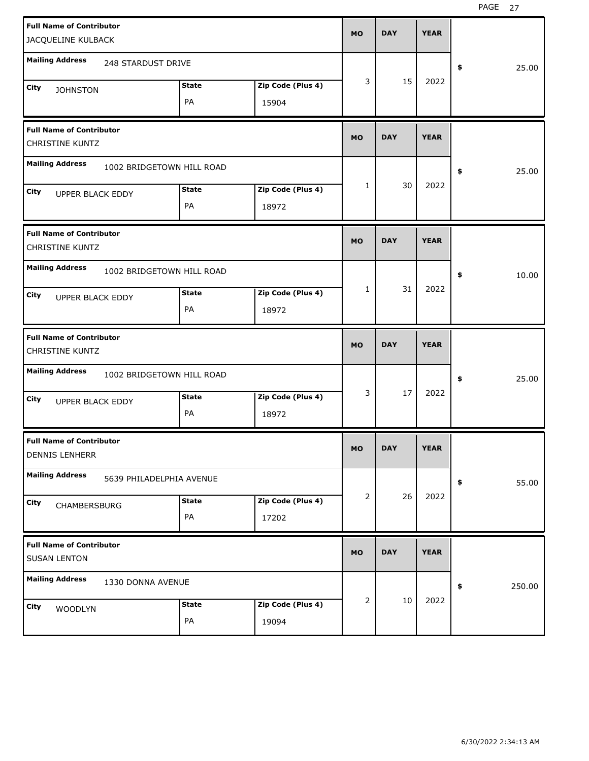| <b>Full Name of Contributor</b><br>JACQUELINE KULBACK     |              |                   | <b>MO</b>    | <b>DAY</b> | <b>YEAR</b> |              |
|-----------------------------------------------------------|--------------|-------------------|--------------|------------|-------------|--------------|
| <b>Mailing Address</b>                                    |              |                   |              |            |             |              |
| 248 STARDUST DRIVE                                        |              |                   |              |            |             | \$<br>25.00  |
| City<br><b>JOHNSTON</b>                                   | <b>State</b> | Zip Code (Plus 4) | 3            | 15         | 2022        |              |
|                                                           | PA           | 15904             |              |            |             |              |
| <b>Full Name of Contributor</b><br><b>CHRISTINE KUNTZ</b> |              |                   | <b>MO</b>    | <b>DAY</b> | <b>YEAR</b> |              |
| <b>Mailing Address</b><br>1002 BRIDGETOWN HILL ROAD       |              |                   |              |            |             | \$<br>25.00  |
| City<br>UPPER BLACK EDDY                                  | <b>State</b> | Zip Code (Plus 4) | $\mathbf{1}$ | 30         | 2022        |              |
|                                                           | PA           | 18972             |              |            |             |              |
| <b>Full Name of Contributor</b><br><b>CHRISTINE KUNTZ</b> |              |                   | <b>MO</b>    | <b>DAY</b> | <b>YEAR</b> |              |
| <b>Mailing Address</b><br>1002 BRIDGETOWN HILL ROAD       |              |                   |              |            |             | \$<br>10.00  |
| City                                                      | <b>State</b> | Zip Code (Plus 4) | $\mathbf{1}$ | 31         | 2022        |              |
| <b>UPPER BLACK EDDY</b>                                   | PA           | 18972             |              |            |             |              |
|                                                           |              |                   |              |            |             |              |
| <b>Full Name of Contributor</b><br><b>CHRISTINE KUNTZ</b> |              |                   | <b>MO</b>    | <b>DAY</b> | <b>YEAR</b> |              |
| <b>Mailing Address</b><br>1002 BRIDGETOWN HILL ROAD       |              |                   |              |            |             | \$<br>25.00  |
| City                                                      | <b>State</b> | Zip Code (Plus 4) | 3            | 17         | 2022        |              |
| <b>UPPER BLACK EDDY</b>                                   | PA           | 18972             |              |            |             |              |
| <b>Full Name of Contributor</b><br><b>DENNIS LENHERR</b>  |              |                   | <b>MO</b>    | <b>DAY</b> | <b>YEAR</b> |              |
| <b>Mailing Address</b><br>5639 PHILADELPHIA AVENUE        |              |                   |              |            |             | \$<br>55.00  |
| City                                                      | <b>State</b> | Zip Code (Plus 4) | 2            | 26         | 2022        |              |
| CHAMBERSBURG                                              | PA           | 17202             |              |            |             |              |
| <b>Full Name of Contributor</b><br><b>SUSAN LENTON</b>    |              |                   | <b>MO</b>    | <b>DAY</b> | <b>YEAR</b> |              |
| <b>Mailing Address</b><br>1330 DONNA AVENUE               |              |                   |              |            |             | \$<br>250.00 |
| City<br>WOODLYN                                           | <b>State</b> | Zip Code (Plus 4) | 2            | 10         | 2022        |              |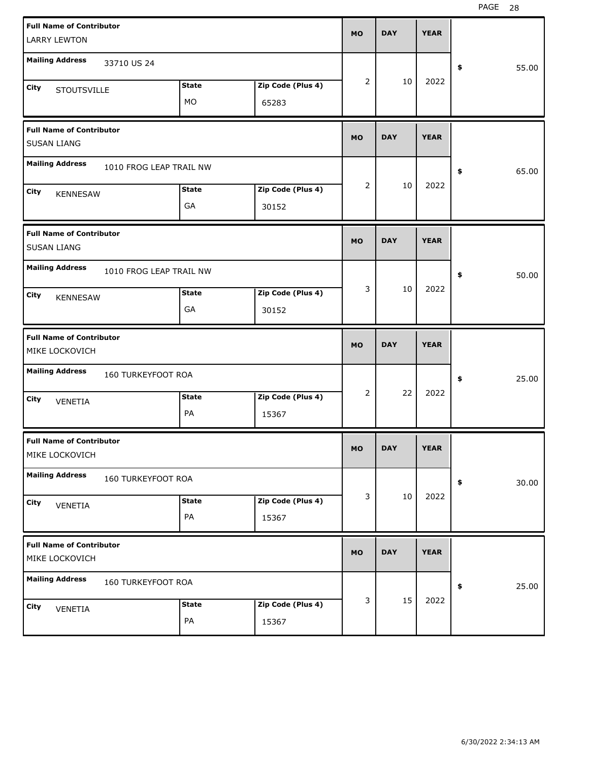| <b>Full Name of Contributor</b><br><b>LARRY LEWTON</b> |                    |                         |                   | <b>MO</b> | <b>DAY</b> | <b>YEAR</b> |             |
|--------------------------------------------------------|--------------------|-------------------------|-------------------|-----------|------------|-------------|-------------|
|                                                        |                    |                         |                   |           |            |             |             |
| <b>Mailing Address</b>                                 | 33710 US 24        |                         |                   |           |            |             | \$<br>55.00 |
| City<br><b>STOUTSVILLE</b>                             |                    | <b>State</b>            | Zip Code (Plus 4) | 2         | 10         | 2022        |             |
|                                                        |                    | MO                      | 65283             |           |            |             |             |
| <b>Full Name of Contributor</b><br><b>SUSAN LIANG</b>  |                    |                         |                   | <b>MO</b> | <b>DAY</b> | <b>YEAR</b> |             |
| <b>Mailing Address</b>                                 |                    | 1010 FROG LEAP TRAIL NW |                   |           |            |             | \$<br>65.00 |
| City<br><b>KENNESAW</b>                                |                    | <b>State</b>            | Zip Code (Plus 4) | 2         | 10         | 2022        |             |
|                                                        |                    | GA                      | 30152             |           |            |             |             |
| <b>Full Name of Contributor</b><br><b>SUSAN LIANG</b>  |                    |                         |                   | <b>MO</b> | <b>DAY</b> | <b>YEAR</b> |             |
| <b>Mailing Address</b>                                 |                    | 1010 FROG LEAP TRAIL NW |                   |           |            |             | \$<br>50.00 |
| City<br><b>KENNESAW</b>                                |                    | <b>State</b>            | Zip Code (Plus 4) | 3         | 10         | 2022        |             |
|                                                        |                    | GA                      | 30152             |           |            |             |             |
|                                                        |                    |                         |                   |           |            |             |             |
| <b>Full Name of Contributor</b><br>MIKE LOCKOVICH      |                    |                         |                   | <b>MO</b> | <b>DAY</b> | <b>YEAR</b> |             |
| <b>Mailing Address</b>                                 | 160 TURKEYFOOT ROA |                         |                   |           |            |             | \$<br>25.00 |
| City                                                   |                    | <b>State</b>            | Zip Code (Plus 4) | 2         | 22         | 2022        |             |
| VENETIA                                                |                    | PA                      | 15367             |           |            |             |             |
| <b>Full Name of Contributor</b><br>MIKE LOCKOVICH      |                    |                         |                   | MO        | <b>DAY</b> | <b>YEAR</b> |             |
| <b>Mailing Address</b>                                 | 160 TURKEYFOOT ROA |                         |                   |           |            |             | \$<br>30.00 |
| City                                                   |                    | <b>State</b>            | Zip Code (Plus 4) | 3         | 10         | 2022        |             |
| VENETIA                                                |                    | PA                      | 15367             |           |            |             |             |
| <b>Full Name of Contributor</b><br>MIKE LOCKOVICH      |                    |                         |                   | <b>MO</b> | <b>DAY</b> | <b>YEAR</b> |             |
| <b>Mailing Address</b>                                 | 160 TURKEYFOOT ROA |                         |                   |           |            |             | \$<br>25.00 |
| City<br>VENETIA                                        |                    | <b>State</b>            | Zip Code (Plus 4) | 3         | 15         | 2022        |             |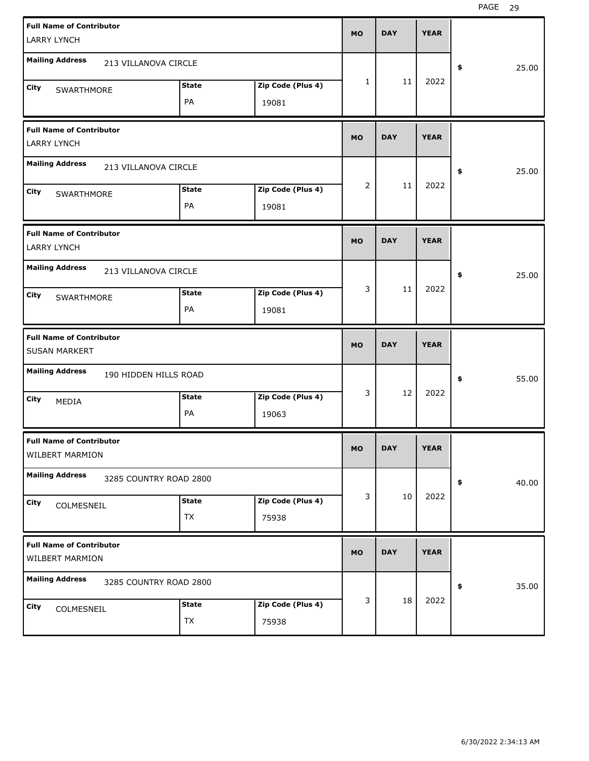| <b>Full Name of Contributor</b><br><b>LARRY LYNCH</b>     |                        |                            | <b>MO</b>      | <b>DAY</b> | <b>YEAR</b> |             |
|-----------------------------------------------------------|------------------------|----------------------------|----------------|------------|-------------|-------------|
| <b>Mailing Address</b><br>213 VILLANOVA CIRCLE            |                        |                            |                |            |             | 25.00<br>\$ |
| City<br>SWARTHMORE                                        | <b>State</b><br>PA     | Zip Code (Plus 4)<br>19081 | 1              | 11         | 2022        |             |
| <b>Full Name of Contributor</b><br><b>LARRY LYNCH</b>     |                        |                            | <b>MO</b>      | <b>DAY</b> | <b>YEAR</b> |             |
| <b>Mailing Address</b><br>213 VILLANOVA CIRCLE            |                        |                            |                |            |             | 25.00<br>\$ |
| City<br>SWARTHMORE                                        | <b>State</b><br>PA     | Zip Code (Plus 4)<br>19081 | $\overline{2}$ | 11         | 2022        |             |
| <b>Full Name of Contributor</b><br><b>LARRY LYNCH</b>     |                        |                            | <b>MO</b>      | <b>DAY</b> | <b>YEAR</b> |             |
| <b>Mailing Address</b><br>213 VILLANOVA CIRCLE            |                        |                            |                |            |             | 25.00<br>\$ |
| City<br>SWARTHMORE                                        | <b>State</b><br>PA     | Zip Code (Plus 4)<br>19081 | 3              | 11         | 2022        |             |
|                                                           |                        |                            |                |            |             |             |
| <b>Full Name of Contributor</b><br><b>SUSAN MARKERT</b>   |                        |                            | <b>MO</b>      | <b>DAY</b> | <b>YEAR</b> |             |
| <b>Mailing Address</b>                                    | 190 HIDDEN HILLS ROAD  |                            |                |            |             | 55.00<br>\$ |
| City<br>MEDIA                                             | <b>State</b><br>PA     | Zip Code (Plus 4)<br>19063 | 3              | 12         | 2022        |             |
| <b>Full Name of Contributor</b><br>WILBERT MARMION        |                        |                            | MO             | <b>DAY</b> | <b>YEAR</b> |             |
| <b>Mailing Address</b>                                    | 3285 COUNTRY ROAD 2800 |                            |                |            |             | 40.00<br>\$ |
| City<br>COLMESNEIL                                        | <b>State</b><br>TX     | Zip Code (Plus 4)<br>75938 | 3              | 10         | 2022        |             |
| <b>Full Name of Contributor</b><br><b>WILBERT MARMION</b> |                        |                            | <b>MO</b>      | <b>DAY</b> | <b>YEAR</b> |             |
| <b>Mailing Address</b>                                    | 3285 COUNTRY ROAD 2800 |                            | 3              | 18         | 2022        | 35.00<br>\$ |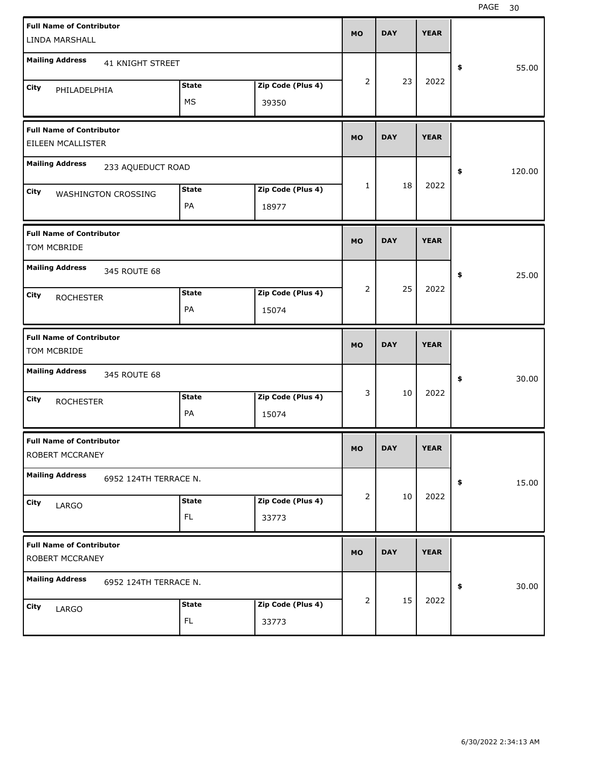| <b>Full Name of Contributor</b>                      |              |                   |           |            |             |              |
|------------------------------------------------------|--------------|-------------------|-----------|------------|-------------|--------------|
| LINDA MARSHALL                                       |              |                   | <b>MO</b> | <b>DAY</b> | <b>YEAR</b> |              |
| <b>Mailing Address</b><br>41 KNIGHT STREET           |              |                   |           |            |             | 55.00<br>\$  |
| City<br>PHILADELPHIA                                 | <b>State</b> | Zip Code (Plus 4) | 2         | 23         | 2022        |              |
|                                                      | MS           | 39350             |           |            |             |              |
| <b>Full Name of Contributor</b><br>EILEEN MCALLISTER |              |                   | <b>MO</b> | <b>DAY</b> | <b>YEAR</b> |              |
| <b>Mailing Address</b><br>233 AQUEDUCT ROAD          |              |                   |           |            |             | \$<br>120.00 |
| City<br>WASHINGTON CROSSING                          | <b>State</b> | Zip Code (Plus 4) | 1         | 18         | 2022        |              |
|                                                      | PA           | 18977             |           |            |             |              |
| <b>Full Name of Contributor</b><br>TOM MCBRIDE       |              |                   | <b>MO</b> | <b>DAY</b> | <b>YEAR</b> |              |
| <b>Mailing Address</b><br>345 ROUTE 68               |              |                   |           |            |             | 25.00<br>\$  |
| City<br><b>ROCHESTER</b>                             | <b>State</b> | Zip Code (Plus 4) | 2         | 25         | 2022        |              |
|                                                      | PA           | 15074             |           |            |             |              |
|                                                      |              |                   |           |            |             |              |
| <b>Full Name of Contributor</b><br>TOM MCBRIDE       |              |                   | <b>MO</b> | <b>DAY</b> | <b>YEAR</b> |              |
| <b>Mailing Address</b><br>345 ROUTE 68               |              |                   |           |            |             | 30.00<br>\$  |
| City<br><b>ROCHESTER</b>                             | <b>State</b> | Zip Code (Plus 4) | 3         | 10         | 2022        |              |
|                                                      | PA           | 15074             |           |            |             |              |
| <b>Full Name of Contributor</b><br>ROBERT MCCRANEY   |              |                   | MO        | <b>DAY</b> | <b>YEAR</b> |              |
| <b>Mailing Address</b><br>6952 124TH TERRACE N.      |              |                   |           |            |             | 15.00<br>\$  |
| City<br>LARGO                                        | <b>State</b> | Zip Code (Plus 4) | 2         | 10         | 2022        |              |
|                                                      | FL.          | 33773             |           |            |             |              |
| <b>Full Name of Contributor</b><br>ROBERT MCCRANEY   |              |                   | <b>MO</b> | <b>DAY</b> | <b>YEAR</b> |              |
| <b>Mailing Address</b><br>6952 124TH TERRACE N.      |              |                   |           |            |             | 30.00<br>\$  |
| City<br>LARGO                                        | <b>State</b> | Zip Code (Plus 4) | 2         | 15         | 2022        |              |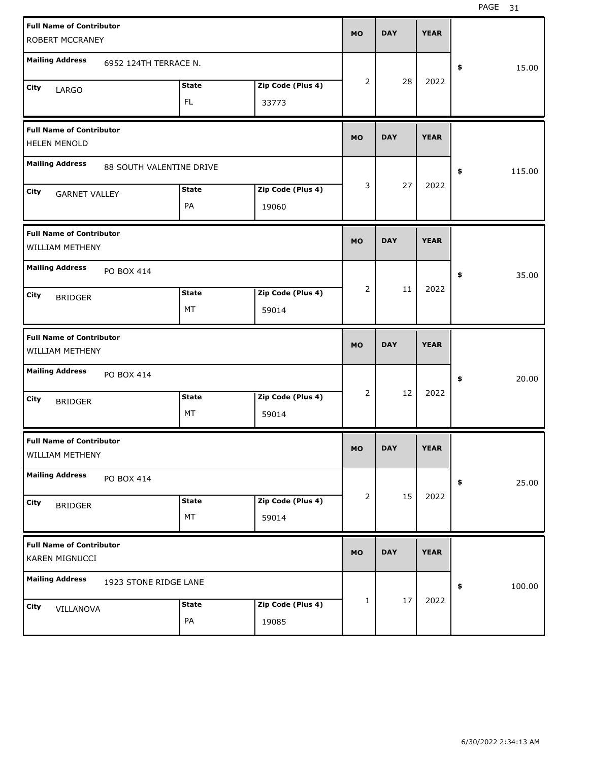| <b>Full Name of Contributor</b>                        |                          |              |                   | <b>MO</b> | <b>DAY</b> | <b>YEAR</b> |              |
|--------------------------------------------------------|--------------------------|--------------|-------------------|-----------|------------|-------------|--------------|
| ROBERT MCCRANEY                                        |                          |              |                   |           |            |             |              |
| <b>Mailing Address</b>                                 | 6952 124TH TERRACE N.    |              |                   |           |            |             | \$<br>15.00  |
| City<br>LARGO                                          |                          | <b>State</b> | Zip Code (Plus 4) | 2         | 28         | 2022        |              |
|                                                        |                          | FL.          | 33773             |           |            |             |              |
| <b>Full Name of Contributor</b><br><b>HELEN MENOLD</b> |                          |              |                   | <b>MO</b> | <b>DAY</b> | <b>YEAR</b> |              |
| <b>Mailing Address</b>                                 | 88 SOUTH VALENTINE DRIVE |              |                   |           |            |             | \$<br>115.00 |
| City<br><b>GARNET VALLEY</b>                           |                          | <b>State</b> | Zip Code (Plus 4) | 3         | 27         | 2022        |              |
|                                                        |                          | PA           | 19060             |           |            |             |              |
| <b>Full Name of Contributor</b><br>WILLIAM METHENY     |                          |              |                   | <b>MO</b> | <b>DAY</b> | <b>YEAR</b> |              |
| <b>Mailing Address</b>                                 | PO BOX 414               |              |                   |           |            |             | \$<br>35.00  |
| City<br><b>BRIDGER</b>                                 |                          | <b>State</b> | Zip Code (Plus 4) | 2         | 11         | 2022        |              |
|                                                        |                          | MT           | 59014             |           |            |             |              |
|                                                        |                          |              |                   |           |            |             |              |
| <b>Full Name of Contributor</b><br>WILLIAM METHENY     |                          |              |                   | <b>MO</b> | <b>DAY</b> | <b>YEAR</b> |              |
| <b>Mailing Address</b>                                 | PO BOX 414               |              |                   |           |            |             | \$<br>20.00  |
| City                                                   |                          | <b>State</b> | Zip Code (Plus 4) | 2         | 12         | 2022        |              |
| <b>BRIDGER</b>                                         |                          | MT           | 59014             |           |            |             |              |
| <b>Full Name of Contributor</b><br>WILLIAM METHENY     |                          |              |                   | МO        | <b>DAY</b> | <b>YEAR</b> |              |
| <b>Mailing Address</b>                                 | PO BOX 414               |              |                   |           |            |             | \$<br>25.00  |
| City                                                   |                          | <b>State</b> | Zip Code (Plus 4) | 2         | 15         | 2022        |              |
| <b>BRIDGER</b>                                         |                          | MT           | 59014             |           |            |             |              |
| <b>Full Name of Contributor</b><br>KAREN MIGNUCCI      |                          |              |                   | <b>MO</b> | <b>DAY</b> | <b>YEAR</b> |              |
| <b>Mailing Address</b>                                 | 1923 STONE RIDGE LANE    |              |                   |           |            |             | \$<br>100.00 |
| City<br>VILLANOVA                                      |                          | <b>State</b> | Zip Code (Plus 4) | 1         | 17         | 2022        |              |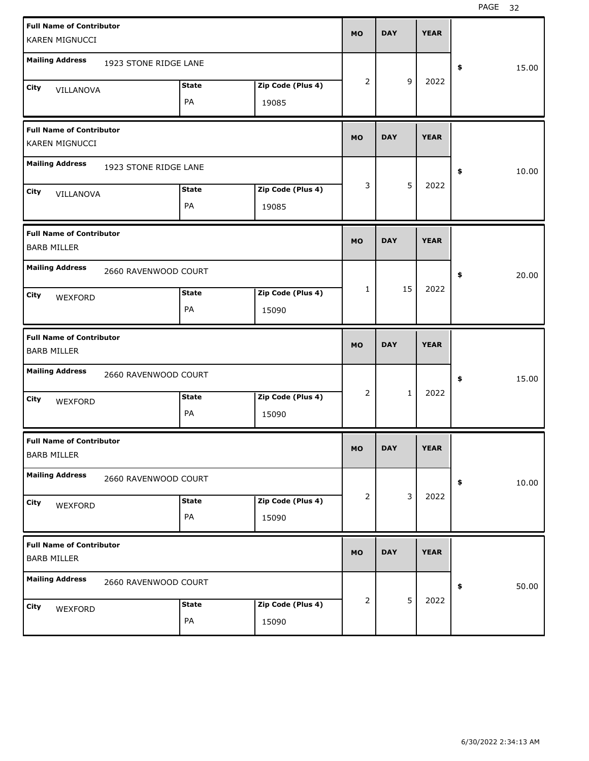| <b>Full Name of Contributor</b><br>KAREN MIGNUCCI     |                       |              |                   | <b>MO</b> | <b>DAY</b>   | <b>YEAR</b> |             |
|-------------------------------------------------------|-----------------------|--------------|-------------------|-----------|--------------|-------------|-------------|
|                                                       |                       |              |                   |           |              |             |             |
| <b>Mailing Address</b>                                | 1923 STONE RIDGE LANE |              |                   |           |              |             | \$<br>15.00 |
| City<br>VILLANOVA                                     |                       | <b>State</b> | Zip Code (Plus 4) | 2         | 9            | 2022        |             |
|                                                       |                       | PA           | 19085             |           |              |             |             |
| <b>Full Name of Contributor</b><br>KAREN MIGNUCCI     |                       |              |                   | <b>MO</b> | <b>DAY</b>   | <b>YEAR</b> |             |
| <b>Mailing Address</b>                                | 1923 STONE RIDGE LANE |              |                   |           |              |             | \$<br>10.00 |
| City<br>VILLANOVA                                     |                       | <b>State</b> | Zip Code (Plus 4) | 3         | 5            | 2022        |             |
|                                                       |                       | PA           | 19085             |           |              |             |             |
| <b>Full Name of Contributor</b><br><b>BARB MILLER</b> |                       |              |                   | <b>MO</b> | <b>DAY</b>   | <b>YEAR</b> |             |
| <b>Mailing Address</b>                                | 2660 RAVENWOOD COURT  |              |                   |           |              |             | \$<br>20.00 |
| City<br>WEXFORD                                       |                       | <b>State</b> | Zip Code (Plus 4) | 1         | 15           | 2022        |             |
|                                                       |                       | PA           | 15090             |           |              |             |             |
|                                                       |                       |              |                   |           |              |             |             |
| <b>Full Name of Contributor</b><br><b>BARB MILLER</b> |                       |              |                   | <b>MO</b> | <b>DAY</b>   | <b>YEAR</b> |             |
| <b>Mailing Address</b>                                | 2660 RAVENWOOD COURT  |              |                   |           |              |             | \$<br>15.00 |
| City                                                  |                       | <b>State</b> | Zip Code (Plus 4) | 2         | $\mathbf{1}$ | 2022        |             |
| WEXFORD                                               |                       | PA           | 15090             |           |              |             |             |
| <b>Full Name of Contributor</b><br><b>BARB MILLER</b> |                       |              |                   | МO        | <b>DAY</b>   | <b>YEAR</b> |             |
| <b>Mailing Address</b>                                | 2660 RAVENWOOD COURT  |              |                   |           |              |             | \$<br>10.00 |
| City                                                  |                       | <b>State</b> | Zip Code (Plus 4) | 2         | 3            | 2022        |             |
| WEXFORD                                               |                       | PA           | 15090             |           |              |             |             |
| <b>Full Name of Contributor</b><br><b>BARB MILLER</b> |                       |              |                   | MO        | <b>DAY</b>   | <b>YEAR</b> |             |
| <b>Mailing Address</b>                                | 2660 RAVENWOOD COURT  |              |                   |           |              |             | \$<br>50.00 |
| City<br>WEXFORD                                       |                       | <b>State</b> | Zip Code (Plus 4) | 2         | 5            | 2022        |             |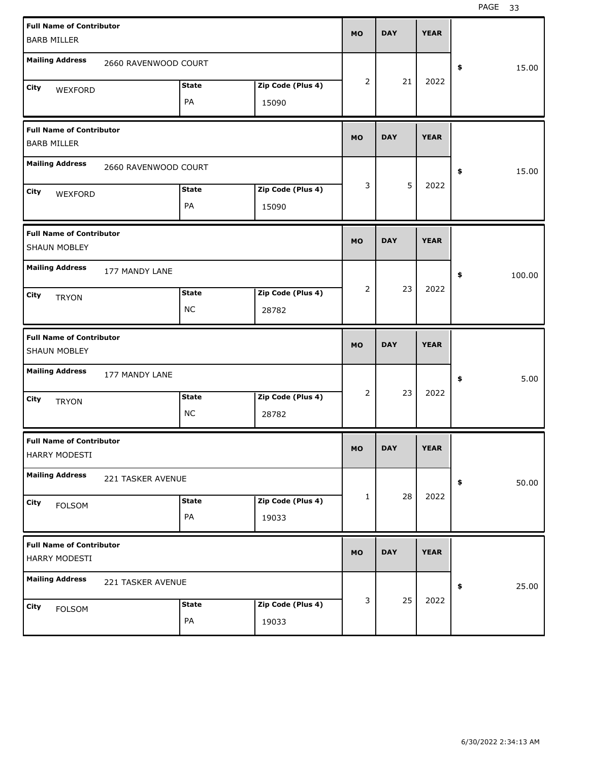| <b>Full Name of Contributor</b> |                      |               |                   | <b>MO</b>    | <b>DAY</b> | <b>YEAR</b> |              |       |
|---------------------------------|----------------------|---------------|-------------------|--------------|------------|-------------|--------------|-------|
| <b>BARB MILLER</b>              |                      |               |                   |              |            |             |              |       |
| <b>Mailing Address</b>          | 2660 RAVENWOOD COURT |               |                   |              |            |             | \$           | 15.00 |
|                                 |                      |               |                   | 2            | 21         | 2022        |              |       |
| City<br>WEXFORD                 |                      | <b>State</b>  | Zip Code (Plus 4) |              |            |             |              |       |
|                                 |                      | PA            | 15090             |              |            |             |              |       |
| <b>Full Name of Contributor</b> |                      |               |                   | <b>MO</b>    | <b>DAY</b> | <b>YEAR</b> |              |       |
| <b>BARB MILLER</b>              |                      |               |                   |              |            |             |              |       |
| <b>Mailing Address</b>          | 2660 RAVENWOOD COURT |               |                   |              |            |             | \$           | 15.00 |
| City                            |                      | <b>State</b>  | Zip Code (Plus 4) | 3            | 5          | 2022        |              |       |
| WEXFORD                         |                      | PA            | 15090             |              |            |             |              |       |
|                                 |                      |               |                   |              |            |             |              |       |
| <b>Full Name of Contributor</b> |                      |               |                   | <b>MO</b>    | <b>DAY</b> | <b>YEAR</b> |              |       |
| SHAUN MOBLEY                    |                      |               |                   |              |            |             |              |       |
| <b>Mailing Address</b>          | 177 MANDY LANE       |               |                   |              |            |             | 100.00<br>\$ |       |
| City<br><b>TRYON</b>            |                      | <b>State</b>  | Zip Code (Plus 4) | 2            | 23         | 2022        |              |       |
|                                 |                      | <b>NC</b>     | 28782             |              |            |             |              |       |
|                                 |                      |               |                   |              |            |             |              |       |
| <b>Full Name of Contributor</b> |                      |               |                   |              |            |             |              |       |
| SHAUN MOBLEY                    |                      |               |                   | <b>MO</b>    | <b>DAY</b> | <b>YEAR</b> |              |       |
| <b>Mailing Address</b>          | 177 MANDY LANE       |               |                   |              |            |             | \$           | 5.00  |
| City                            |                      | <b>State</b>  | Zip Code (Plus 4) | 2            | 23         | 2022        |              |       |
| <b>TRYON</b>                    |                      | <b>NC</b>     | 28782             |              |            |             |              |       |
| <b>Full Name of Contributor</b> |                      |               |                   |              |            |             |              |       |
| HARRY MODESTI                   |                      |               |                   | <b>MO</b>    | <b>DAY</b> | <b>YEAR</b> |              |       |
| <b>Mailing Address</b>          | 221 TASKER AVENUE    |               |                   |              |            |             | \$           | 50.00 |
| City                            |                      | <b>State</b>  | Zip Code (Plus 4) | $\mathbf{1}$ | 28         | 2022        |              |       |
| <b>FOLSOM</b>                   |                      | PA            | 19033             |              |            |             |              |       |
| <b>Full Name of Contributor</b> |                      |               |                   |              |            |             |              |       |
| HARRY MODESTI                   |                      |               |                   | <b>MO</b>    | <b>DAY</b> | <b>YEAR</b> |              |       |
| <b>Mailing Address</b>          | 221 TASKER AVENUE    |               |                   |              |            |             | \$           | 25.00 |
| City                            |                      | <b>State</b>  | Zip Code (Plus 4) | 3            | 25         | 2022        |              |       |
| <b>FOLSOM</b>                   |                      | $\mathsf{PA}$ | 19033             |              |            |             |              |       |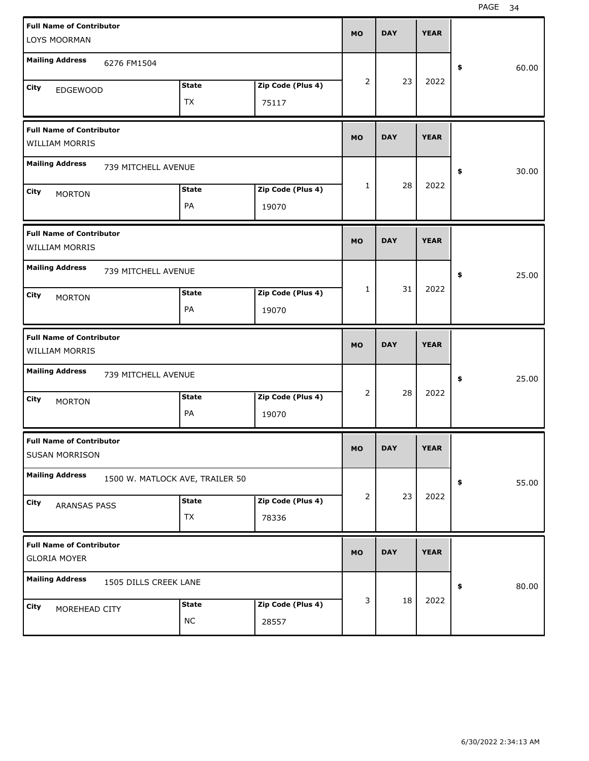| <b>Full Name of Contributor</b>                             | <b>MO</b> | <b>DAY</b> | <b>YEAR</b> |             |
|-------------------------------------------------------------|-----------|------------|-------------|-------------|
| LOYS MOORMAN                                                |           |            |             |             |
| <b>Mailing Address</b><br>6276 FM1504                       |           |            |             | \$<br>60.00 |
| <b>State</b><br>Zip Code (Plus 4)                           | 2         | 23         | 2022        |             |
| <b>City</b><br><b>EDGEWOOD</b>                              |           |            |             |             |
| <b>TX</b><br>75117                                          |           |            |             |             |
| <b>Full Name of Contributor</b>                             |           |            |             |             |
| WILLIAM MORRIS                                              | <b>MO</b> | <b>DAY</b> | <b>YEAR</b> |             |
| <b>Mailing Address</b><br>739 MITCHELL AVENUE               |           |            |             | \$<br>30.00 |
| Zip Code (Plus 4)<br><b>State</b><br>City                   | 1         | 28         | 2022        |             |
| <b>MORTON</b><br>PA<br>19070                                |           |            |             |             |
|                                                             |           |            |             |             |
| <b>Full Name of Contributor</b>                             |           |            |             |             |
| WILLIAM MORRIS                                              | <b>MO</b> | <b>DAY</b> | <b>YEAR</b> |             |
| <b>Mailing Address</b><br>739 MITCHELL AVENUE               |           |            |             |             |
|                                                             | 1         | 31         | 2022        | 25.00<br>\$ |
| Zip Code (Plus 4)<br><b>State</b><br>City<br><b>MORTON</b>  |           |            |             |             |
| PA<br>19070                                                 |           |            |             |             |
|                                                             |           |            |             |             |
|                                                             |           |            |             |             |
| <b>Full Name of Contributor</b><br>WILLIAM MORRIS           | <b>MO</b> | <b>DAY</b> | <b>YEAR</b> |             |
|                                                             |           |            |             |             |
| <b>Mailing Address</b><br>739 MITCHELL AVENUE               |           |            |             | 25.00<br>\$ |
| Zip Code (Plus 4)<br><b>State</b><br>City                   | 2         | 28         | 2022        |             |
| <b>MORTON</b><br>PA<br>19070                                |           |            |             |             |
|                                                             |           |            |             |             |
| <b>Full Name of Contributor</b><br>SUSAN MORRISON           | <b>MO</b> | <b>DAY</b> | <b>YEAR</b> |             |
| <b>Mailing Address</b><br>1500 W. MATLOCK AVE, TRAILER 50   |           |            |             | \$          |
|                                                             | 2         | 23         | 2022        | 55.00       |
| Zip Code (Plus 4)<br><b>State</b><br>City<br>ARANSAS PASS   |           |            |             |             |
| TX<br>78336                                                 |           |            |             |             |
|                                                             |           |            |             |             |
| <b>Full Name of Contributor</b><br><b>GLORIA MOYER</b>      | <b>MO</b> | <b>DAY</b> | <b>YEAR</b> |             |
| <b>Mailing Address</b><br>1505 DILLS CREEK LANE             |           |            |             | 80.00<br>\$ |
| <b>State</b>                                                | 3         | 18         | 2022        |             |
| Zip Code (Plus 4)<br>City<br>MOREHEAD CITY<br>$NC$<br>28557 |           |            |             |             |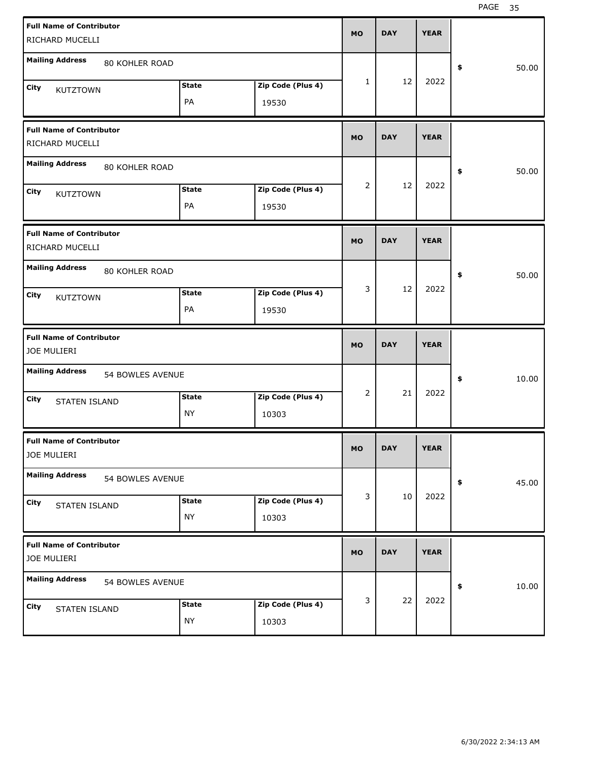| <b>Full Name of Contributor</b>                    |                  |              |                   | <b>MO</b>      | <b>DAY</b> | <b>YEAR</b> |             |
|----------------------------------------------------|------------------|--------------|-------------------|----------------|------------|-------------|-------------|
| RICHARD MUCELLI                                    |                  |              |                   |                |            |             |             |
| <b>Mailing Address</b>                             | 80 KOHLER ROAD   |              |                   |                |            |             | \$<br>50.00 |
| City<br><b>KUTZTOWN</b>                            |                  | <b>State</b> | Zip Code (Plus 4) | $\mathbf{1}$   | 12         | 2022        |             |
|                                                    |                  | PA           | 19530             |                |            |             |             |
| <b>Full Name of Contributor</b><br>RICHARD MUCELLI |                  |              |                   | <b>MO</b>      | <b>DAY</b> | <b>YEAR</b> |             |
| <b>Mailing Address</b>                             | 80 KOHLER ROAD   |              |                   |                |            |             | \$<br>50.00 |
| City<br><b>KUTZTOWN</b>                            |                  | <b>State</b> | Zip Code (Plus 4) | $\overline{2}$ | 12         | 2022        |             |
|                                                    |                  | PA           | 19530             |                |            |             |             |
| <b>Full Name of Contributor</b><br>RICHARD MUCELLI |                  |              |                   | <b>MO</b>      | <b>DAY</b> | <b>YEAR</b> |             |
| <b>Mailing Address</b>                             | 80 KOHLER ROAD   |              |                   |                |            |             | \$<br>50.00 |
| City<br><b>KUTZTOWN</b>                            |                  | <b>State</b> | Zip Code (Plus 4) | 3              | 12         | 2022        |             |
|                                                    |                  | PA           | 19530             |                |            |             |             |
|                                                    |                  |              |                   |                |            |             |             |
| <b>Full Name of Contributor</b><br>JOE MULIERI     |                  |              |                   | <b>MO</b>      | <b>DAY</b> | <b>YEAR</b> |             |
| <b>Mailing Address</b>                             | 54 BOWLES AVENUE |              |                   |                |            |             | \$<br>10.00 |
| City                                               |                  | <b>State</b> | Zip Code (Plus 4) | $\overline{2}$ | 21         | 2022        |             |
| <b>STATEN ISLAND</b>                               |                  | <b>NY</b>    | 10303             |                |            |             |             |
| <b>Full Name of Contributor</b><br>JOE MULIERI     |                  |              |                   | <b>MO</b>      | <b>DAY</b> | <b>YEAR</b> |             |
| <b>Mailing Address</b>                             | 54 BOWLES AVENUE |              |                   |                |            |             | \$<br>45.00 |
| City                                               |                  | <b>State</b> | Zip Code (Plus 4) | 3              | 10         | 2022        |             |
| STATEN ISLAND                                      |                  | <b>NY</b>    | 10303             |                |            |             |             |
| <b>Full Name of Contributor</b><br>JOE MULIERI     |                  |              |                   | <b>MO</b>      | <b>DAY</b> | <b>YEAR</b> |             |
| <b>Mailing Address</b>                             | 54 BOWLES AVENUE |              |                   |                |            |             | \$<br>10.00 |
| City<br>STATEN ISLAND                              |                  | <b>State</b> | Zip Code (Plus 4) | 3              | 22         | 2022        |             |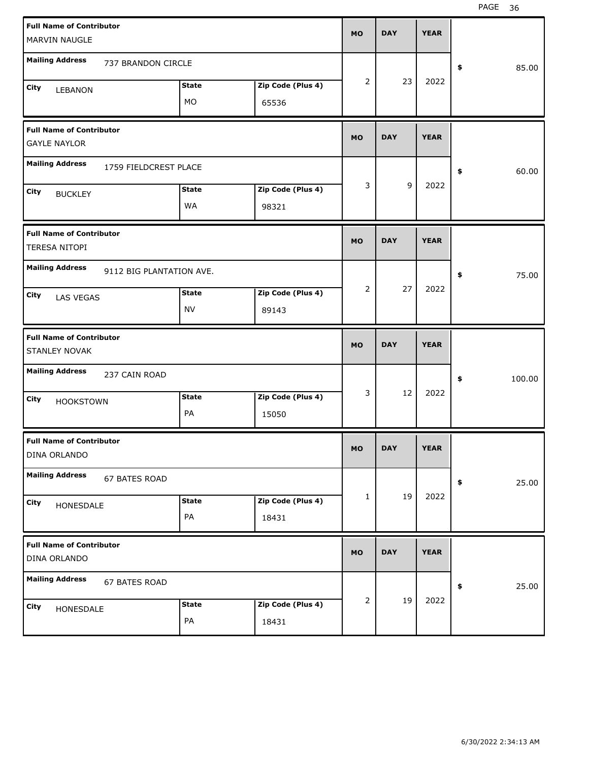| <b>Full Name of Contributor</b>                         |                          |              |                   | <b>MO</b> | <b>DAY</b> | <b>YEAR</b> |              |
|---------------------------------------------------------|--------------------------|--------------|-------------------|-----------|------------|-------------|--------------|
| MARVIN NAUGLE                                           |                          |              |                   |           |            |             |              |
| <b>Mailing Address</b>                                  | 737 BRANDON CIRCLE       |              |                   |           |            |             | \$<br>85.00  |
| City<br>LEBANON                                         |                          | <b>State</b> | Zip Code (Plus 4) | 2         | 23         | 2022        |              |
|                                                         |                          | MO           | 65536             |           |            |             |              |
| <b>Full Name of Contributor</b><br><b>GAYLE NAYLOR</b>  |                          |              |                   | <b>MO</b> | <b>DAY</b> | <b>YEAR</b> |              |
| <b>Mailing Address</b>                                  | 1759 FIELDCREST PLACE    |              |                   |           |            |             | \$<br>60.00  |
| City<br><b>BUCKLEY</b>                                  |                          | <b>State</b> | Zip Code (Plus 4) | 3         | 9          | 2022        |              |
|                                                         |                          | WA           | 98321             |           |            |             |              |
| <b>Full Name of Contributor</b><br><b>TERESA NITOPI</b> |                          |              |                   | <b>MO</b> | <b>DAY</b> | <b>YEAR</b> |              |
| <b>Mailing Address</b>                                  | 9112 BIG PLANTATION AVE. |              |                   |           |            |             | \$<br>75.00  |
| City<br>LAS VEGAS                                       |                          | <b>State</b> | Zip Code (Plus 4) | 2         | 27         | 2022        |              |
|                                                         |                          | NV           | 89143             |           |            |             |              |
|                                                         |                          |              |                   |           |            |             |              |
| <b>Full Name of Contributor</b><br>STANLEY NOVAK        |                          |              |                   | <b>MO</b> | <b>DAY</b> | <b>YEAR</b> |              |
| <b>Mailing Address</b>                                  | 237 CAIN ROAD            |              |                   |           |            |             | \$<br>100.00 |
| City                                                    |                          | <b>State</b> | Zip Code (Plus 4) | 3         | 12         | 2022        |              |
| <b>HOOKSTOWN</b>                                        |                          | PA           | 15050             |           |            |             |              |
| <b>Full Name of Contributor</b><br>DINA ORLANDO         |                          |              |                   | MO        | <b>DAY</b> | <b>YEAR</b> |              |
| <b>Mailing Address</b>                                  | 67 BATES ROAD            |              |                   |           |            |             | \$<br>25.00  |
| City                                                    |                          | <b>State</b> | Zip Code (Plus 4) | 1         | 19         | 2022        |              |
| HONESDALE                                               |                          | PA           | 18431             |           |            |             |              |
| <b>Full Name of Contributor</b><br>DINA ORLANDO         |                          |              |                   | <b>MO</b> | <b>DAY</b> | <b>YEAR</b> |              |
| <b>Mailing Address</b>                                  | 67 BATES ROAD            |              |                   |           |            |             | \$<br>25.00  |
| City<br>HONESDALE                                       |                          | <b>State</b> | Zip Code (Plus 4) | 2         | 19         | 2022        |              |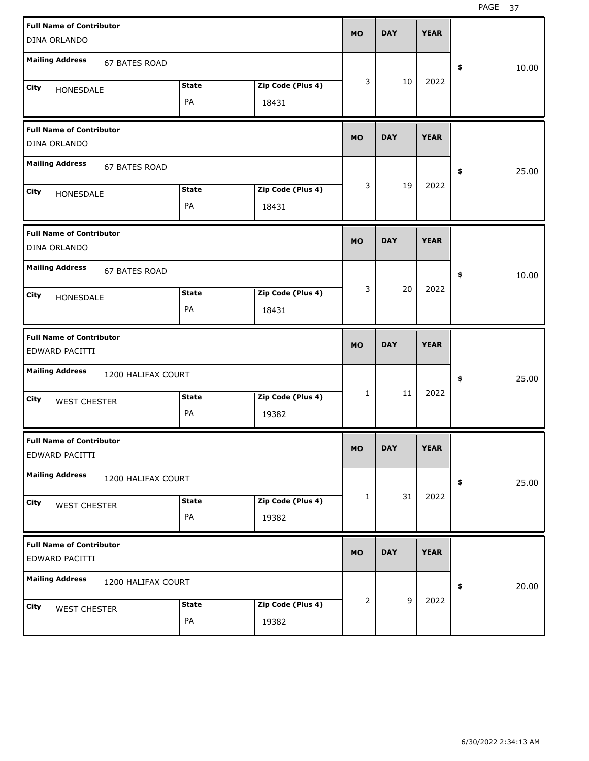| <b>Full Name of Contributor</b><br>DINA ORLANDO                                 | <b>MO</b> |   | <b>DAY</b>     | <b>YEAR</b> |             |
|---------------------------------------------------------------------------------|-----------|---|----------------|-------------|-------------|
| <b>Mailing Address</b><br>67 BATES ROAD                                         |           |   |                |             | \$<br>10.00 |
| Zip Code (Plus 4)<br><b>State</b><br>City<br>HONESDALE<br>PA<br>18431           |           | 3 | 10             | 2022        |             |
| <b>Full Name of Contributor</b><br>DINA ORLANDO                                 | <b>MO</b> |   | <b>DAY</b>     | <b>YEAR</b> |             |
| <b>Mailing Address</b><br><b>67 BATES ROAD</b>                                  |           |   |                |             | \$<br>25.00 |
| <b>State</b><br>Zip Code (Plus 4)<br>City<br>HONESDALE<br>PA<br>18431           |           | 3 | 19             | 2022        |             |
| <b>Full Name of Contributor</b><br>DINA ORLANDO                                 | <b>MO</b> |   | <b>DAY</b>     | <b>YEAR</b> |             |
| <b>Mailing Address</b><br>67 BATES ROAD                                         |           |   |                |             | \$<br>10.00 |
| <b>State</b><br>Zip Code (Plus 4)<br>City<br>HONESDALE<br>PA<br>18431           |           | 3 | 20             | 2022        |             |
|                                                                                 |           |   |                |             |             |
| <b>Full Name of Contributor</b><br>EDWARD PACITTI                               | <b>MO</b> |   | <b>DAY</b>     | <b>YEAR</b> |             |
| <b>Mailing Address</b><br>1200 HALIFAX COURT                                    |           |   |                |             | \$<br>25.00 |
| Zip Code (Plus 4)<br><b>State</b><br>City<br><b>WEST CHESTER</b><br>PA<br>19382 |           | 1 | 11             | 2022        |             |
| <b>Full Name of Contributor</b><br>EDWARD PACITTI                               | МO        |   | <b>DAY</b>     | <b>YEAR</b> |             |
| <b>Mailing Address</b><br>1200 HALIFAX COURT                                    |           |   |                |             | \$<br>25.00 |
| <b>State</b><br>Zip Code (Plus 4)<br>City<br><b>WEST CHESTER</b><br>PA<br>19382 |           | 1 | 31             | 2022        |             |
| <b>Full Name of Contributor</b><br>EDWARD PACITTI                               | <b>MO</b> |   | <b>DAY</b>     | <b>YEAR</b> |             |
| <b>Mailing Address</b><br>1200 HALIFAX COURT                                    |           |   | $\overline{9}$ | 2022        | \$<br>20.00 |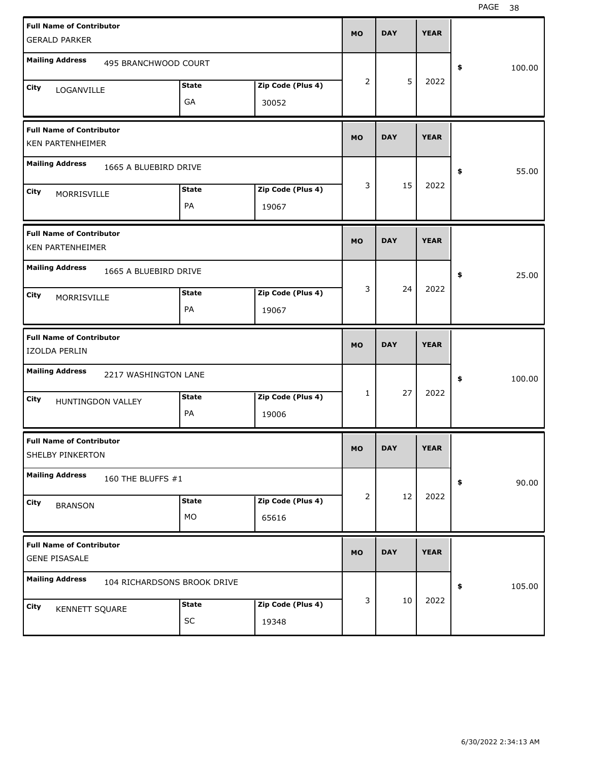| <b>Full Name of Contributor</b>                            |              |                   | <b>MO</b>      | <b>DAY</b> | <b>YEAR</b> |              |
|------------------------------------------------------------|--------------|-------------------|----------------|------------|-------------|--------------|
| <b>GERALD PARKER</b>                                       |              |                   |                |            |             |              |
| <b>Mailing Address</b><br>495 BRANCHWOOD COURT             |              |                   |                |            |             | \$<br>100.00 |
| City<br>LOGANVILLE                                         | <b>State</b> | Zip Code (Plus 4) | $\overline{2}$ | 5          | 2022        |              |
|                                                            | GA           | 30052             |                |            |             |              |
| <b>Full Name of Contributor</b><br><b>KEN PARTENHEIMER</b> |              |                   | <b>MO</b>      | <b>DAY</b> | <b>YEAR</b> |              |
| <b>Mailing Address</b><br>1665 A BLUEBIRD DRIVE            |              |                   |                |            |             | \$<br>55.00  |
| City<br>MORRISVILLE                                        | <b>State</b> | Zip Code (Plus 4) | 3              | 15         | 2022        |              |
|                                                            | PA           | 19067             |                |            |             |              |
| <b>Full Name of Contributor</b><br><b>KEN PARTENHEIMER</b> |              |                   | <b>MO</b>      | <b>DAY</b> | <b>YEAR</b> |              |
| <b>Mailing Address</b><br>1665 A BLUEBIRD DRIVE            |              |                   |                |            |             | 25.00<br>\$  |
| City<br>MORRISVILLE                                        | <b>State</b> | Zip Code (Plus 4) | 3              | 24         | 2022        |              |
|                                                            | PA           | 19067             |                |            |             |              |
|                                                            |              |                   |                |            |             |              |
| <b>Full Name of Contributor</b><br>IZOLDA PERLIN           |              |                   | <b>MO</b>      | <b>DAY</b> | <b>YEAR</b> |              |
| <b>Mailing Address</b><br>2217 WASHINGTON LANE             |              |                   |                |            |             | \$<br>100.00 |
| City<br>HUNTINGDON VALLEY                                  | <b>State</b> | Zip Code (Plus 4) | $\mathbf{1}$   | 27         | 2022        |              |
|                                                            | PA           | 19006             |                |            |             |              |
| <b>Full Name of Contributor</b><br>SHELBY PINKERTON        |              |                   | <b>MO</b>      | <b>DAY</b> | <b>YEAR</b> |              |
| <b>Mailing Address</b><br>160 THE BLUFFS #1                |              |                   |                |            |             | 90.00<br>\$  |
| City<br><b>BRANSON</b>                                     | <b>State</b> | Zip Code (Plus 4) | $\overline{2}$ | 12         | 2022        |              |
|                                                            | MO           | 65616             |                |            |             |              |
| <b>Full Name of Contributor</b><br><b>GENE PISASALE</b>    |              |                   | <b>MO</b>      | <b>DAY</b> | <b>YEAR</b> |              |
| <b>Mailing Address</b><br>104 RICHARDSONS BROOK DRIVE      |              |                   |                |            |             | 105.00<br>\$ |
| City<br>KENNETT SQUARE                                     | <b>State</b> | Zip Code (Plus 4) | 3              | 10         | 2022        |              |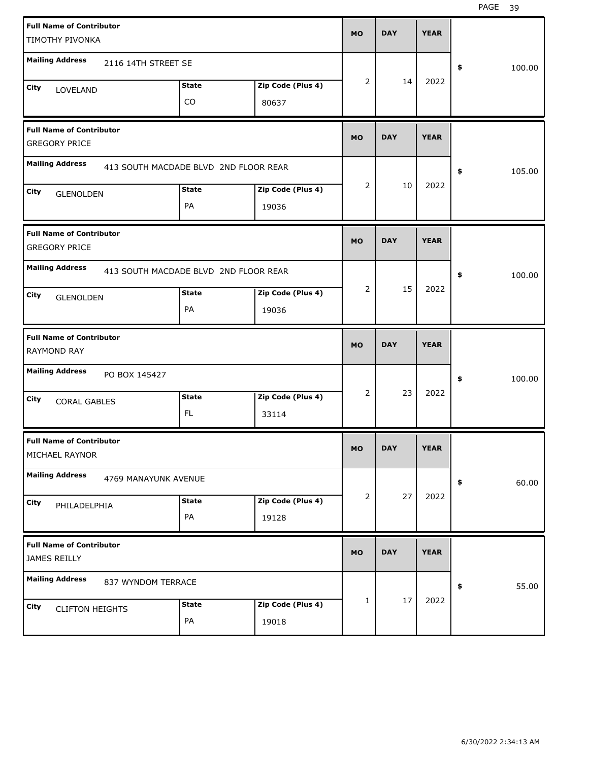| <b>Full Name of Contributor</b><br>TIMOTHY PIVONKA      |                                       |                   | <b>MO</b>    | <b>DAY</b> | <b>YEAR</b> |              |
|---------------------------------------------------------|---------------------------------------|-------------------|--------------|------------|-------------|--------------|
| <b>Mailing Address</b><br>2116 14TH STREET SE           |                                       |                   |              |            |             |              |
|                                                         |                                       |                   | 2            | 14         | 2022        | \$<br>100.00 |
| City<br>LOVELAND                                        | <b>State</b>                          | Zip Code (Plus 4) |              |            |             |              |
|                                                         | CO                                    | 80637             |              |            |             |              |
| <b>Full Name of Contributor</b><br><b>GREGORY PRICE</b> |                                       |                   | <b>MO</b>    | <b>DAY</b> | <b>YEAR</b> |              |
| <b>Mailing Address</b>                                  | 413 SOUTH MACDADE BLVD 2ND FLOOR REAR |                   |              |            |             | \$<br>105.00 |
| City<br><b>GLENOLDEN</b>                                | <b>State</b>                          | Zip Code (Plus 4) | 2            | 10         | 2022        |              |
|                                                         | PA                                    | 19036             |              |            |             |              |
| <b>Full Name of Contributor</b><br><b>GREGORY PRICE</b> |                                       |                   | <b>MO</b>    | <b>DAY</b> | <b>YEAR</b> |              |
| <b>Mailing Address</b>                                  | 413 SOUTH MACDADE BLVD 2ND FLOOR REAR |                   |              |            |             | \$<br>100.00 |
| City<br><b>GLENOLDEN</b>                                | <b>State</b>                          | Zip Code (Plus 4) | 2            | 15         | 2022        |              |
|                                                         | PA                                    | 19036             |              |            |             |              |
|                                                         |                                       |                   |              |            |             |              |
| <b>Full Name of Contributor</b><br><b>RAYMOND RAY</b>   |                                       |                   | <b>MO</b>    | <b>DAY</b> | <b>YEAR</b> |              |
| <b>Mailing Address</b><br>PO BOX 145427                 |                                       |                   |              |            |             | \$<br>100.00 |
| City                                                    | <b>State</b>                          | Zip Code (Plus 4) | 2            | 23         | 2022        |              |
| <b>CORAL GABLES</b>                                     | FL.                                   | 33114             |              |            |             |              |
| <b>Full Name of Contributor</b><br>MICHAEL RAYNOR       |                                       |                   | <b>MO</b>    | <b>DAY</b> | <b>YEAR</b> |              |
| <b>Mailing Address</b><br>4769 MANAYUNK AVENUE          |                                       |                   |              |            |             | \$<br>60.00  |
| City                                                    | <b>State</b>                          | Zip Code (Plus 4) | 2            | 27         | 2022        |              |
| PHILADELPHIA                                            | PA                                    | 19128             |              |            |             |              |
| <b>Full Name of Contributor</b><br>JAMES REILLY         |                                       |                   | <b>MO</b>    | <b>DAY</b> | <b>YEAR</b> |              |
| <b>Mailing Address</b><br>837 WYNDOM TERRACE            |                                       |                   |              |            |             | \$<br>55.00  |
| City<br><b>CLIFTON HEIGHTS</b>                          | <b>State</b>                          | Zip Code (Plus 4) | $\mathbf{1}$ | 17         | 2022        |              |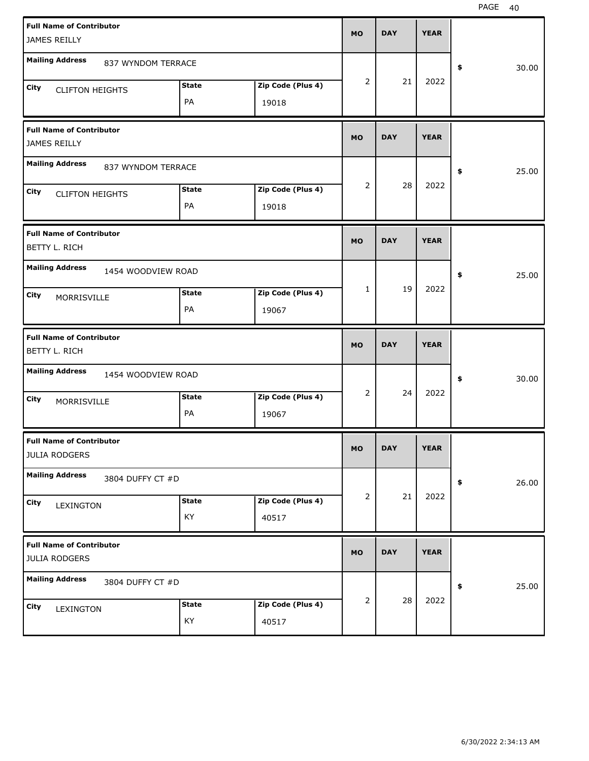| <b>Full Name of Contributor</b>                         |              |                   |           |            |             |             |
|---------------------------------------------------------|--------------|-------------------|-----------|------------|-------------|-------------|
| JAMES REILLY                                            |              |                   | <b>MO</b> | <b>DAY</b> | <b>YEAR</b> |             |
| <b>Mailing Address</b><br>837 WYNDOM TERRACE            |              |                   |           |            |             |             |
|                                                         |              |                   | 2         | 21         | 2022        | \$<br>30.00 |
| City<br><b>CLIFTON HEIGHTS</b>                          | <b>State</b> | Zip Code (Plus 4) |           |            |             |             |
|                                                         | PA           | 19018             |           |            |             |             |
| <b>Full Name of Contributor</b><br>JAMES REILLY         |              |                   | <b>MO</b> | <b>DAY</b> | <b>YEAR</b> |             |
| <b>Mailing Address</b><br>837 WYNDOM TERRACE            |              |                   |           |            |             | 25.00<br>\$ |
| City                                                    | <b>State</b> | Zip Code (Plus 4) | 2         | 28         | 2022        |             |
| <b>CLIFTON HEIGHTS</b>                                  | PA           | 19018             |           |            |             |             |
| <b>Full Name of Contributor</b><br><b>BETTY L. RICH</b> |              |                   | <b>MO</b> | <b>DAY</b> | <b>YEAR</b> |             |
|                                                         |              |                   |           |            |             |             |
| <b>Mailing Address</b><br>1454 WOODVIEW ROAD            |              |                   |           | 19         | 2022        | 25.00<br>\$ |
| City<br>MORRISVILLE                                     | <b>State</b> | Zip Code (Plus 4) | 1         |            |             |             |
|                                                         | PA           | 19067             |           |            |             |             |
|                                                         |              |                   |           |            |             |             |
| <b>Full Name of Contributor</b><br>BETTY L. RICH        |              |                   | <b>MO</b> | <b>DAY</b> | <b>YEAR</b> |             |
| <b>Mailing Address</b><br>1454 WOODVIEW ROAD            |              |                   |           |            |             | \$<br>30.00 |
| City                                                    | <b>State</b> | Zip Code (Plus 4) | 2         | 24         | 2022        |             |
| MORRISVILLE                                             | PA           | 19067             |           |            |             |             |
| <b>Full Name of Contributor</b><br><b>JULIA RODGERS</b> |              |                   | <b>MO</b> | <b>DAY</b> | <b>YEAR</b> |             |
| <b>Mailing Address</b><br>3804 DUFFY CT #D              |              |                   |           |            |             | 26.00<br>\$ |
| City                                                    | <b>State</b> | Zip Code (Plus 4) | 2         | 21         | 2022        |             |
| LEXINGTON                                               | KY           | 40517             |           |            |             |             |
| <b>Full Name of Contributor</b><br><b>JULIA RODGERS</b> |              |                   | <b>MO</b> | <b>DAY</b> | <b>YEAR</b> |             |
| <b>Mailing Address</b><br>3804 DUFFY CT #D              |              |                   |           |            |             | 25.00<br>\$ |
| City<br>LEXINGTON                                       | <b>State</b> | Zip Code (Plus 4) | 2         | 28         | 2022        |             |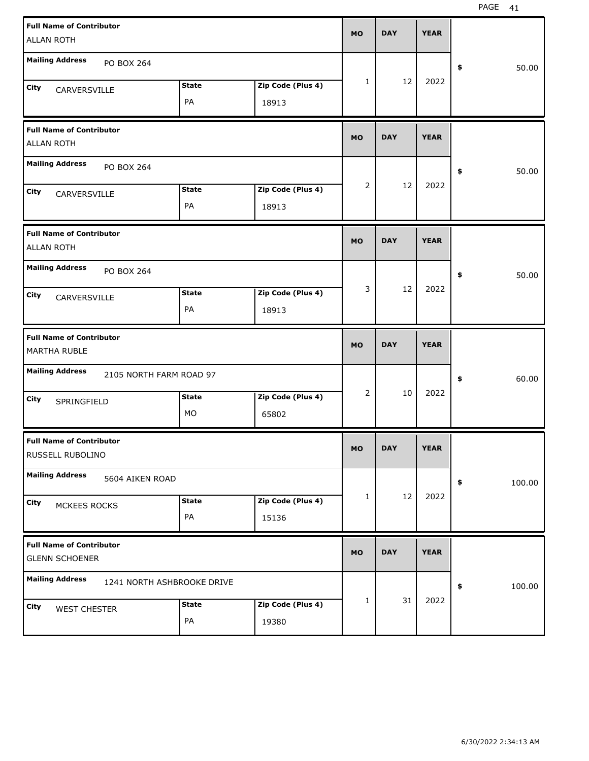| <b>Full Name of Contributor</b>                          |                            |                   | <b>MO</b>      | <b>DAY</b> | <b>YEAR</b> |              |
|----------------------------------------------------------|----------------------------|-------------------|----------------|------------|-------------|--------------|
| <b>ALLAN ROTH</b>                                        |                            |                   |                |            |             |              |
| <b>Mailing Address</b><br>PO BOX 264                     |                            |                   |                |            |             | \$<br>50.00  |
| City<br>CARVERSVILLE                                     | <b>State</b>               | Zip Code (Plus 4) | 1              | 12         | 2022        |              |
|                                                          | PA                         | 18913             |                |            |             |              |
| <b>Full Name of Contributor</b><br><b>ALLAN ROTH</b>     |                            |                   | <b>MO</b>      | <b>DAY</b> | <b>YEAR</b> |              |
| <b>Mailing Address</b><br>PO BOX 264                     |                            |                   |                |            |             | \$<br>50.00  |
| City<br>CARVERSVILLE                                     | <b>State</b>               | Zip Code (Plus 4) | $\overline{2}$ | 12         | 2022        |              |
|                                                          | PA                         | 18913             |                |            |             |              |
| <b>Full Name of Contributor</b><br><b>ALLAN ROTH</b>     |                            |                   | <b>MO</b>      | <b>DAY</b> | <b>YEAR</b> |              |
| <b>Mailing Address</b><br>PO BOX 264                     |                            |                   |                |            |             | \$<br>50.00  |
| City<br>CARVERSVILLE                                     | <b>State</b>               | Zip Code (Plus 4) | 3              | 12         | 2022        |              |
|                                                          | PA                         | 18913             |                |            |             |              |
|                                                          |                            |                   |                |            |             |              |
| <b>Full Name of Contributor</b><br><b>MARTHA RUBLE</b>   |                            |                   | <b>MO</b>      | <b>DAY</b> | <b>YEAR</b> |              |
| <b>Mailing Address</b><br>2105 NORTH FARM ROAD 97        |                            |                   |                |            |             | \$<br>60.00  |
| City                                                     | <b>State</b>               | Zip Code (Plus 4) | $\overline{2}$ | 10         | 2022        |              |
| SPRINGFIELD                                              | MO                         | 65802             |                |            |             |              |
| <b>Full Name of Contributor</b><br>RUSSELL RUBOLINO      |                            |                   | MO             | <b>DAY</b> | <b>YEAR</b> |              |
| <b>Mailing Address</b><br>5604 AIKEN ROAD                |                            |                   |                |            |             | \$<br>100.00 |
| City                                                     | <b>State</b>               | Zip Code (Plus 4) | 1              | 12         | 2022        |              |
| MCKEES ROCKS                                             | PA                         | 15136             |                |            |             |              |
| <b>Full Name of Contributor</b><br><b>GLENN SCHOENER</b> |                            |                   | <b>MO</b>      | <b>DAY</b> | <b>YEAR</b> |              |
| <b>Mailing Address</b>                                   | 1241 NORTH ASHBROOKE DRIVE |                   |                |            |             | \$<br>100.00 |
| City<br><b>WEST CHESTER</b>                              | <b>State</b>               | Zip Code (Plus 4) | 1              | 31         | 2022        |              |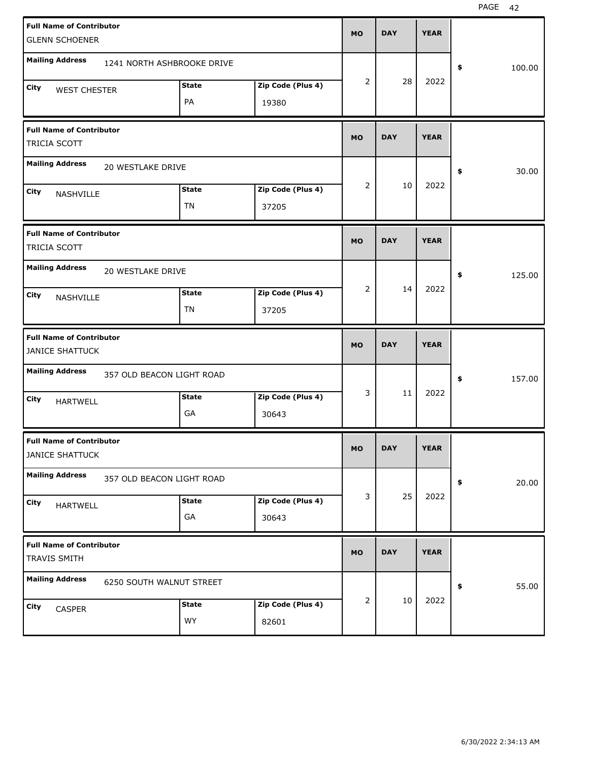|      | <b>Full Name of Contributor</b>                           |                            |              |                   | <b>MO</b> | <b>DAY</b> | <b>YEAR</b> |              |
|------|-----------------------------------------------------------|----------------------------|--------------|-------------------|-----------|------------|-------------|--------------|
|      | <b>GLENN SCHOENER</b>                                     |                            |              |                   |           |            |             |              |
|      | <b>Mailing Address</b>                                    | 1241 NORTH ASHBROOKE DRIVE |              |                   |           |            |             | \$<br>100.00 |
| City | <b>WEST CHESTER</b>                                       |                            | <b>State</b> | Zip Code (Plus 4) | 2         | 28         | 2022        |              |
|      |                                                           |                            | PA           | 19380             |           |            |             |              |
|      | <b>Full Name of Contributor</b><br>TRICIA SCOTT           |                            |              |                   | <b>MO</b> | <b>DAY</b> | <b>YEAR</b> |              |
|      | <b>Mailing Address</b>                                    | 20 WESTLAKE DRIVE          |              |                   |           |            |             | \$<br>30.00  |
| City | NASHVILLE                                                 |                            | <b>State</b> | Zip Code (Plus 4) | 2         | 10         | 2022        |              |
|      |                                                           |                            | TN           | 37205             |           |            |             |              |
|      | <b>Full Name of Contributor</b><br>TRICIA SCOTT           |                            |              |                   | <b>MO</b> | <b>DAY</b> | <b>YEAR</b> |              |
|      | <b>Mailing Address</b>                                    | <b>20 WESTLAKE DRIVE</b>   |              |                   |           |            |             | \$<br>125.00 |
| City | NASHVILLE                                                 |                            | <b>State</b> | Zip Code (Plus 4) | 2         | 14         | 2022        |              |
|      |                                                           |                            | TN           | 37205             |           |            |             |              |
|      |                                                           |                            |              |                   |           |            |             |              |
|      | <b>Full Name of Contributor</b><br><b>JANICE SHATTUCK</b> |                            |              |                   | <b>MO</b> | <b>DAY</b> | <b>YEAR</b> |              |
|      | <b>Mailing Address</b>                                    | 357 OLD BEACON LIGHT ROAD  |              |                   |           |            |             | \$<br>157.00 |
| City |                                                           |                            | <b>State</b> | Zip Code (Plus 4) | 3         | 11         | 2022        |              |
|      | <b>HARTWELL</b>                                           |                            | GA           | 30643             |           |            |             |              |
|      | <b>Full Name of Contributor</b><br><b>JANICE SHATTUCK</b> |                            |              |                   | <b>MO</b> | <b>DAY</b> | <b>YEAR</b> |              |
|      | <b>Mailing Address</b>                                    | 357 OLD BEACON LIGHT ROAD  |              |                   |           |            |             | \$<br>20.00  |
| City |                                                           |                            | <b>State</b> | Zip Code (Plus 4) | 3         | 25         | 2022        |              |
|      | <b>HARTWELL</b>                                           |                            | GA           | 30643             |           |            |             |              |
|      | <b>Full Name of Contributor</b><br>TRAVIS SMITH           |                            |              |                   | <b>MO</b> | <b>DAY</b> | <b>YEAR</b> |              |
|      | <b>Mailing Address</b>                                    | 6250 SOUTH WALNUT STREET   |              |                   |           |            |             | \$<br>55.00  |
| City | CASPER                                                    |                            | <b>State</b> | Zip Code (Plus 4) | 2         | 10         | 2022        |              |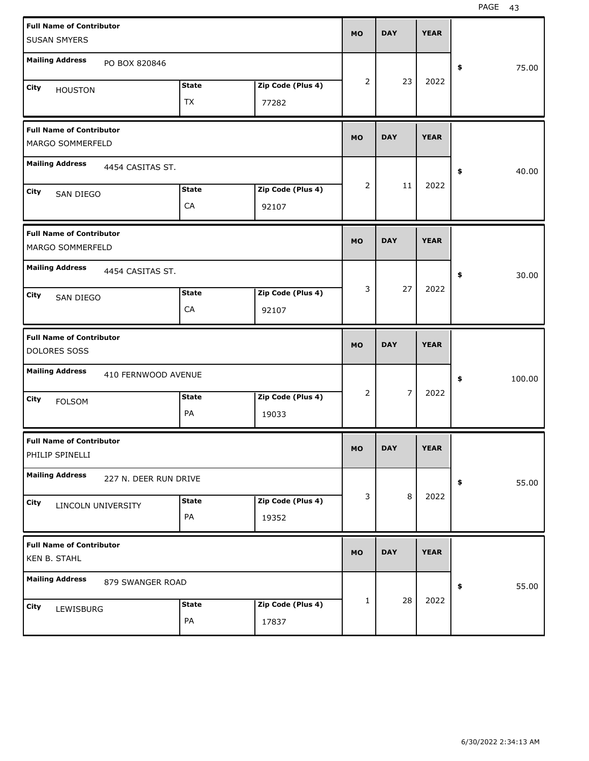| <b>Full Name of Contributor</b><br><b>SUSAN SMYERS</b> |                    |                            | <b>MO</b>      | <b>DAY</b>     | <b>YEAR</b> |              |
|--------------------------------------------------------|--------------------|----------------------------|----------------|----------------|-------------|--------------|
| <b>Mailing Address</b><br>PO BOX 820846                |                    |                            |                |                |             | \$<br>75.00  |
| City<br><b>HOUSTON</b>                                 | <b>State</b><br>TX | Zip Code (Plus 4)<br>77282 | $\overline{2}$ | 23             | 2022        |              |
| <b>Full Name of Contributor</b><br>MARGO SOMMERFELD    |                    |                            | <b>MO</b>      | <b>DAY</b>     | <b>YEAR</b> |              |
| <b>Mailing Address</b><br>4454 CASITAS ST.             |                    |                            |                |                |             | \$<br>40.00  |
| City<br>SAN DIEGO                                      | <b>State</b><br>CA | Zip Code (Plus 4)<br>92107 | $\overline{2}$ | 11             | 2022        |              |
| <b>Full Name of Contributor</b><br>MARGO SOMMERFELD    |                    |                            | <b>MO</b>      | <b>DAY</b>     | <b>YEAR</b> |              |
| <b>Mailing Address</b><br>4454 CASITAS ST.             |                    |                            |                |                |             | \$<br>30.00  |
| City<br>SAN DIEGO                                      | <b>State</b><br>CA | Zip Code (Plus 4)<br>92107 | 3              | 27             | 2022        |              |
|                                                        |                    |                            |                |                |             |              |
| <b>Full Name of Contributor</b><br>DOLORES SOSS        |                    |                            | <b>MO</b>      | <b>DAY</b>     | <b>YEAR</b> |              |
| <b>Mailing Address</b><br>410 FERNWOOD AVENUE          |                    |                            |                |                |             | \$<br>100.00 |
| <b>City</b><br><b>FOLSOM</b>                           | <b>State</b><br>PA | Zip Code (Plus 4)<br>19033 | $\overline{2}$ | $\overline{7}$ | 2022        |              |
| <b>Full Name of Contributor</b><br>PHILIP SPINELLI     |                    |                            | <b>MO</b>      | <b>DAY</b>     | <b>YEAR</b> |              |
| <b>Mailing Address</b><br>227 N. DEER RUN DRIVE        |                    |                            |                |                |             | \$<br>55.00  |
| City<br>LINCOLN UNIVERSITY                             | <b>State</b><br>PA | Zip Code (Plus 4)<br>19352 | 3              | $\,8\,$        | 2022        |              |
| <b>Full Name of Contributor</b><br>KEN B. STAHL        |                    |                            | <b>MO</b>      | <b>DAY</b>     | <b>YEAR</b> |              |
| <b>Mailing Address</b><br>879 SWANGER ROAD             |                    |                            |                | 28             | 2022        | \$<br>55.00  |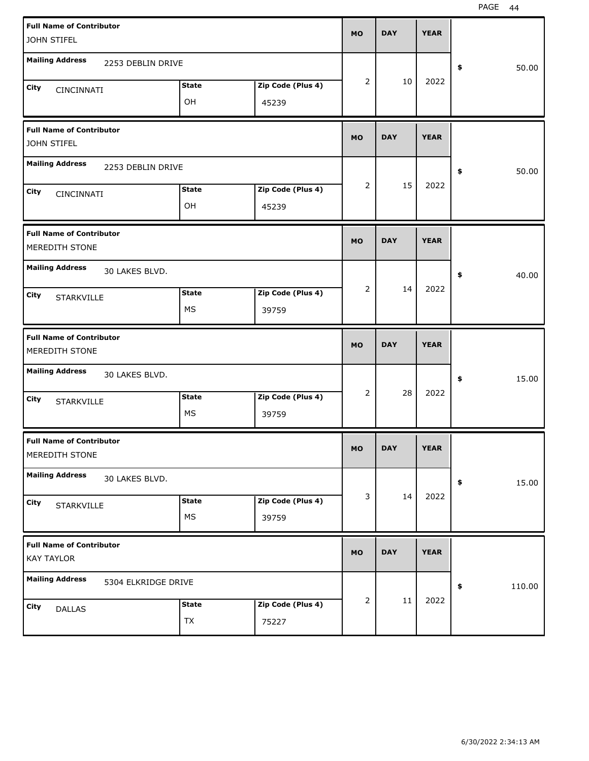| <b>Full Name of Contributor</b><br>JOHN STIFEL         |                            | <b>MO</b> | <b>DAY</b> | <b>YEAR</b> |              |
|--------------------------------------------------------|----------------------------|-----------|------------|-------------|--------------|
| <b>Mailing Address</b><br>2253 DEBLIN DRIVE            |                            |           |            |             | 50.00<br>\$  |
| <b>State</b><br><b>City</b><br>CINCINNATI<br>OH        | Zip Code (Plus 4)<br>45239 | 2         | 10         | 2022        |              |
| <b>Full Name of Contributor</b><br>JOHN STIFEL         |                            | <b>MO</b> | <b>DAY</b> | <b>YEAR</b> |              |
| <b>Mailing Address</b><br>2253 DEBLIN DRIVE            |                            |           |            |             | 50.00<br>\$  |
| <b>State</b><br><b>City</b><br>CINCINNATI<br>OH        | Zip Code (Plus 4)<br>45239 | 2         | 15         | 2022        |              |
| <b>Full Name of Contributor</b><br>MEREDITH STONE      |                            | <b>MO</b> | <b>DAY</b> | <b>YEAR</b> |              |
| <b>Mailing Address</b><br>30 LAKES BLVD.               |                            |           |            |             | 40.00<br>\$  |
| <b>State</b><br><b>City</b><br><b>STARKVILLE</b><br>MS | Zip Code (Plus 4)<br>39759 | 2         | 14         | 2022        |              |
|                                                        |                            |           |            |             |              |
| <b>Full Name of Contributor</b><br>MEREDITH STONE      |                            | <b>MO</b> | <b>DAY</b> | <b>YEAR</b> |              |
| <b>Mailing Address</b><br>30 LAKES BLVD.               |                            |           |            |             | 15.00<br>\$  |
| <b>State</b><br><b>City</b><br><b>STARKVILLE</b><br>MS | Zip Code (Plus 4)<br>39759 | 2         | 28         | 2022        |              |
| <b>Full Name of Contributor</b><br>MEREDITH STONE      |                            | <b>MO</b> | <b>DAY</b> | <b>YEAR</b> |              |
| <b>Mailing Address</b><br>30 LAKES BLVD.               |                            |           |            |             | 15.00<br>\$  |
| <b>State</b><br>City<br><b>STARKVILLE</b><br>МS        | Zip Code (Plus 4)<br>39759 | 3         | 14         | 2022        |              |
| <b>Full Name of Contributor</b><br><b>KAY TAYLOR</b>   |                            | <b>MO</b> | <b>DAY</b> | <b>YEAR</b> |              |
| <b>Mailing Address</b><br>5304 ELKRIDGE DRIVE          |                            | 2         | 11         | 2022        | 110.00<br>\$ |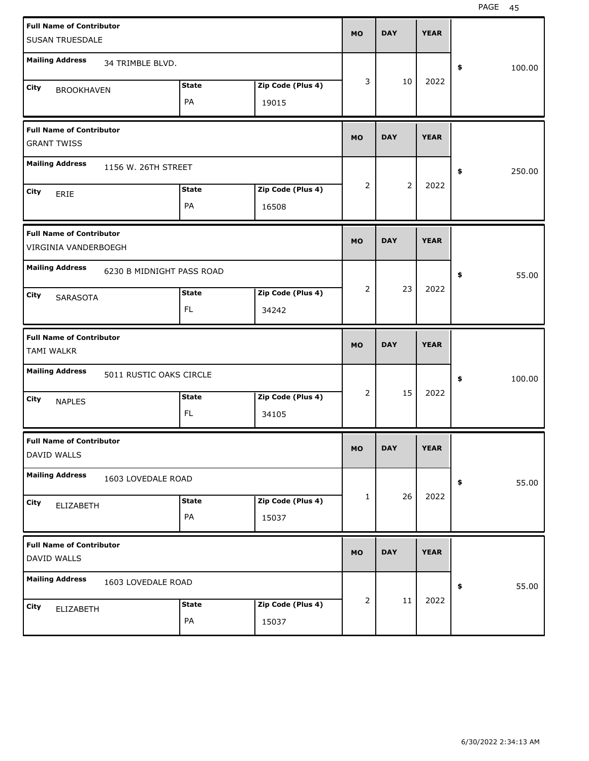| <b>Full Name of Contributor</b>                         |                           |              |                   | <b>MO</b>      | <b>DAY</b>     | <b>YEAR</b> |              |
|---------------------------------------------------------|---------------------------|--------------|-------------------|----------------|----------------|-------------|--------------|
| SUSAN TRUESDALE                                         |                           |              |                   |                |                |             |              |
| <b>Mailing Address</b>                                  | 34 TRIMBLE BLVD.          |              |                   |                |                |             | \$<br>100.00 |
| City<br><b>BROOKHAVEN</b>                               |                           | <b>State</b> | Zip Code (Plus 4) | 3              | 10             | 2022        |              |
|                                                         |                           | PA           | 19015             |                |                |             |              |
| <b>Full Name of Contributor</b><br><b>GRANT TWISS</b>   |                           |              |                   | <b>MO</b>      | <b>DAY</b>     | <b>YEAR</b> |              |
| <b>Mailing Address</b>                                  | 1156 W. 26TH STREET       |              |                   |                |                |             | \$<br>250.00 |
| City<br>ERIE                                            |                           | <b>State</b> | Zip Code (Plus 4) | $\overline{2}$ | $\overline{2}$ | 2022        |              |
|                                                         |                           | PA           | 16508             |                |                |             |              |
| <b>Full Name of Contributor</b><br>VIRGINIA VANDERBOEGH |                           |              |                   | <b>MO</b>      | <b>DAY</b>     | <b>YEAR</b> |              |
| <b>Mailing Address</b>                                  | 6230 B MIDNIGHT PASS ROAD |              |                   |                |                |             | \$<br>55.00  |
| City<br>SARASOTA                                        |                           | <b>State</b> | Zip Code (Plus 4) | $\overline{2}$ | 23             | 2022        |              |
|                                                         |                           | FL           | 34242             |                |                |             |              |
|                                                         |                           |              |                   |                |                |             |              |
| <b>Full Name of Contributor</b><br><b>TAMI WALKR</b>    |                           |              |                   | <b>MO</b>      | <b>DAY</b>     | <b>YEAR</b> |              |
| <b>Mailing Address</b>                                  | 5011 RUSTIC OAKS CIRCLE   |              |                   |                |                |             | \$<br>100.00 |
| City                                                    |                           | <b>State</b> | Zip Code (Plus 4) | $\overline{2}$ | 15             | 2022        |              |
| <b>NAPLES</b>                                           |                           | FL           | 34105             |                |                |             |              |
| <b>Full Name of Contributor</b><br>DAVID WALLS          |                           |              |                   | <b>MO</b>      | <b>DAY</b>     | <b>YEAR</b> |              |
| <b>Mailing Address</b>                                  | 1603 LOVEDALE ROAD        |              |                   |                |                |             | \$<br>55.00  |
| City                                                    |                           | <b>State</b> | Zip Code (Plus 4) | 1              | 26             | 2022        |              |
| ELIZABETH                                               |                           | PA           | 15037             |                |                |             |              |
| <b>Full Name of Contributor</b><br>DAVID WALLS          |                           |              |                   | <b>MO</b>      | <b>DAY</b>     | <b>YEAR</b> |              |
| <b>Mailing Address</b>                                  | 1603 LOVEDALE ROAD        |              |                   |                |                |             | \$<br>55.00  |
| <b>City</b><br>ELIZABETH                                |                           | <b>State</b> | Zip Code (Plus 4) | 2              | 11             | 2022        |              |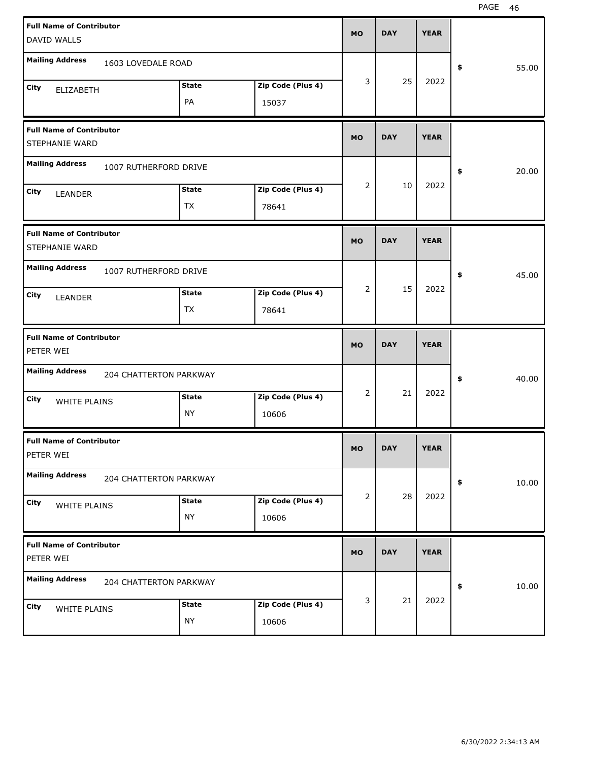| <b>Full Name of Contributor</b>              |                               |              |                   |           |            |             |             |
|----------------------------------------------|-------------------------------|--------------|-------------------|-----------|------------|-------------|-------------|
| DAVID WALLS                                  |                               |              |                   | <b>MO</b> | <b>DAY</b> | <b>YEAR</b> |             |
| <b>Mailing Address</b>                       |                               |              |                   |           |            |             |             |
|                                              | 1603 LOVEDALE ROAD            |              |                   |           |            |             | \$<br>55.00 |
| City<br><b>ELIZABETH</b>                     |                               | <b>State</b> | Zip Code (Plus 4) | 3         | 25         | 2022        |             |
|                                              |                               | PA           | 15037             |           |            |             |             |
| <b>Full Name of Contributor</b>              |                               |              |                   |           |            |             |             |
| STEPHANIE WARD                               |                               |              |                   | <b>MO</b> | <b>DAY</b> | <b>YEAR</b> |             |
| <b>Mailing Address</b>                       | 1007 RUTHERFORD DRIVE         |              |                   |           |            |             | \$<br>20.00 |
| City<br>LEANDER                              |                               | <b>State</b> | Zip Code (Plus 4) | 2         | 10         | 2022        |             |
|                                              |                               | <b>TX</b>    | 78641             |           |            |             |             |
| <b>Full Name of Contributor</b>              |                               |              |                   |           |            |             |             |
| STEPHANIE WARD                               |                               |              |                   | <b>MO</b> | <b>DAY</b> | <b>YEAR</b> |             |
| <b>Mailing Address</b>                       | 1007 RUTHERFORD DRIVE         |              |                   |           |            |             | \$<br>45.00 |
| City                                         |                               | <b>State</b> | Zip Code (Plus 4) | 2         | 15         | 2022        |             |
| LEANDER                                      |                               | <b>TX</b>    | 78641             |           |            |             |             |
|                                              |                               |              |                   |           |            |             |             |
|                                              |                               |              |                   |           |            |             |             |
| <b>Full Name of Contributor</b><br>PETER WEI |                               |              |                   | <b>MO</b> | <b>DAY</b> | <b>YEAR</b> |             |
| <b>Mailing Address</b>                       | <b>204 CHATTERTON PARKWAY</b> |              |                   |           |            |             | \$<br>40.00 |
| City                                         |                               | <b>State</b> | Zip Code (Plus 4) | 2         | 21         | 2022        |             |
| WHITE PLAINS                                 |                               | <b>NY</b>    | 10606             |           |            |             |             |
| <b>Full Name of Contributor</b>              |                               |              |                   |           |            |             |             |
| PETER WEI                                    |                               |              |                   | МO        | <b>DAY</b> | <b>YEAR</b> |             |
| <b>Mailing Address</b>                       | 204 CHATTERTON PARKWAY        |              |                   |           |            |             | \$<br>10.00 |
| City<br>WHITE PLAINS                         |                               | <b>State</b> | Zip Code (Plus 4) | 2         | 28         | 2022        |             |
|                                              |                               | <b>NY</b>    | 10606             |           |            |             |             |
| <b>Full Name of Contributor</b>              |                               |              |                   | <b>MO</b> | <b>DAY</b> | <b>YEAR</b> |             |
| PETER WEI                                    |                               |              |                   |           |            |             |             |
| <b>Mailing Address</b>                       | 204 CHATTERTON PARKWAY        |              |                   |           |            |             | \$<br>10.00 |
| City<br>WHITE PLAINS                         |                               | <b>State</b> | Zip Code (Plus 4) | 3         | 21         | 2022        |             |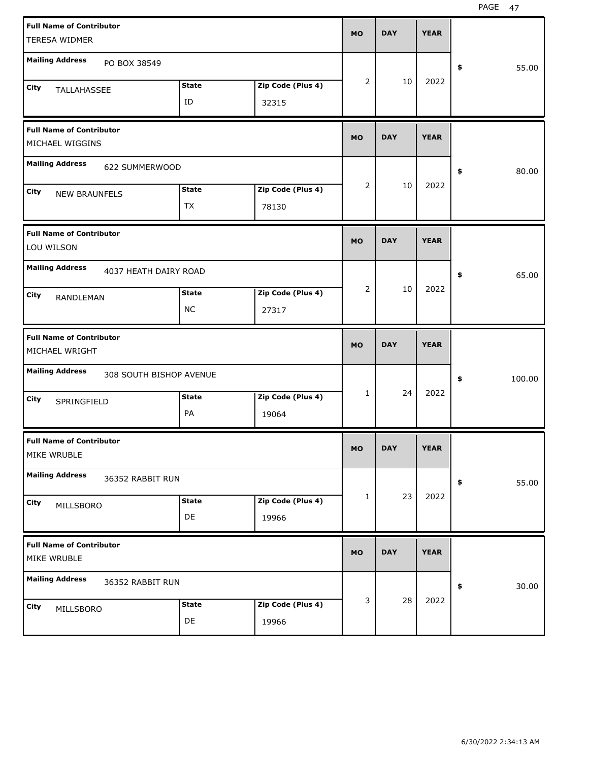| <b>Full Name of Contributor</b>                    |              |                   | <b>MO</b>      | <b>DAY</b> | <b>YEAR</b> |              |       |
|----------------------------------------------------|--------------|-------------------|----------------|------------|-------------|--------------|-------|
| TERESA WIDMER                                      |              |                   |                |            |             |              |       |
| <b>Mailing Address</b><br>PO BOX 38549             |              |                   |                |            |             | \$           | 55.00 |
| City<br>TALLAHASSEE                                | <b>State</b> | Zip Code (Plus 4) | $\overline{2}$ | 10         | 2022        |              |       |
|                                                    | ID           | 32315             |                |            |             |              |       |
| <b>Full Name of Contributor</b><br>MICHAEL WIGGINS |              |                   | <b>MO</b>      | <b>DAY</b> | <b>YEAR</b> |              |       |
| <b>Mailing Address</b><br>622 SUMMERWOOD           |              |                   |                |            |             | \$           | 80.00 |
| City<br><b>NEW BRAUNFELS</b>                       | <b>State</b> | Zip Code (Plus 4) | $\overline{2}$ | 10         | 2022        |              |       |
|                                                    | <b>TX</b>    | 78130             |                |            |             |              |       |
| <b>Full Name of Contributor</b><br>LOU WILSON      |              |                   | <b>MO</b>      | <b>DAY</b> | <b>YEAR</b> |              |       |
| <b>Mailing Address</b><br>4037 HEATH DAIRY ROAD    |              |                   |                |            |             | \$           | 65.00 |
| City<br>RANDLEMAN                                  | <b>State</b> | Zip Code (Plus 4) | $\overline{2}$ | 10         | 2022        |              |       |
|                                                    | <b>NC</b>    | 27317             |                |            |             |              |       |
|                                                    |              |                   |                |            |             |              |       |
| <b>Full Name of Contributor</b><br>MICHAEL WRIGHT  |              |                   | <b>MO</b>      | <b>DAY</b> | <b>YEAR</b> |              |       |
| <b>Mailing Address</b><br>308 SOUTH BISHOP AVENUE  |              |                   |                |            |             | \$<br>100.00 |       |
| City<br>SPRINGFIELD                                | <b>State</b> | Zip Code (Plus 4) | $\mathbf{1}$   | 24         | 2022        |              |       |
|                                                    | PA           | 19064             |                |            |             |              |       |
| <b>Full Name of Contributor</b><br>MIKE WRUBLE     |              |                   | <b>MO</b>      | <b>DAY</b> | <b>YEAR</b> |              |       |
| <b>Mailing Address</b><br>36352 RABBIT RUN         |              |                   |                |            |             | \$           | 55.00 |
| City                                               | <b>State</b> | Zip Code (Plus 4) | 1              | 23         | 2022        |              |       |
| MILLSBORO                                          | DE           | 19966             |                |            |             |              |       |
| <b>Full Name of Contributor</b><br>MIKE WRUBLE     |              |                   | <b>MO</b>      | <b>DAY</b> | <b>YEAR</b> |              |       |
| <b>Mailing Address</b><br>36352 RABBIT RUN         |              |                   |                |            |             | \$           | 30.00 |
| City<br>MILLSBORO                                  | <b>State</b> | Zip Code (Plus 4) | 3              | 28         | 2022        |              |       |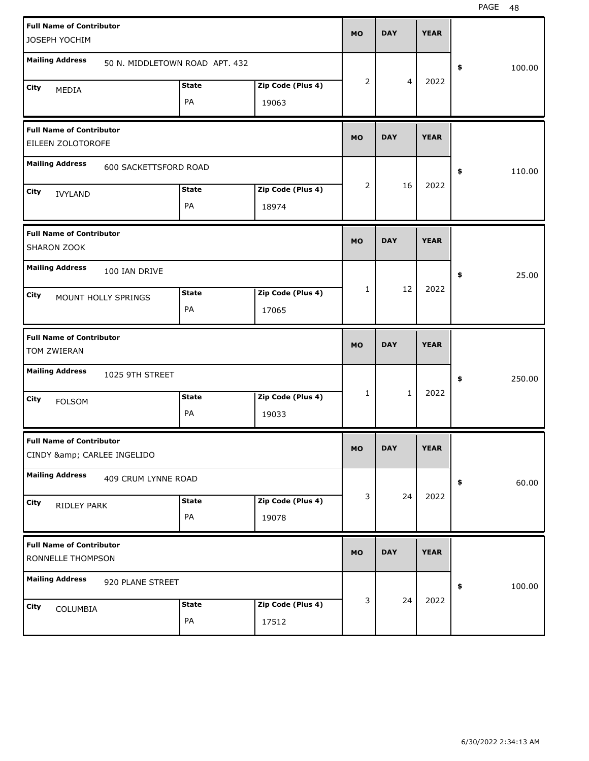| <b>Full Name of Contributor</b><br>JOSEPH YOCHIM           |                                |              |                   | <b>MO</b> | <b>DAY</b>     | <b>YEAR</b> |              |
|------------------------------------------------------------|--------------------------------|--------------|-------------------|-----------|----------------|-------------|--------------|
|                                                            |                                |              |                   |           |                |             |              |
| <b>Mailing Address</b>                                     | 50 N. MIDDLETOWN ROAD APT. 432 |              |                   |           |                |             | \$<br>100.00 |
| City<br>MEDIA                                              |                                | <b>State</b> | Zip Code (Plus 4) | 2         | $\overline{4}$ | 2022        |              |
|                                                            |                                | PA           | 19063             |           |                |             |              |
| <b>Full Name of Contributor</b><br>EILEEN ZOLOTOROFE       |                                |              |                   | <b>MO</b> | <b>DAY</b>     | <b>YEAR</b> |              |
| <b>Mailing Address</b>                                     | 600 SACKETTSFORD ROAD          |              |                   |           |                |             | \$<br>110.00 |
| City<br><b>IVYLAND</b>                                     |                                | <b>State</b> | Zip Code (Plus 4) | 2         | 16             | 2022        |              |
|                                                            |                                | PA           | 18974             |           |                |             |              |
| <b>Full Name of Contributor</b><br>SHARON ZOOK             |                                |              |                   | <b>MO</b> | <b>DAY</b>     | <b>YEAR</b> |              |
| <b>Mailing Address</b>                                     | 100 IAN DRIVE                  |              |                   |           |                |             | \$<br>25.00  |
| City                                                       | MOUNT HOLLY SPRINGS            | <b>State</b> | Zip Code (Plus 4) | 1         | 12             | 2022        |              |
|                                                            |                                | PA           | 17065             |           |                |             |              |
|                                                            |                                |              |                   |           |                |             |              |
| <b>Full Name of Contributor</b><br>TOM ZWIERAN             |                                |              |                   | <b>MO</b> | <b>DAY</b>     | <b>YEAR</b> |              |
| <b>Mailing Address</b>                                     | 1025 9TH STREET                |              |                   |           |                |             | \$<br>250.00 |
| City<br><b>FOLSOM</b>                                      |                                | <b>State</b> | Zip Code (Plus 4) | 1         | $\mathbf{1}$   | 2022        |              |
|                                                            |                                | PA           | 19033             |           |                |             |              |
| <b>Full Name of Contributor</b><br>CINDY & CARLEE INGELIDO |                                |              |                   | <b>MO</b> | <b>DAY</b>     | <b>YEAR</b> |              |
| <b>Mailing Address</b>                                     | 409 CRUM LYNNE ROAD            |              |                   |           |                |             | \$<br>60.00  |
| City                                                       |                                | <b>State</b> | Zip Code (Plus 4) | 3         | 24             | 2022        |              |
| RIDLEY PARK                                                |                                | PA           | 19078             |           |                |             |              |
| <b>Full Name of Contributor</b><br>RONNELLE THOMPSON       |                                |              |                   | <b>MO</b> | <b>DAY</b>     | <b>YEAR</b> |              |
| <b>Mailing Address</b>                                     | 920 PLANE STREET               |              |                   |           |                |             | \$<br>100.00 |
| City<br>COLUMBIA                                           |                                | <b>State</b> | Zip Code (Plus 4) | 3         | 24             | 2022        |              |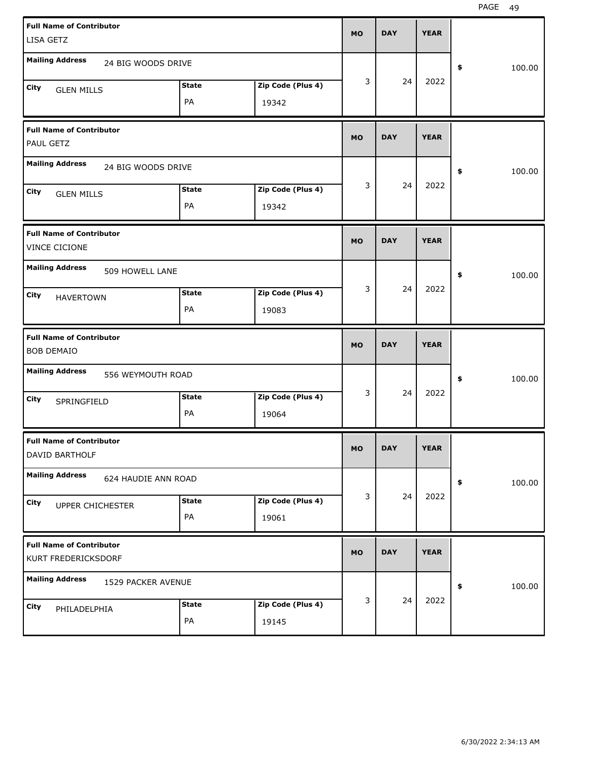| <b>Full Name of Contributor</b><br>LISA GETZ           |                     |              |                   | <b>MO</b> | <b>DAY</b> | <b>YEAR</b> |              |
|--------------------------------------------------------|---------------------|--------------|-------------------|-----------|------------|-------------|--------------|
| <b>Mailing Address</b>                                 |                     |              |                   |           |            |             |              |
|                                                        | 24 BIG WOODS DRIVE  |              |                   |           |            |             | \$<br>100.00 |
| City<br><b>GLEN MILLS</b>                              |                     | <b>State</b> | Zip Code (Plus 4) | 3         | 24         | 2022        |              |
|                                                        |                     | PA           | 19342             |           |            |             |              |
| <b>Full Name of Contributor</b><br>PAUL GETZ           |                     |              |                   | <b>MO</b> | <b>DAY</b> | <b>YEAR</b> |              |
| <b>Mailing Address</b>                                 | 24 BIG WOODS DRIVE  |              |                   |           |            |             | \$<br>100.00 |
| City<br><b>GLEN MILLS</b>                              |                     | <b>State</b> | Zip Code (Plus 4) | 3         | 24         | 2022        |              |
|                                                        |                     | PA           | 19342             |           |            |             |              |
| <b>Full Name of Contributor</b><br>VINCE CICIONE       |                     |              |                   | <b>MO</b> | <b>DAY</b> | <b>YEAR</b> |              |
| <b>Mailing Address</b>                                 | 509 HOWELL LANE     |              |                   |           |            |             | \$<br>100.00 |
| City<br><b>HAVERTOWN</b>                               |                     | <b>State</b> | Zip Code (Plus 4) | 3         | 24         | 2022        |              |
|                                                        |                     | PA           | 19083             |           |            |             |              |
|                                                        |                     |              |                   |           |            |             |              |
| <b>Full Name of Contributor</b><br><b>BOB DEMAIO</b>   |                     |              |                   | <b>MO</b> | <b>DAY</b> | <b>YEAR</b> |              |
| <b>Mailing Address</b>                                 | 556 WEYMOUTH ROAD   |              |                   |           |            |             | \$<br>100.00 |
| City<br>SPRINGFIELD                                    |                     | <b>State</b> | Zip Code (Plus 4) | 3         | 24         | 2022        |              |
|                                                        |                     | PA           | 19064             |           |            |             |              |
| <b>Full Name of Contributor</b><br>DAVID BARTHOLF      |                     |              |                   | <b>MO</b> | <b>DAY</b> | <b>YEAR</b> |              |
| <b>Mailing Address</b>                                 | 624 HAUDIE ANN ROAD |              |                   |           |            |             | \$<br>100.00 |
| City                                                   |                     | <b>State</b> | Zip Code (Plus 4) | 3         | 24         | 2022        |              |
| UPPER CHICHESTER                                       |                     | PA           | 19061             |           |            |             |              |
| <b>Full Name of Contributor</b><br>KURT FREDERICKSDORF |                     |              |                   | <b>MO</b> | <b>DAY</b> | <b>YEAR</b> |              |
| <b>Mailing Address</b>                                 | 1529 PACKER AVENUE  |              |                   |           |            |             | \$<br>100.00 |
| City<br>PHILADELPHIA                                   |                     | <b>State</b> | Zip Code (Plus 4) | 3         | 24         | 2022        |              |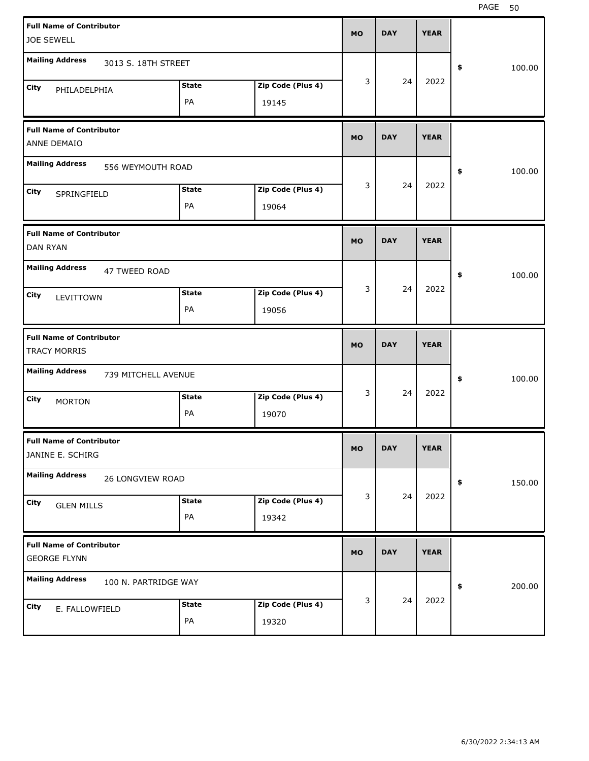| <b>Full Name of Contributor</b>                        |                      |              |                   | <b>MO</b> | <b>DAY</b> | <b>YEAR</b> |              |
|--------------------------------------------------------|----------------------|--------------|-------------------|-----------|------------|-------------|--------------|
| <b>JOE SEWELL</b>                                      |                      |              |                   |           |            |             |              |
| <b>Mailing Address</b>                                 | 3013 S. 18TH STREET  |              |                   |           |            |             | \$<br>100.00 |
| City<br>PHILADELPHIA                                   |                      | <b>State</b> | Zip Code (Plus 4) | 3         | 24         | 2022        |              |
|                                                        |                      | PA           | 19145             |           |            |             |              |
| <b>Full Name of Contributor</b><br>ANNE DEMAIO         |                      |              |                   | <b>MO</b> | <b>DAY</b> | <b>YEAR</b> |              |
| <b>Mailing Address</b>                                 | 556 WEYMOUTH ROAD    |              |                   |           |            |             | \$<br>100.00 |
| City<br>SPRINGFIELD                                    |                      | <b>State</b> | Zip Code (Plus 4) | 3         | 24         | 2022        |              |
|                                                        |                      | PA           | 19064             |           |            |             |              |
| <b>Full Name of Contributor</b><br><b>DAN RYAN</b>     |                      |              |                   | <b>MO</b> | <b>DAY</b> | <b>YEAR</b> |              |
| <b>Mailing Address</b>                                 | 47 TWEED ROAD        |              |                   |           |            |             | \$<br>100.00 |
| City<br>LEVITTOWN                                      |                      | <b>State</b> | Zip Code (Plus 4) | 3         | 24         | 2022        |              |
|                                                        |                      | PA           | 19056             |           |            |             |              |
|                                                        |                      |              |                   |           |            |             |              |
| <b>Full Name of Contributor</b><br><b>TRACY MORRIS</b> |                      |              |                   | <b>MO</b> | <b>DAY</b> | <b>YEAR</b> |              |
| <b>Mailing Address</b>                                 | 739 MITCHELL AVENUE  |              |                   |           |            |             | \$<br>100.00 |
| City                                                   |                      | <b>State</b> | Zip Code (Plus 4) | 3         | 24         | 2022        |              |
| <b>MORTON</b>                                          |                      | PA           | 19070             |           |            |             |              |
| <b>Full Name of Contributor</b><br>JANINE E. SCHIRG    |                      |              |                   | <b>MO</b> | <b>DAY</b> | <b>YEAR</b> |              |
| <b>Mailing Address</b>                                 | 26 LONGVIEW ROAD     |              |                   |           |            |             | \$<br>150.00 |
| City                                                   |                      | <b>State</b> | Zip Code (Plus 4) | 3         | 24         | 2022        |              |
| <b>GLEN MILLS</b>                                      |                      | PA           | 19342             |           |            |             |              |
| <b>Full Name of Contributor</b><br><b>GEORGE FLYNN</b> |                      |              |                   | <b>MO</b> | <b>DAY</b> | <b>YEAR</b> |              |
| <b>Mailing Address</b>                                 | 100 N. PARTRIDGE WAY |              |                   |           |            |             | \$<br>200.00 |
| City<br>E. FALLOWFIELD                                 |                      | <b>State</b> | Zip Code (Plus 4) | 3         | 24         | 2022        |              |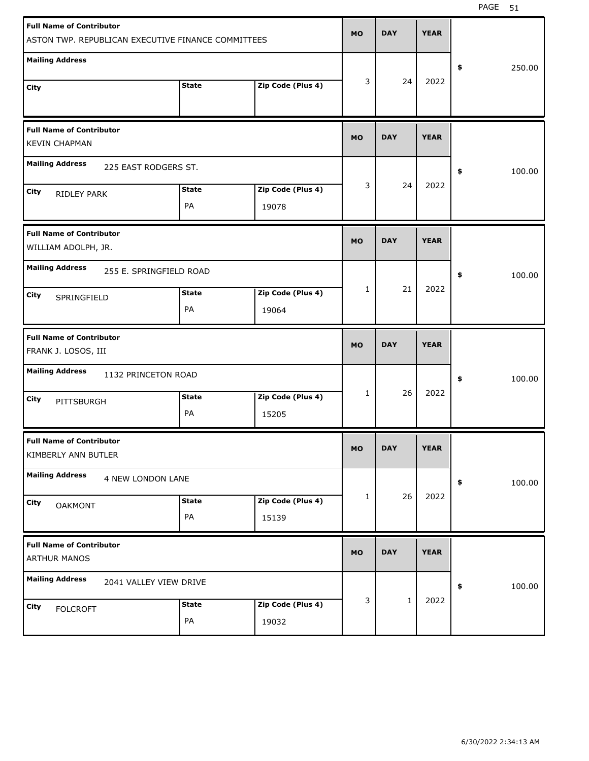| <b>Full Name of Contributor</b><br>ASTON TWP. REPUBLICAN EXECUTIVE FINANCE COMMITTEES |              |                   | <b>MO</b>    | <b>DAY</b> | <b>YEAR</b> |              |
|---------------------------------------------------------------------------------------|--------------|-------------------|--------------|------------|-------------|--------------|
| <b>Mailing Address</b>                                                                |              |                   |              |            |             |              |
|                                                                                       | <b>State</b> | Zip Code (Plus 4) | 3            | 24         | 2022        | \$<br>250.00 |
| City                                                                                  |              |                   |              |            |             |              |
| <b>Full Name of Contributor</b><br><b>KEVIN CHAPMAN</b>                               |              |                   | <b>MO</b>    | <b>DAY</b> | <b>YEAR</b> |              |
| <b>Mailing Address</b><br>225 EAST RODGERS ST.                                        |              |                   |              |            |             | \$<br>100.00 |
| City<br>RIDLEY PARK                                                                   | <b>State</b> | Zip Code (Plus 4) | 3            | 24         | 2022        |              |
|                                                                                       | PA           | 19078             |              |            |             |              |
| <b>Full Name of Contributor</b><br>WILLIAM ADOLPH, JR.                                |              |                   | <b>MO</b>    | <b>DAY</b> | <b>YEAR</b> |              |
| <b>Mailing Address</b><br>255 E. SPRINGFIELD ROAD                                     |              |                   |              |            |             | \$<br>100.00 |
| City<br>SPRINGFIELD                                                                   | <b>State</b> | Zip Code (Plus 4) | $\mathbf{1}$ | 21         | 2022        |              |
|                                                                                       | PA           | 19064             |              |            |             |              |
|                                                                                       |              |                   |              |            |             |              |
| <b>Full Name of Contributor</b><br>FRANK J. LOSOS, III                                |              |                   | <b>MO</b>    | <b>DAY</b> | <b>YEAR</b> |              |
| <b>Mailing Address</b><br>1132 PRINCETON ROAD                                         |              |                   |              |            |             | \$<br>100.00 |
| City<br>PITTSBURGH                                                                    | <b>State</b> | Zip Code (Plus 4) | $\mathbf{1}$ | 26         | 2022        |              |
|                                                                                       | PA           | 15205             |              |            |             |              |
| <b>Full Name of Contributor</b><br>KIMBERLY ANN BUTLER                                |              |                   | <b>MO</b>    | <b>DAY</b> | <b>YEAR</b> |              |
| <b>Mailing Address</b><br>4 NEW LONDON LANE                                           |              |                   |              |            |             | \$<br>100.00 |
| City<br><b>OAKMONT</b>                                                                | <b>State</b> | Zip Code (Plus 4) | 1            | 26         | 2022        |              |
|                                                                                       | PA           | 15139             |              |            |             |              |
| <b>Full Name of Contributor</b><br><b>ARTHUR MANOS</b>                                |              |                   | <b>MO</b>    | <b>DAY</b> | <b>YEAR</b> |              |
| <b>Mailing Address</b><br>2041 VALLEY VIEW DRIVE                                      |              |                   |              |            |             | \$<br>100.00 |
| City<br><b>FOLCROFT</b>                                                               | <b>State</b> | Zip Code (Plus 4) | 3            | $1\,$      | 2022        |              |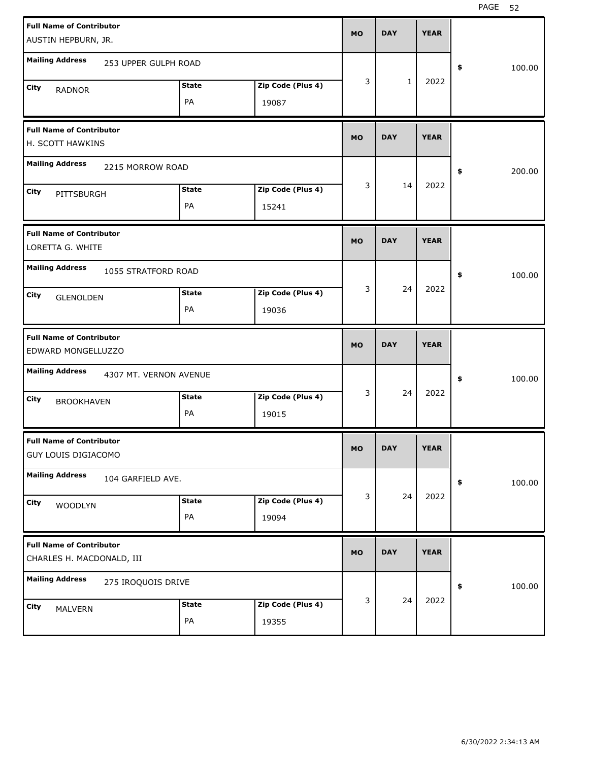| <b>Full Name of Contributor</b>                              |              |                   |           |              |             |              |
|--------------------------------------------------------------|--------------|-------------------|-----------|--------------|-------------|--------------|
| AUSTIN HEPBURN, JR.                                          |              |                   | <b>MO</b> | <b>DAY</b>   | <b>YEAR</b> |              |
| <b>Mailing Address</b><br>253 UPPER GULPH ROAD               |              |                   |           |              |             | \$<br>100.00 |
| City<br><b>RADNOR</b>                                        | <b>State</b> | Zip Code (Plus 4) | 3         | $\mathbf{1}$ | 2022        |              |
|                                                              | PA           | 19087             |           |              |             |              |
| <b>Full Name of Contributor</b><br>H. SCOTT HAWKINS          |              |                   | <b>MO</b> | <b>DAY</b>   | <b>YEAR</b> |              |
| <b>Mailing Address</b><br>2215 MORROW ROAD                   |              |                   |           |              |             | \$<br>200.00 |
| City<br>PITTSBURGH                                           | <b>State</b> | Zip Code (Plus 4) | 3         | 14           | 2022        |              |
|                                                              | PA           | 15241             |           |              |             |              |
| <b>Full Name of Contributor</b><br>LORETTA G. WHITE          |              |                   | <b>MO</b> | <b>DAY</b>   | <b>YEAR</b> |              |
| <b>Mailing Address</b><br>1055 STRATFORD ROAD                |              |                   |           |              |             | \$<br>100.00 |
| City<br><b>GLENOLDEN</b>                                     | <b>State</b> | Zip Code (Plus 4) | 3         | 24           | 2022        |              |
|                                                              | PA           | 19036             |           |              |             |              |
|                                                              |              |                   |           |              |             |              |
| <b>Full Name of Contributor</b><br>EDWARD MONGELLUZZO        |              |                   | <b>MO</b> | <b>DAY</b>   | <b>YEAR</b> |              |
| <b>Mailing Address</b><br>4307 MT. VERNON AVENUE             |              |                   |           |              |             | \$<br>100.00 |
| City                                                         | <b>State</b> | Zip Code (Plus 4) | 3         | 24           | 2022        |              |
| <b>BROOKHAVEN</b>                                            | PA           | 19015             |           |              |             |              |
| <b>Full Name of Contributor</b><br>GUY LOUIS DIGIACOMO       |              |                   | МO        | <b>DAY</b>   | <b>YEAR</b> |              |
| <b>Mailing Address</b><br>104 GARFIELD AVE.                  |              |                   |           |              |             | \$<br>100.00 |
| City                                                         | <b>State</b> | Zip Code (Plus 4) | 3         | 24           | 2022        |              |
| WOODLYN                                                      | PA           | 19094             |           |              |             |              |
| <b>Full Name of Contributor</b><br>CHARLES H. MACDONALD, III |              |                   | <b>MO</b> | <b>DAY</b>   | <b>YEAR</b> |              |
| <b>Mailing Address</b><br>275 IROQUOIS DRIVE                 |              |                   |           |              |             | 100.00<br>\$ |
| City<br>MALVERN                                              | <b>State</b> | Zip Code (Plus 4) | 3         | 24           | 2022        |              |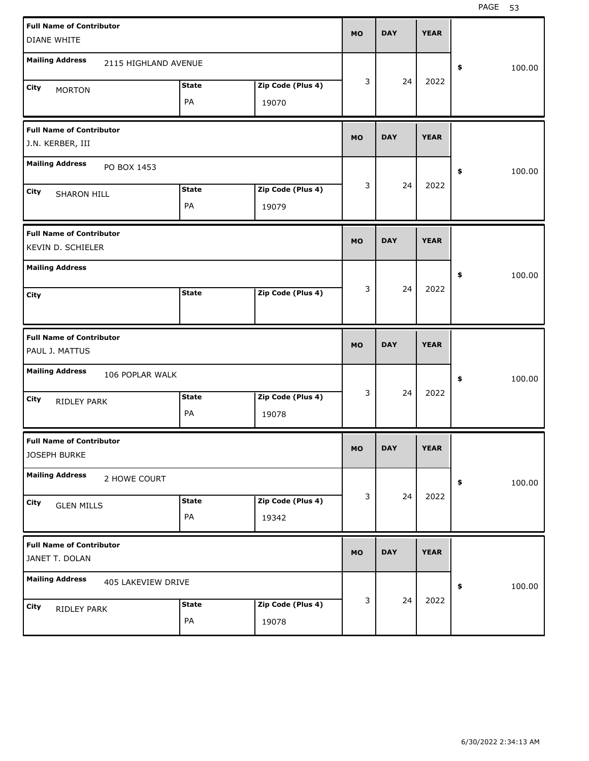| <b>Full Name of Contributor</b>           |              |                   | <b>MO</b> | <b>DAY</b> | <b>YEAR</b> |              |
|-------------------------------------------|--------------|-------------------|-----------|------------|-------------|--------------|
| <b>DIANE WHITE</b>                        |              |                   |           |            |             |              |
| <b>Mailing Address</b>                    |              |                   |           |            |             |              |
| 2115 HIGHLAND AVENUE                      |              |                   |           |            |             | \$<br>100.00 |
| City<br><b>MORTON</b>                     | <b>State</b> | Zip Code (Plus 4) | 3         | 24         | 2022        |              |
|                                           | PA           | 19070             |           |            |             |              |
|                                           |              |                   |           |            |             |              |
| <b>Full Name of Contributor</b>           |              |                   |           |            |             |              |
| J.N. KERBER, III                          |              |                   | <b>MO</b> | <b>DAY</b> | <b>YEAR</b> |              |
| <b>Mailing Address</b>                    |              |                   |           |            |             |              |
| PO BOX 1453                               |              |                   |           |            |             | \$<br>100.00 |
| City<br><b>SHARON HILL</b>                | <b>State</b> | Zip Code (Plus 4) | 3         | 24         | 2022        |              |
|                                           | PA           | 19079             |           |            |             |              |
|                                           |              |                   |           |            |             |              |
| <b>Full Name of Contributor</b>           |              |                   |           |            |             |              |
| KEVIN D. SCHIELER                         |              |                   | <b>MO</b> | <b>DAY</b> | <b>YEAR</b> |              |
| <b>Mailing Address</b>                    |              |                   |           |            |             |              |
|                                           |              |                   |           |            |             | \$<br>100.00 |
| City                                      | <b>State</b> | Zip Code (Plus 4) | 3         | 24         | 2022        |              |
|                                           |              |                   |           |            |             |              |
|                                           |              |                   |           |            |             |              |
|                                           |              |                   |           |            |             |              |
| <b>Full Name of Contributor</b>           |              |                   |           |            |             |              |
| PAUL J. MATTUS                            |              |                   | <b>MO</b> | <b>DAY</b> | <b>YEAR</b> |              |
|                                           |              |                   |           |            |             |              |
| <b>Mailing Address</b><br>106 POPLAR WALK |              |                   |           |            |             | \$<br>100.00 |
| City                                      | <b>State</b> | Zip Code (Plus 4) | 3         | 24         | 2022        |              |
| RIDLEY PARK                               | PA           | 19078             |           |            |             |              |
|                                           |              |                   |           |            |             |              |
| <b>Full Name of Contributor</b>           |              |                   |           |            |             |              |
| JOSEPH BURKE                              |              |                   | MO        | <b>DAY</b> | <b>YEAR</b> |              |
| <b>Mailing Address</b>                    |              |                   |           |            |             |              |
| 2 HOWE COURT                              |              |                   |           |            |             | \$<br>100.00 |
| City                                      | <b>State</b> | Zip Code (Plus 4) | 3         | 24         | 2022        |              |
| <b>GLEN MILLS</b>                         | PA           | 19342             |           |            |             |              |
|                                           |              |                   |           |            |             |              |
| <b>Full Name of Contributor</b>           |              |                   |           | <b>DAY</b> | <b>YEAR</b> |              |
| JANET T. DOLAN                            |              |                   | <b>MO</b> |            |             |              |
| <b>Mailing Address</b>                    |              |                   |           |            |             |              |
| 405 LAKEVIEW DRIVE                        |              |                   |           |            |             | \$<br>100.00 |
| City<br>RIDLEY PARK                       | <b>State</b> | Zip Code (Plus 4) | 3         | 24         | 2022        |              |
|                                           | PA           | 19078             |           |            |             |              |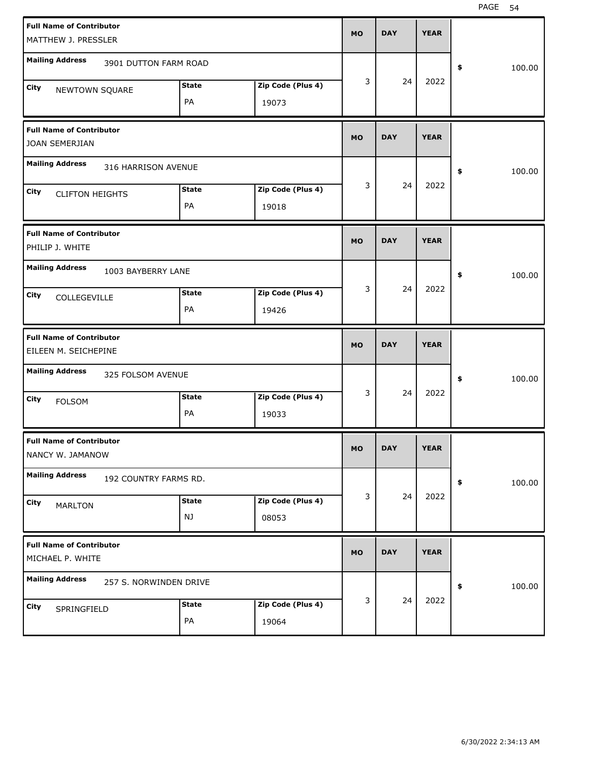| <b>Full Name of Contributor</b><br>MATTHEW J. PRESSLER   |                    |                            | <b>MO</b> | <b>DAY</b> | <b>YEAR</b> |              |
|----------------------------------------------------------|--------------------|----------------------------|-----------|------------|-------------|--------------|
| <b>Mailing Address</b><br>3901 DUTTON FARM ROAD          |                    |                            |           |            |             | \$<br>100.00 |
| <b>City</b><br>NEWTOWN SQUARE                            | <b>State</b><br>PA | Zip Code (Plus 4)<br>19073 | 3         | 24         | 2022        |              |
| <b>Full Name of Contributor</b><br><b>JOAN SEMERJIAN</b> |                    |                            | <b>MO</b> | <b>DAY</b> | <b>YEAR</b> |              |
| <b>Mailing Address</b><br>316 HARRISON AVENUE            |                    |                            |           |            |             | \$<br>100.00 |
| City<br><b>CLIFTON HEIGHTS</b>                           | <b>State</b><br>PA | Zip Code (Plus 4)<br>19018 | 3         | 24         | 2022        |              |
| <b>Full Name of Contributor</b><br>PHILIP J. WHITE       |                    |                            | <b>MO</b> | <b>DAY</b> | <b>YEAR</b> |              |
| <b>Mailing Address</b><br>1003 BAYBERRY LANE             |                    |                            |           |            |             | \$<br>100.00 |
| City<br>COLLEGEVILLE                                     | <b>State</b><br>PA | Zip Code (Plus 4)<br>19426 | 3         | 24         | 2022        |              |
|                                                          |                    |                            |           |            |             |              |
| <b>Full Name of Contributor</b><br>EILEEN M. SEICHEPINE  |                    |                            | <b>MO</b> | <b>DAY</b> | <b>YEAR</b> |              |
| <b>Mailing Address</b><br>325 FOLSOM AVENUE              |                    |                            |           |            |             | \$<br>100.00 |
| <b>City</b><br><b>FOLSOM</b>                             | <b>State</b><br>PA | Zip Code (Plus 4)<br>19033 | 3         | 24         | 2022        |              |
| <b>Full Name of Contributor</b><br>NANCY W. JAMANOW      |                    |                            | <b>MO</b> | <b>DAY</b> | <b>YEAR</b> |              |
| <b>Mailing Address</b><br>192 COUNTRY FARMS RD.          |                    |                            |           |            |             | \$<br>100.00 |
| City<br><b>MARLTON</b>                                   | <b>State</b><br>NJ | Zip Code (Plus 4)<br>08053 | 3         | 24         | 2022        |              |
| <b>Full Name of Contributor</b><br>MICHAEL P. WHITE      |                    |                            | <b>MO</b> | <b>DAY</b> | <b>YEAR</b> |              |
| <b>Mailing Address</b><br>257 S. NORWINDEN DRIVE         |                    |                            | 3         | 24         | 2022        | \$<br>100.00 |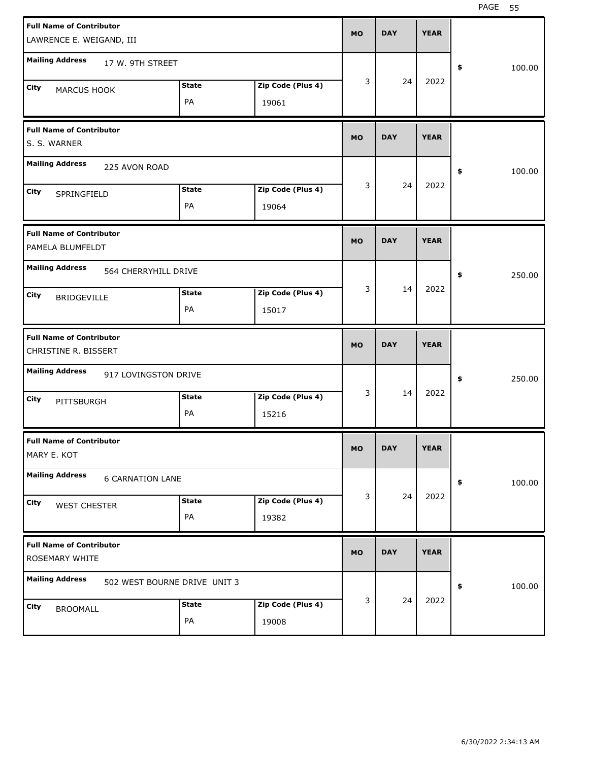| <b>Full Name of Contributor</b><br>LAWRENCE E. WEIGAND, III |                              |                            | <b>MO</b> | <b>DAY</b> | <b>YEAR</b> |              |
|-------------------------------------------------------------|------------------------------|----------------------------|-----------|------------|-------------|--------------|
| <b>Mailing Address</b><br>17 W. 9TH STREET                  |                              |                            |           |            |             | \$<br>100.00 |
| City<br>MARCUS HOOK                                         | <b>State</b><br>PA           | Zip Code (Plus 4)<br>19061 | 3         | 24         | 2022        |              |
| <b>Full Name of Contributor</b><br>S. S. WARNER             |                              |                            | <b>MO</b> | <b>DAY</b> | <b>YEAR</b> |              |
| <b>Mailing Address</b><br>225 AVON ROAD                     |                              |                            |           |            |             | \$<br>100.00 |
| City<br>SPRINGFIELD                                         | <b>State</b><br>PA           | Zip Code (Plus 4)<br>19064 | 3         | 24         | 2022        |              |
| <b>Full Name of Contributor</b><br>PAMELA BLUMFELDT         |                              |                            | <b>MO</b> | <b>DAY</b> | <b>YEAR</b> |              |
| <b>Mailing Address</b><br>564 CHERRYHILL DRIVE              |                              |                            |           |            |             | \$<br>250.00 |
| City<br><b>BRIDGEVILLE</b>                                  | <b>State</b><br>PA           | Zip Code (Plus 4)<br>15017 | 3         | 14         | 2022        |              |
|                                                             |                              |                            |           |            |             |              |
| <b>Full Name of Contributor</b><br>CHRISTINE R. BISSERT     |                              |                            | <b>MO</b> | <b>DAY</b> | <b>YEAR</b> |              |
| <b>Mailing Address</b><br>917 LOVINGSTON DRIVE              |                              |                            |           |            |             | \$<br>250.00 |
| City<br>PITTSBURGH                                          | <b>State</b><br>PA           | Zip Code (Plus 4)<br>15216 | 3         | 14         | 2022        |              |
| <b>Full Name of Contributor</b><br>MARY E. KOT              |                              |                            | MO        | <b>DAY</b> | <b>YEAR</b> |              |
| <b>Mailing Address</b><br><b>6 CARNATION LANE</b>           |                              |                            |           |            |             | \$<br>100.00 |
| City<br><b>WEST CHESTER</b>                                 | <b>State</b><br>PA           | Zip Code (Plus 4)<br>19382 | 3         | 24         | 2022        |              |
| <b>Full Name of Contributor</b><br>ROSEMARY WHITE           |                              |                            | <b>MO</b> | <b>DAY</b> | <b>YEAR</b> |              |
| <b>Mailing Address</b>                                      | 502 WEST BOURNE DRIVE UNIT 3 |                            | 3         | 24         | 2022        | \$<br>100.00 |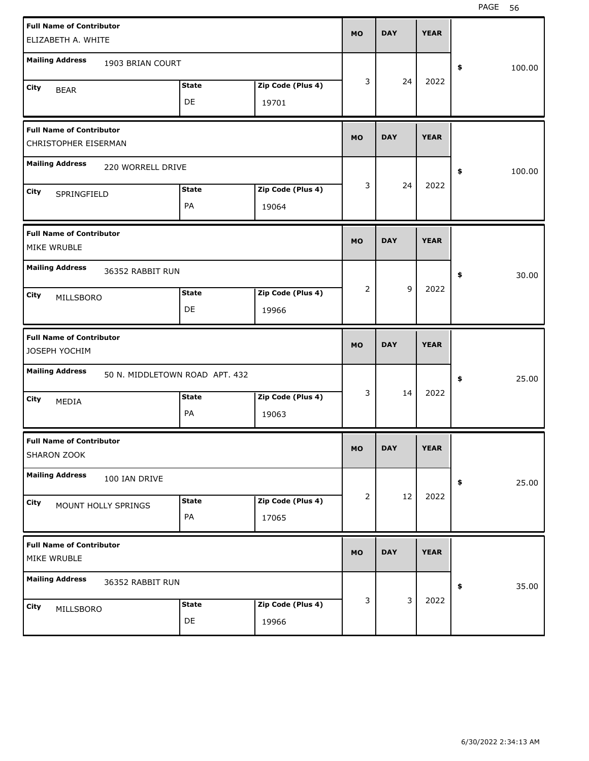| <b>Full Name of Contributor</b>                          |                   |           |            |             |              |
|----------------------------------------------------------|-------------------|-----------|------------|-------------|--------------|
| ELIZABETH A. WHITE                                       |                   | <b>MO</b> | <b>DAY</b> | <b>YEAR</b> |              |
| <b>Mailing Address</b><br>1903 BRIAN COURT               |                   |           |            |             |              |
|                                                          |                   | 3         | 24         | 2022        | \$<br>100.00 |
| <b>State</b><br>City<br><b>BEAR</b>                      | Zip Code (Plus 4) |           |            |             |              |
| DE                                                       | 19701             |           |            |             |              |
| <b>Full Name of Contributor</b>                          |                   |           | <b>DAY</b> | <b>YEAR</b> |              |
| CHRISTOPHER EISERMAN                                     |                   | <b>MO</b> |            |             |              |
| <b>Mailing Address</b><br>220 WORRELL DRIVE              |                   |           |            |             | \$<br>100.00 |
| <b>State</b><br>City<br>SPRINGFIELD                      | Zip Code (Plus 4) | 3         | 24         | 2022        |              |
| PA                                                       | 19064             |           |            |             |              |
| <b>Full Name of Contributor</b>                          |                   |           |            |             |              |
| MIKE WRUBLE                                              |                   | <b>MO</b> | <b>DAY</b> | <b>YEAR</b> |              |
| <b>Mailing Address</b><br>36352 RABBIT RUN               |                   |           |            |             | \$<br>30.00  |
| <b>State</b>                                             | Zip Code (Plus 4) | 2         | 9          | 2022        |              |
| City<br>MILLSBORO<br>DE                                  | 19966             |           |            |             |              |
|                                                          |                   |           |            |             |              |
|                                                          |                   |           |            |             |              |
| <b>Full Name of Contributor</b>                          |                   |           |            |             |              |
| JOSEPH YOCHIM                                            |                   | <b>MO</b> | <b>DAY</b> | <b>YEAR</b> |              |
| <b>Mailing Address</b><br>50 N. MIDDLETOWN ROAD APT. 432 |                   |           |            |             | \$<br>25.00  |
| <b>State</b><br>City                                     | Zip Code (Plus 4) | 3         | 14         | 2022        |              |
| MEDIA<br>PA                                              | 19063             |           |            |             |              |
| <b>Full Name of Contributor</b>                          |                   |           |            |             |              |
| SHARON ZOOK                                              |                   | MO        | <b>DAY</b> | <b>YEAR</b> |              |
| <b>Mailing Address</b><br>100 IAN DRIVE                  |                   |           |            |             |              |
|                                                          |                   | 2         | 12         | 2022        | \$<br>25.00  |
| <b>State</b><br>City<br>MOUNT HOLLY SPRINGS              | Zip Code (Plus 4) |           |            |             |              |
| PA                                                       | 17065             |           |            |             |              |
| <b>Full Name of Contributor</b><br>MIKE WRUBLE           |                   | <b>MO</b> | <b>DAY</b> | <b>YEAR</b> |              |
| <b>Mailing Address</b><br>36352 RABBIT RUN               |                   |           |            |             | \$<br>35.00  |
| <b>State</b>                                             | Zip Code (Plus 4) | 3         | 3          | 2022        |              |
|                                                          |                   |           |            |             |              |
|                                                          |                   |           |            |             |              |
|                                                          |                   |           |            |             |              |
| City<br>MILLSBORO                                        |                   |           |            |             |              |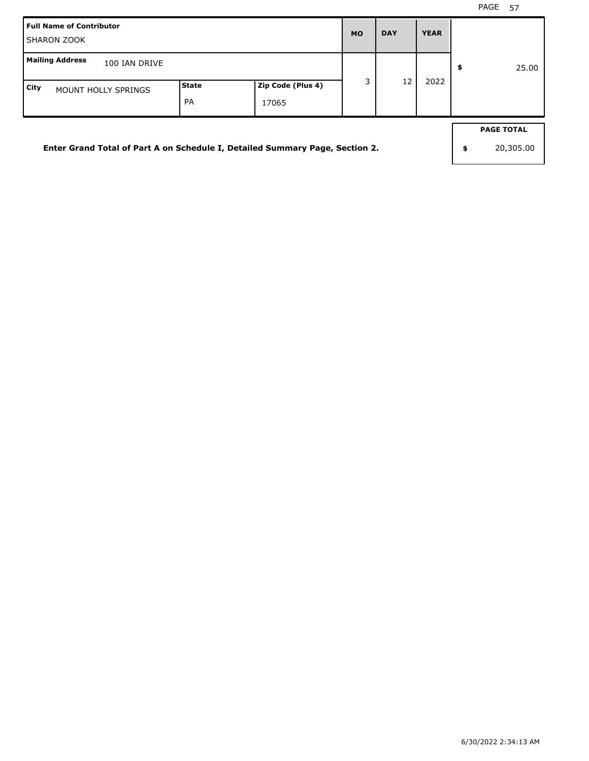| <b>Full Name of Contributor</b><br><b>SHARON ZOOK</b>                        |                    |                            | <b>MO</b> | <b>DAY</b> | <b>YEAR</b> |                                      |
|------------------------------------------------------------------------------|--------------------|----------------------------|-----------|------------|-------------|--------------------------------------|
| <b>Mailing Address</b><br>100 IAN DRIVE                                      |                    |                            |           |            |             | \$<br>25.00                          |
| City<br><b>MOUNT HOLLY SPRINGS</b>                                           | <b>State</b><br>PA | Zip Code (Plus 4)<br>17065 | 3         | 12         | 2022        |                                      |
| Enter Grand Total of Part A on Schedule I, Detailed Summary Page, Section 2. |                    |                            |           |            |             | \$<br><b>PAGE TOTAL</b><br>20,305.00 |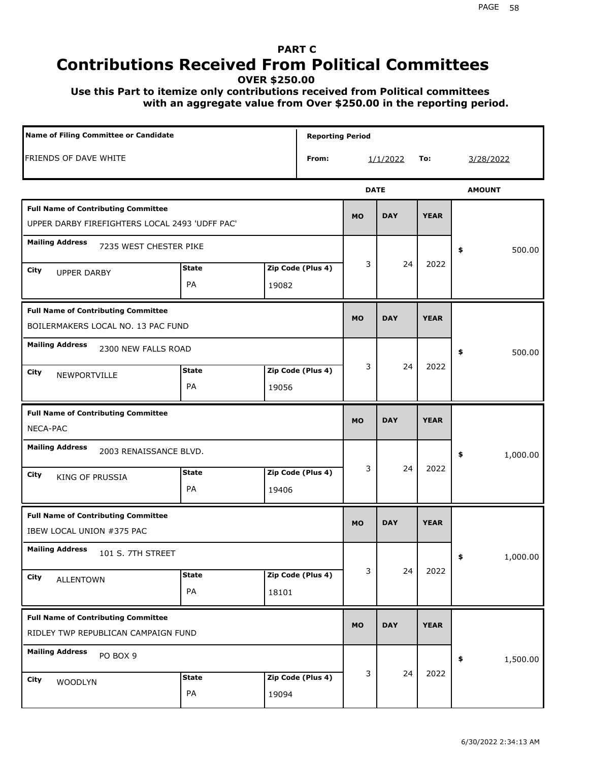## **PART C Contributions Received From Political Committees**

**OVER \$250.00**

 **Use this Part to itemize only contributions received from Political committees with an aggregate value from Over \$250.00 in the reporting period.**

| Name of Filing Committee or Candidate                                                        |                    |                            | <b>Reporting Period</b> |             |             |                |
|----------------------------------------------------------------------------------------------|--------------------|----------------------------|-------------------------|-------------|-------------|----------------|
| <b>FRIENDS OF DAVE WHITE</b>                                                                 |                    | From:                      |                         | 1/1/2022    | To:         | 3/28/2022      |
|                                                                                              |                    |                            |                         | <b>DATE</b> |             | <b>AMOUNT</b>  |
| <b>Full Name of Contributing Committee</b><br>UPPER DARBY FIREFIGHTERS LOCAL 2493 'UDFF PAC' |                    |                            | <b>MO</b>               | <b>DAY</b>  | <b>YEAR</b> |                |
| <b>Mailing Address</b><br>7235 WEST CHESTER PIKE                                             |                    |                            |                         |             |             | \$<br>500.00   |
| City<br><b>UPPER DARBY</b>                                                                   | <b>State</b><br>PA | Zip Code (Plus 4)<br>19082 | 3                       | 24          | 2022        |                |
| <b>Full Name of Contributing Committee</b><br>BOILERMAKERS LOCAL NO. 13 PAC FUND             |                    |                            | <b>MO</b>               | <b>DAY</b>  | <b>YEAR</b> |                |
| <b>Mailing Address</b><br>2300 NEW FALLS ROAD<br>City<br>NEWPORTVILLE                        | <b>State</b><br>PA | Zip Code (Plus 4)<br>19056 | 3                       | 24          | 2022        | \$<br>500.00   |
| <b>Full Name of Contributing Committee</b><br>NECA-PAC                                       |                    |                            | <b>MO</b>               | <b>DAY</b>  | <b>YEAR</b> |                |
| <b>Mailing Address</b><br>2003 RENAISSANCE BLVD.<br>City<br>KING OF PRUSSIA                  | <b>State</b><br>PA | Zip Code (Plus 4)<br>19406 | 3                       | 24          | 2022        | 1,000.00<br>\$ |
| <b>Full Name of Contributing Committee</b><br>IBEW LOCAL UNION #375 PAC                      |                    |                            | <b>MO</b>               | <b>DAY</b>  | <b>YEAR</b> |                |
| <b>Mailing Address</b><br>101 S. 7TH STREET<br>City<br><b>ALLENTOWN</b>                      | <b>State</b><br>PA | Zip Code (Plus 4)<br>18101 | 3                       | 24          | 2022        | 1,000.00<br>≯  |
| <b>Full Name of Contributing Committee</b><br>RIDLEY TWP REPUBLICAN CAMPAIGN FUND            |                    |                            | <b>MO</b>               | <b>DAY</b>  | <b>YEAR</b> |                |
| <b>Mailing Address</b><br>PO BOX 9<br>City<br><b>WOODLYN</b>                                 | <b>State</b><br>PA | Zip Code (Plus 4)<br>19094 | 3                       | 24          | 2022        | 1,500.00<br>\$ |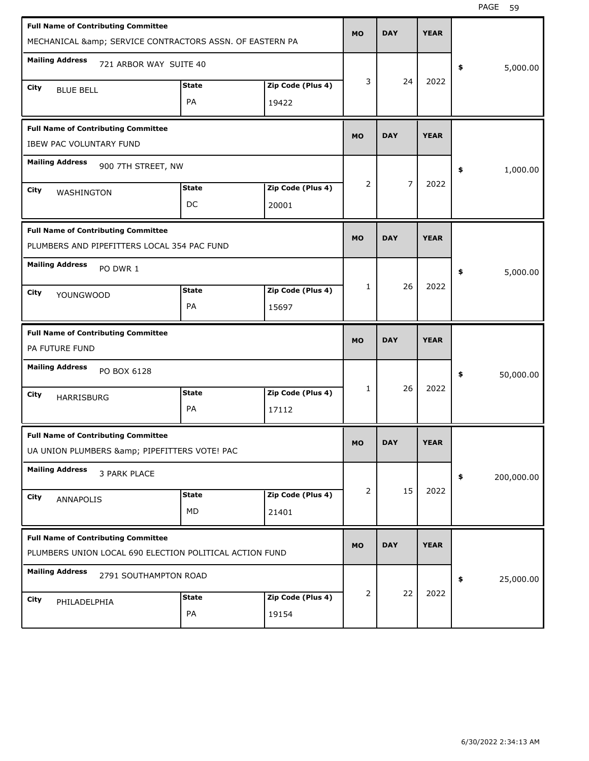| <b>Full Name of Contributing Committee</b><br>MECHANICAL & amp; SERVICE CONTRACTORS ASSN. OF EASTERN PA |                    |                            | <b>MO</b> | <b>DAY</b> | <b>YEAR</b> |                  |
|---------------------------------------------------------------------------------------------------------|--------------------|----------------------------|-----------|------------|-------------|------------------|
| <b>Mailing Address</b><br>721 ARBOR WAY SUITE 40                                                        |                    |                            |           |            |             | 5,000.00<br>\$   |
| City<br><b>BLUE BELL</b>                                                                                | <b>State</b><br>PA | Zip Code (Plus 4)<br>19422 | 3         | 24         | 2022        |                  |
| <b>Full Name of Contributing Committee</b><br><b>IBEW PAC VOLUNTARY FUND</b>                            |                    |                            | <b>MO</b> | <b>DAY</b> | <b>YEAR</b> |                  |
| <b>Mailing Address</b><br>900 7TH STREET, NW                                                            |                    |                            |           |            |             | \$<br>1,000.00   |
| City<br>WASHINGTON                                                                                      | <b>State</b><br>DC | Zip Code (Plus 4)<br>20001 | 2         | 7          | 2022        |                  |
| <b>Full Name of Contributing Committee</b><br>PLUMBERS AND PIPEFITTERS LOCAL 354 PAC FUND               |                    |                            | <b>MO</b> | <b>DAY</b> | <b>YEAR</b> |                  |
| <b>Mailing Address</b><br>PO DWR 1                                                                      |                    |                            |           |            |             | \$<br>5,000.00   |
| City<br>YOUNGWOOD                                                                                       | <b>State</b><br>PA | Zip Code (Plus 4)<br>15697 | 1         | 26         | 2022        |                  |
|                                                                                                         |                    |                            |           |            |             |                  |
| <b>Full Name of Contributing Committee</b><br>PA FUTURE FUND                                            |                    |                            | <b>MO</b> | <b>DAY</b> | <b>YEAR</b> |                  |
| <b>Mailing Address</b><br>PO BOX 6128                                                                   |                    |                            |           |            |             | 50,000.00<br>\$  |
| City<br><b>HARRISBURG</b>                                                                               | <b>State</b><br>PA | Zip Code (Plus 4)<br>17112 | 1         | 26         | 2022        |                  |
| <b>Full Name of Contributing Committee</b><br>UA UNION PLUMBERS & PIPEFITTERS VOTE! PAC                 |                    |                            | <b>MO</b> | <b>DAY</b> | <b>YEAR</b> |                  |
| <b>Mailing Address</b><br>3 PARK PLACE                                                                  |                    |                            |           |            |             | \$<br>200,000.00 |
| City<br>ANNAPOLIS                                                                                       | <b>State</b><br>MD | Zip Code (Plus 4)<br>21401 | 2         | 15         | 2022        |                  |
| <b>Full Name of Contributing Committee</b><br>PLUMBERS UNION LOCAL 690 ELECTION POLITICAL ACTION FUND   |                    |                            | <b>MO</b> | <b>DAY</b> | <b>YEAR</b> |                  |
| <b>Mailing Address</b><br>2791 SOUTHAMPTON ROAD                                                         |                    |                            |           | 22         | 2022        | \$<br>25,000.00  |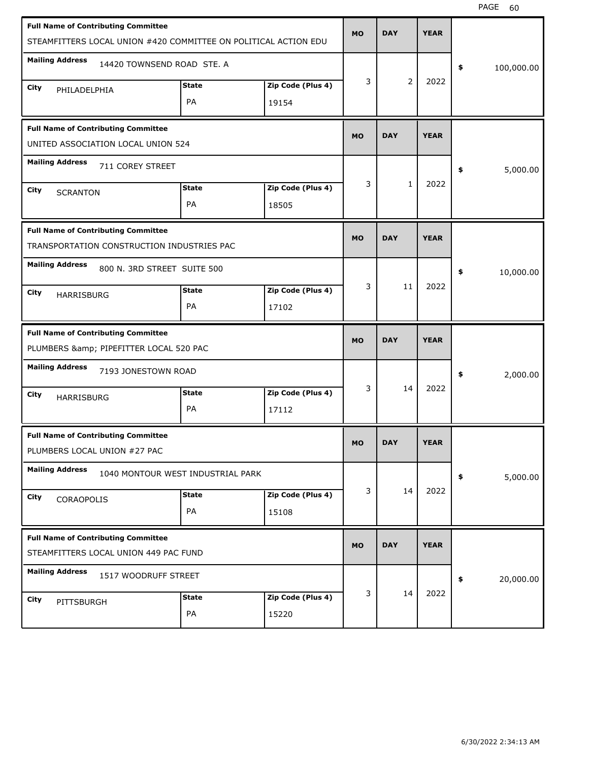| <b>Full Name of Contributing Committee</b><br>STEAMFITTERS LOCAL UNION #420 COMMITTEE ON POLITICAL ACTION EDU |                                   |                   | <b>MO</b> | <b>DAY</b> | <b>YEAR</b> |                  |
|---------------------------------------------------------------------------------------------------------------|-----------------------------------|-------------------|-----------|------------|-------------|------------------|
| <b>Mailing Address</b><br>14420 TOWNSEND ROAD STE. A                                                          |                                   |                   |           |            |             | \$<br>100,000.00 |
| City<br>PHILADELPHIA                                                                                          | <b>State</b>                      | Zip Code (Plus 4) | 3         | 2          | 2022        |                  |
|                                                                                                               | PA                                | 19154             |           |            |             |                  |
| <b>Full Name of Contributing Committee</b><br>UNITED ASSOCIATION LOCAL UNION 524                              |                                   |                   | <b>MO</b> | <b>DAY</b> | <b>YEAR</b> |                  |
| <b>Mailing Address</b><br>711 COREY STREET                                                                    |                                   |                   |           |            |             | \$<br>5,000.00   |
| City<br><b>SCRANTON</b>                                                                                       | <b>State</b>                      | Zip Code (Plus 4) | 3         | 1          | 2022        |                  |
|                                                                                                               | PA                                | 18505             |           |            |             |                  |
| <b>Full Name of Contributing Committee</b><br>TRANSPORTATION CONSTRUCTION INDUSTRIES PAC                      |                                   |                   | <b>MO</b> | <b>DAY</b> | <b>YEAR</b> |                  |
| <b>Mailing Address</b><br>800 N. 3RD STREET SUITE 500                                                         |                                   |                   |           |            |             | \$<br>10,000.00  |
| City<br><b>HARRISBURG</b>                                                                                     | <b>State</b>                      | Zip Code (Plus 4) | 3         | 11         | 2022        |                  |
|                                                                                                               | PA                                | 17102             |           |            |             |                  |
|                                                                                                               |                                   |                   |           |            |             |                  |
| <b>Full Name of Contributing Committee</b><br>PLUMBERS & PIPEFITTER LOCAL 520 PAC                             |                                   |                   | <b>MO</b> | <b>DAY</b> | <b>YEAR</b> |                  |
| <b>Mailing Address</b><br>7193 JONESTOWN ROAD                                                                 |                                   |                   |           |            |             | \$<br>2,000.00   |
| City<br><b>HARRISBURG</b>                                                                                     | <b>State</b>                      | Zip Code (Plus 4) | 3         | 14         | 2022        |                  |
|                                                                                                               | PA                                | 17112             |           |            |             |                  |
| <b>Full Name of Contributing Committee</b><br>PLUMBERS LOCAL UNION #27 PAC                                    |                                   |                   | <b>MO</b> | <b>DAY</b> | <b>YEAR</b> |                  |
| <b>Mailing Address</b>                                                                                        | 1040 MONTOUR WEST INDUSTRIAL PARK |                   |           |            |             | \$<br>5,000.00   |
| City                                                                                                          | <b>State</b>                      | Zip Code (Plus 4) | 3         | 14         | 2022        |                  |
| CORAOPOLIS                                                                                                    | PA                                | 15108             |           |            |             |                  |
| <b>Full Name of Contributing Committee</b><br>STEAMFITTERS LOCAL UNION 449 PAC FUND                           |                                   |                   | <b>MO</b> | <b>DAY</b> | <b>YEAR</b> |                  |
| <b>Mailing Address</b><br>1517 WOODRUFF STREET                                                                |                                   |                   |           |            |             | \$<br>20,000.00  |
| City<br>PITTSBURGH                                                                                            | <b>State</b>                      | Zip Code (Plus 4) | 3         | 14         | 2022        |                  |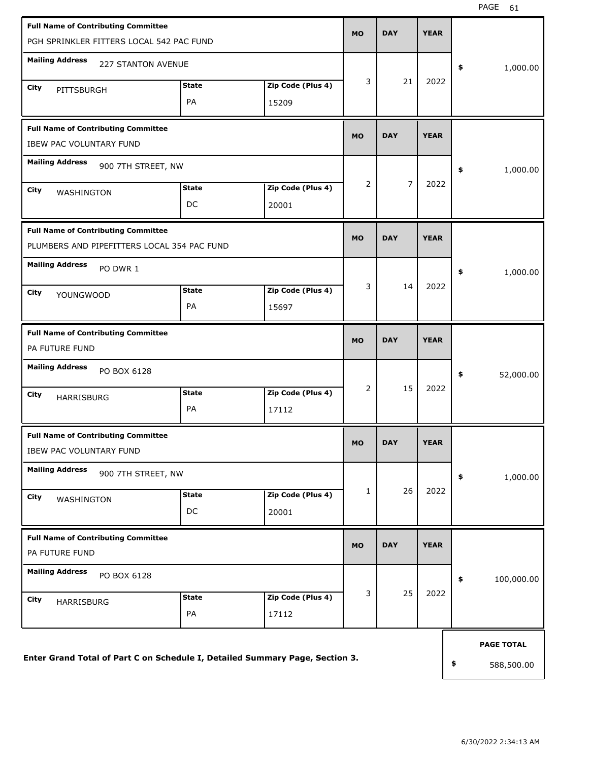| <b>Full Name of Contributing Committee</b><br>PGH SPRINKLER FITTERS LOCAL 542 PAC FUND    |                    |                            | <b>MO</b> | <b>DAY</b>     | <b>YEAR</b> |                   |
|-------------------------------------------------------------------------------------------|--------------------|----------------------------|-----------|----------------|-------------|-------------------|
| <b>Mailing Address</b><br><b>227 STANTON AVENUE</b>                                       |                    |                            |           |                |             | \$<br>1,000.00    |
| City<br>PITTSBURGH                                                                        | <b>State</b><br>PA | Zip Code (Plus 4)<br>15209 | 3         | 21             | 2022        |                   |
| <b>Full Name of Contributing Committee</b><br><b>IBEW PAC VOLUNTARY FUND</b>              |                    |                            | <b>MO</b> | <b>DAY</b>     | <b>YEAR</b> |                   |
| <b>Mailing Address</b><br>900 7TH STREET, NW                                              |                    |                            |           |                |             | \$<br>1,000.00    |
| City<br>WASHINGTON                                                                        | <b>State</b><br>DC | Zip Code (Plus 4)<br>20001 | 2         | $\overline{7}$ | 2022        |                   |
| <b>Full Name of Contributing Committee</b><br>PLUMBERS AND PIPEFITTERS LOCAL 354 PAC FUND |                    |                            | <b>MO</b> | <b>DAY</b>     | <b>YEAR</b> |                   |
| <b>Mailing Address</b><br>PO DWR 1                                                        |                    |                            | 3         | 14             | 2022        | \$<br>1,000.00    |
| City<br>YOUNGWOOD                                                                         | <b>State</b><br>PA | Zip Code (Plus 4)<br>15697 |           |                |             |                   |
| <b>Full Name of Contributing Committee</b><br>PA FUTURE FUND                              |                    |                            | <b>MO</b> | <b>DAY</b>     | <b>YEAR</b> |                   |
| <b>Mailing Address</b><br>PO BOX 6128                                                     |                    |                            |           |                |             | \$<br>52,000.00   |
| City<br>HARRISBURG                                                                        | <b>State</b><br>PA | Zip Code (Plus 4)<br>17112 | 2         | 15             | 2022        |                   |
| <b>Full Name of Contributing Committee</b><br>IBEW PAC VOLUNTARY FUND                     |                    |                            | <b>MO</b> | <b>DAY</b>     | <b>YEAR</b> |                   |
| <b>Mailing Address</b><br>900 7TH STREET, NW                                              |                    |                            |           |                |             | \$<br>1,000.00    |
| City<br>WASHINGTON                                                                        | <b>State</b><br>DC | Zip Code (Plus 4)<br>20001 | 1         | 26             | 2022        |                   |
| <b>Full Name of Contributing Committee</b><br>PA FUTURE FUND                              |                    |                            | <b>MO</b> | <b>DAY</b>     | <b>YEAR</b> |                   |
| <b>Mailing Address</b><br>PO BOX 6128                                                     |                    |                            |           |                |             | \$<br>100,000.00  |
| City<br>HARRISBURG                                                                        | <b>State</b><br>PA | Zip Code (Plus 4)<br>17112 | 3         | 25             | 2022        |                   |
|                                                                                           |                    |                            |           |                |             | <b>PAGE TOTAL</b> |
| Enter Grand Total of Part C on Schedule I, Detailed Summary Page, Section 3.              |                    |                            |           |                |             | \$<br>588,500.00  |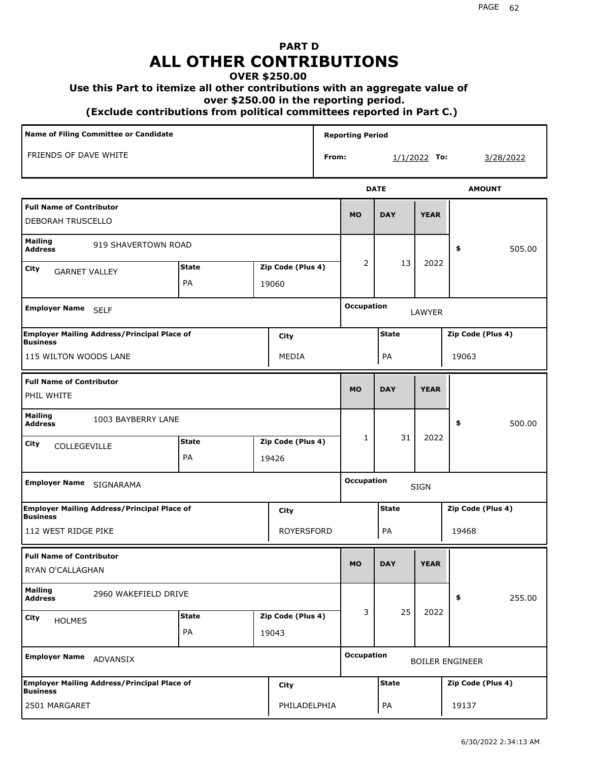## **PART D ALL OTHER CONTRIBUTIONS**

## **OVER \$250.00**

## **Use this Part to itemize all other contributions with an aggregate value of**

 **over \$250.00 in the reporting period.**

 **(Exclude contributions from political committees reported in Part C.)** 

| <b>Name of Filing Committee or Candidate</b>                          |              |                   |       | <b>Reporting Period</b> |              |                |                        |
|-----------------------------------------------------------------------|--------------|-------------------|-------|-------------------------|--------------|----------------|------------------------|
| FRIENDS OF DAVE WHITE                                                 |              |                   | From: |                         |              | $1/1/2022$ To: | 3/28/2022              |
|                                                                       |              |                   |       |                         | <b>DATE</b>  |                | <b>AMOUNT</b>          |
| <b>Full Name of Contributor</b><br><b>DEBORAH TRUSCELLO</b>           |              |                   |       | <b>MO</b>               | <b>DAY</b>   | <b>YEAR</b>    |                        |
| <b>Mailing</b><br>919 SHAVERTOWN ROAD<br><b>Address</b>               |              |                   |       |                         |              |                | 505.00<br>\$           |
| City<br><b>GARNET VALLEY</b>                                          | <b>State</b> | Zip Code (Plus 4) |       | 2                       | 13           | 2022           |                        |
|                                                                       | <b>PA</b>    | 19060             |       |                         |              |                |                        |
| Employer Name SELF                                                    |              |                   |       | <b>Occupation</b>       |              | LAWYER         |                        |
| <b>Employer Mailing Address/Principal Place of</b><br>Business        |              | City              |       |                         | <b>State</b> |                | Zip Code (Plus 4)      |
| 115 WILTON WOODS LANE                                                 |              | MEDIA             |       |                         | PA           |                | 19063                  |
| <b>Full Name of Contributor</b><br>PHIL WHITE                         |              |                   |       | <b>MO</b>               | <b>DAY</b>   | <b>YEAR</b>    |                        |
| <b>Mailing</b><br>1003 BAYBERRY LANE<br><b>Address</b>                |              |                   |       |                         |              |                | \$<br>500.00           |
| City<br>COLLEGEVILLE                                                  | <b>State</b> | Zip Code (Plus 4) |       | 1                       | 31           | 2022           |                        |
|                                                                       | PA           | 19426             |       |                         |              |                |                        |
| <b>Employer Name</b><br>SIGNARAMA                                     |              |                   |       | <b>Occupation</b>       |              | <b>SIGN</b>    |                        |
| <b>Employer Mailing Address/Principal Place of</b><br>Business        |              | City              |       |                         | <b>State</b> |                | Zip Code (Plus 4)      |
| 112 WEST RIDGE PIKE                                                   |              | ROYERSFORD        |       |                         | PA           |                | 19468                  |
| <b>Full Name of Contributor</b><br>RYAN O'CALLAGHAN                   |              |                   |       | <b>MO</b>               | <b>DAY</b>   | <b>YEAR</b>    |                        |
| <b>Mailing</b><br>2960 WAKEFIELD DRIVE<br><b>Address</b>              |              |                   |       |                         |              |                | \$<br>255.00           |
| City<br><b>HOLMES</b>                                                 | <b>State</b> | Zip Code (Plus 4) |       | 3                       | 25           | 2022           |                        |
|                                                                       | PA           | 19043             |       |                         |              |                |                        |
| <b>Employer Name</b><br>ADVANSIX                                      |              |                   |       | <b>Occupation</b>       |              |                | <b>BOILER ENGINEER</b> |
| <b>Employer Mailing Address/Principal Place of</b><br><b>Business</b> |              | <b>City</b>       |       |                         | <b>State</b> |                | Zip Code (Plus 4)      |
| 2501 MARGARET                                                         |              | PHILADELPHIA      |       |                         | PA           |                | 19137                  |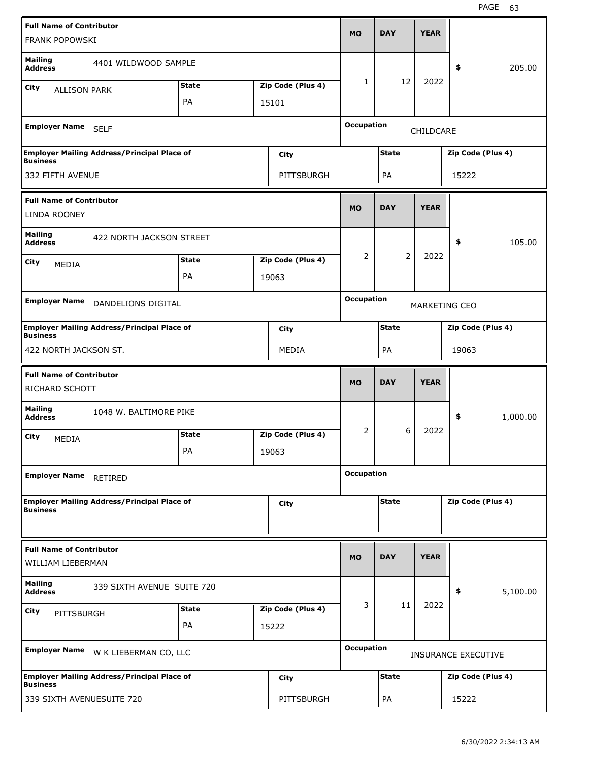| <b>Full Name of Contributor</b><br><b>FRANK POPOWSKI</b> |                                                    |              |                   | <b>MO</b>         | <b>DAY</b>     | <b>YEAR</b> |                      |          |
|----------------------------------------------------------|----------------------------------------------------|--------------|-------------------|-------------------|----------------|-------------|----------------------|----------|
| <b>Mailing</b><br><b>Address</b>                         | 4401 WILDWOOD SAMPLE                               |              |                   |                   |                |             | \$                   | 205.00   |
| City<br><b>ALLISON PARK</b>                              |                                                    | <b>State</b> | Zip Code (Plus 4) | 1                 | 12             | 2022        |                      |          |
|                                                          |                                                    | PA           | 15101             |                   |                |             |                      |          |
| Employer Name SELF                                       |                                                    |              |                   | <b>Occupation</b> |                | CHILDCARE   |                      |          |
| <b>Business</b>                                          | <b>Employer Mailing Address/Principal Place of</b> |              | City              |                   | <b>State</b>   |             | Zip Code (Plus 4)    |          |
| 332 FIFTH AVENUE                                         |                                                    |              | PITTSBURGH        |                   | PA             |             | 15222                |          |
| <b>Full Name of Contributor</b><br><b>LINDA ROONEY</b>   |                                                    |              |                   | <b>MO</b>         | <b>DAY</b>     | <b>YEAR</b> |                      |          |
| <b>Mailing</b><br><b>Address</b>                         | 422 NORTH JACKSON STREET                           |              |                   |                   |                |             | \$                   | 105.00   |
| City<br><b>MEDIA</b>                                     |                                                    | <b>State</b> | Zip Code (Plus 4) | 2                 | $\overline{2}$ | 2022        |                      |          |
|                                                          |                                                    | PA           | 19063             |                   |                |             |                      |          |
| <b>Employer Name</b>                                     | DANDELIONS DIGITAL                                 |              |                   | <b>Occupation</b> |                |             | <b>MARKETING CEO</b> |          |
| <b>Business</b>                                          | <b>Employer Mailing Address/Principal Place of</b> |              | <b>City</b>       |                   | <b>State</b>   |             | Zip Code (Plus 4)    |          |
| 422 NORTH JACKSON ST.                                    |                                                    |              | MEDIA             |                   | PA             |             | 19063                |          |
|                                                          |                                                    |              |                   |                   |                |             |                      |          |
| <b>Full Name of Contributor</b><br>RICHARD SCHOTT        |                                                    |              |                   | <b>MO</b>         | <b>DAY</b>     | <b>YEAR</b> |                      |          |
| <b>Mailing</b><br><b>Address</b>                         | 1048 W. BALTIMORE PIKE                             |              |                   |                   |                |             | \$                   | 1,000.00 |
| City<br>MEDIA                                            |                                                    | <b>State</b> | Zip Code (Plus 4) | 2                 | 6              | 2022        |                      |          |
|                                                          |                                                    | PA           | 19063             |                   |                |             |                      |          |
| <b>Employer Name</b>                                     | RETIRED                                            |              |                   | <b>Occupation</b> |                |             |                      |          |
| <b>Business</b>                                          | <b>Employer Mailing Address/Principal Place of</b> |              | <b>City</b>       |                   | <b>State</b>   |             | Zip Code (Plus 4)    |          |
| <b>Full Name of Contributor</b><br>WILLIAM LIEBERMAN     |                                                    |              |                   | <b>MO</b>         | <b>DAY</b>     | <b>YEAR</b> |                      |          |
| <b>Mailing</b><br><b>Address</b>                         | 339 SIXTH AVENUE SUITE 720                         |              |                   |                   |                |             | \$                   | 5,100.00 |
| City<br>PITTSBURGH                                       |                                                    | <b>State</b> | Zip Code (Plus 4) | 3                 | 11             | 2022        |                      |          |
|                                                          |                                                    | PA           | 15222             |                   |                |             |                      |          |
|                                                          | Employer Name W K LIEBERMAN CO, LLC                |              |                   | <b>Occupation</b> |                |             | INSURANCE EXECUTIVE  |          |
| <b>Business</b>                                          | <b>Employer Mailing Address/Principal Place of</b> |              | <b>City</b>       |                   | <b>State</b>   |             | Zip Code (Plus 4)    |          |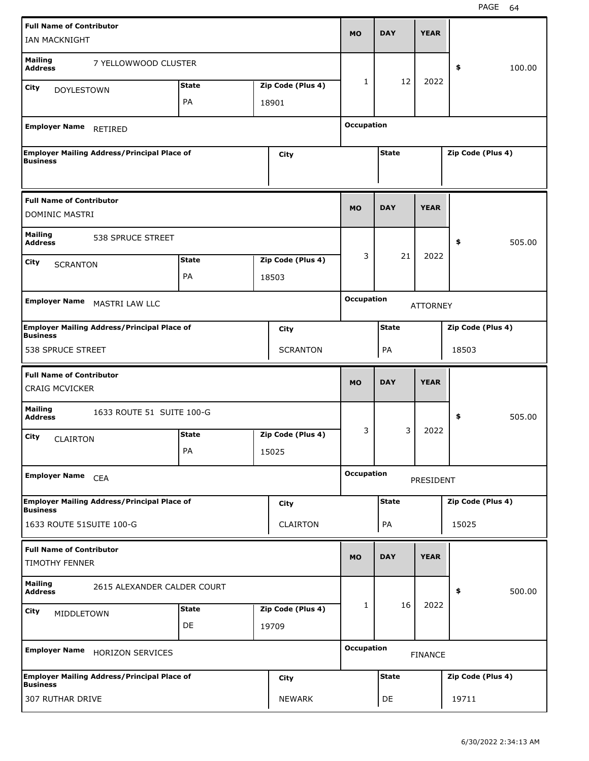| <b>Full Name of Contributor</b><br>IAN MACKNIGHT         |                                                    |              |                   | <b>MO</b>         | <b>DAY</b>   | <b>YEAR</b>     |                   |        |
|----------------------------------------------------------|----------------------------------------------------|--------------|-------------------|-------------------|--------------|-----------------|-------------------|--------|
| <b>Mailing</b><br><b>Address</b>                         | 7 YELLOWWOOD CLUSTER                               |              |                   |                   |              |                 | \$                | 100.00 |
| <b>City</b><br><b>DOYLESTOWN</b>                         |                                                    | <b>State</b> | Zip Code (Plus 4) | $\mathbf{1}$      | 12           | 2022            |                   |        |
|                                                          |                                                    | PA           | 18901             |                   |              |                 |                   |        |
| <b>Employer Name</b>                                     | <b>RETIRED</b>                                     |              |                   | <b>Occupation</b> |              |                 |                   |        |
| <b>Business</b>                                          | <b>Employer Mailing Address/Principal Place of</b> |              | <b>City</b>       |                   | <b>State</b> |                 | Zip Code (Plus 4) |        |
| <b>Full Name of Contributor</b><br>DOMINIC MASTRI        |                                                    |              |                   | <b>MO</b>         | <b>DAY</b>   | <b>YEAR</b>     |                   |        |
| <b>Mailing</b><br><b>Address</b>                         | 538 SPRUCE STREET                                  |              |                   |                   |              |                 | \$                | 505.00 |
| City<br><b>SCRANTON</b>                                  |                                                    | <b>State</b> | Zip Code (Plus 4) | 3                 | 21           | 2022            |                   |        |
|                                                          |                                                    | PA           | 18503             |                   |              |                 |                   |        |
| <b>Employer Name</b>                                     | <b>MASTRI LAW LLC</b>                              |              |                   | <b>Occupation</b> |              | <b>ATTORNEY</b> |                   |        |
| <b>Business</b>                                          | <b>Employer Mailing Address/Principal Place of</b> |              | City              |                   | <b>State</b> |                 | Zip Code (Plus 4) |        |
| 538 SPRUCE STREET                                        |                                                    |              | <b>SCRANTON</b>   |                   | PA           |                 | 18503             |        |
|                                                          |                                                    |              |                   |                   |              |                 |                   |        |
| <b>Full Name of Contributor</b><br><b>CRAIG MCVICKER</b> |                                                    |              |                   | <b>MO</b>         | <b>DAY</b>   | <b>YEAR</b>     |                   |        |
| <b>Mailing</b><br><b>Address</b>                         | 1633 ROUTE 51 SUITE 100-G                          |              |                   |                   |              |                 | \$                | 505.00 |
|                                                          |                                                    | <b>State</b> | Zip Code (Plus 4) | 3                 | 3            | 2022            |                   |        |
| City<br><b>CLAIRTON</b>                                  |                                                    | PA           | 15025             |                   |              |                 |                   |        |
| <b>Employer Name</b>                                     | <b>CEA</b>                                         |              |                   | <b>Occupation</b> |              | PRESIDENT       |                   |        |
| <b>Business</b>                                          | <b>Employer Mailing Address/Principal Place of</b> |              | <b>City</b>       |                   | <b>State</b> |                 | Zip Code (Plus 4) |        |
| 1633 ROUTE 51SUITE 100-G                                 |                                                    |              | <b>CLAIRTON</b>   |                   | PA           |                 | 15025             |        |
| <b>Full Name of Contributor</b><br><b>TIMOTHY FENNER</b> |                                                    |              |                   | <b>MO</b>         | <b>DAY</b>   | <b>YEAR</b>     |                   |        |
| <b>Mailing</b><br><b>Address</b>                         | 2615 ALEXANDER CALDER COURT                        |              |                   |                   |              |                 | \$                | 500.00 |
| <b>City</b><br>MIDDLETOWN                                |                                                    | <b>State</b> | Zip Code (Plus 4) | $\mathbf{1}$      | 16           | 2022            |                   |        |
|                                                          |                                                    | DE           | 19709             |                   |              |                 |                   |        |
| <b>Employer Name</b>                                     | <b>HORIZON SERVICES</b>                            |              |                   | <b>Occupation</b> |              | <b>FINANCE</b>  |                   |        |
| <b>Business</b>                                          | <b>Employer Mailing Address/Principal Place of</b> |              | <b>City</b>       |                   | <b>State</b> |                 | Zip Code (Plus 4) |        |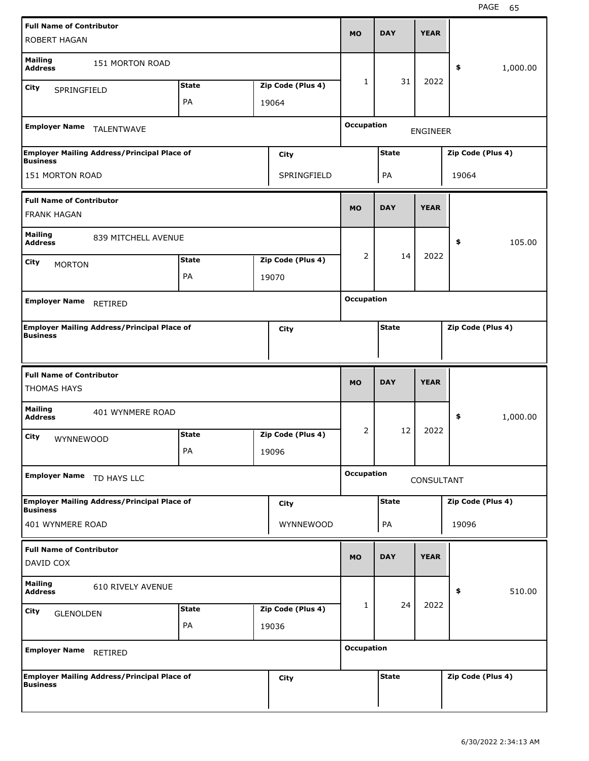| <b>Full Name of Contributor</b>  |                                                    |                    |                   |                   |              |                 |                   |          |
|----------------------------------|----------------------------------------------------|--------------------|-------------------|-------------------|--------------|-----------------|-------------------|----------|
| <b>ROBERT HAGAN</b>              |                                                    |                    |                   | <b>MO</b>         | <b>DAY</b>   | <b>YEAR</b>     |                   |          |
|                                  |                                                    |                    |                   |                   |              |                 |                   |          |
| <b>Mailing</b><br><b>Address</b> | 151 MORTON ROAD                                    |                    |                   |                   |              |                 | \$                | 1,000.00 |
| <b>City</b><br>SPRINGFIELD       |                                                    | <b>State</b>       | Zip Code (Plus 4) | $\mathbf{1}$      | 31           | 2022            |                   |          |
|                                  |                                                    | PA                 | 19064             |                   |              |                 |                   |          |
|                                  |                                                    |                    |                   |                   |              |                 |                   |          |
| <b>Employer Name</b>             | TALENTWAVE                                         |                    |                   | <b>Occupation</b> |              | <b>ENGINEER</b> |                   |          |
|                                  | <b>Employer Mailing Address/Principal Place of</b> |                    | <b>City</b>       |                   | <b>State</b> |                 | Zip Code (Plus 4) |          |
| <b>Business</b>                  |                                                    |                    |                   |                   |              |                 |                   |          |
| 151 MORTON ROAD                  |                                                    |                    | SPRINGFIELD       |                   | PA           |                 | 19064             |          |
| <b>Full Name of Contributor</b>  |                                                    |                    |                   |                   |              |                 |                   |          |
| <b>FRANK HAGAN</b>               |                                                    |                    |                   | <b>MO</b>         | <b>DAY</b>   | <b>YEAR</b>     |                   |          |
| <b>Mailing</b>                   | 839 MITCHELL AVENUE                                |                    |                   |                   |              |                 |                   |          |
| <b>Address</b>                   |                                                    |                    |                   |                   |              |                 | \$                | 105.00   |
| <b>City</b><br><b>MORTON</b>     |                                                    | <b>State</b>       | Zip Code (Plus 4) | 2                 | 14           | 2022            |                   |          |
|                                  |                                                    | PA                 | 19070             |                   |              |                 |                   |          |
| <b>Employer Name</b>             |                                                    |                    |                   | <b>Occupation</b> |              |                 |                   |          |
|                                  | RETIRED                                            |                    |                   |                   |              |                 |                   |          |
| <b>Business</b>                  | <b>Employer Mailing Address/Principal Place of</b> |                    | City              |                   | <b>State</b> |                 | Zip Code (Plus 4) |          |
|                                  |                                                    |                    |                   |                   |              |                 |                   |          |
|                                  |                                                    |                    |                   |                   |              |                 |                   |          |
|                                  |                                                    |                    |                   |                   |              |                 |                   |          |
| <b>Full Name of Contributor</b>  |                                                    |                    |                   |                   |              |                 |                   |          |
| <b>THOMAS HAYS</b>               |                                                    |                    |                   | <b>MO</b>         | <b>DAY</b>   | <b>YEAR</b>     |                   |          |
| <b>Mailing</b>                   | 401 WYNMERE ROAD                                   |                    |                   |                   |              |                 |                   |          |
| <b>Address</b>                   |                                                    |                    |                   |                   |              |                 | \$                | 1,000.00 |
| <b>City</b><br>WYNNEWOOD         |                                                    | <b>State</b>       | Zip Code (Plus 4) | 2                 | 12           | 2022            |                   |          |
|                                  |                                                    | PA                 | 19096             |                   |              |                 |                   |          |
|                                  |                                                    |                    |                   | <b>Occupation</b> |              |                 |                   |          |
| Employer Name TD HAYS LLC        |                                                    |                    |                   |                   |              | CONSULTANT      |                   |          |
| <b>Business</b>                  | <b>Employer Mailing Address/Principal Place of</b> |                    | <b>City</b>       |                   | <b>State</b> |                 | Zip Code (Plus 4) |          |
| 401 WYNMERE ROAD                 |                                                    |                    | WYNNEWOOD         |                   | PA           |                 | 19096             |          |
|                                  |                                                    |                    |                   |                   |              |                 |                   |          |
| <b>Full Name of Contributor</b>  |                                                    |                    |                   | <b>MO</b>         | <b>DAY</b>   | <b>YEAR</b>     |                   |          |
| DAVID COX                        |                                                    |                    |                   |                   |              |                 |                   |          |
| <b>Mailing</b><br><b>Address</b> | 610 RIVELY AVENUE                                  |                    |                   |                   |              |                 | \$                | 510.00   |
|                                  |                                                    |                    |                   | 1                 | 24           | 2022            |                   |          |
| <b>City</b><br><b>GLENOLDEN</b>  |                                                    | <b>State</b><br>PA | Zip Code (Plus 4) |                   |              |                 |                   |          |
|                                  |                                                    |                    | 19036             |                   |              |                 |                   |          |
| <b>Employer Name</b>             | RETIRED                                            |                    |                   | <b>Occupation</b> |              |                 |                   |          |
|                                  |                                                    |                    |                   |                   |              |                 |                   |          |
| <b>Business</b>                  | <b>Employer Mailing Address/Principal Place of</b> |                    | <b>City</b>       |                   | <b>State</b> |                 | Zip Code (Plus 4) |          |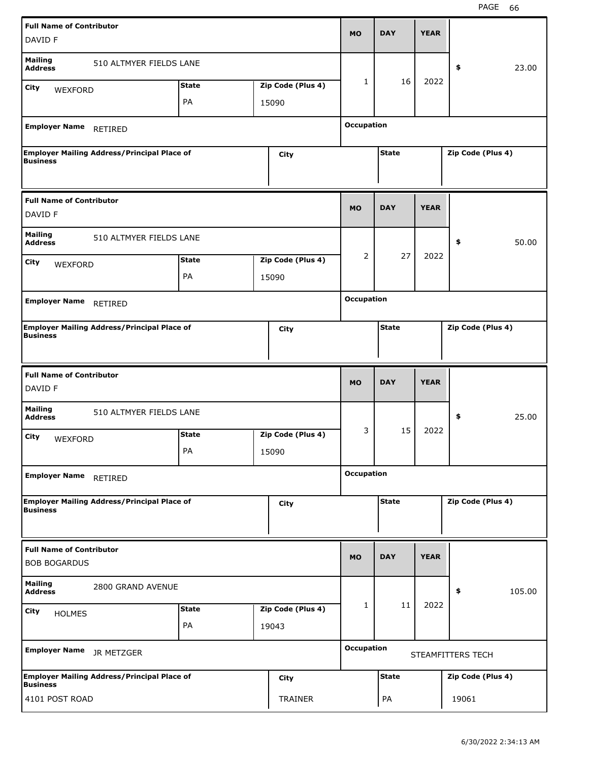| <b>Full Name of Contributor</b>                        |                                                    |              |       |                   |                   |              |             |                   |        |
|--------------------------------------------------------|----------------------------------------------------|--------------|-------|-------------------|-------------------|--------------|-------------|-------------------|--------|
| DAVID F                                                |                                                    |              |       |                   | <b>MO</b>         | <b>DAY</b>   | <b>YEAR</b> |                   |        |
| <b>Mailing</b><br><b>Address</b>                       | 510 ALTMYER FIELDS LANE                            |              |       |                   |                   |              |             | \$                | 23.00  |
| City<br>WEXFORD                                        |                                                    | <b>State</b> |       | Zip Code (Plus 4) | $\mathbf{1}$      | 16           | 2022        |                   |        |
|                                                        |                                                    | PA           | 15090 |                   |                   |              |             |                   |        |
|                                                        |                                                    |              |       |                   |                   |              |             |                   |        |
| <b>Employer Name</b>                                   | RETIRED                                            |              |       |                   | <b>Occupation</b> |              |             |                   |        |
| <b>Business</b>                                        | <b>Employer Mailing Address/Principal Place of</b> |              |       | <b>City</b>       |                   | <b>State</b> |             | Zip Code (Plus 4) |        |
|                                                        |                                                    |              |       |                   |                   |              |             |                   |        |
| <b>Full Name of Contributor</b>                        |                                                    |              |       |                   |                   |              |             |                   |        |
| DAVID F                                                |                                                    |              |       |                   | <b>MO</b>         | <b>DAY</b>   | <b>YEAR</b> |                   |        |
| <b>Mailing</b><br><b>Address</b>                       | 510 ALTMYER FIELDS LANE                            |              |       |                   |                   |              |             | \$                | 50.00  |
| City<br>WEXFORD                                        |                                                    | <b>State</b> |       | Zip Code (Plus 4) | 2                 | 27           | 2022        |                   |        |
|                                                        |                                                    | PA           | 15090 |                   |                   |              |             |                   |        |
|                                                        |                                                    |              |       |                   |                   |              |             |                   |        |
| Employer Name RETIRED                                  |                                                    |              |       |                   | <b>Occupation</b> |              |             |                   |        |
| <b>Business</b>                                        | <b>Employer Mailing Address/Principal Place of</b> |              |       | City              |                   | <b>State</b> |             | Zip Code (Plus 4) |        |
|                                                        |                                                    |              |       |                   |                   |              |             |                   |        |
|                                                        |                                                    |              |       |                   |                   |              |             |                   |        |
|                                                        |                                                    |              |       |                   |                   |              |             |                   |        |
| <b>Full Name of Contributor</b><br>DAVID F             |                                                    |              |       |                   | <b>MO</b>         | <b>DAY</b>   | <b>YEAR</b> |                   |        |
| <b>Mailing</b><br><b>Address</b>                       | 510 ALTMYER FIELDS LANE                            |              |       |                   |                   |              |             | \$                | 25.00  |
| City                                                   |                                                    | <b>State</b> |       | Zip Code (Plus 4) | 3                 | 15           | 2022        |                   |        |
| WEXFORD                                                |                                                    | PA           | 15090 |                   |                   |              |             |                   |        |
|                                                        |                                                    |              |       |                   |                   |              |             |                   |        |
| <b>Employer Name</b>                                   | RETIRED                                            |              |       |                   | <b>Occupation</b> |              |             |                   |        |
|                                                        | <b>Employer Mailing Address/Principal Place of</b> |              |       | <b>City</b>       |                   | <b>State</b> |             | Zip Code (Plus 4) |        |
| <b>Business</b>                                        |                                                    |              |       |                   |                   |              |             |                   |        |
|                                                        |                                                    |              |       |                   |                   |              |             |                   |        |
| <b>Full Name of Contributor</b><br><b>BOB BOGARDUS</b> |                                                    |              |       |                   | <b>MO</b>         | <b>DAY</b>   | <b>YEAR</b> |                   |        |
| <b>Mailing</b><br><b>Address</b>                       | 2800 GRAND AVENUE                                  |              |       |                   |                   |              |             | \$                | 105.00 |
| City                                                   |                                                    | <b>State</b> |       | Zip Code (Plus 4) | $\mathbf{1}$      | 11           | 2022        |                   |        |
| <b>HOLMES</b>                                          |                                                    | PA           | 19043 |                   |                   |              |             |                   |        |
|                                                        |                                                    |              |       |                   |                   |              |             |                   |        |
| <b>Employer Name</b>                                   | JR METZGER                                         |              |       |                   | <b>Occupation</b> |              |             | STEAMFITTERS TECH |        |
| <b>Business</b>                                        | <b>Employer Mailing Address/Principal Place of</b> |              |       | <b>City</b>       |                   | <b>State</b> |             | Zip Code (Plus 4) |        |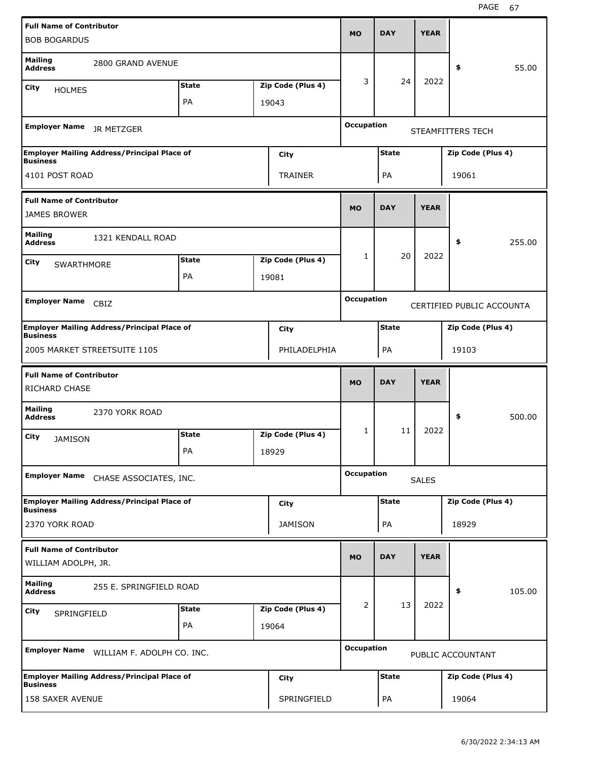| <b>Full Name of Contributor</b><br><b>BOB BOGARDUS</b> |                                                    |              |                   | <b>MO</b>         | <b>DAY</b>   | <b>YEAR</b>  |                           |        |
|--------------------------------------------------------|----------------------------------------------------|--------------|-------------------|-------------------|--------------|--------------|---------------------------|--------|
| <b>Mailing</b><br><b>Address</b>                       | 2800 GRAND AVENUE                                  |              |                   |                   |              |              | \$                        | 55.00  |
|                                                        |                                                    | <b>State</b> | Zip Code (Plus 4) | 3                 | 24           | 2022         |                           |        |
| City<br><b>HOLMES</b>                                  |                                                    | PA           |                   |                   |              |              |                           |        |
|                                                        |                                                    |              | 19043             |                   |              |              |                           |        |
| <b>Employer Name</b>                                   | JR METZGER                                         |              |                   | Occupation        |              |              | STEAMFITTERS TECH         |        |
| <b>Business</b>                                        | <b>Employer Mailing Address/Principal Place of</b> |              | City              |                   | <b>State</b> |              | Zip Code (Plus 4)         |        |
| 4101 POST ROAD                                         |                                                    |              | TRAINER           |                   | PA           |              | 19061                     |        |
| <b>Full Name of Contributor</b>                        |                                                    |              |                   |                   |              |              |                           |        |
| <b>JAMES BROWER</b>                                    |                                                    |              |                   | <b>MO</b>         | <b>DAY</b>   | <b>YEAR</b>  |                           |        |
| <b>Mailing</b><br><b>Address</b>                       | 1321 KENDALL ROAD                                  |              |                   |                   |              |              | \$                        | 255.00 |
| City                                                   |                                                    | <b>State</b> | Zip Code (Plus 4) | 1                 | 20           | 2022         |                           |        |
| SWARTHMORE                                             |                                                    | PA           | 19081             |                   |              |              |                           |        |
|                                                        |                                                    |              |                   |                   |              |              |                           |        |
| <b>Employer Name</b>                                   | CBIZ                                               |              |                   | Occupation        |              |              | CERTIFIED PUBLIC ACCOUNTA |        |
| <b>Business</b>                                        | <b>Employer Mailing Address/Principal Place of</b> |              | City              |                   | <b>State</b> |              | Zip Code (Plus 4)         |        |
|                                                        | 2005 MARKET STREETSUITE 1105                       |              | PHILADELPHIA      |                   | PA           |              | 19103                     |        |
|                                                        |                                                    |              |                   |                   |              |              |                           |        |
| <b>Full Name of Contributor</b>                        |                                                    |              |                   |                   |              |              |                           |        |
| <b>RICHARD CHASE</b>                                   |                                                    |              |                   | <b>MO</b>         | <b>DAY</b>   | <b>YEAR</b>  |                           |        |
| <b>Mailing</b><br><b>Address</b>                       | 2370 YORK ROAD                                     |              |                   |                   |              |              | \$                        | 500.00 |
| City                                                   |                                                    | <b>State</b> | Zip Code (Plus 4) | 1                 | 11           | 2022         |                           |        |
| <b>JAMISON</b>                                         |                                                    | РA           | 18929             |                   |              |              |                           |        |
| <b>Employer Name</b>                                   | CHASE ASSOCIATES, INC.                             |              |                   | <b>Occupation</b> |              | <b>SALES</b> |                           |        |
|                                                        | <b>Employer Mailing Address/Principal Place of</b> |              | <b>City</b>       |                   | <b>State</b> |              | Zip Code (Plus 4)         |        |
| <b>Business</b><br>2370 YORK ROAD                      |                                                    |              | <b>JAMISON</b>    |                   | PA           |              | 18929                     |        |
| <b>Full Name of Contributor</b>                        |                                                    |              |                   |                   |              |              |                           |        |
| WILLIAM ADOLPH, JR.                                    |                                                    |              |                   | <b>MO</b>         | <b>DAY</b>   | <b>YEAR</b>  |                           |        |
| <b>Mailing</b><br><b>Address</b>                       | 255 E. SPRINGFIELD ROAD                            |              |                   |                   |              |              | \$                        | 105.00 |
| City                                                   |                                                    | <b>State</b> | Zip Code (Plus 4) | $\overline{2}$    | 13           | 2022         |                           |        |
| SPRINGFIELD                                            |                                                    | PA           | 19064             |                   |              |              |                           |        |
| <b>Employer Name</b>                                   | WILLIAM F. ADOLPH CO. INC.                         |              |                   | <b>Occupation</b> |              |              | PUBLIC ACCOUNTANT         |        |
| <b>Business</b>                                        | <b>Employer Mailing Address/Principal Place of</b> |              | City              |                   | <b>State</b> |              | Zip Code (Plus 4)         |        |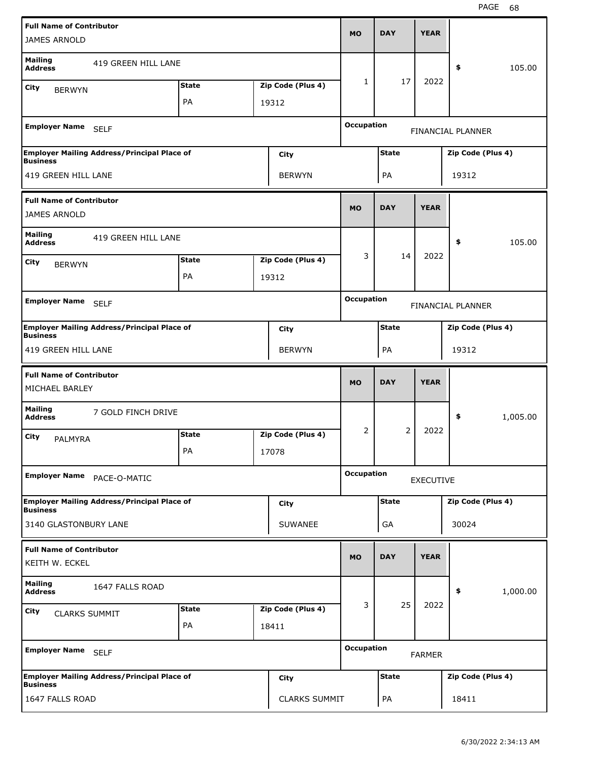| <b>Full Name of Contributor</b>  |                                                    |              |                   | <b>MO</b>         | <b>DAY</b>   | <b>YEAR</b>      |                   |          |
|----------------------------------|----------------------------------------------------|--------------|-------------------|-------------------|--------------|------------------|-------------------|----------|
| <b>JAMES ARNOLD</b>              |                                                    |              |                   |                   |              |                  |                   |          |
| <b>Mailing</b><br><b>Address</b> | 419 GREEN HILL LANE                                |              |                   |                   |              |                  | \$                | 105.00   |
| City<br><b>BERWYN</b>            |                                                    | <b>State</b> | Zip Code (Plus 4) | $\mathbf{1}$      | 17           | 2022             |                   |          |
|                                  |                                                    | PA           | 19312             |                   |              |                  |                   |          |
| Employer Name SELF               |                                                    |              |                   | <b>Occupation</b> |              |                  | FINANCIAL PLANNER |          |
| <b>Business</b>                  | <b>Employer Mailing Address/Principal Place of</b> |              | City              |                   | <b>State</b> |                  | Zip Code (Plus 4) |          |
| 419 GREEN HILL LANE              |                                                    |              | <b>BERWYN</b>     |                   | PA           |                  | 19312             |          |
| <b>Full Name of Contributor</b>  |                                                    |              |                   |                   |              |                  |                   |          |
| <b>JAMES ARNOLD</b>              |                                                    |              |                   | <b>MO</b>         | <b>DAY</b>   | <b>YEAR</b>      |                   |          |
| <b>Mailing</b><br><b>Address</b> | 419 GREEN HILL LANE                                |              |                   |                   |              |                  | \$                | 105.00   |
| City<br><b>BERWYN</b>            |                                                    | <b>State</b> | Zip Code (Plus 4) | 3                 | 14           | 2022             |                   |          |
|                                  |                                                    | PA           | 19312             |                   |              |                  |                   |          |
| <b>Employer Name</b>             |                                                    |              |                   | <b>Occupation</b> |              |                  |                   |          |
|                                  | <b>SELF</b>                                        |              |                   |                   |              |                  | FINANCIAL PLANNER |          |
| <b>Business</b>                  | <b>Employer Mailing Address/Principal Place of</b> |              | City              |                   | <b>State</b> |                  | Zip Code (Plus 4) |          |
| 419 GREEN HILL LANE              |                                                    |              | <b>BERWYN</b>     |                   | PA           |                  | 19312             |          |
|                                  |                                                    |              |                   |                   |              |                  |                   |          |
| <b>Full Name of Contributor</b>  |                                                    |              |                   | <b>MO</b>         | <b>DAY</b>   | <b>YEAR</b>      |                   |          |
| MICHAEL BARLEY                   |                                                    |              |                   |                   |              |                  |                   |          |
| <b>Mailing</b><br><b>Address</b> | 7 GOLD FINCH DRIVE                                 |              |                   |                   |              |                  | \$                | 1,005.00 |
| City<br><b>PALMYRA</b>           |                                                    | <b>State</b> | Zip Code (Plus 4) | 2                 | 2            | 2022             |                   |          |
|                                  |                                                    | PA           | 17078             |                   |              |                  |                   |          |
| Employer Name PACE-O-MATIC       |                                                    |              |                   | <b>Occupation</b> |              | <b>EXECUTIVE</b> |                   |          |
| <b>Business</b>                  | <b>Employer Mailing Address/Principal Place of</b> |              | <b>City</b>       |                   | <b>State</b> |                  | Zip Code (Plus 4) |          |
| 3140 GLASTONBURY LANE            |                                                    |              | <b>SUWANEE</b>    |                   | GA           |                  | 30024             |          |
| <b>Full Name of Contributor</b>  |                                                    |              |                   |                   |              |                  |                   |          |
| KEITH W. ECKEL                   |                                                    |              |                   | <b>MO</b>         | <b>DAY</b>   | <b>YEAR</b>      |                   |          |
| <b>Mailing</b><br><b>Address</b> | 1647 FALLS ROAD                                    |              |                   |                   |              |                  | \$                | 1,000.00 |
| City<br><b>CLARKS SUMMIT</b>     |                                                    | <b>State</b> | Zip Code (Plus 4) | 3                 | 25           | 2022             |                   |          |
|                                  |                                                    | PA           | 18411             |                   |              |                  |                   |          |
| Employer Name SELF               |                                                    |              |                   | <b>Occupation</b> |              | <b>FARMER</b>    |                   |          |
| <b>Business</b>                  | <b>Employer Mailing Address/Principal Place of</b> |              | <b>City</b>       |                   | <b>State</b> |                  | Zip Code (Plus 4) |          |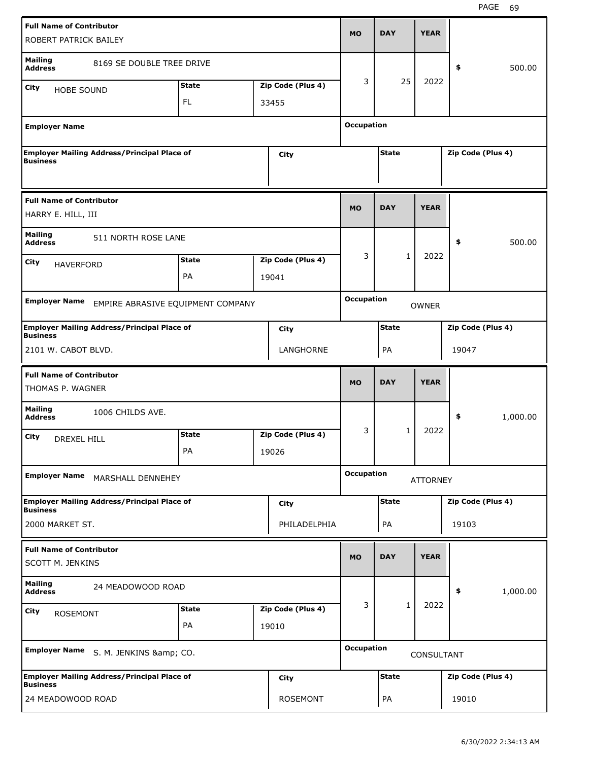| <b>Full Name of Contributor</b><br>ROBERT PATRICK BAILEY   |                                                    |                    |                            | <b>MO</b>         | <b>DAY</b>   | <b>YEAR</b>  |                   |          |
|------------------------------------------------------------|----------------------------------------------------|--------------------|----------------------------|-------------------|--------------|--------------|-------------------|----------|
| <b>Mailing</b><br><b>Address</b>                           | 8169 SE DOUBLE TREE DRIVE                          |                    |                            |                   |              |              | \$                | 500.00   |
| City<br><b>HOBE SOUND</b>                                  |                                                    | <b>State</b>       | Zip Code (Plus 4)          | 3                 | 25           | 2022         |                   |          |
|                                                            |                                                    | FL                 | 33455                      |                   |              |              |                   |          |
| <b>Employer Name</b>                                       |                                                    |                    |                            | <b>Occupation</b> |              |              |                   |          |
| <b>Business</b>                                            | <b>Employer Mailing Address/Principal Place of</b> |                    | City                       |                   | <b>State</b> |              | Zip Code (Plus 4) |          |
| <b>Full Name of Contributor</b><br>HARRY E. HILL, III      |                                                    |                    |                            | <b>MO</b>         | <b>DAY</b>   | <b>YEAR</b>  |                   |          |
| <b>Mailing</b><br><b>Address</b>                           | 511 NORTH ROSE LANE                                |                    |                            |                   |              |              | \$                | 500.00   |
| City                                                       |                                                    | <b>State</b>       | Zip Code (Plus 4)          | 3                 | 1            | 2022         |                   |          |
| <b>HAVERFORD</b>                                           |                                                    | PA                 | 19041                      |                   |              |              |                   |          |
| <b>Employer Name</b>                                       | EMPIRE ABRASIVE EQUIPMENT COMPANY                  |                    |                            | <b>Occupation</b> |              | <b>OWNER</b> |                   |          |
| <b>Business</b>                                            | <b>Employer Mailing Address/Principal Place of</b> |                    | City                       |                   | <b>State</b> |              | Zip Code (Plus 4) |          |
| 2101 W. CABOT BLVD.                                        |                                                    |                    | LANGHORNE                  |                   | PA           |              | 19047             |          |
| <b>Full Name of Contributor</b>                            |                                                    |                    |                            |                   |              |              |                   |          |
| THOMAS P. WAGNER                                           |                                                    |                    |                            | <b>MO</b>         | <b>DAY</b>   | <b>YEAR</b>  |                   |          |
| <b>Mailing</b><br><b>Address</b>                           | 1006 CHILDS AVE.                                   |                    |                            |                   |              |              | \$                | 1,000.00 |
| City<br>DREXEL HILL                                        |                                                    | <b>State</b><br>PA | Zip Code (Plus 4)<br>19026 | 3                 | $\mathbf{1}$ | 2022         |                   |          |
| <b>Employer Name</b>                                       | MARSHALL DENNEHEY                                  |                    |                            | <b>Occupation</b> |              | ATTORNEY     |                   |          |
| <b>Business</b>                                            | <b>Employer Mailing Address/Principal Place of</b> |                    | City                       |                   | <b>State</b> |              | Zip Code (Plus 4) |          |
| 2000 MARKET ST.                                            |                                                    |                    | PHILADELPHIA               |                   | PA           |              | 19103             |          |
| <b>Full Name of Contributor</b><br><b>SCOTT M. JENKINS</b> |                                                    |                    |                            | <b>MO</b>         | <b>DAY</b>   | <b>YEAR</b>  |                   |          |
| <b>Mailing</b><br><b>Address</b>                           | 24 MEADOWOOD ROAD                                  |                    |                            |                   |              |              | \$                | 1,000.00 |
|                                                            |                                                    | <b>State</b>       | Zip Code (Plus 4)          | 3                 | $\mathbf{1}$ | 2022         |                   |          |
| City<br><b>ROSEMONT</b>                                    |                                                    | PA                 | 19010                      |                   |              |              |                   |          |
| <b>Employer Name</b>                                       | S. M. JENKINS & CO.                                |                    |                            | <b>Occupation</b> |              | CONSULTANT   |                   |          |
| <b>Business</b>                                            | <b>Employer Mailing Address/Principal Place of</b> |                    | City                       |                   | <b>State</b> |              | Zip Code (Plus 4) |          |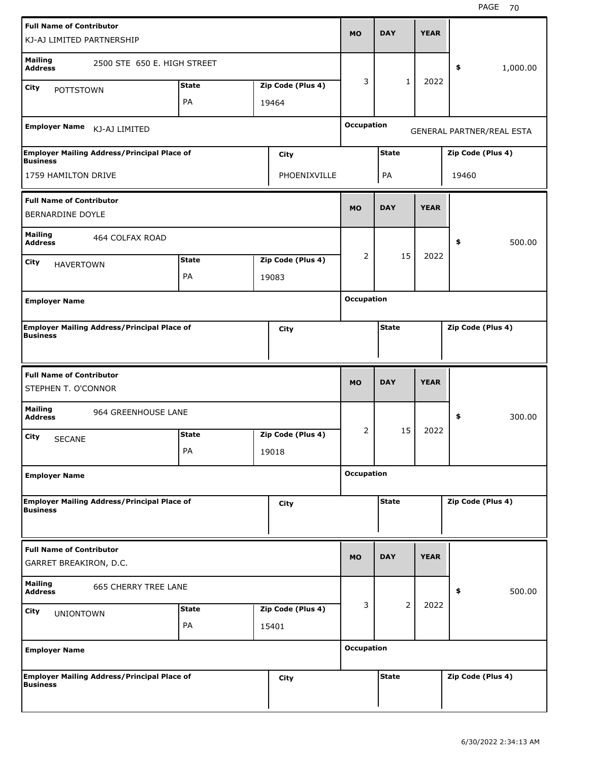| <b>Full Name of Contributor</b><br>KJ-AJ LIMITED PARTNERSHIP          |                             |                    |                            | <b>MO</b>         | <b>DAY</b>   | <b>YEAR</b> |                   |                           |
|-----------------------------------------------------------------------|-----------------------------|--------------------|----------------------------|-------------------|--------------|-------------|-------------------|---------------------------|
| <b>Mailing</b><br><b>Address</b><br>City                              | 2500 STE 650 E. HIGH STREET | <b>State</b>       | Zip Code (Plus 4)          | 3                 | 1            | 2022        | \$                | 1,000.00                  |
| <b>POTTSTOWN</b>                                                      |                             | PA                 | 19464                      |                   |              |             |                   |                           |
| <b>Employer Name</b>                                                  | KJ-AJ LIMITED               |                    |                            | <b>Occupation</b> |              |             |                   | GENERAL PARTNER/REAL ESTA |
| <b>Employer Mailing Address/Principal Place of</b><br><b>Business</b> |                             |                    | City                       |                   | <b>State</b> |             | Zip Code (Plus 4) |                           |
| 1759 HAMILTON DRIVE                                                   |                             |                    | PHOENIXVILLE               |                   | PA           |             | 19460             |                           |
| <b>Full Name of Contributor</b><br><b>BERNARDINE DOYLE</b>            |                             |                    |                            | <b>MO</b>         | <b>DAY</b>   | <b>YEAR</b> |                   |                           |
| <b>Mailing</b><br><b>Address</b>                                      | 464 COLFAX ROAD             |                    |                            |                   |              |             | \$                | 500.00                    |
| City<br><b>HAVERTOWN</b>                                              |                             | <b>State</b>       | Zip Code (Plus 4)          | 2                 | 15           | 2022        |                   |                           |
|                                                                       |                             | PA                 | 19083                      |                   |              |             |                   |                           |
| <b>Employer Name</b>                                                  |                             |                    |                            | <b>Occupation</b> |              |             |                   |                           |
| <b>Employer Mailing Address/Principal Place of</b><br><b>Business</b> |                             |                    | City                       |                   | <b>State</b> |             | Zip Code (Plus 4) |                           |
|                                                                       |                             |                    |                            |                   |              |             |                   |                           |
| <b>Full Name of Contributor</b><br>STEPHEN T. O'CONNOR                |                             |                    |                            | <b>MO</b>         | <b>DAY</b>   | <b>YEAR</b> |                   |                           |
| <b>Mailing</b><br><b>Address</b>                                      | 964 GREENHOUSE LANE         |                    |                            |                   |              |             | \$                | 300.00                    |
| City<br><b>SECANE</b>                                                 |                             | <b>State</b><br>PA | Zip Code (Plus 4)<br>19018 | 2                 | 15           | 2022        |                   |                           |
| <b>Employer Name</b>                                                  |                             |                    |                            | <b>Occupation</b> |              |             |                   |                           |
| <b>Employer Mailing Address/Principal Place of</b><br><b>Business</b> |                             |                    | City                       |                   | <b>State</b> |             | Zip Code (Plus 4) |                           |
| <b>Full Name of Contributor</b><br>GARRET BREAKIRON, D.C.             |                             |                    |                            | <b>MO</b>         | <b>DAY</b>   | <b>YEAR</b> |                   |                           |
| <b>Mailing</b><br><b>Address</b>                                      | <b>665 CHERRY TREE LANE</b> |                    |                            |                   |              |             | \$                | 500.00                    |
| City<br><b>UNIONTOWN</b>                                              |                             | <b>State</b><br>PA | Zip Code (Plus 4)<br>15401 | 3                 | 2            | 2022        |                   |                           |
| <b>Employer Name</b>                                                  |                             |                    |                            | <b>Occupation</b> |              |             |                   |                           |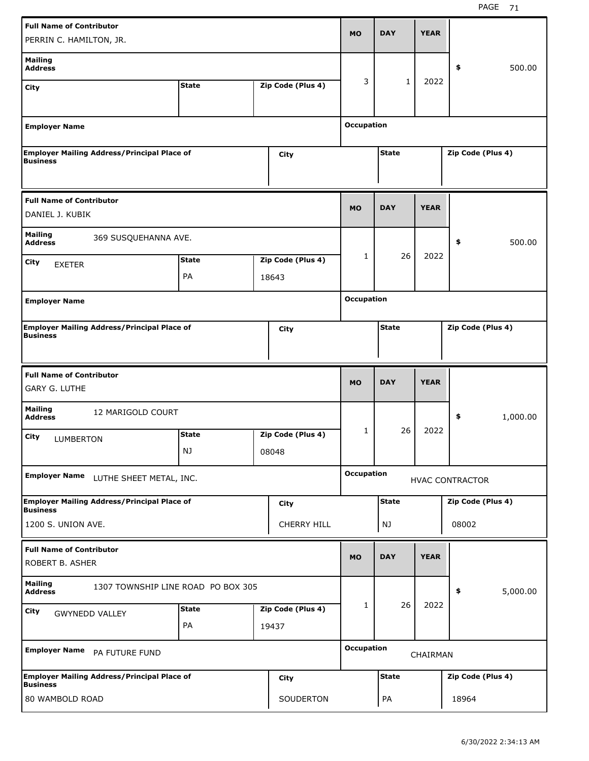| <b>Full Name of Contributor</b><br>PERRIN C. HAMILTON, JR.             |                    |                            | <b>MO</b>         | <b>DAY</b>   | <b>YEAR</b> |                        |          |
|------------------------------------------------------------------------|--------------------|----------------------------|-------------------|--------------|-------------|------------------------|----------|
| <b>Mailing</b><br><b>Address</b>                                       |                    |                            |                   |              |             | \$                     | 500.00   |
| City                                                                   | <b>State</b>       | Zip Code (Plus 4)          | 3                 | $\mathbf{1}$ | 2022        |                        |          |
| <b>Employer Name</b>                                                   |                    |                            | <b>Occupation</b> |              |             |                        |          |
| <b>Employer Mailing Address/Principal Place of</b><br><b>Business</b>  |                    | City                       |                   | <b>State</b> |             | Zip Code (Plus 4)      |          |
| <b>Full Name of Contributor</b><br>DANIEL J. KUBIK                     |                    |                            | <b>MO</b>         | <b>DAY</b>   | <b>YEAR</b> |                        |          |
| <b>Mailing</b><br>369 SUSQUEHANNA AVE.<br><b>Address</b>               |                    |                            |                   |              |             | \$                     | 500.00   |
| City<br><b>EXETER</b>                                                  | <b>State</b><br>PA | Zip Code (Plus 4)<br>18643 | 1                 | 26           | 2022        |                        |          |
| <b>Employer Name</b>                                                   |                    |                            | <b>Occupation</b> |              |             |                        |          |
| <b>Employer Mailing Address/Principal Place of</b><br>Business         |                    | City                       |                   | <b>State</b> |             | Zip Code (Plus 4)      |          |
|                                                                        |                    |                            |                   |              |             |                        |          |
| <b>Full Name of Contributor</b><br><b>GARY G. LUTHE</b>                |                    |                            | <b>MO</b>         | <b>DAY</b>   | <b>YEAR</b> |                        |          |
| <b>Mailing</b><br>12 MARIGOLD COURT<br><b>Address</b>                  |                    |                            |                   |              |             | \$                     | 1,000.00 |
| City<br>LUMBERTON                                                      | <b>State</b><br>NJ | Zip Code (Plus 4)<br>08048 | 1                 | 26           | 2022        |                        |          |
| <b>Employer Name</b><br>LUTHE SHEET METAL, INC.                        |                    |                            | <b>Occupation</b> |              |             | <b>HVAC CONTRACTOR</b> |          |
| <b>Employer Mailing Address/Principal Place of</b><br><b>Business</b>  |                    | City                       |                   | <b>State</b> |             | Zip Code (Plus 4)      |          |
| 1200 S. UNION AVE.                                                     |                    | <b>CHERRY HILL</b>         |                   | NJ           |             | 08002                  |          |
| <b>Full Name of Contributor</b><br>ROBERT B. ASHER                     |                    |                            | <b>MO</b>         | <b>DAY</b>   | <b>YEAR</b> |                        |          |
| <b>Mailing</b><br>1307 TOWNSHIP LINE ROAD PO BOX 305<br><b>Address</b> |                    |                            |                   |              |             | \$                     | 5,000.00 |
| City<br><b>GWYNEDD VALLEY</b>                                          | <b>State</b><br>PA | Zip Code (Plus 4)<br>19437 | 1                 | 26           | 2022        |                        |          |
| <b>Employer Name</b><br>PA FUTURE FUND                                 |                    |                            | <b>Occupation</b> |              | CHAIRMAN    |                        |          |
| <b>Employer Mailing Address/Principal Place of</b><br><b>Business</b>  |                    | City                       |                   | <b>State</b> |             | Zip Code (Plus 4)      |          |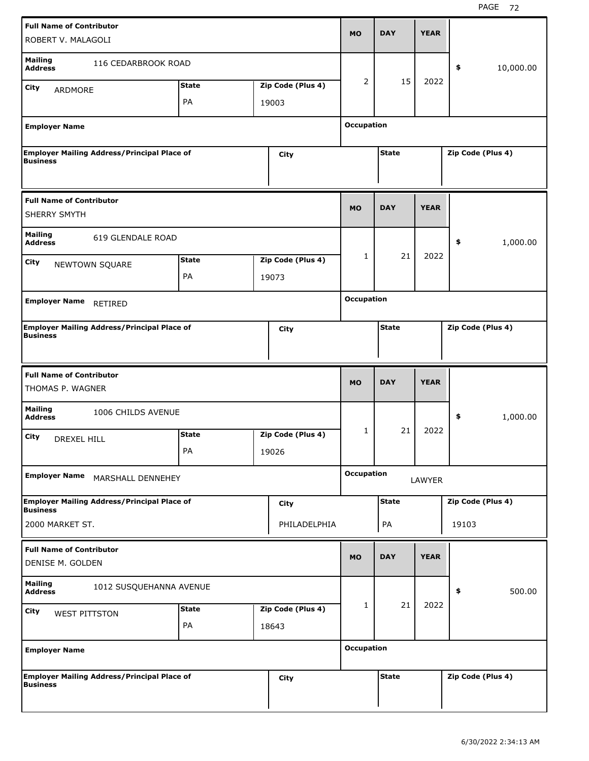| <b>Full Name of Contributor</b><br>ROBERT V. MALAGOLI  |                                                    |                    |                            | <b>MO</b>         | <b>DAY</b>   | <b>YEAR</b> |                   |           |
|--------------------------------------------------------|----------------------------------------------------|--------------------|----------------------------|-------------------|--------------|-------------|-------------------|-----------|
| <b>Mailing</b><br><b>Address</b>                       | 116 CEDARBROOK ROAD                                |                    |                            |                   |              |             | \$                | 10,000.00 |
| <b>City</b><br>ARDMORE                                 |                                                    | <b>State</b>       | Zip Code (Plus 4)          | 2                 | 15           | 2022        |                   |           |
|                                                        |                                                    | PA                 | 19003                      |                   |              |             |                   |           |
| <b>Employer Name</b>                                   |                                                    |                    |                            | <b>Occupation</b> |              |             |                   |           |
| <b>Business</b>                                        | <b>Employer Mailing Address/Principal Place of</b> |                    | <b>City</b>                |                   | <b>State</b> |             | Zip Code (Plus 4) |           |
| <b>Full Name of Contributor</b><br><b>SHERRY SMYTH</b> |                                                    |                    |                            | <b>MO</b>         | <b>DAY</b>   | <b>YEAR</b> |                   |           |
| <b>Mailing</b><br><b>Address</b>                       | 619 GLENDALE ROAD                                  |                    |                            |                   |              |             | \$                | 1,000.00  |
| City                                                   | NEWTOWN SQUARE                                     | <b>State</b>       | Zip Code (Plus 4)          | 1                 | 21           | 2022        |                   |           |
|                                                        |                                                    | PA                 | 19073                      |                   |              |             |                   |           |
| <b>Employer Name</b>                                   | RETIRED                                            |                    |                            | <b>Occupation</b> |              |             |                   |           |
| <b>Business</b>                                        | <b>Employer Mailing Address/Principal Place of</b> |                    | City                       |                   | <b>State</b> |             | Zip Code (Plus 4) |           |
|                                                        |                                                    |                    |                            |                   |              |             |                   |           |
| <b>Full Name of Contributor</b><br>THOMAS P. WAGNER    |                                                    |                    |                            | <b>MO</b>         | <b>DAY</b>   | <b>YEAR</b> |                   |           |
| <b>Mailing</b><br><b>Address</b>                       | 1006 CHILDS AVENUE                                 |                    |                            |                   |              |             | \$                | 1,000.00  |
| City<br><b>DREXEL HILL</b>                             |                                                    | <b>State</b><br>PA | Zip Code (Plus 4)          | 1                 | 21           | 2022        |                   |           |
| <b>Employer Name</b>                                   | MARSHALL DENNEHEY                                  |                    | 19026                      | <b>Occupation</b> |              | LAWYER      |                   |           |
|                                                        |                                                    |                    |                            |                   |              |             |                   |           |
| <b>Business</b>                                        | <b>Employer Mailing Address/Principal Place of</b> |                    | <b>City</b>                |                   | <b>State</b> |             | Zip Code (Plus 4) |           |
| 2000 MARKET ST.                                        |                                                    |                    | PHILADELPHIA               |                   | PA           |             | 19103             |           |
| <b>Full Name of Contributor</b><br>DENISE M. GOLDEN    |                                                    |                    |                            | <b>MO</b>         | <b>DAY</b>   | <b>YEAR</b> |                   |           |
| <b>Mailing</b><br><b>Address</b>                       | 1012 SUSQUEHANNA AVENUE                            |                    |                            |                   |              |             | \$                | 500.00    |
| City<br><b>WEST PITTSTON</b>                           |                                                    | <b>State</b><br>PA | Zip Code (Plus 4)<br>18643 | 1                 | 21           | 2022        |                   |           |
| <b>Employer Name</b>                                   |                                                    |                    |                            | <b>Occupation</b> |              |             |                   |           |
| <b>Business</b>                                        | <b>Employer Mailing Address/Principal Place of</b> |                    | <b>City</b>                |                   | <b>State</b> |             | Zip Code (Plus 4) |           |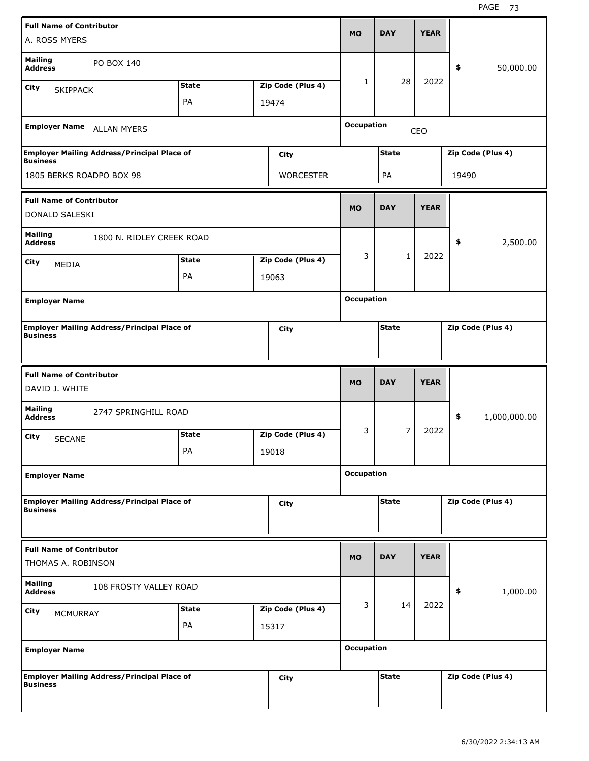| A. ROSS MYERS                                                         |              |                   | <b>MO</b>         | <b>DAY</b>     | <b>YEAR</b> |                    |
|-----------------------------------------------------------------------|--------------|-------------------|-------------------|----------------|-------------|--------------------|
| <b>Mailing</b><br>PO BOX 140<br><b>Address</b>                        |              |                   |                   |                |             | \$<br>50,000.00    |
| City<br><b>SKIPPACK</b>                                               | <b>State</b> | Zip Code (Plus 4) | 1                 | 28             | 2022        |                    |
|                                                                       | PA           | 19474             |                   |                |             |                    |
| <b>Employer Name</b><br><b>ALLAN MYERS</b>                            |              |                   | <b>Occupation</b> |                | CEO         |                    |
| <b>Employer Mailing Address/Principal Place of</b><br><b>Business</b> |              | <b>City</b>       |                   | <b>State</b>   |             | Zip Code (Plus 4)  |
| 1805 BERKS ROADPO BOX 98                                              |              | <b>WORCESTER</b>  |                   | PA             |             | 19490              |
| <b>Full Name of Contributor</b><br>DONALD SALESKI                     |              |                   | <b>MO</b>         | <b>DAY</b>     | <b>YEAR</b> |                    |
| <b>Mailing</b><br>1800 N. RIDLEY CREEK ROAD<br><b>Address</b>         |              |                   |                   |                |             | \$<br>2,500.00     |
| City                                                                  | <b>State</b> | Zip Code (Plus 4) | 3                 | $\mathbf{1}$   | 2022        |                    |
| MEDIA                                                                 | PA           | 19063             |                   |                |             |                    |
|                                                                       |              |                   | <b>Occupation</b> |                |             |                    |
| <b>Employer Name</b>                                                  |              |                   |                   |                |             |                    |
| <b>Employer Mailing Address/Principal Place of</b><br><b>Business</b> |              | City              |                   | <b>State</b>   |             | Zip Code (Plus 4)  |
| <b>Full Name of Contributor</b><br>DAVID J. WHITE                     |              |                   | <b>MO</b>         | <b>DAY</b>     | <b>YEAR</b> |                    |
|                                                                       |              |                   |                   |                |             |                    |
| <b>Mailing</b><br>2747 SPRINGHILL ROAD<br><b>Address</b>              |              |                   |                   |                |             | \$<br>1,000,000.00 |
| City                                                                  | <b>State</b> | Zip Code (Plus 4) | 3                 | $\overline{7}$ | 2022        |                    |
| <b>SECANE</b>                                                         | PA           | 19018             |                   |                |             |                    |
| <b>Employer Name</b>                                                  |              |                   | <b>Occupation</b> |                |             |                    |
| <b>Employer Mailing Address/Principal Place of</b><br><b>Business</b> |              | City              |                   | <b>State</b>   |             | Zip Code (Plus 4)  |
| <b>Full Name of Contributor</b><br>THOMAS A. ROBINSON                 |              |                   | <b>MO</b>         | <b>DAY</b>     | <b>YEAR</b> |                    |
| <b>Mailing</b><br>108 FROSTY VALLEY ROAD<br><b>Address</b>            |              |                   |                   |                |             | 1,000.00<br>\$     |
| City<br><b>MCMURRAY</b>                                               | <b>State</b> | Zip Code (Plus 4) | 3                 | 14             | 2022        |                    |
|                                                                       | PA           | 15317             |                   |                |             |                    |
| <b>Employer Name</b>                                                  |              |                   | <b>Occupation</b> |                |             |                    |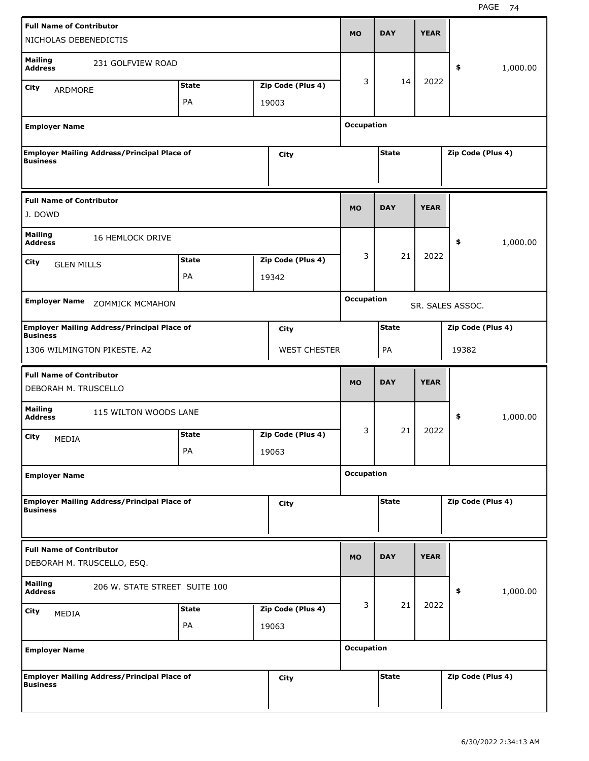| <b>Full Name of Contributor</b><br>NICHOLAS DEBENEDICTIS              |                               |                     | <b>MO</b>         | <b>DAY</b>   | <b>YEAR</b> |                   |          |
|-----------------------------------------------------------------------|-------------------------------|---------------------|-------------------|--------------|-------------|-------------------|----------|
| <b>Mailing</b><br>231 GOLFVIEW ROAD<br><b>Address</b>                 |                               |                     | 3                 | 14           | 2022        | \$                | 1,000.00 |
| City<br>ARDMORE                                                       | <b>State</b>                  | Zip Code (Plus 4)   |                   |              |             |                   |          |
|                                                                       | PA                            | 19003               |                   |              |             |                   |          |
| <b>Employer Name</b>                                                  |                               |                     | <b>Occupation</b> |              |             |                   |          |
| <b>Employer Mailing Address/Principal Place of</b><br><b>Business</b> |                               | City                |                   | <b>State</b> |             | Zip Code (Plus 4) |          |
| <b>Full Name of Contributor</b><br>J. DOWD                            |                               |                     | <b>MO</b>         | <b>DAY</b>   | <b>YEAR</b> |                   |          |
| <b>Mailing</b><br><b>16 HEMLOCK DRIVE</b><br><b>Address</b>           |                               |                     |                   |              |             | \$                | 1,000.00 |
| City                                                                  | <b>State</b>                  | Zip Code (Plus 4)   | 3                 | 21           | 2022        |                   |          |
| <b>GLEN MILLS</b>                                                     | PA                            | 19342               |                   |              |             |                   |          |
|                                                                       |                               |                     |                   |              |             |                   |          |
| <b>Employer Name</b><br><b>ZOMMICK MCMAHON</b>                        |                               |                     | <b>Occupation</b> |              |             | SR. SALES ASSOC.  |          |
| <b>Employer Mailing Address/Principal Place of</b><br><b>Business</b> |                               | City                |                   | <b>State</b> |             | Zip Code (Plus 4) |          |
| 1306 WILMINGTON PIKESTE. A2                                           |                               | <b>WEST CHESTER</b> |                   | PA           |             | 19382             |          |
|                                                                       |                               |                     |                   |              |             |                   |          |
| <b>Full Name of Contributor</b><br>DEBORAH M. TRUSCELLO               |                               |                     | <b>MO</b>         | <b>DAY</b>   | <b>YEAR</b> |                   |          |
| <b>Mailing</b><br>115 WILTON WOODS LANE<br><b>Address</b>             |                               |                     |                   |              |             | \$                | 1,000.00 |
|                                                                       | <b>State</b>                  | Zip Code (Plus 4)   | 3                 | 21           | 2022        |                   |          |
| City<br>MEDIA                                                         | PA                            | 19063               |                   |              |             |                   |          |
| <b>Employer Name</b>                                                  |                               |                     | <b>Occupation</b> |              |             |                   |          |
| <b>Employer Mailing Address/Principal Place of</b><br><b>Business</b> |                               | City                |                   | <b>State</b> |             | Zip Code (Plus 4) |          |
| <b>Full Name of Contributor</b><br>DEBORAH M. TRUSCELLO, ESQ.         |                               |                     | <b>MO</b>         | <b>DAY</b>   | <b>YEAR</b> |                   |          |
| <b>Mailing</b><br><b>Address</b>                                      | 206 W. STATE STREET SUITE 100 |                     |                   |              |             | \$                | 1,000.00 |
| City                                                                  | <b>State</b>                  | Zip Code (Plus 4)   | 3                 | 21           | 2022        |                   |          |
| MEDIA                                                                 | PA                            | 19063               |                   |              |             |                   |          |
| <b>Employer Name</b>                                                  |                               |                     | <b>Occupation</b> |              |             |                   |          |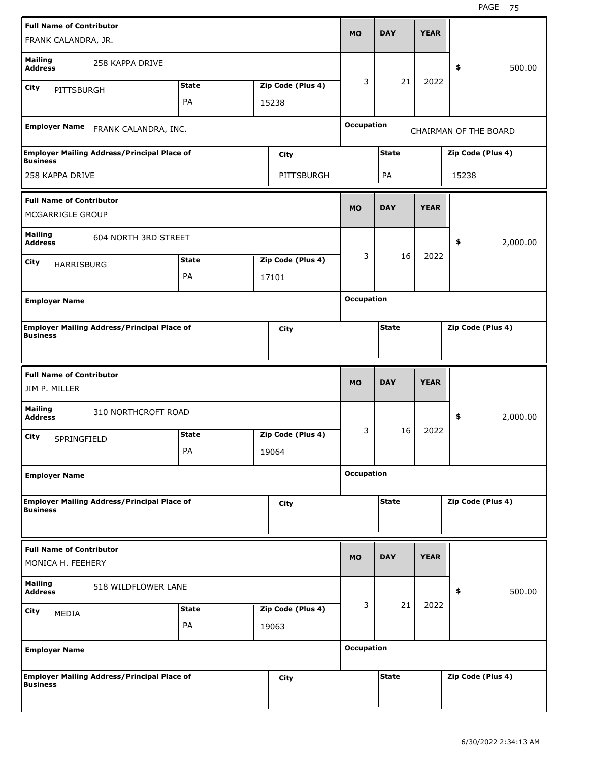| <b>Full Name of Contributor</b><br>FRANK CALANDRA, JR.                |              |                   | MO                | <b>DAY</b>   | <b>YEAR</b> |                       |          |
|-----------------------------------------------------------------------|--------------|-------------------|-------------------|--------------|-------------|-----------------------|----------|
| <b>Mailing</b><br>258 KAPPA DRIVE<br><b>Address</b>                   |              |                   |                   |              |             | \$                    | 500.00   |
| <b>City</b><br>PITTSBURGH                                             | <b>State</b> | Zip Code (Plus 4) | 3                 | 21           | 2022        |                       |          |
|                                                                       | PA           | 15238             |                   |              |             |                       |          |
| <b>Employer Name</b><br>FRANK CALANDRA, INC.                          |              |                   | <b>Occupation</b> |              |             | CHAIRMAN OF THE BOARD |          |
| <b>Employer Mailing Address/Principal Place of</b><br><b>Business</b> |              | City              |                   | <b>State</b> |             | Zip Code (Plus 4)     |          |
| 258 KAPPA DRIVE                                                       |              | PITTSBURGH        |                   | PA           |             | 15238                 |          |
| <b>Full Name of Contributor</b><br>MCGARRIGLE GROUP                   |              |                   | <b>MO</b>         | <b>DAY</b>   | <b>YEAR</b> |                       |          |
| <b>Mailing</b><br>604 NORTH 3RD STREET<br><b>Address</b>              |              |                   |                   |              |             | \$                    | 2,000.00 |
| <b>City</b><br><b>HARRISBURG</b>                                      | <b>State</b> | Zip Code (Plus 4) | 3                 | 16           | 2022        |                       |          |
|                                                                       | PA           | 17101             |                   |              |             |                       |          |
| <b>Employer Name</b>                                                  |              |                   | <b>Occupation</b> |              |             |                       |          |
| <b>Employer Mailing Address/Principal Place of</b><br><b>Business</b> |              | City              |                   | <b>State</b> |             | Zip Code (Plus 4)     |          |
|                                                                       |              |                   |                   |              |             |                       |          |
| <b>Full Name of Contributor</b><br>JIM P. MILLER                      |              |                   | <b>MO</b>         | <b>DAY</b>   | <b>YEAR</b> |                       |          |
| <b>Mailing</b><br>310 NORTHCROFT ROAD<br><b>Address</b>               |              |                   |                   |              |             | \$                    | 2,000.00 |
| City                                                                  | <b>State</b> | Zip Code (Plus 4) | 3                 | 16           | 2022        |                       |          |
| SPRINGFIELD                                                           | PA           | 19064             |                   |              |             |                       |          |
| <b>Employer Name</b>                                                  |              |                   | <b>Occupation</b> |              |             |                       |          |
| <b>Employer Mailing Address/Principal Place of</b><br><b>Business</b> |              | City              |                   | <b>State</b> |             | Zip Code (Plus 4)     |          |
| <b>Full Name of Contributor</b><br>MONICA H. FEEHERY                  |              |                   | <b>MO</b>         | <b>DAY</b>   | <b>YEAR</b> |                       |          |
| <b>Mailing</b><br>518 WILDFLOWER LANE<br><b>Address</b>               |              |                   |                   |              |             | \$                    | 500.00   |
| <b>City</b>                                                           | <b>State</b> | Zip Code (Plus 4) | 3                 | 21           | 2022        |                       |          |
| MEDIA                                                                 | PA           | 19063             |                   |              |             |                       |          |
| <b>Employer Name</b>                                                  |              |                   | <b>Occupation</b> |              |             |                       |          |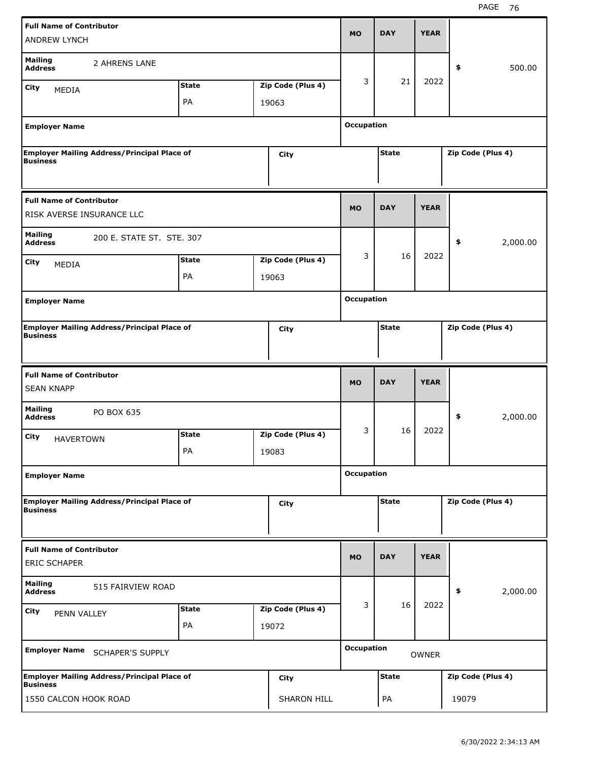| <b>Full Name of Contributor</b><br><b>ANDREW LYNCH</b>       |                                                    |              |                            | MO                | <b>DAY</b>   | <b>YEAR</b>  |                   |          |
|--------------------------------------------------------------|----------------------------------------------------|--------------|----------------------------|-------------------|--------------|--------------|-------------------|----------|
| <b>Mailing</b><br><b>Address</b>                             | 2 AHRENS LANE                                      |              |                            |                   |              |              | \$                | 500.00   |
| <b>City</b><br><b>MEDIA</b>                                  |                                                    | <b>State</b> | Zip Code (Plus 4)          | 3                 | 21           | 2022         |                   |          |
|                                                              |                                                    | PA           | 19063                      |                   |              |              |                   |          |
| <b>Employer Name</b>                                         |                                                    |              |                            | <b>Occupation</b> |              |              |                   |          |
| <b>Business</b>                                              | <b>Employer Mailing Address/Principal Place of</b> |              | City                       |                   | <b>State</b> |              | Zip Code (Plus 4) |          |
| <b>Full Name of Contributor</b><br>RISK AVERSE INSURANCE LLC |                                                    |              |                            | <b>MO</b>         | <b>DAY</b>   | <b>YEAR</b>  |                   |          |
| <b>Mailing</b><br><b>Address</b>                             | 200 E. STATE ST. STE. 307                          |              |                            |                   |              |              | \$                | 2,000.00 |
| <b>City</b>                                                  |                                                    | <b>State</b> | Zip Code (Plus 4)          | 3                 | 16           | 2022         |                   |          |
| <b>MEDIA</b>                                                 |                                                    | PA           | 19063                      |                   |              |              |                   |          |
| <b>Employer Name</b>                                         |                                                    |              |                            | <b>Occupation</b> |              |              |                   |          |
| <b>Business</b>                                              | <b>Employer Mailing Address/Principal Place of</b> |              | City                       |                   | <b>State</b> |              | Zip Code (Plus 4) |          |
|                                                              |                                                    |              |                            |                   |              |              |                   |          |
|                                                              |                                                    |              |                            |                   |              |              |                   |          |
| <b>Full Name of Contributor</b><br><b>SEAN KNAPP</b>         |                                                    |              |                            | <b>MO</b>         | <b>DAY</b>   | <b>YEAR</b>  |                   |          |
| <b>Mailing</b><br><b>Address</b>                             | PO BOX 635                                         |              |                            |                   |              |              | \$                | 2,000.00 |
|                                                              |                                                    | <b>State</b> |                            | 3                 | 16           | 2022         |                   |          |
| City<br><b>HAVERTOWN</b>                                     |                                                    | PA           | Zip Code (Plus 4)<br>19083 |                   |              |              |                   |          |
| <b>Employer Name</b>                                         |                                                    |              |                            | <b>Occupation</b> |              |              |                   |          |
| <b>Business</b>                                              | <b>Employer Mailing Address/Principal Place of</b> |              | <b>City</b>                |                   | <b>State</b> |              | Zip Code (Plus 4) |          |
|                                                              |                                                    |              |                            |                   |              |              |                   |          |
| <b>Full Name of Contributor</b><br><b>ERIC SCHAPER</b>       |                                                    |              |                            | <b>MO</b>         | <b>DAY</b>   | <b>YEAR</b>  |                   |          |
| <b>Mailing</b><br><b>Address</b>                             | 515 FAIRVIEW ROAD                                  |              |                            |                   |              |              | \$                | 2,000.00 |
| <b>City</b>                                                  |                                                    | <b>State</b> | Zip Code (Plus 4)          | 3                 | 16           | 2022         |                   |          |
| PENN VALLEY                                                  |                                                    | PA           | 19072                      |                   |              |              |                   |          |
|                                                              | Employer Name SCHAPER'S SUPPLY                     |              |                            | <b>Occupation</b> |              | <b>OWNER</b> |                   |          |
| <b>Business</b>                                              | <b>Employer Mailing Address/Principal Place of</b> |              | City                       |                   | <b>State</b> |              | Zip Code (Plus 4) |          |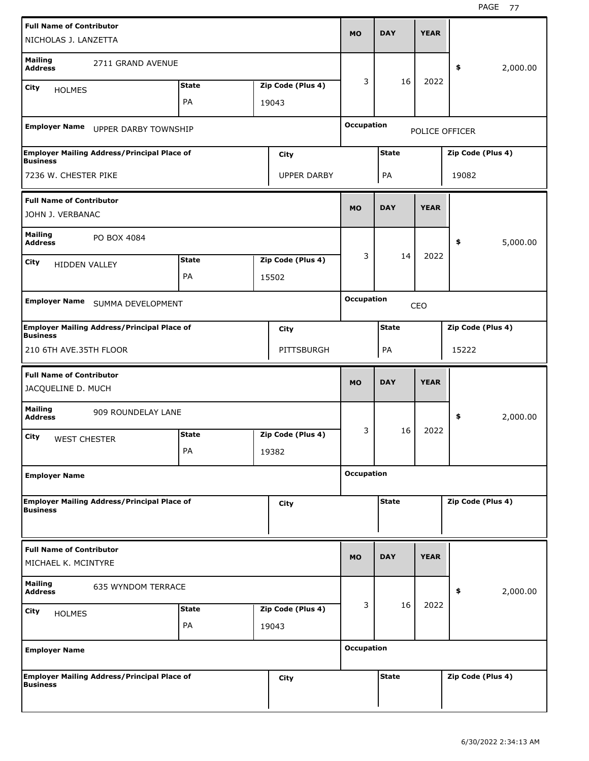| <b>Full Name of Contributor</b><br>NICHOLAS J. LANZETTA               |              |                    | <b>MO</b>         | <b>DAY</b>   | <b>YEAR</b> |                   |          |
|-----------------------------------------------------------------------|--------------|--------------------|-------------------|--------------|-------------|-------------------|----------|
| <b>Mailing</b><br>2711 GRAND AVENUE<br><b>Address</b>                 |              |                    |                   |              |             | \$                | 2,000.00 |
| City<br><b>HOLMES</b>                                                 | <b>State</b> | Zip Code (Plus 4)  | 3                 | 16           | 2022        |                   |          |
|                                                                       | PA           | 19043              |                   |              |             |                   |          |
| Employer Name UPPER DARBY TOWNSHIP                                    |              |                    | <b>Occupation</b> |              |             | POLICE OFFICER    |          |
| <b>Employer Mailing Address/Principal Place of</b><br><b>Business</b> |              | City               |                   | <b>State</b> |             | Zip Code (Plus 4) |          |
| 7236 W. CHESTER PIKE                                                  |              | <b>UPPER DARBY</b> |                   | PA           |             | 19082             |          |
| <b>Full Name of Contributor</b><br>JOHN J. VERBANAC                   |              |                    | <b>MO</b>         | <b>DAY</b>   | <b>YEAR</b> |                   |          |
| <b>Mailing</b><br>PO BOX 4084<br><b>Address</b>                       |              |                    |                   |              |             | \$                | 5,000.00 |
| City<br>HIDDEN VALLEY                                                 | <b>State</b> | Zip Code (Plus 4)  | 3                 | 14           | 2022        |                   |          |
|                                                                       | PA           | 15502              |                   |              |             |                   |          |
|                                                                       |              |                    | <b>Occupation</b> |              |             |                   |          |
| Employer Name SUMMA DEVELOPMENT                                       |              |                    |                   |              | CEO         |                   |          |
| <b>Employer Mailing Address/Principal Place of</b><br><b>Business</b> |              | City               |                   | <b>State</b> |             | Zip Code (Plus 4) |          |
| 210 6TH AVE.35TH FLOOR                                                |              | PITTSBURGH         |                   | PA           |             | 15222             |          |
| <b>Full Name of Contributor</b><br>JACQUELINE D. MUCH                 |              |                    | <b>MO</b>         | <b>DAY</b>   | <b>YEAR</b> |                   |          |
| <b>Mailing</b><br>909 ROUNDELAY LANE<br><b>Address</b>                |              |                    |                   |              |             | \$                | 2,000.00 |
| City<br><b>WEST CHESTER</b>                                           | <b>State</b> | Zip Code (Plus 4)  | 3                 | 16           | 2022        |                   |          |
|                                                                       | PA           | 19382              |                   |              |             |                   |          |
| <b>Employer Name</b>                                                  |              |                    | <b>Occupation</b> |              |             |                   |          |
| <b>Employer Mailing Address/Principal Place of</b><br><b>Business</b> |              | City               |                   | <b>State</b> |             | Zip Code (Plus 4) |          |
|                                                                       |              |                    |                   |              |             |                   |          |
| <b>Full Name of Contributor</b><br>MICHAEL K. MCINTYRE                |              |                    | <b>MO</b>         | <b>DAY</b>   | <b>YEAR</b> |                   |          |
| <b>Mailing</b><br>635 WYNDOM TERRACE<br><b>Address</b>                |              |                    |                   |              |             | \$                | 2,000.00 |
| City<br><b>HOLMES</b>                                                 | <b>State</b> | Zip Code (Plus 4)  | 3                 | 16           | 2022        |                   |          |
|                                                                       | PA           | 19043              |                   |              |             |                   |          |
|                                                                       |              |                    |                   |              |             |                   |          |
| <b>Employer Name</b>                                                  |              |                    | <b>Occupation</b> |              |             |                   |          |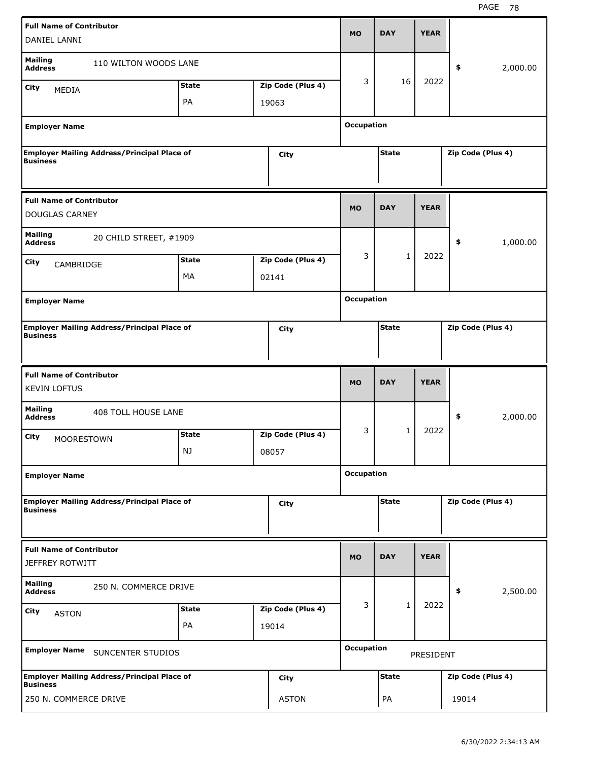| <b>Full Name of Contributor</b>                        |                                                    |              |                   | <b>MO</b>         | <b>DAY</b>   | <b>YEAR</b> |                   |
|--------------------------------------------------------|----------------------------------------------------|--------------|-------------------|-------------------|--------------|-------------|-------------------|
| DANIEL LANNI                                           |                                                    |              |                   |                   |              |             |                   |
| <b>Mailing</b><br><b>Address</b>                       | 110 WILTON WOODS LANE                              |              |                   |                   |              |             | \$<br>2,000.00    |
| City                                                   |                                                    | <b>State</b> | Zip Code (Plus 4) | 3                 | 16           | 2022        |                   |
| MEDIA                                                  |                                                    | PA           | 19063             |                   |              |             |                   |
|                                                        |                                                    |              |                   |                   |              |             |                   |
| <b>Employer Name</b>                                   |                                                    |              |                   | <b>Occupation</b> |              |             |                   |
|                                                        | <b>Employer Mailing Address/Principal Place of</b> |              | City              |                   | <b>State</b> |             | Zip Code (Plus 4) |
| <b>Business</b>                                        |                                                    |              |                   |                   |              |             |                   |
|                                                        |                                                    |              |                   |                   |              |             |                   |
| <b>Full Name of Contributor</b>                        |                                                    |              |                   |                   |              |             |                   |
| <b>DOUGLAS CARNEY</b>                                  |                                                    |              |                   | <b>MO</b>         | <b>DAY</b>   | <b>YEAR</b> |                   |
|                                                        |                                                    |              |                   |                   |              |             |                   |
| <b>Mailing</b><br><b>Address</b>                       | 20 CHILD STREET, #1909                             |              |                   |                   |              |             | \$<br>1,000.00    |
| City<br>CAMBRIDGE                                      |                                                    | <b>State</b> | Zip Code (Plus 4) | 3                 | $\mathbf{1}$ | 2022        |                   |
|                                                        |                                                    | MA           | 02141             |                   |              |             |                   |
|                                                        |                                                    |              |                   |                   |              |             |                   |
| <b>Employer Name</b>                                   |                                                    |              |                   | <b>Occupation</b> |              |             |                   |
|                                                        | <b>Employer Mailing Address/Principal Place of</b> |              | City              |                   | <b>State</b> |             | Zip Code (Plus 4) |
| <b>Business</b>                                        |                                                    |              |                   |                   |              |             |                   |
|                                                        |                                                    |              |                   |                   |              |             |                   |
|                                                        |                                                    |              |                   |                   |              |             |                   |
|                                                        |                                                    |              |                   |                   |              |             |                   |
| <b>Full Name of Contributor</b><br><b>KEVIN LOFTUS</b> |                                                    |              |                   | <b>MO</b>         | <b>DAY</b>   | <b>YEAR</b> |                   |
| <b>Mailing</b><br><b>Address</b>                       | 408 TOLL HOUSE LANE                                |              |                   |                   |              |             | \$<br>2,000.00    |
|                                                        |                                                    |              |                   | 3                 | 1            | 2022        |                   |
| City<br><b>MOORESTOWN</b>                              |                                                    | <b>State</b> | Zip Code (Plus 4) |                   |              |             |                   |
|                                                        |                                                    | NJ           | 08057             |                   |              |             |                   |
| <b>Employer Name</b>                                   |                                                    |              |                   | <b>Occupation</b> |              |             |                   |
|                                                        |                                                    |              |                   |                   |              |             |                   |
| <b>Business</b>                                        | <b>Employer Mailing Address/Principal Place of</b> |              | <b>City</b>       |                   | <b>State</b> |             | Zip Code (Plus 4) |
|                                                        |                                                    |              |                   |                   |              |             |                   |
|                                                        |                                                    |              |                   |                   |              |             |                   |
| <b>Full Name of Contributor</b>                        |                                                    |              |                   | <b>MO</b>         | <b>DAY</b>   | <b>YEAR</b> |                   |
| <b>JEFFREY ROTWITT</b>                                 |                                                    |              |                   |                   |              |             |                   |
| <b>Mailing</b><br><b>Address</b>                       | 250 N. COMMERCE DRIVE                              |              |                   |                   |              |             | 2,500.00<br>\$    |
| City                                                   |                                                    | <b>State</b> | Zip Code (Plus 4) | 3                 | $\mathbf{1}$ | 2022        |                   |
| <b>ASTON</b>                                           |                                                    | PA           | 19014             |                   |              |             |                   |
|                                                        |                                                    |              |                   |                   |              |             |                   |
|                                                        |                                                    |              |                   | <b>Occupation</b> |              |             |                   |
|                                                        | Employer Name SUNCENTER STUDIOS                    |              |                   |                   |              | PRESIDENT   |                   |
| <b>Business</b>                                        | <b>Employer Mailing Address/Principal Place of</b> |              | <b>City</b>       |                   | <b>State</b> |             | Zip Code (Plus 4) |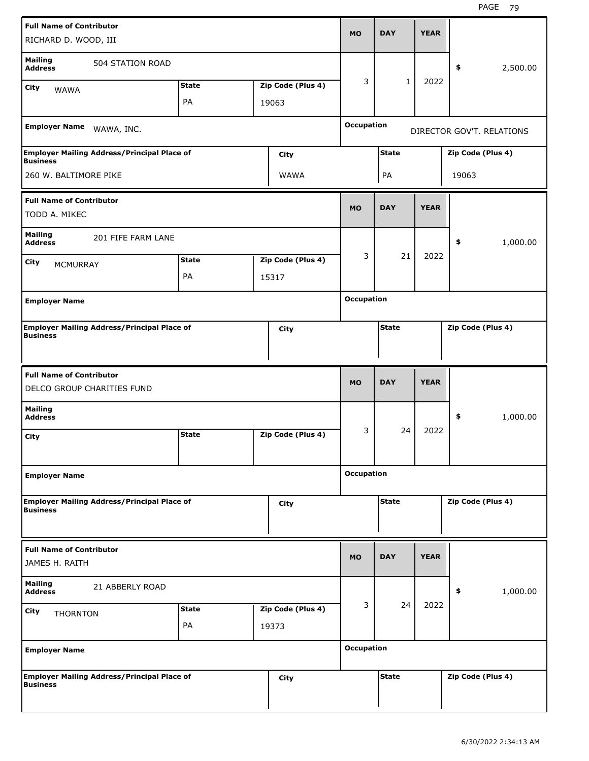| <b>Full Name of Contributor</b><br>RICHARD D. WOOD, III                           |                    |                            | <b>MO</b>         | <b>DAY</b>   | <b>YEAR</b> |                           |          |
|-----------------------------------------------------------------------------------|--------------------|----------------------------|-------------------|--------------|-------------|---------------------------|----------|
| <b>Mailing</b><br>504 STATION ROAD<br><b>Address</b><br>City<br><b>WAWA</b>       | <b>State</b>       | Zip Code (Plus 4)          | 3                 | 1            | 2022        | \$                        | 2,500.00 |
|                                                                                   | PA                 | 19063                      |                   |              |             |                           |          |
| Employer Name WAWA, INC.                                                          |                    |                            | <b>Occupation</b> |              |             | DIRECTOR GOV'T. RELATIONS |          |
| <b>Employer Mailing Address/Principal Place of</b><br><b>Business</b>             |                    | <b>City</b>                |                   | <b>State</b> |             | Zip Code (Plus 4)         |          |
| 260 W. BALTIMORE PIKE                                                             |                    | WAWA                       |                   | PA           |             | 19063                     |          |
| <b>Full Name of Contributor</b><br>TODD A. MIKEC                                  |                    |                            | <b>MO</b>         | <b>DAY</b>   | <b>YEAR</b> |                           |          |
| <b>Mailing</b><br>201 FIFE FARM LANE<br><b>Address</b><br>City<br><b>MCMURRAY</b> | <b>State</b>       | Zip Code (Plus 4)          | 3                 | 21           | 2022        | \$                        | 1,000.00 |
| <b>Employer Name</b>                                                              | PA                 | 15317                      | <b>Occupation</b> |              |             |                           |          |
|                                                                                   |                    |                            |                   |              |             |                           |          |
| <b>Employer Mailing Address/Principal Place of</b><br><b>Business</b>             |                    | City                       |                   | <b>State</b> |             | Zip Code (Plus 4)         |          |
|                                                                                   |                    |                            |                   |              |             |                           |          |
| <b>Full Name of Contributor</b><br>DELCO GROUP CHARITIES FUND                     |                    |                            | <b>MO</b>         | <b>DAY</b>   | <b>YEAR</b> |                           |          |
| <b>Mailing</b><br><b>Address</b>                                                  |                    |                            |                   |              |             | \$                        | 1,000.00 |
| City                                                                              | <b>State</b>       | Zip Code (Plus 4)          | 3                 | 24           | 2022        |                           |          |
| <b>Employer Name</b>                                                              |                    |                            | <b>Occupation</b> |              |             |                           |          |
| <b>Employer Mailing Address/Principal Place of</b><br><b>Business</b>             |                    | <b>City</b>                |                   | <b>State</b> |             | Zip Code (Plus 4)         |          |
| <b>Full Name of Contributor</b><br>JAMES H. RAITH                                 |                    |                            | <b>MO</b>         | <b>DAY</b>   | <b>YEAR</b> |                           |          |
| <b>Mailing</b><br>21 ABBERLY ROAD<br><b>Address</b>                               |                    |                            |                   |              |             | \$                        | 1,000.00 |
| City<br><b>THORNTON</b>                                                           | <b>State</b><br>PA | Zip Code (Plus 4)<br>19373 | 3                 | 24           | 2022        |                           |          |
| <b>Employer Name</b>                                                              |                    |                            | <b>Occupation</b> |              |             |                           |          |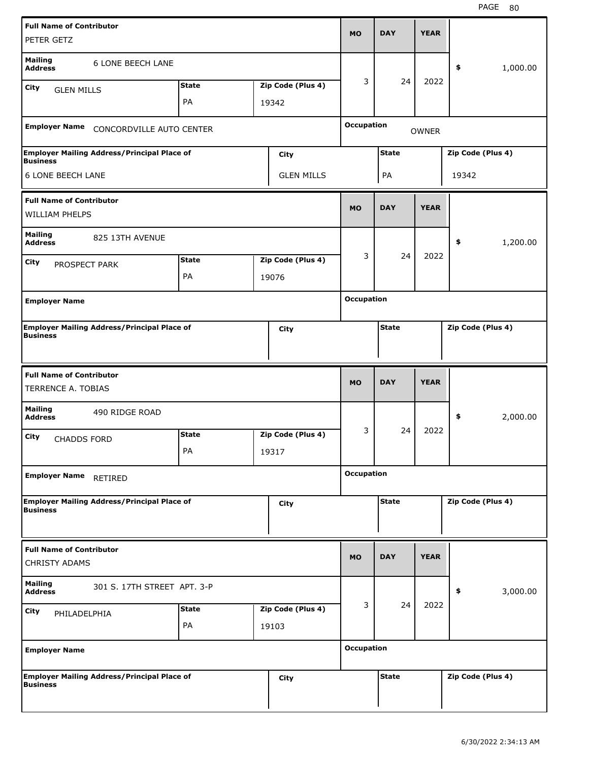| <b>Full Name of Contributor</b><br>PETER GETZ |                                                    |              |                   | <b>MO</b>         | <b>DAY</b>   | <b>YEAR</b>  |                   |          |
|-----------------------------------------------|----------------------------------------------------|--------------|-------------------|-------------------|--------------|--------------|-------------------|----------|
| <b>Mailing</b>                                |                                                    |              |                   |                   |              |              |                   |          |
| <b>Address</b>                                | <b>6 LONE BEECH LANE</b>                           |              |                   |                   |              |              | \$                | 1,000.00 |
| City<br><b>GLEN MILLS</b>                     |                                                    | <b>State</b> | Zip Code (Plus 4) | 3                 | 24           | 2022         |                   |          |
|                                               |                                                    | PA           | 19342             |                   |              |              |                   |          |
| <b>Employer Name</b>                          | CONCORDVILLE AUTO CENTER                           |              |                   | <b>Occupation</b> |              | <b>OWNER</b> |                   |          |
| <b>Business</b>                               | <b>Employer Mailing Address/Principal Place of</b> |              | City              |                   | <b>State</b> |              | Zip Code (Plus 4) |          |
| <b>6 LONE BEECH LANE</b>                      |                                                    |              | <b>GLEN MILLS</b> |                   | PA           |              | 19342             |          |
| <b>Full Name of Contributor</b>               |                                                    |              |                   |                   |              |              |                   |          |
| <b>WILLIAM PHELPS</b>                         |                                                    |              |                   | <b>MO</b>         | <b>DAY</b>   | <b>YEAR</b>  |                   |          |
| <b>Mailing</b><br><b>Address</b>              | 825 13TH AVENUE                                    |              |                   |                   |              |              | \$                | 1,200.00 |
|                                               |                                                    | <b>State</b> | Zip Code (Plus 4) | 3                 | 24           | 2022         |                   |          |
| City<br>PROSPECT PARK                         |                                                    | PA           | 19076             |                   |              |              |                   |          |
|                                               |                                                    |              |                   |                   |              |              |                   |          |
| <b>Employer Name</b>                          |                                                    |              |                   | <b>Occupation</b> |              |              |                   |          |
| <b>Business</b>                               | <b>Employer Mailing Address/Principal Place of</b> |              | City              |                   | <b>State</b> |              | Zip Code (Plus 4) |          |
|                                               |                                                    |              |                   |                   |              |              |                   |          |
|                                               |                                                    |              |                   |                   |              |              |                   |          |
| <b>Full Name of Contributor</b>               |                                                    |              |                   |                   |              |              |                   |          |
| <b>TERRENCE A. TOBIAS</b>                     |                                                    |              |                   | <b>MO</b>         | <b>DAY</b>   | <b>YEAR</b>  |                   |          |
| <b>Mailing</b><br><b>Address</b>              | 490 RIDGE ROAD                                     |              |                   |                   |              |              | \$                | 2,000.00 |
| City<br><b>CHADDS FORD</b>                    |                                                    | <b>State</b> | Zip Code (Plus 4) | 3                 | 24           | 2022         |                   |          |
|                                               |                                                    | PA           | 19317             |                   |              |              |                   |          |
| <b>Employer Name</b>                          | <b>RETIRED</b>                                     |              |                   | <b>Occupation</b> |              |              |                   |          |
|                                               | <b>Employer Mailing Address/Principal Place of</b> |              | City              |                   | <b>State</b> |              | Zip Code (Plus 4) |          |
| <b>Business</b>                               |                                                    |              |                   |                   |              |              |                   |          |
| <b>Full Name of Contributor</b>               |                                                    |              |                   | MO                | <b>DAY</b>   | <b>YEAR</b>  |                   |          |
| <b>CHRISTY ADAMS</b>                          |                                                    |              |                   |                   |              |              |                   |          |
| <b>Mailing</b><br><b>Address</b>              | 301 S. 17TH STREET APT. 3-P                        |              |                   |                   |              |              | \$                | 3,000.00 |
| <b>City</b><br>PHILADELPHIA                   |                                                    | <b>State</b> | Zip Code (Plus 4) | 3                 | 24           | 2022         |                   |          |
|                                               |                                                    | PA           | 19103             |                   |              |              |                   |          |
| <b>Employer Name</b>                          |                                                    |              |                   | <b>Occupation</b> |              |              |                   |          |
| <b>Business</b>                               | <b>Employer Mailing Address/Principal Place of</b> |              | <b>City</b>       |                   | <b>State</b> |              | Zip Code (Plus 4) |          |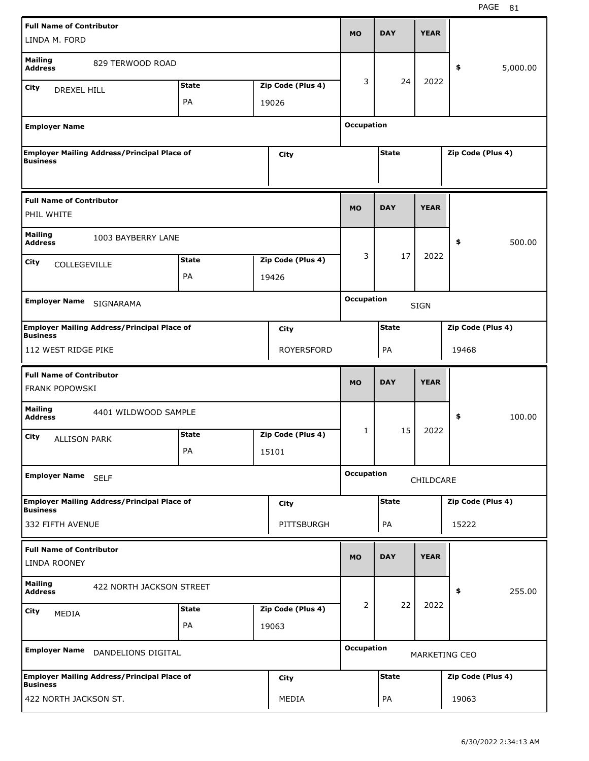| <b>Full Name of Contributor</b><br>LINDA M. FORD         |                                                    |              |                   | <b>MO</b>         | <b>DAY</b>   | <b>YEAR</b> |                      |          |
|----------------------------------------------------------|----------------------------------------------------|--------------|-------------------|-------------------|--------------|-------------|----------------------|----------|
| <b>Mailing</b><br><b>Address</b>                         | 829 TERWOOD ROAD                                   |              |                   |                   |              |             | \$                   | 5,000.00 |
| <b>City</b><br><b>DREXEL HILL</b>                        |                                                    | <b>State</b> | Zip Code (Plus 4) | 3                 | 24           | 2022        |                      |          |
|                                                          |                                                    | PA           | 19026             |                   |              |             |                      |          |
| <b>Employer Name</b>                                     |                                                    |              |                   | <b>Occupation</b> |              |             |                      |          |
| <b>Business</b>                                          | <b>Employer Mailing Address/Principal Place of</b> |              | City              |                   | <b>State</b> |             | Zip Code (Plus 4)    |          |
| <b>Full Name of Contributor</b><br>PHIL WHITE            |                                                    |              |                   | <b>MO</b>         | <b>DAY</b>   | <b>YEAR</b> |                      |          |
| <b>Mailing</b><br><b>Address</b>                         | 1003 BAYBERRY LANE                                 |              |                   |                   |              |             | \$                   | 500.00   |
| <b>City</b><br><b>COLLEGEVILLE</b>                       |                                                    | <b>State</b> | Zip Code (Plus 4) | 3                 | 17           | 2022        |                      |          |
|                                                          |                                                    | PA           | 19426             |                   |              |             |                      |          |
| <b>Employer Name</b>                                     | SIGNARAMA                                          |              |                   | <b>Occupation</b> |              | <b>SIGN</b> |                      |          |
| <b>Business</b>                                          | <b>Employer Mailing Address/Principal Place of</b> |              | City              |                   | <b>State</b> |             | Zip Code (Plus 4)    |          |
| 112 WEST RIDGE PIKE                                      |                                                    |              | <b>ROYERSFORD</b> |                   | PA           |             | 19468                |          |
|                                                          |                                                    |              |                   |                   |              |             |                      |          |
| <b>Full Name of Contributor</b><br><b>FRANK POPOWSKI</b> |                                                    |              |                   | <b>MO</b>         | <b>DAY</b>   | <b>YEAR</b> |                      |          |
| <b>Mailing</b><br><b>Address</b>                         | 4401 WILDWOOD SAMPLE                               |              |                   |                   |              |             | \$                   | 100.00   |
| City<br><b>ALLISON PARK</b>                              |                                                    | <b>State</b> | Zip Code (Plus 4) | 1                 | 15           | 2022        |                      |          |
|                                                          |                                                    | PA           | 15101             |                   |              |             |                      |          |
| <b>Employer Name</b>                                     | <b>SELF</b>                                        |              |                   | <b>Occupation</b> |              | CHILDCARE   |                      |          |
| <b>Business</b>                                          | <b>Employer Mailing Address/Principal Place of</b> |              | <b>City</b>       |                   | <b>State</b> |             | Zip Code (Plus 4)    |          |
| 332 FIFTH AVENUE                                         |                                                    |              | PITTSBURGH        |                   | PA           |             | 15222                |          |
| <b>Full Name of Contributor</b><br>LINDA ROONEY          |                                                    |              |                   | <b>MO</b>         | <b>DAY</b>   | <b>YEAR</b> |                      |          |
| <b>Mailing</b><br><b>Address</b>                         | 422 NORTH JACKSON STREET                           |              |                   |                   |              |             | \$                   | 255.00   |
| <b>City</b>                                              |                                                    | <b>State</b> | Zip Code (Plus 4) | 2                 | 22           | 2022        |                      |          |
| <b>MEDIA</b>                                             |                                                    | PA           | 19063             |                   |              |             |                      |          |
| <b>Employer Name</b>                                     | DANDELIONS DIGITAL                                 |              |                   | <b>Occupation</b> |              |             | <b>MARKETING CEO</b> |          |
| <b>Business</b>                                          | <b>Employer Mailing Address/Principal Place of</b> |              | <b>City</b>       |                   | <b>State</b> |             | Zip Code (Plus 4)    |          |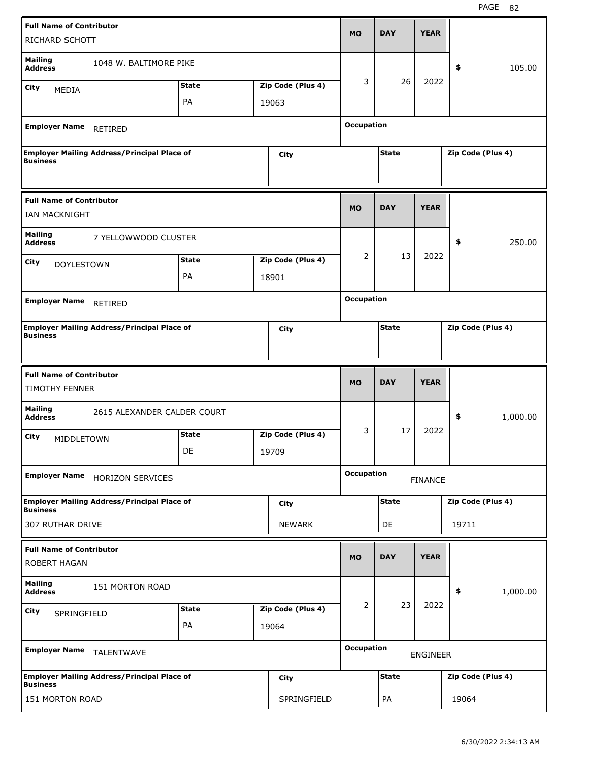| <b>Full Name of Contributor</b><br>RICHARD SCHOTT        |                                                    |                    |                            | <b>MO</b>         | <b>DAY</b>   | <b>YEAR</b>     |                   |          |
|----------------------------------------------------------|----------------------------------------------------|--------------------|----------------------------|-------------------|--------------|-----------------|-------------------|----------|
| <b>Mailing</b><br><b>Address</b>                         | 1048 W. BALTIMORE PIKE                             |                    |                            |                   |              |                 | \$                | 105.00   |
| City<br><b>MEDIA</b>                                     |                                                    | <b>State</b>       | Zip Code (Plus 4)          | 3                 | 26           | 2022            |                   |          |
|                                                          |                                                    | PA                 | 19063                      |                   |              |                 |                   |          |
| <b>Employer Name</b>                                     | <b>RETIRED</b>                                     |                    |                            | <b>Occupation</b> |              |                 |                   |          |
| <b>Business</b>                                          | <b>Employer Mailing Address/Principal Place of</b> |                    | City                       |                   | <b>State</b> |                 | Zip Code (Plus 4) |          |
| <b>Full Name of Contributor</b><br>IAN MACKNIGHT         |                                                    |                    |                            | <b>MO</b>         | <b>DAY</b>   | <b>YEAR</b>     |                   |          |
| <b>Mailing</b><br><b>Address</b>                         | 7 YELLOWWOOD CLUSTER                               |                    |                            |                   |              |                 | \$                | 250.00   |
| City<br><b>DOYLESTOWN</b>                                |                                                    | <b>State</b>       | Zip Code (Plus 4)          | 2                 | 13           | 2022            |                   |          |
|                                                          |                                                    | PA                 | 18901                      |                   |              |                 |                   |          |
| <b>Employer Name</b>                                     | RETIRED                                            |                    |                            | <b>Occupation</b> |              |                 |                   |          |
| <b>Business</b>                                          | <b>Employer Mailing Address/Principal Place of</b> |                    | City                       |                   | <b>State</b> |                 | Zip Code (Plus 4) |          |
|                                                          |                                                    |                    |                            |                   |              |                 |                   |          |
| <b>Full Name of Contributor</b><br><b>TIMOTHY FENNER</b> |                                                    |                    |                            | <b>MO</b>         | <b>DAY</b>   | <b>YEAR</b>     |                   |          |
| <b>Mailing</b><br><b>Address</b>                         | 2615 ALEXANDER CALDER COURT                        |                    |                            |                   |              |                 | \$                | 1,000.00 |
| City<br><b>MIDDLETOWN</b>                                |                                                    | <b>State</b><br>DE | Zip Code (Plus 4)<br>19709 | 3                 | 17           | 2022            |                   |          |
| <b>Employer Name</b>                                     | <b>HORIZON SERVICES</b>                            |                    |                            | <b>Occupation</b> |              | <b>FINANCE</b>  |                   |          |
| <b>Business</b>                                          | <b>Employer Mailing Address/Principal Place of</b> |                    | <b>City</b>                |                   | <b>State</b> |                 | Zip Code (Plus 4) |          |
| 307 RUTHAR DRIVE                                         |                                                    |                    | NEWARK                     |                   | DE           |                 | 19711             |          |
| <b>Full Name of Contributor</b><br>ROBERT HAGAN          |                                                    |                    |                            | <b>MO</b>         | <b>DAY</b>   | <b>YEAR</b>     |                   |          |
| <b>Mailing</b><br><b>Address</b>                         | 151 MORTON ROAD                                    |                    |                            |                   |              |                 | \$                | 1,000.00 |
| City<br>SPRINGFIELD                                      |                                                    | <b>State</b>       | Zip Code (Plus 4)          | 2                 | 23           | 2022            |                   |          |
|                                                          |                                                    | PA                 | 19064                      |                   |              |                 |                   |          |
| Employer Name TALENTWAVE                                 |                                                    |                    |                            | <b>Occupation</b> |              | <b>ENGINEER</b> |                   |          |
| <b>Business</b>                                          | <b>Employer Mailing Address/Principal Place of</b> |                    | <b>City</b>                |                   | <b>State</b> |                 | Zip Code (Plus 4) |          |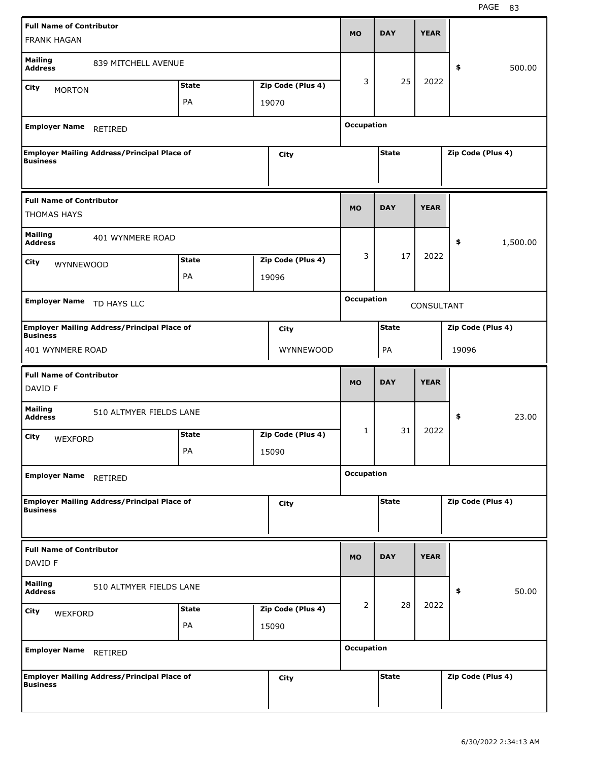| <b>Full Name of Contributor</b><br><b>FRANK HAGAN</b> |                                                    |                    |                            | <b>MO</b>         | <b>DAY</b>   | <b>YEAR</b> |                   |          |
|-------------------------------------------------------|----------------------------------------------------|--------------------|----------------------------|-------------------|--------------|-------------|-------------------|----------|
| <b>Mailing</b><br><b>Address</b>                      | 839 MITCHELL AVENUE                                |                    |                            |                   |              |             | \$                | 500.00   |
| <b>City</b><br><b>MORTON</b>                          |                                                    | <b>State</b>       | Zip Code (Plus 4)          | 3                 | 25           | 2022        |                   |          |
|                                                       |                                                    | PA                 | 19070                      |                   |              |             |                   |          |
| <b>Employer Name</b>                                  | RETIRED                                            |                    |                            | <b>Occupation</b> |              |             |                   |          |
| <b>Business</b>                                       | <b>Employer Mailing Address/Principal Place of</b> |                    | <b>City</b>                |                   | <b>State</b> |             | Zip Code (Plus 4) |          |
| <b>Full Name of Contributor</b><br><b>THOMAS HAYS</b> |                                                    |                    |                            | <b>MO</b>         | <b>DAY</b>   | <b>YEAR</b> |                   |          |
| <b>Mailing</b><br><b>Address</b><br>City<br>WYNNEWOOD | 401 WYNMERE ROAD                                   | <b>State</b><br>PA | Zip Code (Plus 4)<br>19096 | 3                 | 17           | 2022        | \$                | 1,500.00 |
| <b>Employer Name</b>                                  | TD HAYS LLC                                        |                    |                            | <b>Occupation</b> |              | CONSULTANT  |                   |          |
|                                                       | <b>Employer Mailing Address/Principal Place of</b> |                    | City                       |                   | <b>State</b> |             | Zip Code (Plus 4) |          |
| <b>Business</b><br>401 WYNMERE ROAD                   |                                                    |                    | WYNNEWOOD                  |                   | PA           |             | 19096             |          |
| <b>Full Name of Contributor</b>                       |                                                    |                    |                            |                   |              |             |                   |          |
|                                                       |                                                    |                    |                            | <b>MO</b>         | <b>DAY</b>   | <b>YEAR</b> |                   |          |
| DAVID F<br><b>Mailing</b><br><b>Address</b>           | 510 ALTMYER FIELDS LANE                            |                    |                            |                   |              |             | \$                | 23.00    |
| City<br><b>WEXFORD</b>                                |                                                    | <b>State</b><br>PA | Zip Code (Plus 4)<br>15090 | 1                 | 31           | 2022        |                   |          |
| <b>Employer Name</b>                                  | RETIRED                                            |                    |                            | <b>Occupation</b> |              |             |                   |          |
| <b>Business</b>                                       | <b>Employer Mailing Address/Principal Place of</b> |                    | <b>City</b>                |                   | <b>State</b> |             | Zip Code (Plus 4) |          |
| <b>Full Name of Contributor</b><br>DAVID F            |                                                    |                    |                            | <b>MO</b>         | <b>DAY</b>   | <b>YEAR</b> |                   |          |
| <b>Mailing</b><br><b>Address</b>                      | 510 ALTMYER FIELDS LANE                            |                    |                            |                   |              |             | \$                | 50.00    |
| City<br>WEXFORD                                       |                                                    | <b>State</b><br>PA | Zip Code (Plus 4)<br>15090 | 2                 | 28           | 2022        |                   |          |
| <b>Employer Name</b>                                  | RETIRED                                            |                    |                            | <b>Occupation</b> |              |             |                   |          |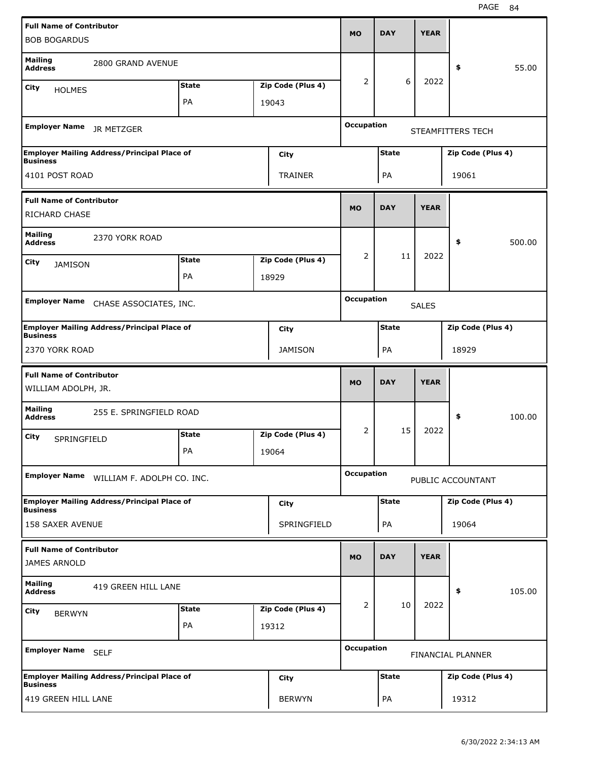| <b>Full Name of Contributor</b><br><b>BOB BOGARDUS</b> |                                                    |              |                   | <b>MO</b>         | <b>DAY</b>   | <b>YEAR</b>  |                   |        |
|--------------------------------------------------------|----------------------------------------------------|--------------|-------------------|-------------------|--------------|--------------|-------------------|--------|
|                                                        |                                                    |              |                   |                   |              |              |                   |        |
| <b>Mailing</b><br><b>Address</b>                       | 2800 GRAND AVENUE                                  |              |                   |                   |              |              | \$                | 55.00  |
| City<br><b>HOLMES</b>                                  |                                                    | <b>State</b> | Zip Code (Plus 4) | 2                 | 6            | 2022         |                   |        |
|                                                        |                                                    | PA           | 19043             |                   |              |              |                   |        |
| <b>Employer Name</b>                                   | JR METZGER                                         |              |                   | <b>Occupation</b> |              |              | STEAMFITTERS TECH |        |
| <b>Business</b>                                        | <b>Employer Mailing Address/Principal Place of</b> |              | City              |                   | <b>State</b> |              | Zip Code (Plus 4) |        |
| 4101 POST ROAD                                         |                                                    |              | TRAINER           |                   | PA           |              | 19061             |        |
| <b>Full Name of Contributor</b>                        |                                                    |              |                   |                   |              |              |                   |        |
| <b>RICHARD CHASE</b>                                   |                                                    |              |                   | <b>MO</b>         | <b>DAY</b>   | <b>YEAR</b>  |                   |        |
| <b>Mailing</b><br><b>Address</b>                       | 2370 YORK ROAD                                     |              |                   |                   |              |              | \$                | 500.00 |
| City<br><b>JAMISON</b>                                 |                                                    | <b>State</b> | Zip Code (Plus 4) | 2                 | 11           | 2022         |                   |        |
|                                                        |                                                    | PA           | 18929             |                   |              |              |                   |        |
| <b>Employer Name</b>                                   |                                                    |              |                   | <b>Occupation</b> |              |              |                   |        |
|                                                        | CHASE ASSOCIATES, INC.                             |              |                   |                   |              | <b>SALES</b> |                   |        |
| <b>Business</b>                                        | <b>Employer Mailing Address/Principal Place of</b> |              | City              |                   | <b>State</b> |              | Zip Code (Plus 4) |        |
| 2370 YORK ROAD                                         |                                                    |              | <b>JAMISON</b>    |                   | PA           |              | 18929             |        |
|                                                        |                                                    |              |                   |                   |              |              |                   |        |
| <b>Full Name of Contributor</b>                        |                                                    |              |                   |                   |              |              |                   |        |
| WILLIAM ADOLPH, JR.                                    |                                                    |              |                   | <b>MO</b>         | <b>DAY</b>   | <b>YEAR</b>  |                   |        |
| <b>Mailing</b><br><b>Address</b>                       | 255 E. SPRINGFIELD ROAD                            |              |                   |                   |              |              | \$                | 100.00 |
| City                                                   |                                                    | <b>State</b> | Zip Code (Plus 4) | 2                 | 15           | 2022         |                   |        |
| SPRINGFIELD                                            |                                                    | РA           | 19064             |                   |              |              |                   |        |
| <b>Employer Name</b>                                   | WILLIAM F. ADOLPH CO. INC.                         |              |                   | <b>Occupation</b> |              |              | PUBLIC ACCOUNTANT |        |
|                                                        | <b>Employer Mailing Address/Principal Place of</b> |              | <b>City</b>       |                   | <b>State</b> |              | Zip Code (Plus 4) |        |
| <b>Business</b><br>158 SAXER AVENUE                    |                                                    |              | SPRINGFIELD       |                   | PA           |              | 19064             |        |
| <b>Full Name of Contributor</b>                        |                                                    |              |                   |                   |              |              |                   |        |
| <b>JAMES ARNOLD</b>                                    |                                                    |              |                   | <b>MO</b>         | <b>DAY</b>   | <b>YEAR</b>  |                   |        |
| <b>Mailing</b><br><b>Address</b>                       | 419 GREEN HILL LANE                                |              |                   |                   |              |              | \$                | 105.00 |
| <b>City</b>                                            |                                                    | <b>State</b> | Zip Code (Plus 4) | $\overline{2}$    | 10           | 2022         |                   |        |
| <b>BERWYN</b>                                          |                                                    | PA           | 19312             |                   |              |              |                   |        |
| Employer Name SELF                                     |                                                    |              |                   | <b>Occupation</b> |              |              | FINANCIAL PLANNER |        |
| <b>Business</b>                                        | <b>Employer Mailing Address/Principal Place of</b> |              | City              |                   | <b>State</b> |              | Zip Code (Plus 4) |        |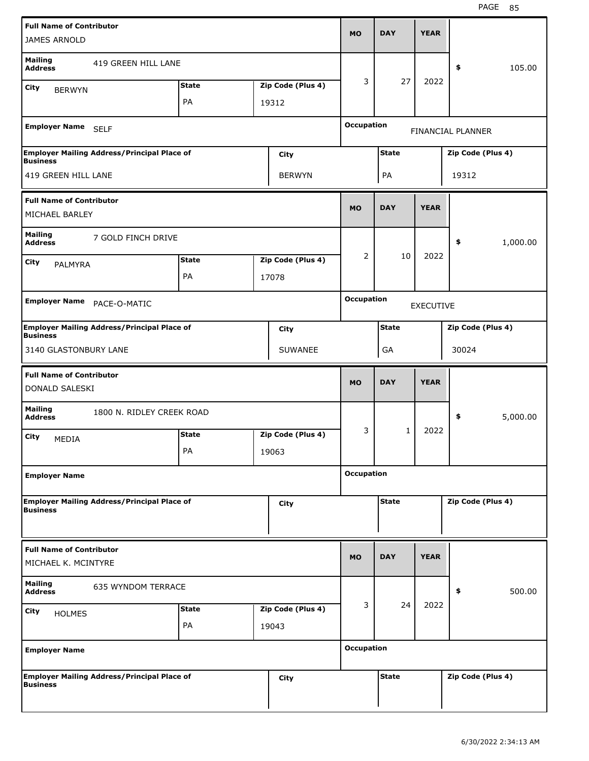| <b>Full Name of Contributor</b>                        |                                                    |              |                   | <b>MO</b>         | <b>DAY</b>   | <b>YEAR</b>      |                   |          |
|--------------------------------------------------------|----------------------------------------------------|--------------|-------------------|-------------------|--------------|------------------|-------------------|----------|
| <b>JAMES ARNOLD</b>                                    |                                                    |              |                   |                   |              |                  |                   |          |
| <b>Mailing</b><br><b>Address</b>                       | 419 GREEN HILL LANE                                |              |                   |                   |              |                  | \$                | 105.00   |
| City<br><b>BERWYN</b>                                  |                                                    | <b>State</b> | Zip Code (Plus 4) | 3                 | 27           | 2022             |                   |          |
|                                                        |                                                    | PA           | 19312             |                   |              |                  |                   |          |
| Employer Name SELF                                     |                                                    |              |                   | <b>Occupation</b> |              |                  | FINANCIAL PLANNER |          |
| Business                                               | <b>Employer Mailing Address/Principal Place of</b> |              | City              |                   | <b>State</b> |                  | Zip Code (Plus 4) |          |
| 419 GREEN HILL LANE                                    |                                                    |              | <b>BERWYN</b>     |                   | PA           |                  | 19312             |          |
| <b>Full Name of Contributor</b><br>MICHAEL BARLEY      |                                                    |              |                   | <b>MO</b>         | <b>DAY</b>   | <b>YEAR</b>      |                   |          |
| <b>Mailing</b><br><b>Address</b>                       | 7 GOLD FINCH DRIVE                                 |              |                   |                   |              |                  | \$                | 1,000.00 |
| City                                                   |                                                    | <b>State</b> | Zip Code (Plus 4) | $\overline{2}$    | 10           | 2022             |                   |          |
| <b>PALMYRA</b>                                         |                                                    | PA           | 17078             |                   |              |                  |                   |          |
|                                                        |                                                    |              |                   |                   |              |                  |                   |          |
| <b>Employer Name</b>                                   | PACE-O-MATIC                                       |              |                   | <b>Occupation</b> |              | <b>EXECUTIVE</b> |                   |          |
| <b>Business</b>                                        | <b>Employer Mailing Address/Principal Place of</b> |              | City              |                   | <b>State</b> |                  | Zip Code (Plus 4) |          |
| 3140 GLASTONBURY LANE                                  |                                                    |              | <b>SUWANEE</b>    |                   | GA           |                  | 30024             |          |
| <b>Full Name of Contributor</b>                        |                                                    |              |                   |                   |              |                  |                   |          |
| DONALD SALESKI                                         |                                                    |              |                   | <b>MO</b>         | <b>DAY</b>   | <b>YEAR</b>      |                   |          |
| <b>Mailing</b><br><b>Address</b>                       | 1800 N. RIDLEY CREEK ROAD                          |              |                   |                   |              |                  | \$                | 5,000.00 |
| City                                                   |                                                    | <b>State</b> | Zip Code (Plus 4) | 3                 | 1            | 2022             |                   |          |
| MEDIA                                                  |                                                    | PA           | 19063             |                   |              |                  |                   |          |
| <b>Employer Name</b>                                   |                                                    |              |                   | <b>Occupation</b> |              |                  |                   |          |
|                                                        | <b>Employer Mailing Address/Principal Place of</b> |              | City              |                   | <b>State</b> |                  | Zip Code (Plus 4) |          |
| <b>Business</b>                                        |                                                    |              |                   |                   |              |                  |                   |          |
| <b>Full Name of Contributor</b><br>MICHAEL K. MCINTYRE |                                                    |              |                   | <b>MO</b>         | <b>DAY</b>   | <b>YEAR</b>      |                   |          |
| <b>Mailing</b><br><b>Address</b>                       | 635 WYNDOM TERRACE                                 |              |                   |                   |              |                  | \$                | 500.00   |
| City<br><b>HOLMES</b>                                  |                                                    | <b>State</b> | Zip Code (Plus 4) | 3                 | 24           | 2022             |                   |          |
|                                                        |                                                    | PA           | 19043             |                   |              |                  |                   |          |
| <b>Employer Name</b>                                   |                                                    |              |                   | <b>Occupation</b> |              |                  |                   |          |
| <b>Business</b>                                        | <b>Employer Mailing Address/Principal Place of</b> |              | City              |                   | <b>State</b> |                  | Zip Code (Plus 4) |          |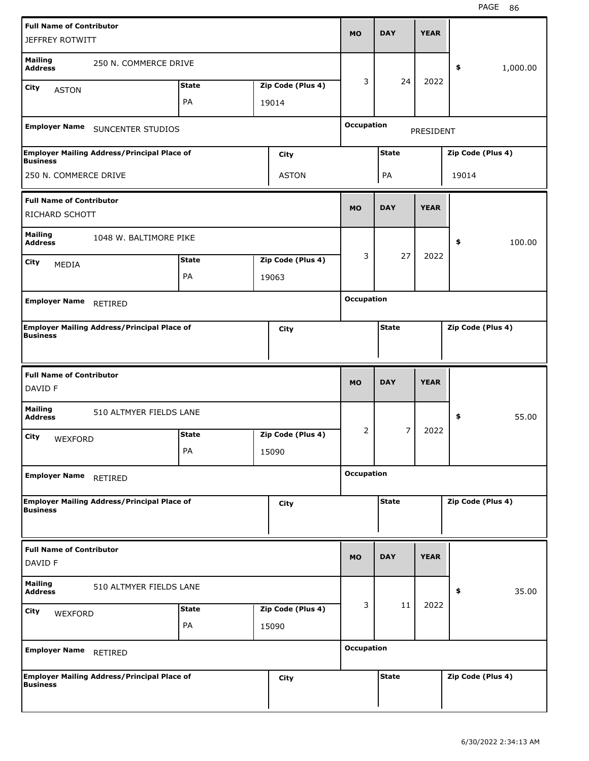| <b>Full Name of Contributor</b><br><b>JEFFREY ROTWITT</b> |                                                    |              |                   | <b>MO</b>         | <b>DAY</b>     | <b>YEAR</b>      |                   |          |
|-----------------------------------------------------------|----------------------------------------------------|--------------|-------------------|-------------------|----------------|------------------|-------------------|----------|
| <b>Mailing</b><br><b>Address</b>                          | 250 N. COMMERCE DRIVE                              |              |                   |                   |                |                  | \$                | 1,000.00 |
| City<br><b>ASTON</b>                                      |                                                    | <b>State</b> | Zip Code (Plus 4) | 3                 | 24             | 2022             |                   |          |
|                                                           |                                                    | PA           | 19014             |                   |                |                  |                   |          |
|                                                           | Employer Name SUNCENTER STUDIOS                    |              |                   | <b>Occupation</b> |                | <b>PRESIDENT</b> |                   |          |
| <b>Business</b>                                           | <b>Employer Mailing Address/Principal Place of</b> |              | City              |                   | <b>State</b>   |                  | Zip Code (Plus 4) |          |
| 250 N. COMMERCE DRIVE                                     |                                                    |              | <b>ASTON</b>      |                   | PA             |                  | 19014             |          |
| <b>Full Name of Contributor</b><br>RICHARD SCHOTT         |                                                    |              |                   | <b>MO</b>         | <b>DAY</b>     | <b>YEAR</b>      |                   |          |
| <b>Mailing</b><br><b>Address</b>                          | 1048 W. BALTIMORE PIKE                             |              |                   |                   |                |                  | \$                | 100.00   |
| City<br>MEDIA                                             |                                                    | <b>State</b> | Zip Code (Plus 4) | 3                 | 27             | 2022             |                   |          |
|                                                           |                                                    | PA           | 19063             |                   |                |                  |                   |          |
|                                                           |                                                    |              |                   |                   |                |                  |                   |          |
| <b>Employer Name</b>                                      | RETIRED                                            |              |                   | <b>Occupation</b> |                |                  |                   |          |
| <b>Business</b>                                           | <b>Employer Mailing Address/Principal Place of</b> |              | City              |                   | <b>State</b>   |                  | Zip Code (Plus 4) |          |
|                                                           |                                                    |              |                   |                   |                |                  |                   |          |
| <b>Full Name of Contributor</b><br>DAVID F                |                                                    |              |                   | <b>MO</b>         | <b>DAY</b>     | <b>YEAR</b>      |                   |          |
| <b>Mailing</b><br><b>Address</b>                          | 510 ALTMYER FIELDS LANE                            |              |                   |                   |                |                  | \$                | 55.00    |
| City<br>WEXFORD                                           |                                                    | <b>State</b> | Zip Code (Plus 4) | 2                 | $\overline{7}$ | 2022             |                   |          |
|                                                           |                                                    | PA           | 15090             |                   |                |                  |                   |          |
| <b>Employer Name</b>                                      | RETIRED                                            |              |                   | <b>Occupation</b> |                |                  |                   |          |
| <b>Business</b>                                           | <b>Employer Mailing Address/Principal Place of</b> |              | City              |                   | <b>State</b>   |                  | Zip Code (Plus 4) |          |
| <b>Full Name of Contributor</b><br>DAVID F                |                                                    |              |                   | <b>MO</b>         | <b>DAY</b>     | <b>YEAR</b>      |                   |          |
| <b>Mailing</b><br><b>Address</b>                          | 510 ALTMYER FIELDS LANE                            |              |                   |                   |                |                  | \$                | 35.00    |
| City                                                      |                                                    | <b>State</b> | Zip Code (Plus 4) | 3                 | 11             | 2022             |                   |          |
| WEXFORD                                                   |                                                    | PA           | 15090             |                   |                |                  |                   |          |
| <b>Employer Name</b>                                      | RETIRED                                            |              |                   | <b>Occupation</b> |                |                  |                   |          |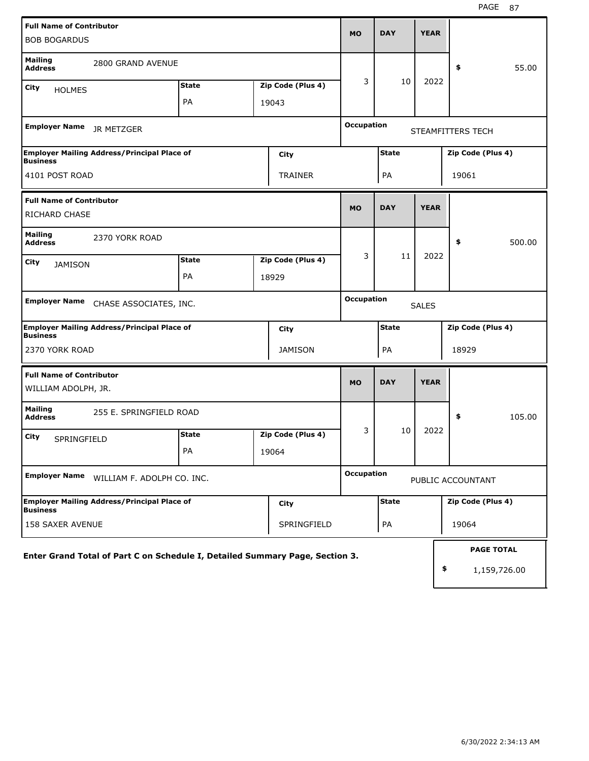| <b>Full Name of Contributor</b><br><b>BOB BOGARDUS</b>                       |              |       |                   | <b>MO</b>         | <b>DAY</b>   | <b>YEAR</b>  |                                         |
|------------------------------------------------------------------------------|--------------|-------|-------------------|-------------------|--------------|--------------|-----------------------------------------|
| <b>Mailing</b><br>2800 GRAND AVENUE<br><b>Address</b>                        |              |       |                   |                   |              |              | 55.00<br>\$                             |
| City<br><b>HOLMES</b>                                                        | <b>State</b> |       | Zip Code (Plus 4) | 3                 | 10           | 2022         |                                         |
|                                                                              | PA           | 19043 |                   |                   |              |              |                                         |
| <b>Employer Name</b><br>JR METZGER                                           |              |       |                   | <b>Occupation</b> |              |              | STEAMFITTERS TECH                       |
| Employer Mailing Address/Principal Place of<br><b>Business</b>               |              |       | <b>City</b>       |                   | <b>State</b> |              | Zip Code (Plus 4)                       |
| 4101 POST ROAD                                                               |              |       | TRAINER           |                   | PA           |              | 19061                                   |
| <b>Full Name of Contributor</b>                                              |              |       |                   | <b>MO</b>         | <b>DAY</b>   | <b>YEAR</b>  |                                         |
| <b>RICHARD CHASE</b>                                                         |              |       |                   |                   |              |              |                                         |
| <b>Mailing</b><br>2370 YORK ROAD<br><b>Address</b>                           |              |       |                   |                   |              |              | \$<br>500.00                            |
| City<br><b>JAMISON</b>                                                       | <b>State</b> |       | Zip Code (Plus 4) | 3                 | 11           | 2022         |                                         |
|                                                                              | PA           | 18929 |                   |                   |              |              |                                         |
| Employer Name CHASE ASSOCIATES, INC.                                         |              |       |                   | <b>Occupation</b> |              | <b>SALES</b> |                                         |
| <b>Employer Mailing Address/Principal Place of</b><br><b>Business</b>        |              |       | City              |                   | <b>State</b> |              | Zip Code (Plus 4)                       |
| 2370 YORK ROAD                                                               |              |       | <b>JAMISON</b>    |                   | PA           |              | 18929                                   |
| <b>Full Name of Contributor</b><br>WILLIAM ADOLPH, JR.                       |              |       |                   | <b>MO</b>         | <b>DAY</b>   | <b>YEAR</b>  |                                         |
| <b>Mailing</b><br>255 E. SPRINGFIELD ROAD<br><b>Address</b>                  |              |       |                   |                   |              |              | \$<br>105.00                            |
| City<br>SPRINGFIELD                                                          | <b>State</b> |       | Zip Code (Plus 4) | 3                 | 10           | 2022         |                                         |
|                                                                              | PA           | 19064 |                   |                   |              |              |                                         |
| <b>Employer Name</b><br>WILLIAM F. ADOLPH CO. INC.                           |              |       |                   | <b>Occupation</b> |              |              | PUBLIC ACCOUNTANT                       |
| <b>Employer Mailing Address/Principal Place of</b><br><b>Business</b>        |              |       | City              |                   | <b>State</b> |              | Zip Code (Plus 4)                       |
| <b>158 SAXER AVENUE</b>                                                      |              |       | SPRINGFIELD       |                   | PA           |              | 19064                                   |
| Enter Grand Total of Part C on Schedule I, Detailed Summary Page, Section 3. |              |       |                   |                   |              |              | <b>PAGE TOTAL</b><br>\$<br>1,159,726.00 |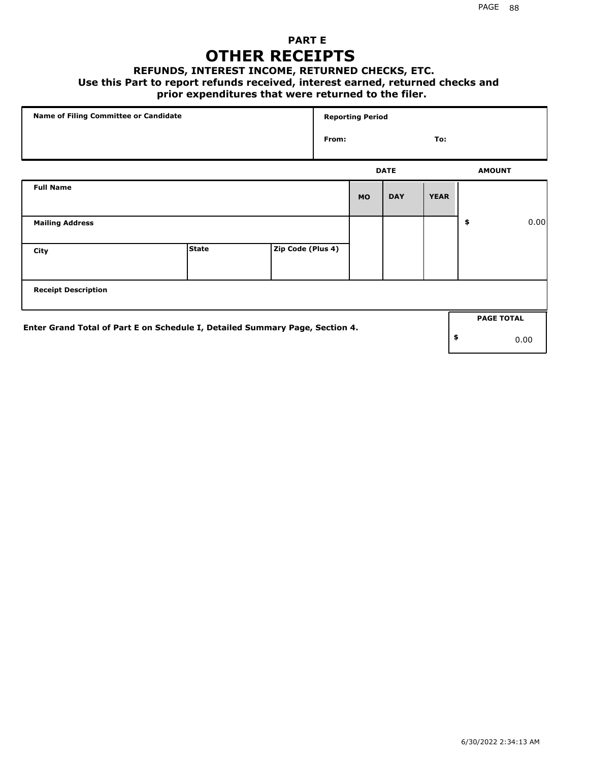### **PART E OTHER RECEIPTS**

#### **REFUNDS, INTEREST INCOME, RETURNED CHECKS, ETC.**

#### **Use this Part to report refunds received, interest earned, returned checks and**

### **prior expenditures that were returned to the filer.**

| Name of Filing Committee or Candidate                                        |              |                   |       | <b>Reporting Period</b> |             |             |                   |      |
|------------------------------------------------------------------------------|--------------|-------------------|-------|-------------------------|-------------|-------------|-------------------|------|
|                                                                              |              |                   | From: |                         |             | To:         |                   |      |
|                                                                              |              |                   |       |                         | <b>DATE</b> |             | <b>AMOUNT</b>     |      |
| <b>Full Name</b>                                                             |              |                   |       | <b>MO</b>               | <b>DAY</b>  | <b>YEAR</b> |                   |      |
| <b>Mailing Address</b>                                                       |              |                   |       |                         |             |             | \$                | 0.00 |
| City                                                                         | <b>State</b> | Zip Code (Plus 4) |       |                         |             |             |                   |      |
| <b>Receipt Description</b>                                                   |              |                   |       |                         |             |             |                   |      |
| Enter Grand Total of Part E on Schedule I, Detailed Summary Page, Section 4. |              |                   |       |                         |             |             | <b>PAGE TOTAL</b> |      |
|                                                                              |              |                   |       |                         |             |             | \$                | 0.00 |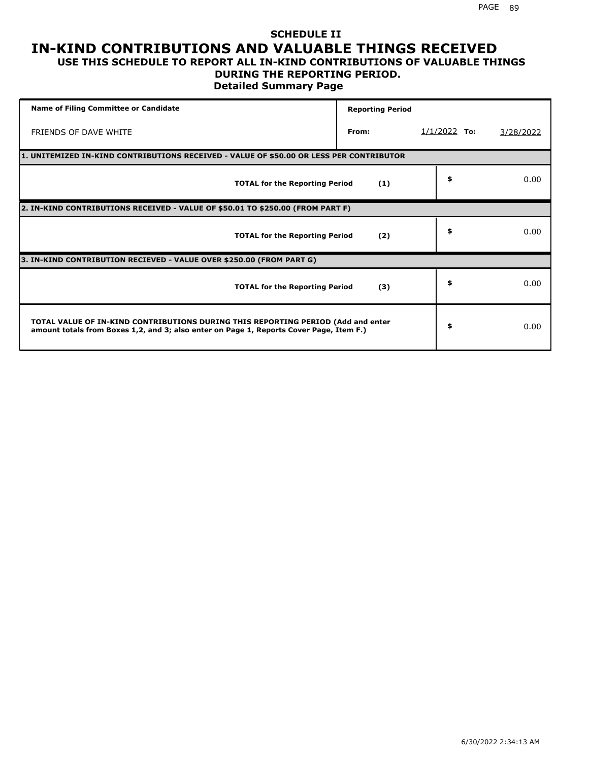#### **SCHEDULE II IN-KIND CONTRIBUTIONS AND VALUABLE THINGS RECEIVED USE THIS SCHEDULE TO REPORT ALL IN-KIND CONTRIBUTIONS OF VALUABLE THINGS**

# **DURING THE REPORTING PERIOD.**

**Detailed Summary Page**

| <b>Name of Filing Committee or Candidate</b>                                                                                                                                | <b>Reporting Period</b> |                |           |
|-----------------------------------------------------------------------------------------------------------------------------------------------------------------------------|-------------------------|----------------|-----------|
| FRIENDS OF DAVE WHITE                                                                                                                                                       | From:                   | $1/1/2022$ To: | 3/28/2022 |
| 1. UNITEMIZED IN-KIND CONTRIBUTIONS RECEIVED - VALUE OF \$50.00 OR LESS PER CONTRIBUTOR                                                                                     |                         |                |           |
| <b>TOTAL for the Reporting Period</b>                                                                                                                                       | (1)                     | \$             | 0.00      |
| 2. IN-KIND CONTRIBUTIONS RECEIVED - VALUE OF \$50.01 TO \$250.00 (FROM PART F)                                                                                              |                         |                |           |
| <b>TOTAL for the Reporting Period</b>                                                                                                                                       | (2)                     | \$             | 0.00      |
| 3. IN-KIND CONTRIBUTION RECIEVED - VALUE OVER \$250.00 (FROM PART G)                                                                                                        |                         |                |           |
| <b>TOTAL for the Reporting Period</b>                                                                                                                                       | (3)                     | \$             | 0.00      |
| TOTAL VALUE OF IN-KIND CONTRIBUTIONS DURING THIS REPORTING PERIOD (Add and enter<br>amount totals from Boxes 1,2, and 3; also enter on Page 1, Reports Cover Page, Item F.) |                         | \$             | 0.00      |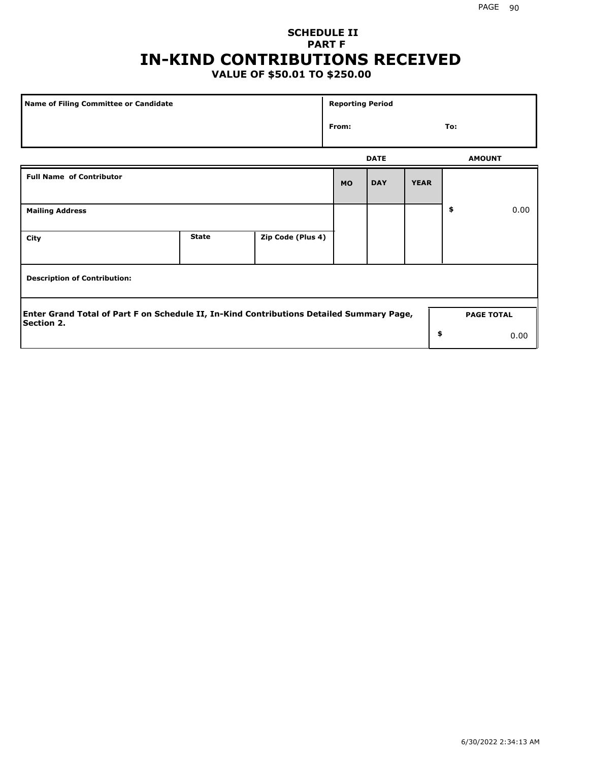## **SCHEDULE II PART F IN-KIND CONTRIBUTIONS RECEIVED**

## **VALUE OF \$50.01 TO \$250.00**

| <b>Name of Filing Committee or Candidate</b>                                                                  |              |                   | <b>Reporting Period</b> |             |             |                   |      |
|---------------------------------------------------------------------------------------------------------------|--------------|-------------------|-------------------------|-------------|-------------|-------------------|------|
|                                                                                                               |              |                   | From:                   |             |             | To:               |      |
|                                                                                                               |              |                   |                         | <b>DATE</b> |             | <b>AMOUNT</b>     |      |
| <b>Full Name of Contributor</b>                                                                               |              |                   | <b>MO</b>               | <b>DAY</b>  | <b>YEAR</b> |                   |      |
| <b>Mailing Address</b>                                                                                        |              |                   |                         |             |             | \$                | 0.00 |
| City                                                                                                          | <b>State</b> | Zip Code (Plus 4) |                         |             |             |                   |      |
| <b>Description of Contribution:</b>                                                                           |              |                   |                         |             |             |                   |      |
| Enter Grand Total of Part F on Schedule II, In-Kind Contributions Detailed Summary Page,<br><b>Section 2.</b> |              |                   |                         |             |             | <b>PAGE TOTAL</b> |      |
|                                                                                                               |              |                   |                         |             | \$          |                   | 0.00 |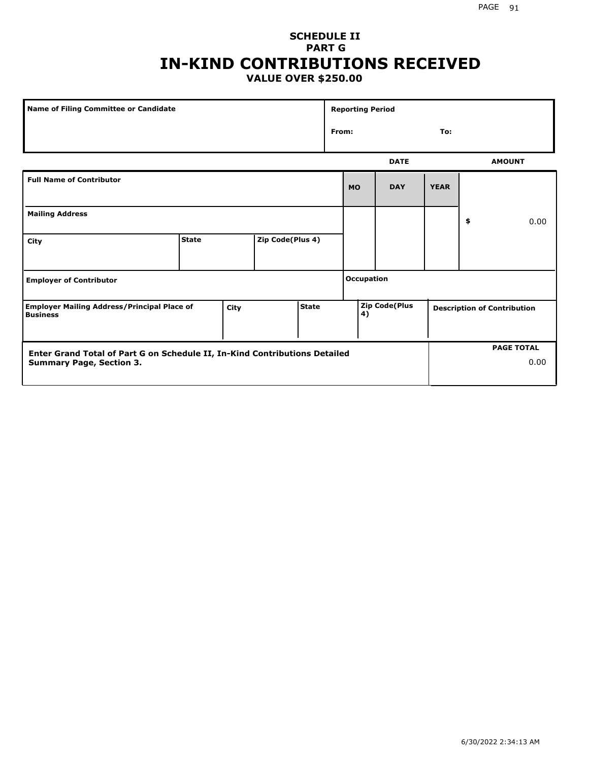### **SCHEDULE II PART G IN-KIND CONTRIBUTIONS RECEIVED VALUE OVER \$250.00**

| <b>Name of Filing Committee or Candidate</b>                                                                  |              |      |                  |              |       | <b>Reporting Period</b> |                      |             |                                    |
|---------------------------------------------------------------------------------------------------------------|--------------|------|------------------|--------------|-------|-------------------------|----------------------|-------------|------------------------------------|
|                                                                                                               |              |      |                  |              | From: |                         |                      | To:         |                                    |
|                                                                                                               |              |      |                  |              |       |                         | <b>DATE</b>          |             | <b>AMOUNT</b>                      |
| <b>Full Name of Contributor</b>                                                                               |              |      |                  |              |       | <b>MO</b>               | <b>DAY</b>           | <b>YEAR</b> |                                    |
| <b>Mailing Address</b>                                                                                        |              |      |                  |              |       |                         |                      |             | \$<br>0.00                         |
| City                                                                                                          | <b>State</b> |      | Zip Code(Plus 4) |              |       |                         |                      |             |                                    |
| <b>Employer of Contributor</b>                                                                                |              |      |                  |              |       | <b>Occupation</b>       |                      |             |                                    |
| <b>Employer Mailing Address/Principal Place of</b><br><b>Business</b>                                         |              | City |                  | <b>State</b> |       | 4)                      | <b>Zip Code(Plus</b> |             | <b>Description of Contribution</b> |
| Enter Grand Total of Part G on Schedule II, In-Kind Contributions Detailed<br><b>Summary Page, Section 3.</b> |              |      |                  |              |       |                         |                      |             | <b>PAGE TOTAL</b><br>0.00          |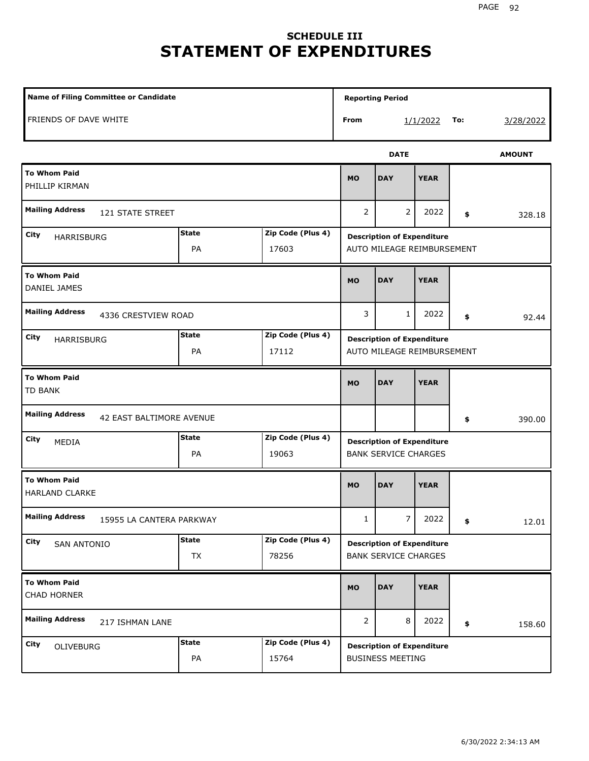# **SCHEDULE III STATEMENT OF EXPENDITURES**

| Name of Filing Committee or Candidate              |                           |                            |                | <b>Reporting Period</b>                                          |             |     |               |
|----------------------------------------------------|---------------------------|----------------------------|----------------|------------------------------------------------------------------|-------------|-----|---------------|
| FRIENDS OF DAVE WHITE                              |                           |                            | From           |                                                                  | 1/1/2022    | To: | 3/28/2022     |
|                                                    |                           |                            |                | <b>DATE</b>                                                      |             |     | <b>AMOUNT</b> |
| <b>To Whom Paid</b><br>PHILLIP KIRMAN              |                           |                            | <b>MO</b>      | <b>DAY</b>                                                       | <b>YEAR</b> |     |               |
| <b>Mailing Address</b><br>121 STATE STREET         |                           |                            | 2              | 2                                                                | 2022        | \$  | 328.18        |
| City<br>HARRISBURG                                 | <b>State</b><br>PA        | Zip Code (Plus 4)<br>17603 |                | <b>Description of Expenditure</b><br>AUTO MILEAGE REIMBURSEMENT  |             |     |               |
| <b>To Whom Paid</b><br>DANIEL JAMES                |                           |                            | <b>MO</b>      | <b>DAY</b>                                                       | <b>YEAR</b> |     |               |
| <b>Mailing Address</b><br>4336 CRESTVIEW ROAD      |                           |                            | 3              | 1                                                                | 2022        | \$  | 92.44         |
| City<br>HARRISBURG                                 | <b>State</b><br>PA        | Zip Code (Plus 4)<br>17112 |                | <b>Description of Expenditure</b><br>AUTO MILEAGE REIMBURSEMENT  |             |     |               |
| <b>To Whom Paid</b><br><b>TD BANK</b>              |                           |                            | <b>MO</b>      | <b>DAY</b>                                                       | <b>YEAR</b> |     |               |
| <b>Mailing Address</b><br>42 EAST BALTIMORE AVENUE |                           |                            |                |                                                                  |             | \$  | 390.00        |
| City<br>MEDIA                                      | <b>State</b><br>PA        | Zip Code (Plus 4)<br>19063 |                | <b>Description of Expenditure</b><br><b>BANK SERVICE CHARGES</b> |             |     |               |
| <b>To Whom Paid</b><br><b>HARLAND CLARKE</b>       |                           |                            | <b>MO</b>      | <b>DAY</b>                                                       | <b>YEAR</b> |     |               |
| <b>Mailing Address</b><br>15955 LA CANTERA PARKWAY |                           |                            | $\mathbf{1}$   | $\overline{7}$                                                   | 2022        | \$  | 12.01         |
| City<br>SAN ANTONIO                                | <b>State</b><br><b>TX</b> | Zip Code (Plus 4)<br>78256 |                | <b>Description of Expenditure</b><br><b>BANK SERVICE CHARGES</b> |             |     |               |
| <b>To Whom Paid</b><br>CHAD HORNER                 |                           |                            | <b>MO</b>      | <b>DAY</b>                                                       | <b>YEAR</b> |     |               |
| <b>Mailing Address</b><br>217 ISHMAN LANE          |                           |                            | $\overline{2}$ | 8                                                                | 2022        | \$  | 158.60        |
| City<br>OLIVEBURG                                  | <b>State</b><br>PA        | Zip Code (Plus 4)<br>15764 |                | <b>Description of Expenditure</b><br><b>BUSINESS MEETING</b>     |             |     |               |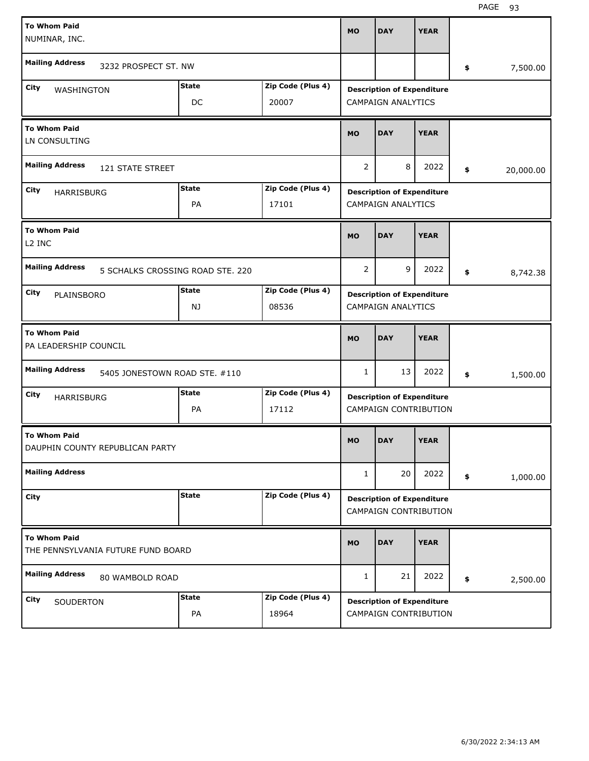| <b>To Whom Paid</b><br>NUMINAR, INC.                      |                                  |                   | <b>MO</b>      | <b>DAY</b>                                                 | <b>YEAR</b> |     |           |
|-----------------------------------------------------------|----------------------------------|-------------------|----------------|------------------------------------------------------------|-------------|-----|-----------|
| <b>Mailing Address</b>                                    | 3232 PROSPECT ST. NW             |                   |                |                                                            |             | \$  | 7,500.00  |
| City<br>WASHINGTON                                        | <b>State</b>                     | Zip Code (Plus 4) |                | <b>Description of Expenditure</b>                          |             |     |           |
|                                                           | DC                               | 20007             |                | <b>CAMPAIGN ANALYTICS</b>                                  |             |     |           |
| <b>To Whom Paid</b><br>LN CONSULTING                      |                                  |                   | <b>MO</b>      | <b>DAY</b>                                                 | <b>YEAR</b> |     |           |
| <b>Mailing Address</b>                                    | 121 STATE STREET                 |                   | 2              | 8                                                          | 2022        | \$  | 20,000.00 |
| City<br><b>HARRISBURG</b>                                 | <b>State</b>                     | Zip Code (Plus 4) |                | <b>Description of Expenditure</b>                          |             |     |           |
|                                                           | PA                               | 17101             |                | <b>CAMPAIGN ANALYTICS</b>                                  |             |     |           |
| <b>To Whom Paid</b><br>L <sub>2</sub> INC                 |                                  |                   | <b>MO</b>      | <b>DAY</b>                                                 | <b>YEAR</b> |     |           |
| <b>Mailing Address</b>                                    | 5 SCHALKS CROSSING ROAD STE, 220 |                   | $\overline{2}$ | 9                                                          | 2022        | \$. | 8,742.38  |
| City<br>PLAINSBORO                                        | <b>State</b>                     | Zip Code (Plus 4) |                | <b>Description of Expenditure</b>                          |             |     |           |
|                                                           | NJ                               | 08536             |                | <b>CAMPAIGN ANALYTICS</b>                                  |             |     |           |
|                                                           |                                  |                   |                |                                                            |             |     |           |
| <b>To Whom Paid</b><br>PA LEADERSHIP COUNCIL              |                                  |                   | <b>MO</b>      | <b>DAY</b>                                                 | <b>YEAR</b> |     |           |
| <b>Mailing Address</b>                                    | 5405 JONESTOWN ROAD STE. #110    |                   | 1              | 13                                                         | 2022        | \$  | 1,500.00  |
| City<br><b>HARRISBURG</b>                                 | <b>State</b>                     | Zip Code (Plus 4) |                | <b>Description of Expenditure</b>                          |             |     |           |
|                                                           | PA                               | 17112             |                | <b>CAMPAIGN CONTRIBUTION</b>                               |             |     |           |
| <b>To Whom Paid</b><br>DAUPHIN COUNTY REPUBLICAN PARTY    |                                  |                   | <b>MO</b>      | <b>DAY</b>                                                 | <b>YEAR</b> |     |           |
| <b>Mailing Address</b>                                    |                                  |                   | $\mathbf{1}$   | 20                                                         | 2022        | \$  | 1,000.00  |
| City                                                      | <b>State</b>                     | Zip Code (Plus 4) |                | <b>Description of Expenditure</b><br>CAMPAIGN CONTRIBUTION |             |     |           |
| <b>To Whom Paid</b><br>THE PENNSYLVANIA FUTURE FUND BOARD |                                  |                   | <b>MO</b>      | <b>DAY</b>                                                 | <b>YEAR</b> |     |           |
| <b>Mailing Address</b>                                    | 80 WAMBOLD ROAD                  |                   | $\mathbf{1}$   | 21                                                         | 2022        | \$  | 2,500.00  |
| City<br>SOUDERTON                                         | <b>State</b>                     | Zip Code (Plus 4) |                | <b>Description of Expenditure</b>                          |             |     |           |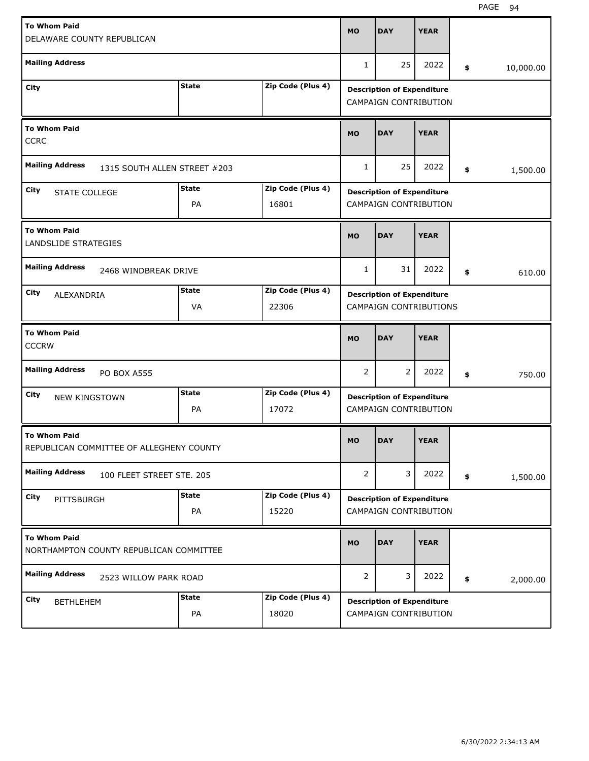| <b>To Whom Paid</b><br>DELAWARE COUNTY REPUBLICAN               |                    |                            | <b>MO</b> | <b>DAY</b>                                                        | <b>YEAR</b> |                 |
|-----------------------------------------------------------------|--------------------|----------------------------|-----------|-------------------------------------------------------------------|-------------|-----------------|
| <b>Mailing Address</b>                                          |                    |                            | 1         | 25                                                                | 2022        | \$<br>10,000.00 |
| City                                                            | <b>State</b>       | Zip Code (Plus 4)          |           | <b>Description of Expenditure</b><br><b>CAMPAIGN CONTRIBUTION</b> |             |                 |
| <b>To Whom Paid</b><br><b>CCRC</b>                              |                    |                            | <b>MO</b> | <b>DAY</b>                                                        | <b>YEAR</b> |                 |
| <b>Mailing Address</b><br>1315 SOUTH ALLEN STREET #203          |                    |                            | 1         | 25                                                                | 2022        | \$<br>1,500.00  |
| City<br><b>STATE COLLEGE</b>                                    | <b>State</b><br>PA | Zip Code (Plus 4)<br>16801 |           | <b>Description of Expenditure</b><br><b>CAMPAIGN CONTRIBUTION</b> |             |                 |
| <b>To Whom Paid</b><br>LANDSLIDE STRATEGIES                     |                    |                            | <b>MO</b> | <b>DAY</b>                                                        | <b>YEAR</b> |                 |
| <b>Mailing Address</b><br>2468 WINDBREAK DRIVE                  |                    |                            | 1         | 31                                                                | 2022        | \$<br>610.00    |
| City<br>ALEXANDRIA                                              | <b>State</b><br>VA | Zip Code (Plus 4)<br>22306 |           | <b>Description of Expenditure</b><br>CAMPAIGN CONTRIBUTIONS       |             |                 |
| <b>To Whom Paid</b><br><b>CCCRW</b>                             |                    |                            | <b>MO</b> | <b>DAY</b>                                                        | <b>YEAR</b> |                 |
| <b>Mailing Address</b><br><b>PO BOX A555</b>                    |                    |                            | 2         | $\overline{2}$                                                    | 2022        | \$<br>750.00    |
| City<br><b>NEW KINGSTOWN</b>                                    | <b>State</b><br>PA | Zip Code (Plus 4)<br>17072 |           | <b>Description of Expenditure</b><br><b>CAMPAIGN CONTRIBUTION</b> |             |                 |
| <b>To Whom Paid</b><br>REPUBLICAN COMMITTEE OF ALLEGHENY COUNTY |                    |                            | <b>MO</b> | <b>DAY</b>                                                        | <b>YEAR</b> |                 |
| <b>Mailing Address</b><br>100 FLEET STREET STE. 205             |                    |                            | 2         | 3                                                                 | 2022        | \$<br>1,500.00  |
|                                                                 |                    |                            |           |                                                                   |             |                 |
| City<br>PITTSBURGH                                              | <b>State</b><br>PA | Zip Code (Plus 4)<br>15220 |           | <b>Description of Expenditure</b><br>CAMPAIGN CONTRIBUTION        |             |                 |
| <b>To Whom Paid</b><br>NORTHAMPTON COUNTY REPUBLICAN COMMITTEE  |                    |                            | <b>MO</b> | <b>DAY</b>                                                        | <b>YEAR</b> |                 |
| <b>Mailing Address</b><br>2523 WILLOW PARK ROAD                 |                    |                            | 2         | 3                                                                 | 2022        | \$<br>2,000.00  |

H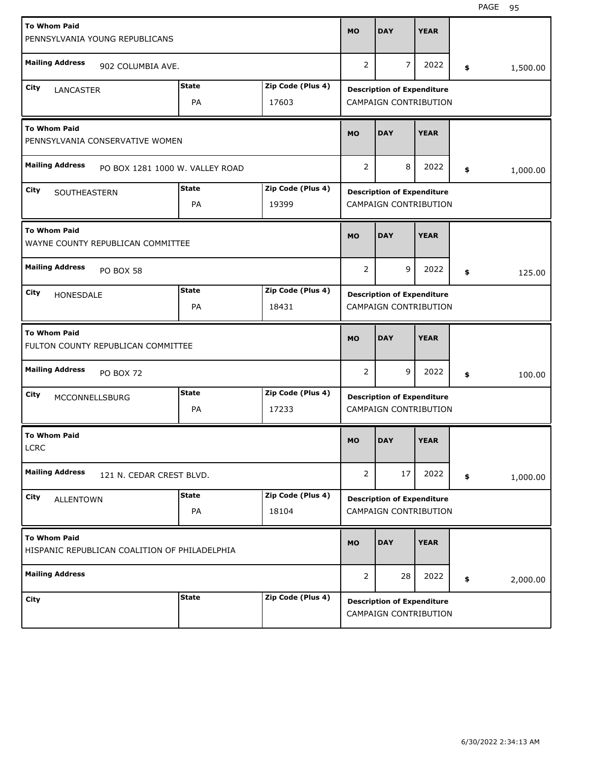| <b>To Whom Paid</b><br>PENNSYLVANIA YOUNG REPUBLICANS                |                          |                                 |                   | <b>MO</b>      | <b>DAY</b>                                                 | <b>YEAR</b> |                |
|----------------------------------------------------------------------|--------------------------|---------------------------------|-------------------|----------------|------------------------------------------------------------|-------------|----------------|
| <b>Mailing Address</b>                                               | 902 COLUMBIA AVE.        |                                 |                   | $\overline{2}$ | $\overline{7}$                                             | 2022        | \$<br>1,500.00 |
| City<br><b>LANCASTER</b>                                             |                          | <b>State</b>                    | Zip Code (Plus 4) |                | <b>Description of Expenditure</b>                          |             |                |
|                                                                      |                          | PA                              | 17603             |                | CAMPAIGN CONTRIBUTION                                      |             |                |
| <b>To Whom Paid</b><br>PENNSYLVANIA CONSERVATIVE WOMEN               |                          |                                 |                   | <b>MO</b>      | <b>DAY</b>                                                 | <b>YEAR</b> |                |
| <b>Mailing Address</b>                                               |                          | PO BOX 1281 1000 W. VALLEY ROAD |                   | $\overline{2}$ | 8                                                          | 2022        | \$<br>1,000.00 |
| City<br>SOUTHEASTERN                                                 |                          | <b>State</b>                    | Zip Code (Plus 4) |                | <b>Description of Expenditure</b>                          |             |                |
|                                                                      |                          | PA                              | 19399             |                | CAMPAIGN CONTRIBUTION                                      |             |                |
| <b>To Whom Paid</b><br>WAYNE COUNTY REPUBLICAN COMMITTEE             |                          |                                 |                   | <b>MO</b>      | <b>DAY</b>                                                 | <b>YEAR</b> |                |
| <b>Mailing Address</b>                                               | PO BOX 58                |                                 |                   | 2              | 9                                                          | 2022        | \$<br>125.00   |
| City<br>HONESDALE                                                    |                          | <b>State</b>                    | Zip Code (Plus 4) |                | <b>Description of Expenditure</b>                          |             |                |
|                                                                      |                          | PA                              | 18431             |                | CAMPAIGN CONTRIBUTION                                      |             |                |
|                                                                      |                          |                                 |                   |                |                                                            |             |                |
| <b>To Whom Paid</b><br>FULTON COUNTY REPUBLICAN COMMITTEE            |                          |                                 |                   | <b>MO</b>      | <b>DAY</b>                                                 | <b>YEAR</b> |                |
| <b>Mailing Address</b>                                               | <b>PO BOX 72</b>         |                                 |                   | 2              | 9                                                          | 2022        | \$<br>100.00   |
| City<br><b>MCCONNELLSBURG</b>                                        |                          | <b>State</b>                    | Zip Code (Plus 4) |                | <b>Description of Expenditure</b>                          |             |                |
|                                                                      |                          | PA                              | 17233             |                | CAMPAIGN CONTRIBUTION                                      |             |                |
| <b>To Whom Paid</b><br><b>LCRC</b>                                   |                          |                                 |                   | <b>MO</b>      | <b>DAY</b>                                                 | <b>YEAR</b> |                |
| <b>Mailing Address</b>                                               | 121 N. CEDAR CREST BLVD. |                                 |                   | $\overline{2}$ | 17                                                         | 2022        | \$<br>1,000.00 |
| City                                                                 |                          | <b>State</b>                    | Zip Code (Plus 4) |                |                                                            |             |                |
| <b>ALLENTOWN</b>                                                     |                          | PA                              | 18104             |                | <b>Description of Expenditure</b><br>CAMPAIGN CONTRIBUTION |             |                |
| <b>To Whom Paid</b><br>HISPANIC REPUBLICAN COALITION OF PHILADELPHIA |                          |                                 |                   | <b>MO</b>      | <b>DAY</b>                                                 | <b>YEAR</b> |                |
| <b>Mailing Address</b>                                               |                          |                                 |                   | $\overline{2}$ | 28                                                         | 2022        | \$<br>2,000.00 |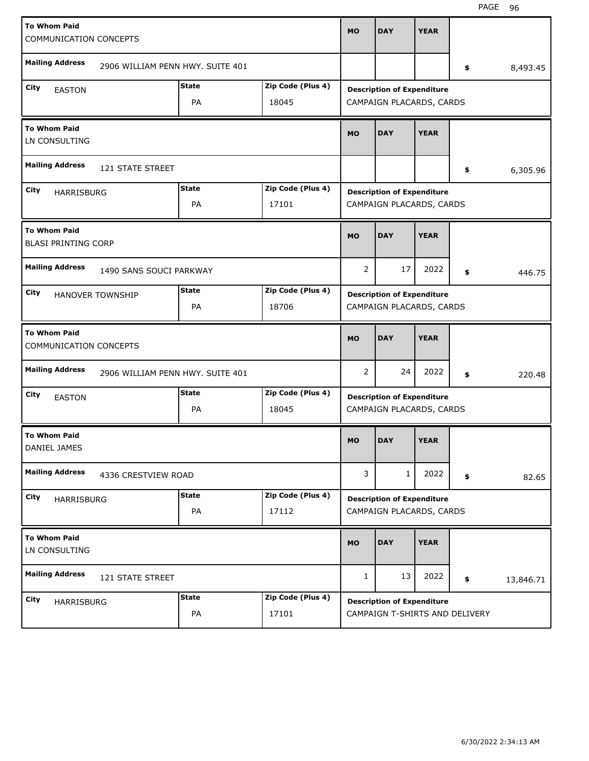| <b>To Whom Paid</b><br>COMMUNICATION CONCEPTS     |                                  |              |                   | <b>MO</b> | <b>DAY</b>                                                    | <b>YEAR</b> |                 |
|---------------------------------------------------|----------------------------------|--------------|-------------------|-----------|---------------------------------------------------------------|-------------|-----------------|
| <b>Mailing Address</b>                            | 2906 WILLIAM PENN HWY. SUITE 401 |              |                   |           |                                                               |             | \$<br>8,493.45  |
| City                                              |                                  | <b>State</b> | Zip Code (Plus 4) |           |                                                               |             |                 |
| <b>EASTON</b>                                     |                                  | PA           | 18045             |           | <b>Description of Expenditure</b><br>CAMPAIGN PLACARDS, CARDS |             |                 |
| <b>To Whom Paid</b><br>LN CONSULTING              |                                  |              |                   | <b>MO</b> | <b>DAY</b>                                                    | <b>YEAR</b> |                 |
| <b>Mailing Address</b>                            | 121 STATE STREET                 |              |                   |           |                                                               |             | \$<br>6,305.96  |
| City                                              |                                  | <b>State</b> | Zip Code (Plus 4) |           | <b>Description of Expenditure</b>                             |             |                 |
| <b>HARRISBURG</b>                                 |                                  | PA           | 17101             |           | CAMPAIGN PLACARDS, CARDS                                      |             |                 |
| <b>To Whom Paid</b><br><b>BLASI PRINTING CORP</b> |                                  |              |                   | <b>MO</b> | <b>DAY</b>                                                    | <b>YEAR</b> |                 |
| <b>Mailing Address</b>                            | 1490 SANS SOUCI PARKWAY          |              |                   | 2         | 17                                                            | 2022        | \$<br>446.75    |
| City                                              | <b>HANOVER TOWNSHIP</b>          | <b>State</b> | Zip Code (Plus 4) |           | <b>Description of Expenditure</b>                             |             |                 |
|                                                   |                                  | PA           | 18706             |           | CAMPAIGN PLACARDS, CARDS                                      |             |                 |
|                                                   |                                  |              |                   |           |                                                               |             |                 |
| <b>To Whom Paid</b><br>COMMUNICATION CONCEPTS     |                                  |              |                   | <b>MO</b> | <b>DAY</b>                                                    | <b>YEAR</b> |                 |
| <b>Mailing Address</b>                            | 2906 WILLIAM PENN HWY. SUITE 401 |              |                   | 2         | 24                                                            | 2022        | \$<br>220.48    |
| City                                              |                                  | <b>State</b> | Zip Code (Plus 4) |           |                                                               |             |                 |
| <b>EASTON</b>                                     |                                  | PA           | 18045             |           | <b>Description of Expenditure</b><br>CAMPAIGN PLACARDS, CARDS |             |                 |
| <b>To Whom Paid</b><br>DANIEL JAMES               |                                  |              |                   | <b>MO</b> | <b>DAY</b>                                                    | <b>YEAR</b> |                 |
| <b>Mailing Address</b>                            | 4336 CRESTVIEW ROAD              |              |                   | 3         | $\mathbf{1}$                                                  | 2022        | \$<br>82.65     |
|                                                   |                                  | <b>State</b> | Zip Code (Plus 4) |           |                                                               |             |                 |
| City<br>HARRISBURG                                |                                  | PA           | 17112             |           | <b>Description of Expenditure</b><br>CAMPAIGN PLACARDS, CARDS |             |                 |
| <b>To Whom Paid</b><br>LN CONSULTING              |                                  |              |                   | <b>MO</b> | <b>DAY</b>                                                    | <b>YEAR</b> |                 |
| <b>Mailing Address</b>                            | 121 STATE STREET                 |              |                   | 1         | 13                                                            | 2022        | \$<br>13,846.71 |
| City<br>HARRISBURG                                |                                  | <b>State</b> | Zip Code (Plus 4) |           | <b>Description of Expenditure</b>                             |             |                 |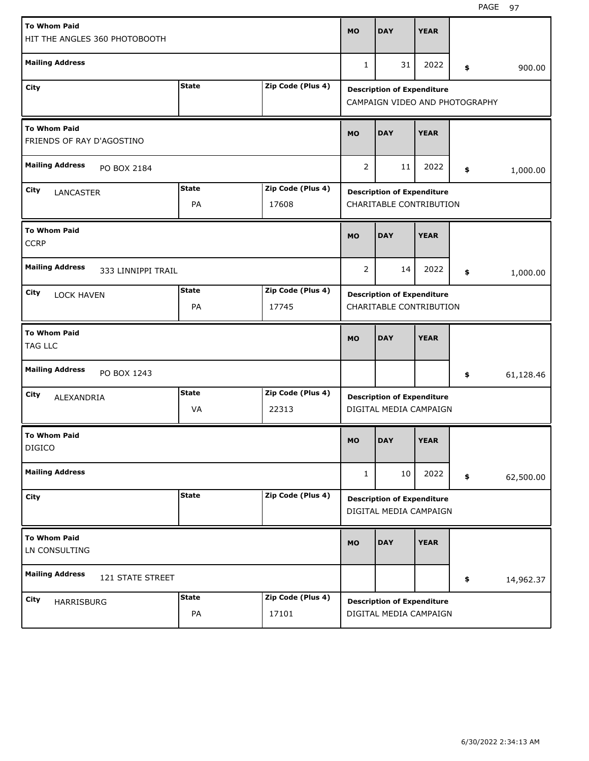| <b>To Whom Paid</b>                              |                    |                            | <b>MO</b>                                                    | <b>DAY</b>                                                          | <b>YEAR</b> |    |           |  |
|--------------------------------------------------|--------------------|----------------------------|--------------------------------------------------------------|---------------------------------------------------------------------|-------------|----|-----------|--|
| HIT THE ANGLES 360 PHOTOBOOTH                    |                    |                            |                                                              |                                                                     |             |    |           |  |
| <b>Mailing Address</b>                           |                    |                            | 1                                                            | 31                                                                  | 2022        | \$ | 900.00    |  |
| City                                             | <b>State</b>       | Zip Code (Plus 4)          |                                                              | <b>Description of Expenditure</b><br>CAMPAIGN VIDEO AND PHOTOGRAPHY |             |    |           |  |
| <b>To Whom Paid</b><br>FRIENDS OF RAY D'AGOSTINO |                    |                            |                                                              | <b>DAY</b>                                                          | <b>YEAR</b> |    |           |  |
| <b>Mailing Address</b><br>PO BOX 2184            |                    |                            |                                                              | 11                                                                  | 2022        | \$ | 1,000.00  |  |
| City<br>LANCASTER                                | <b>State</b><br>PA | Zip Code (Plus 4)<br>17608 |                                                              | <b>Description of Expenditure</b><br>CHARITABLE CONTRIBUTION        |             |    |           |  |
| <b>To Whom Paid</b><br><b>CCRP</b>               | <b>MO</b>          | <b>DAY</b>                 | <b>YEAR</b>                                                  |                                                                     |             |    |           |  |
| <b>Mailing Address</b><br>333 LINNIPPI TRAIL     |                    |                            | 2                                                            | 14                                                                  | 2022        | \$ | 1,000.00  |  |
| City<br><b>LOCK HAVEN</b>                        | <b>State</b><br>PA | Zip Code (Plus 4)<br>17745 | <b>Description of Expenditure</b><br>CHARITABLE CONTRIBUTION |                                                                     |             |    |           |  |
|                                                  |                    |                            |                                                              |                                                                     |             |    |           |  |
| <b>To Whom Paid</b><br>TAG LLC                   |                    |                            | <b>MO</b>                                                    | <b>DAY</b>                                                          | <b>YEAR</b> |    |           |  |
| <b>Mailing Address</b><br>PO BOX 1243            |                    |                            |                                                              |                                                                     |             | \$ | 61,128.46 |  |
| City<br>ALEXANDRIA                               | <b>State</b><br>VA | Zip Code (Plus 4)<br>22313 |                                                              | <b>Description of Expenditure</b><br>DIGITAL MEDIA CAMPAIGN         |             |    |           |  |
| <b>To Whom Paid</b><br><b>DIGICO</b>             |                    |                            | <b>MO</b>                                                    | <b>DAY</b>                                                          | <b>YEAR</b> |    |           |  |
| <b>Mailing Address</b>                           |                    |                            | 1                                                            | 10                                                                  | 2022        | \$ | 62,500.00 |  |
| City                                             | <b>State</b>       | Zip Code (Plus 4)          |                                                              | <b>Description of Expenditure</b><br>DIGITAL MEDIA CAMPAIGN         |             |    |           |  |
| <b>To Whom Paid</b><br>LN CONSULTING             |                    |                            | <b>MO</b>                                                    | <b>DAY</b>                                                          | <b>YEAR</b> |    |           |  |
| <b>Mailing Address</b><br>121 STATE STREET       |                    |                            |                                                              |                                                                     |             | \$ | 14,962.37 |  |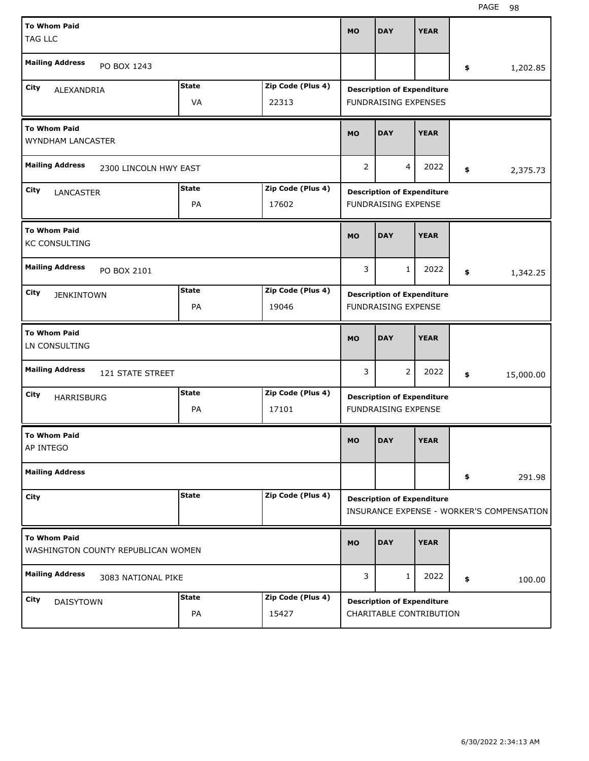| <b>To Whom Paid</b><br><b>TAG LLC</b>                     |                    |                            | <b>MO</b> | <b>DAY</b>                                                       | <b>YEAR</b> |                                           |
|-----------------------------------------------------------|--------------------|----------------------------|-----------|------------------------------------------------------------------|-------------|-------------------------------------------|
| <b>Mailing Address</b><br>PO BOX 1243                     |                    |                            |           |                                                                  |             | \$<br>1,202.85                            |
| City<br>ALEXANDRIA                                        | <b>State</b><br>VA | Zip Code (Plus 4)<br>22313 |           | <b>Description of Expenditure</b><br><b>FUNDRAISING EXPENSES</b> |             |                                           |
| <b>To Whom Paid</b><br><b>WYNDHAM LANCASTER</b>           |                    |                            |           | <b>DAY</b>                                                       | <b>YEAR</b> |                                           |
| <b>Mailing Address</b><br>2300 LINCOLN HWY EAST           | 2                  | $\overline{4}$             | 2022      | \$<br>2,375.73                                                   |             |                                           |
| City<br><b>LANCASTER</b>                                  | <b>State</b><br>PA | Zip Code (Plus 4)<br>17602 |           | <b>Description of Expenditure</b><br><b>FUNDRAISING EXPENSE</b>  |             |                                           |
| <b>To Whom Paid</b><br><b>KC CONSULTING</b>               |                    |                            | <b>MO</b> | <b>DAY</b>                                                       | <b>YEAR</b> |                                           |
| <b>Mailing Address</b><br>PO BOX 2101                     |                    |                            | 3         | $\mathbf{1}$                                                     | 2022        | \$<br>1,342.25                            |
| City<br><b>JENKINTOWN</b>                                 | <b>State</b><br>PA | Zip Code (Plus 4)<br>19046 |           | <b>Description of Expenditure</b><br><b>FUNDRAISING EXPENSE</b>  |             |                                           |
|                                                           |                    |                            |           |                                                                  |             |                                           |
| <b>To Whom Paid</b><br>LN CONSULTING                      |                    |                            | <b>MO</b> | <b>DAY</b>                                                       | <b>YEAR</b> |                                           |
| <b>Mailing Address</b><br>121 STATE STREET                |                    |                            | 3         | $\overline{2}$                                                   | 2022        | \$<br>15,000.00                           |
| City<br>HARRISBURG                                        | <b>State</b><br>PA | Zip Code (Plus 4)<br>17101 |           | <b>Description of Expenditure</b><br><b>FUNDRAISING EXPENSE</b>  |             |                                           |
| <b>To Whom Paid</b><br>AP INTEGO                          |                    |                            | MO        | <b>DAY</b>                                                       | <b>YEAR</b> |                                           |
| <b>Mailing Address</b>                                    |                    |                            |           |                                                                  |             | \$<br>291.98                              |
| City                                                      | <b>State</b>       | Zip Code (Plus 4)          |           | <b>Description of Expenditure</b>                                |             |                                           |
| <b>To Whom Paid</b><br>WASHINGTON COUNTY REPUBLICAN WOMEN |                    |                            | <b>MO</b> | <b>DAY</b>                                                       | <b>YEAR</b> | INSURANCE EXPENSE - WORKER'S COMPENSATION |
| <b>Mailing Address</b><br>3083 NATIONAL PIKE              |                    |                            | 3         | 1                                                                | 2022        | \$<br>100.00                              |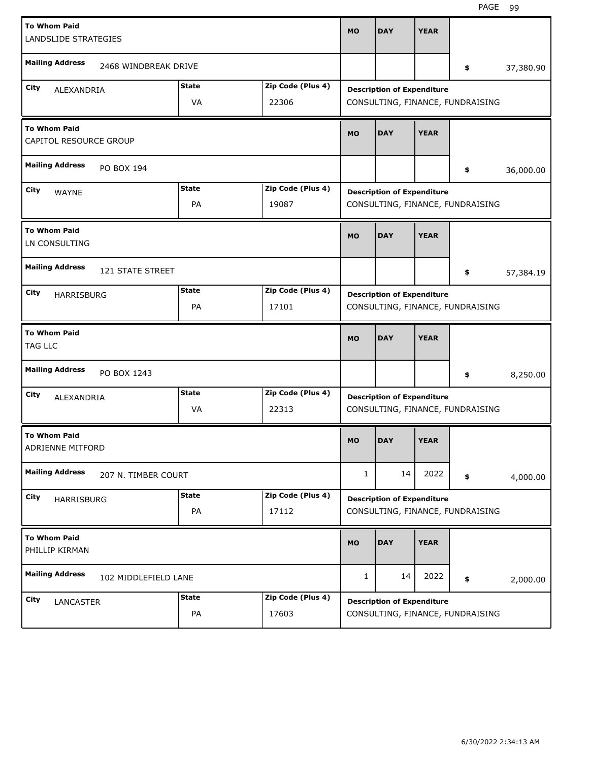| <b>To Whom Paid</b><br>LANDSLIDE STRATEGIES   |                         |                    |                            | <b>MO</b> | <b>DAY</b>                        | <b>YEAR</b> |                                  |           |
|-----------------------------------------------|-------------------------|--------------------|----------------------------|-----------|-----------------------------------|-------------|----------------------------------|-----------|
| <b>Mailing Address</b>                        | 2468 WINDBREAK DRIVE    |                    |                            |           |                                   |             | \$                               | 37,380.90 |
| City<br>ALEXANDRIA                            |                         | <b>State</b><br>VA | Zip Code (Plus 4)<br>22306 |           | <b>Description of Expenditure</b> |             | CONSULTING, FINANCE, FUNDRAISING |           |
| <b>To Whom Paid</b><br>CAPITOL RESOURCE GROUP |                         |                    |                            | <b>MO</b> | <b>DAY</b>                        | <b>YEAR</b> |                                  |           |
| <b>Mailing Address</b><br>PO BOX 194          |                         |                    |                            |           |                                   |             | \$                               | 36,000.00 |
| City<br><b>WAYNE</b>                          |                         | <b>State</b><br>PA | Zip Code (Plus 4)<br>19087 |           | <b>Description of Expenditure</b> |             | CONSULTING, FINANCE, FUNDRAISING |           |
| <b>To Whom Paid</b><br>LN CONSULTING          |                         |                    |                            | <b>MO</b> | <b>DAY</b>                        | <b>YEAR</b> |                                  |           |
| <b>Mailing Address</b>                        | <b>121 STATE STREET</b> |                    |                            |           |                                   |             | \$                               | 57,384.19 |
| City<br>HARRISBURG                            |                         | <b>State</b><br>PA | Zip Code (Plus 4)<br>17101 |           | <b>Description of Expenditure</b> |             | CONSULTING, FINANCE, FUNDRAISING |           |
|                                               |                         |                    |                            |           |                                   |             |                                  |           |
| <b>To Whom Paid</b><br>TAG LLC                |                         |                    |                            | <b>MO</b> | <b>DAY</b>                        | <b>YEAR</b> |                                  |           |
| <b>Mailing Address</b>                        | PO BOX 1243             |                    |                            |           |                                   |             | \$                               | 8,250.00  |
| City<br>ALEXANDRIA                            |                         | <b>State</b><br>VA | Zip Code (Plus 4)<br>22313 |           | <b>Description of Expenditure</b> |             | CONSULTING, FINANCE, FUNDRAISING |           |
| <b>To Whom Paid</b><br>ADRIENNE MITFORD       |                         |                    |                            | <b>MO</b> | <b>DAY</b>                        | <b>YEAR</b> |                                  |           |
| <b>Mailing Address</b>                        | 207 N. TIMBER COURT     |                    |                            | 1         | 14                                | 2022        | \$                               | 4,000.00  |
| City<br>HARRISBURG                            |                         | <b>State</b><br>PA | Zip Code (Plus 4)<br>17112 |           | <b>Description of Expenditure</b> |             | CONSULTING, FINANCE, FUNDRAISING |           |
| <b>To Whom Paid</b><br>PHILLIP KIRMAN         |                         |                    |                            | MO        | <b>DAY</b>                        | <b>YEAR</b> |                                  |           |
| <b>Mailing Address</b>                        | 102 MIDDLEFIELD LANE    |                    |                            | 1         | 14                                | 2022        | \$                               | 2,000.00  |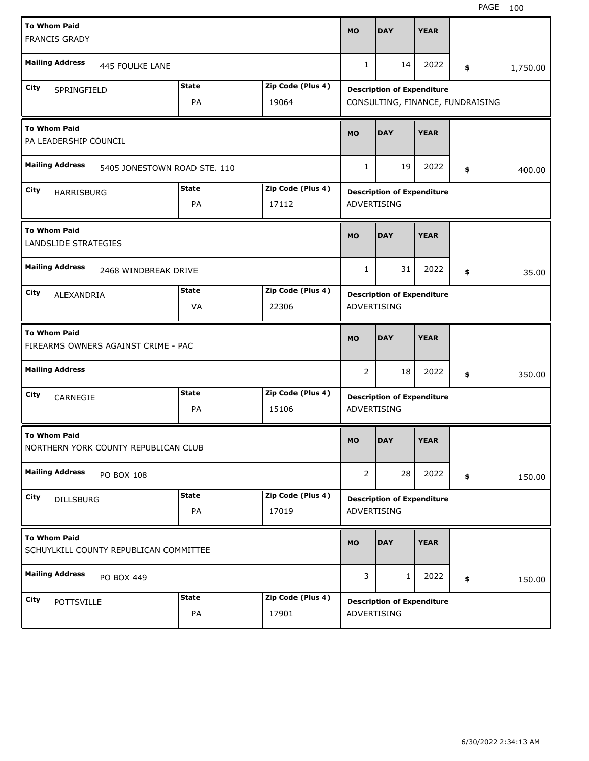| <b>To Whom Paid</b><br><b>FRANCIS GRADY</b>                |                                                                       |                    |                            | <b>MO</b>                                        | <b>DAY</b>                                                            | <b>YEAR</b>                       |    |  |          |
|------------------------------------------------------------|-----------------------------------------------------------------------|--------------------|----------------------------|--------------------------------------------------|-----------------------------------------------------------------------|-----------------------------------|----|--|----------|
| <b>Mailing Address</b>                                     | 445 FOULKE LANE                                                       |                    |                            | $\mathbf{1}$                                     | 14                                                                    | 2022                              | \$ |  | 1,750.00 |
| City<br>SPRINGFIELD                                        |                                                                       | <b>State</b><br>PA | Zip Code (Plus 4)<br>19064 |                                                  | <b>Description of Expenditure</b><br>CONSULTING, FINANCE, FUNDRAISING |                                   |    |  |          |
| <b>To Whom Paid</b><br>PA LEADERSHIP COUNCIL               |                                                                       |                    |                            | <b>MO</b>                                        | <b>DAY</b>                                                            | <b>YEAR</b>                       |    |  |          |
| <b>Mailing Address</b><br>5405 JONESTOWN ROAD STE. 110     |                                                                       |                    |                            | $\mathbf{1}$                                     | 19                                                                    | 2022                              | \$ |  | 400.00   |
| City                                                       | <b>State</b><br>Zip Code (Plus 4)<br><b>HARRISBURG</b><br>PA<br>17112 |                    |                            |                                                  |                                                                       | <b>Description of Expenditure</b> |    |  |          |
| <b>To Whom Paid</b><br>LANDSLIDE STRATEGIES                |                                                                       |                    |                            | <b>MO</b>                                        | <b>DAY</b>                                                            | <b>YEAR</b>                       |    |  |          |
| <b>Mailing Address</b>                                     | 2468 WINDBREAK DRIVE                                                  |                    |                            | $\mathbf{1}$                                     | 31                                                                    | 2022                              | \$ |  | 35.00    |
| City<br>ALEXANDRIA                                         |                                                                       | <b>State</b><br>VA | Zip Code (Plus 4)<br>22306 | <b>Description of Expenditure</b><br>ADVERTISING |                                                                       |                                   |    |  |          |
| <b>To Whom Paid</b><br>FIREARMS OWNERS AGAINST CRIME - PAC |                                                                       |                    |                            |                                                  |                                                                       |                                   |    |  |          |
|                                                            |                                                                       |                    |                            | <b>MO</b>                                        | <b>DAY</b>                                                            | <b>YEAR</b>                       |    |  |          |
| <b>Mailing Address</b>                                     |                                                                       |                    |                            | 2                                                | 18                                                                    | 2022                              | \$ |  | 350.00   |
| City<br>CARNEGIE                                           |                                                                       | <b>State</b><br>PA | Zip Code (Plus 4)<br>15106 | <b>ADVERTISING</b>                               | <b>Description of Expenditure</b>                                     |                                   |    |  |          |
| <b>To Whom Paid</b>                                        | NORTHERN YORK COUNTY REPUBLICAN CLUB                                  |                    |                            | MO                                               | <b>DAY</b>                                                            | <b>YEAR</b>                       |    |  |          |
| <b>Mailing Address</b>                                     | PO BOX 108                                                            |                    |                            | $\overline{2}$                                   | 28                                                                    | 2022                              | \$ |  | 150.00   |
| City<br><b>DILLSBURG</b>                                   |                                                                       | <b>State</b><br>PA | Zip Code (Plus 4)<br>17019 | ADVERTISING                                      | <b>Description of Expenditure</b>                                     |                                   |    |  |          |
| <b>To Whom Paid</b>                                        | SCHUYLKILL COUNTY REPUBLICAN COMMITTEE                                |                    |                            | <b>MO</b>                                        | <b>DAY</b>                                                            | <b>YEAR</b>                       |    |  |          |
| <b>Mailing Address</b>                                     | PO BOX 449                                                            |                    |                            | 3                                                | 1                                                                     | 2022                              | \$ |  | 150.00   |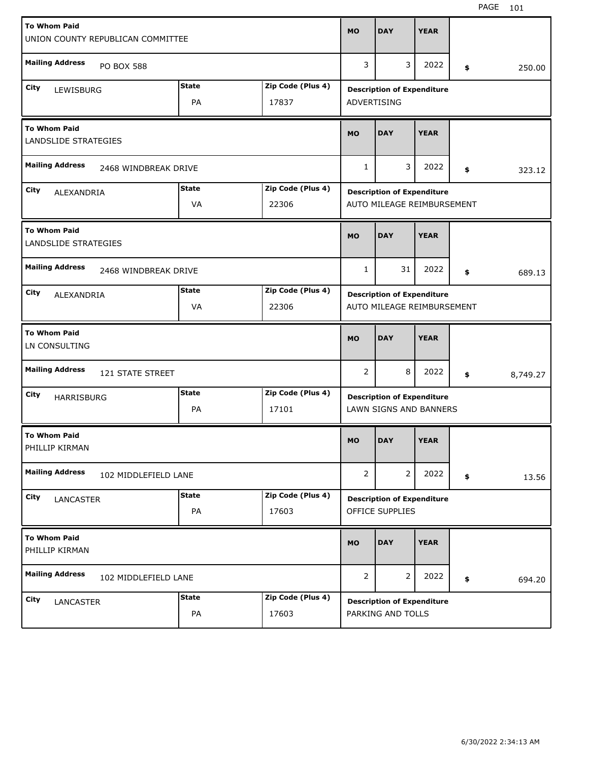| <b>To Whom Paid</b><br>UNION COUNTY REPUBLICAN COMMITTEE |                           |                   | <b>MO</b>      | <b>DAY</b>                                                  | <b>YEAR</b> |                            |          |
|----------------------------------------------------------|---------------------------|-------------------|----------------|-------------------------------------------------------------|-------------|----------------------------|----------|
| <b>Mailing Address</b><br><b>PO BOX 588</b>              |                           |                   | 3              | 3                                                           | 2022        | \$                         | 250.00   |
| City<br>LEWISBURG                                        | <b>State</b>              | Zip Code (Plus 4) |                | <b>Description of Expenditure</b>                           |             |                            |          |
|                                                          | PA                        | 17837             | ADVERTISING    |                                                             |             |                            |          |
| <b>To Whom Paid</b><br>LANDSLIDE STRATEGIES              |                           |                   |                | <b>DAY</b>                                                  | <b>YEAR</b> |                            |          |
| <b>Mailing Address</b><br>2468 WINDBREAK DRIVE           |                           |                   |                | 3                                                           | 2022        | \$                         | 323.12   |
| City                                                     | <b>State</b>              | Zip Code (Plus 4) |                | <b>Description of Expenditure</b>                           |             |                            |          |
|                                                          | ALEXANDRIA<br>VA<br>22306 |                   |                |                                                             |             | AUTO MILEAGE REIMBURSEMENT |          |
| <b>To Whom Paid</b><br>LANDSLIDE STRATEGIES              |                           |                   | <b>MO</b>      | <b>DAY</b>                                                  | <b>YEAR</b> |                            |          |
| <b>Mailing Address</b><br>2468 WINDBREAK DRIVE           |                           |                   | $\mathbf{1}$   | 31                                                          | 2022        | \$                         | 689.13   |
| City<br>ALEXANDRIA                                       | <b>State</b>              | Zip Code (Plus 4) |                | <b>Description of Expenditure</b>                           |             |                            |          |
|                                                          | VA                        | 22306             |                | AUTO MILEAGE REIMBURSEMENT                                  |             |                            |          |
|                                                          |                           |                   |                |                                                             |             |                            |          |
| <b>To Whom Paid</b><br>LN CONSULTING                     |                           |                   | <b>MO</b>      | <b>DAY</b>                                                  | <b>YEAR</b> |                            |          |
| <b>Mailing Address</b><br>121 STATE STREET               |                           |                   | $\overline{2}$ | 8                                                           | 2022        | \$                         | 8,749.27 |
| City                                                     | State                     | Zip Code (Plus 4) |                |                                                             |             |                            |          |
| <b>HARRISBURG</b>                                        | PA                        | 17101             |                | <b>Description of Expenditure</b><br>LAWN SIGNS AND BANNERS |             |                            |          |
| <b>To Whom Paid</b><br>PHILLIP KIRMAN                    |                           |                   | <b>MO</b>      | <b>DAY</b>                                                  | <b>YEAR</b> |                            |          |
| <b>Mailing Address</b><br>102 MIDDLEFIELD LANE           |                           |                   | $\overline{2}$ | 2                                                           | 2022        | \$                         | 13.56    |
| City                                                     | <b>State</b>              | Zip Code (Plus 4) |                | <b>Description of Expenditure</b>                           |             |                            |          |
| LANCASTER                                                | PA                        | 17603             |                | OFFICE SUPPLIES                                             |             |                            |          |
| <b>To Whom Paid</b><br>PHILLIP KIRMAN                    |                           |                   | <b>MO</b>      | <b>DAY</b>                                                  | <b>YEAR</b> |                            |          |
| <b>Mailing Address</b><br>102 MIDDLEFIELD LANE           |                           |                   | $\overline{2}$ | 2                                                           | 2022        | \$                         | 694.20   |
| City<br>LANCASTER                                        | <b>State</b>              | Zip Code (Plus 4) |                | <b>Description of Expenditure</b>                           |             |                            |          |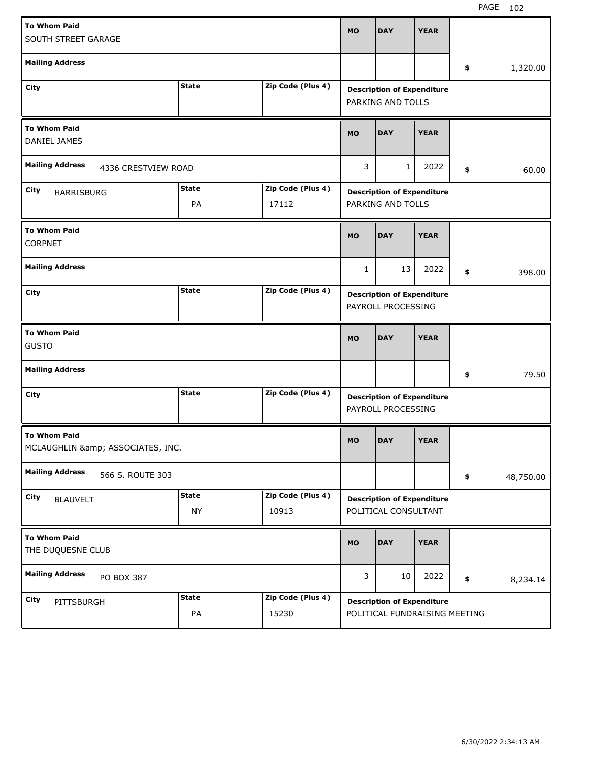| <b>To Whom Paid</b><br>SOUTH STREET GARAGE           |                           |                            | MO           | <b>DAY</b>                                                | <b>YEAR</b> |    |           |  |  |
|------------------------------------------------------|---------------------------|----------------------------|--------------|-----------------------------------------------------------|-------------|----|-----------|--|--|
| <b>Mailing Address</b>                               |                           |                            |              |                                                           |             | \$ | 1,320.00  |  |  |
| City                                                 | <b>State</b>              | Zip Code (Plus 4)          |              | <b>Description of Expenditure</b><br>PARKING AND TOLLS    |             |    |           |  |  |
| <b>To Whom Paid</b><br>DANIEL JAMES                  |                           |                            |              | <b>DAY</b>                                                | <b>YEAR</b> |    |           |  |  |
| <b>Mailing Address</b><br>4336 CRESTVIEW ROAD        |                           |                            |              | $\mathbf{1}$                                              | 2022        | \$ | 60.00     |  |  |
| City<br><b>HARRISBURG</b>                            | <b>State</b><br>PA        | Zip Code (Plus 4)<br>17112 |              | <b>Description of Expenditure</b><br>PARKING AND TOLLS    |             |    |           |  |  |
| <b>To Whom Paid</b><br><b>CORPNET</b>                |                           |                            | <b>MO</b>    | <b>DAY</b>                                                | <b>YEAR</b> |    |           |  |  |
| <b>Mailing Address</b>                               |                           |                            | $\mathbf{1}$ | 13                                                        | 2022        | \$ | 398.00    |  |  |
| <b>State</b><br>Zip Code (Plus 4)<br>City            |                           |                            |              | <b>Description of Expenditure</b><br>PAYROLL PROCESSING   |             |    |           |  |  |
| <b>To Whom Paid</b>                                  |                           |                            |              |                                                           |             |    |           |  |  |
| <b>GUSTO</b>                                         |                           |                            | MO           | <b>DAY</b>                                                | <b>YEAR</b> |    |           |  |  |
| <b>Mailing Address</b>                               |                           |                            |              |                                                           |             | \$ | 79.50     |  |  |
| City                                                 | <b>State</b>              | Zip Code (Plus 4)          |              | <b>Description of Expenditure</b><br>PAYROLL PROCESSING   |             |    |           |  |  |
| <b>To Whom Paid</b><br>MCLAUGHLIN & ASSOCIATES, INC. |                           |                            | <b>MO</b>    | <b>DAY</b>                                                | <b>YEAR</b> |    |           |  |  |
| <b>Mailing Address</b><br>566 S. ROUTE 303           |                           |                            |              |                                                           |             | \$ | 48,750.00 |  |  |
| City<br><b>BLAUVELT</b>                              | <b>State</b><br><b>NY</b> | Zip Code (Plus 4)<br>10913 |              | <b>Description of Expenditure</b><br>POLITICAL CONSULTANT |             |    |           |  |  |
| <b>To Whom Paid</b><br>THE DUQUESNE CLUB             |                           |                            | MO           | <b>DAY</b>                                                | <b>YEAR</b> |    |           |  |  |
| <b>Mailing Address</b><br>PO BOX 387                 |                           |                            | 3            | 10                                                        | 2022        | \$ | 8,234.14  |  |  |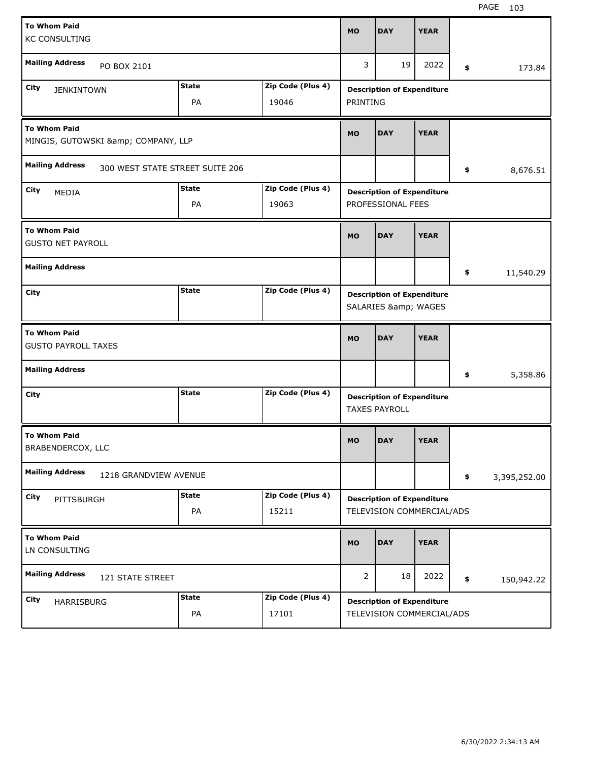| <b>To Whom Paid</b><br><b>KC CONSULTING</b>       |                                 |                           |                            | <b>MO</b>      | <b>DAY</b>                                                     | <b>YEAR</b> |                    |
|---------------------------------------------------|---------------------------------|---------------------------|----------------------------|----------------|----------------------------------------------------------------|-------------|--------------------|
| <b>Mailing Address</b>                            | PO BOX 2101                     |                           |                            | 3              | 19                                                             | 2022        | \$<br>173.84       |
| City<br><b>JENKINTOWN</b>                         |                                 | <b>State</b><br><b>PA</b> | Zip Code (Plus 4)<br>19046 | PRINTING       | <b>Description of Expenditure</b>                              |             |                    |
| <b>To Whom Paid</b>                               | MINGIS, GUTOWSKI & COMPANY, LLP |                           |                            | <b>MO</b>      | <b>DAY</b>                                                     | <b>YEAR</b> |                    |
| <b>Mailing Address</b>                            | 300 WEST STATE STREET SUITE 206 |                           |                            |                |                                                                |             | \$<br>8,676.51     |
| City<br>MEDIA                                     |                                 | <b>State</b><br>PA        | Zip Code (Plus 4)<br>19063 |                | <b>Description of Expenditure</b><br>PROFESSIONAL FEES         |             |                    |
| <b>To Whom Paid</b><br><b>GUSTO NET PAYROLL</b>   |                                 |                           |                            | <b>MO</b>      | <b>DAY</b>                                                     | <b>YEAR</b> |                    |
| <b>Mailing Address</b>                            |                                 |                           |                            |                |                                                                |             | \$<br>11,540.29    |
| City                                              |                                 | <b>State</b>              | Zip Code (Plus 4)          |                | <b>Description of Expenditure</b><br>SALARIES & WAGES          |             |                    |
|                                                   |                                 |                           |                            |                |                                                                |             |                    |
| <b>To Whom Paid</b><br><b>GUSTO PAYROLL TAXES</b> |                                 |                           |                            | <b>MO</b>      | <b>DAY</b>                                                     | <b>YEAR</b> |                    |
| <b>Mailing Address</b>                            |                                 |                           |                            |                |                                                                |             | \$<br>5,358.86     |
| City                                              |                                 | <b>State</b>              | Zip Code (Plus 4)          |                | <b>Description of Expenditure</b><br><b>TAXES PAYROLL</b>      |             |                    |
| <b>To Whom Paid</b><br>BRABENDERCOX, LLC          |                                 |                           |                            | <b>MO</b>      | <b>DAY</b>                                                     | <b>YEAR</b> |                    |
| <b>Mailing Address</b>                            | 1218 GRANDVIEW AVENUE           |                           |                            |                |                                                                |             | \$<br>3,395,252.00 |
| City<br>PITTSBURGH                                |                                 | <b>State</b><br>PA        | Zip Code (Plus 4)<br>15211 |                | <b>Description of Expenditure</b><br>TELEVISION COMMERCIAL/ADS |             |                    |
| <b>To Whom Paid</b><br>LN CONSULTING              |                                 |                           |                            | <b>MO</b>      | <b>DAY</b>                                                     | <b>YEAR</b> |                    |
| <b>Mailing Address</b>                            | 121 STATE STREET                |                           |                            | $\overline{2}$ | 18                                                             | 2022        | \$<br>150,942.22   |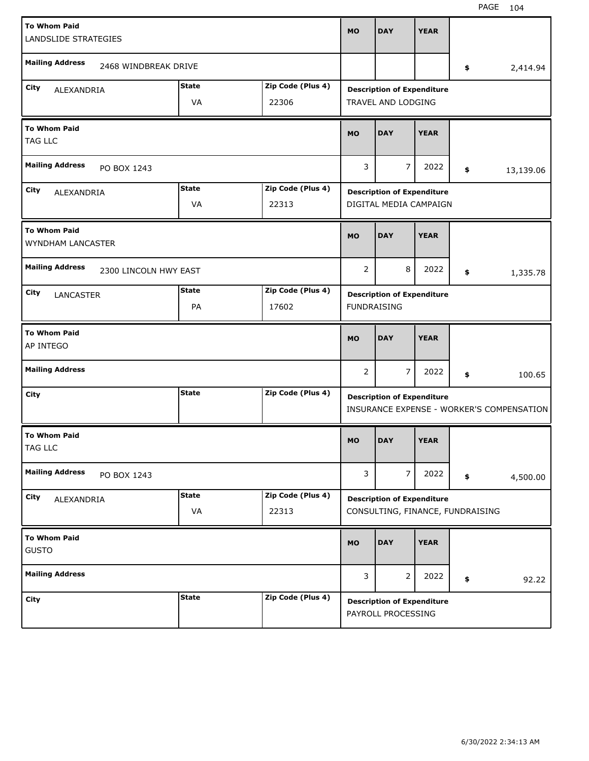| <b>City</b>                                 | <b>State</b>          | Zip Code (Plus 4)          |                | <b>Description of Expenditure</b><br>PAYROLL PROCESSING               |             |                                           |
|---------------------------------------------|-----------------------|----------------------------|----------------|-----------------------------------------------------------------------|-------------|-------------------------------------------|
| <b>Mailing Address</b>                      |                       |                            | 3              | 2                                                                     | 2022        | \$<br>92.22                               |
| <b>To Whom Paid</b><br><b>GUSTO</b>         |                       |                            | <b>MO</b>      | <b>DAY</b>                                                            | <b>YEAR</b> |                                           |
| City<br>ALEXANDRIA                          | <b>State</b><br>VA    | Zip Code (Plus 4)<br>22313 |                | <b>Description of Expenditure</b><br>CONSULTING, FINANCE, FUNDRAISING |             |                                           |
| <b>Mailing Address</b><br>PO BOX 1243       |                       |                            | 3              | $\overline{7}$                                                        | 2022        | \$<br>4,500.00                            |
| <b>To Whom Paid</b><br>TAG LLC              |                       |                            | <b>MO</b>      | <b>DAY</b>                                                            | <b>YEAR</b> |                                           |
| City                                        | <b>State</b>          | Zip Code (Plus 4)          |                | <b>Description of Expenditure</b>                                     |             | INSURANCE EXPENSE - WORKER'S COMPENSATION |
| <b>Mailing Address</b>                      |                       |                            | $\overline{2}$ | $\overline{7}$                                                        | 2022        | \$<br>100.65                              |
| <b>To Whom Paid</b><br>AP INTEGO            |                       |                            | <b>MO</b>      | <b>DAY</b>                                                            | <b>YEAR</b> |                                           |
| City<br>LANCASTER                           | <b>State</b><br>PA    | Zip Code (Plus 4)<br>17602 |                | <b>Description of Expenditure</b><br><b>FUNDRAISING</b>               |             |                                           |
| <b>Mailing Address</b>                      | 2300 LINCOLN HWY EAST |                            | $\overline{2}$ | 8                                                                     | 2022        | \$<br>1,335.78                            |
| <b>To Whom Paid</b><br>WYNDHAM LANCASTER    |                       |                            | <b>MO</b>      | <b>DAY</b>                                                            | <b>YEAR</b> |                                           |
| City<br>ALEXANDRIA                          | <b>State</b><br>VA    | Zip Code (Plus 4)<br>22313 |                | <b>Description of Expenditure</b><br>DIGITAL MEDIA CAMPAIGN           |             |                                           |
| <b>Mailing Address</b><br>PO BOX 1243       |                       |                            |                | $\overline{7}$                                                        | 2022        | \$<br>13,139.06                           |
| <b>To Whom Paid</b><br><b>TAG LLC</b>       |                       |                            |                | <b>DAY</b>                                                            | <b>YEAR</b> |                                           |
| City<br>ALEXANDRIA                          | <b>State</b><br>VA    | Zip Code (Plus 4)<br>22306 |                | <b>Description of Expenditure</b><br>TRAVEL AND LODGING               |             |                                           |
| <b>Mailing Address</b>                      | 2468 WINDBREAK DRIVE  |                            |                |                                                                       |             | \$<br>2,414.94                            |
| <b>To Whom Paid</b><br>LANDSLIDE STRATEGIES |                       |                            | <b>MO</b>      | <b>DAY</b>                                                            | <b>YEAR</b> |                                           |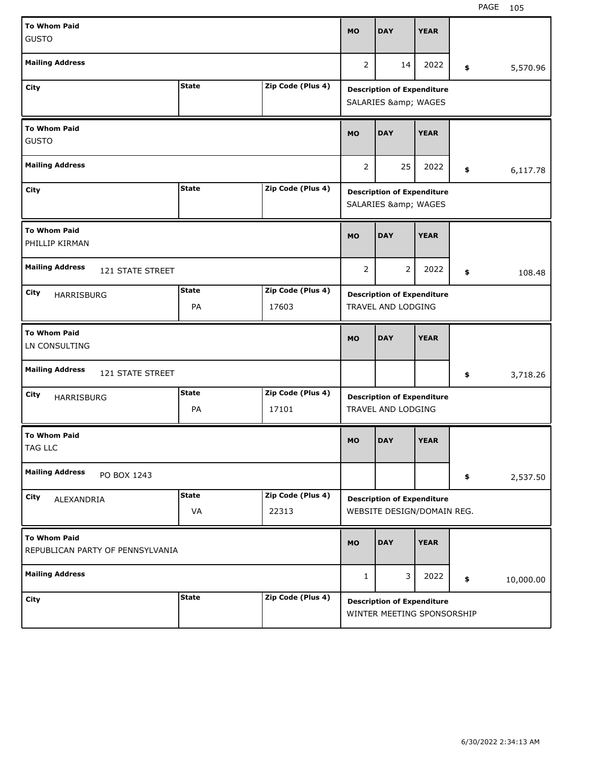| <b>To Whom Paid</b><br><b>GUSTO</b>                     |                                   |                            | <b>MO</b>                                               | <b>DAY</b>                                                      | <b>YEAR</b> |                                   |           |
|---------------------------------------------------------|-----------------------------------|----------------------------|---------------------------------------------------------|-----------------------------------------------------------------|-------------|-----------------------------------|-----------|
| <b>Mailing Address</b>                                  |                                   |                            | $\overline{2}$                                          | 14                                                              | 2022        | \$                                | 5,570.96  |
| City                                                    | <b>State</b>                      | Zip Code (Plus 4)          |                                                         | <b>Description of Expenditure</b><br>SALARIES & WAGES           |             |                                   |           |
| <b>To Whom Paid</b><br><b>GUSTO</b>                     | <b>MO</b>                         | <b>DAY</b>                 | <b>YEAR</b>                                             |                                                                 |             |                                   |           |
| <b>Mailing Address</b>                                  |                                   |                            |                                                         | 25                                                              | 2022        | \$                                | 6,117.78  |
| City                                                    | <b>State</b><br>Zip Code (Plus 4) |                            |                                                         |                                                                 |             | <b>Description of Expenditure</b> |           |
| <b>To Whom Paid</b><br>PHILLIP KIRMAN                   | <b>MO</b>                         | <b>DAY</b>                 | <b>YEAR</b>                                             |                                                                 |             |                                   |           |
| <b>Mailing Address</b><br>121 STATE STREET              |                                   |                            | $\overline{2}$                                          | $\overline{2}$                                                  | 2022        | \$                                | 108.48    |
| City<br>HARRISBURG                                      | <b>State</b><br>PA                | Zip Code (Plus 4)<br>17603 | <b>Description of Expenditure</b><br>TRAVEL AND LODGING |                                                                 |             |                                   |           |
| <b>To Whom Paid</b>                                     |                                   |                            |                                                         |                                                                 |             |                                   |           |
| LN CONSULTING                                           |                                   |                            | <b>MO</b>                                               | <b>DAY</b>                                                      | <b>YEAR</b> |                                   |           |
| <b>Mailing Address</b><br>121 STATE STREET              |                                   |                            |                                                         |                                                                 |             | \$                                | 3,718.26  |
| City<br>HARRISBURG                                      | <b>State</b><br>PA                | Zip Code (Plus 4)<br>17101 |                                                         | <b>Description of Expenditure</b><br>TRAVEL AND LODGING         |             |                                   |           |
| <b>To Whom Paid</b><br>TAG LLC                          |                                   |                            | <b>MO</b>                                               | <b>DAY</b>                                                      | <b>YEAR</b> |                                   |           |
| <b>Mailing Address</b><br>PO BOX 1243                   |                                   |                            |                                                         |                                                                 |             | \$                                | 2,537.50  |
| City<br>ALEXANDRIA                                      | <b>State</b><br>VA                | Zip Code (Plus 4)<br>22313 |                                                         | <b>Description of Expenditure</b><br>WEBSITE DESIGN/DOMAIN REG. |             |                                   |           |
| <b>To Whom Paid</b><br>REPUBLICAN PARTY OF PENNSYLVANIA |                                   |                            | MO                                                      | <b>DAY</b>                                                      | <b>YEAR</b> |                                   |           |
| <b>Mailing Address</b>                                  |                                   |                            | $\mathbf{1}$                                            | 3                                                               | 2022        | \$                                | 10,000.00 |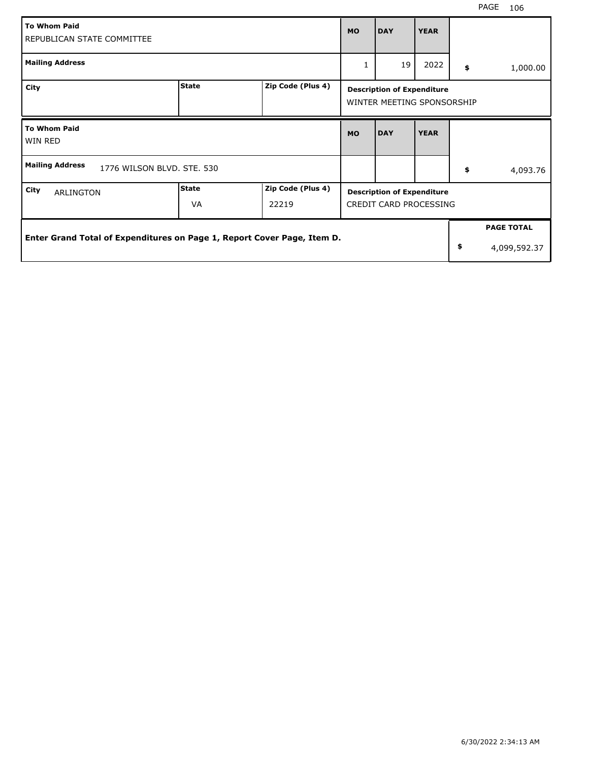| <b>To Whom Paid</b><br><b>MO</b><br>REPUBLICAN STATE COMMITTEE          |                    |                            |           | <b>DAY</b>                                                      | <b>YEAR</b> |                    |
|-------------------------------------------------------------------------|--------------------|----------------------------|-----------|-----------------------------------------------------------------|-------------|--------------------|
| <b>Mailing Address</b>                                                  |                    |                            |           | 19                                                              | 2022        | \$<br>1,000.00     |
| City                                                                    | <b>State</b>       | Zip Code (Plus 4)          |           | <b>Description of Expenditure</b><br>WINTER MEETING SPONSORSHIP |             |                    |
| <b>To Whom Paid</b><br>WIN RED                                          |                    |                            | <b>MO</b> | <b>DAY</b>                                                      | <b>YEAR</b> |                    |
| <b>Mailing Address</b><br>1776 WILSON BLVD, STE, 530                    |                    |                            |           |                                                                 |             | \$<br>4,093.76     |
| City<br><b>ARLINGTON</b>                                                | <b>State</b><br>VA | Zip Code (Plus 4)<br>22219 |           | <b>Description of Expenditure</b><br>CREDIT CARD PROCESSING     |             |                    |
| Enter Grand Total of Expenditures on Page 1, Report Cover Page, Item D. |                    |                            |           |                                                                 |             | <b>PAGE TOTAL</b>  |
|                                                                         |                    |                            |           |                                                                 |             | \$<br>4,099,592.37 |